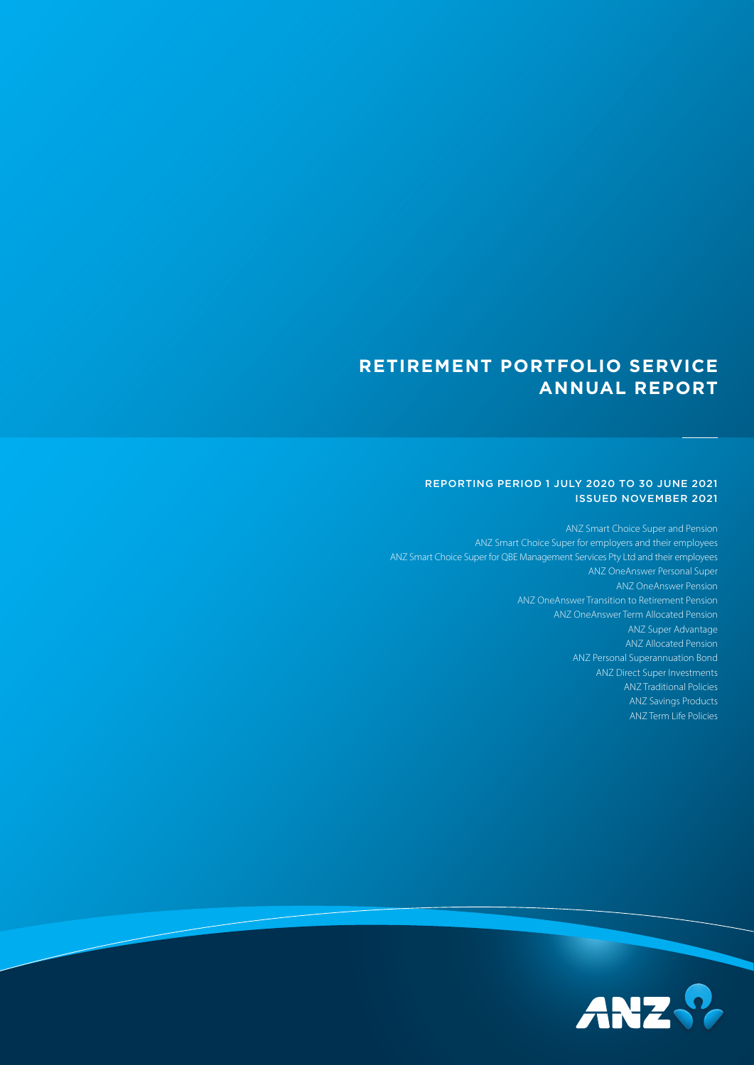# **RETIREMENT PORTFOLIO SERVICE ANNUAL REPORT**

## REPORTING PERIOD 1 JULY 2020 TO 30 JUNE 2021 ISSUED NOVEMBER 2021

ANZ Smart Choice Super and Pension ANZ Smart Choice Super for employers and their employees ANZ Smart Choice Super for QBE Management Services Pty Ltd and their employees ANZ OneAnswer Personal Super ANZ OneAnswer Pension ANZ OneAnswer Transition to Retirement Pension ANZ OneAnswer Term Allocated Pension ANZ Super Advantage ANZ Allocated Pension ANZ Personal Superannuation Bond ANZ Direct Super Investments ANZ Traditional Policies ANZ Savings Products ANZ Term Life Policies

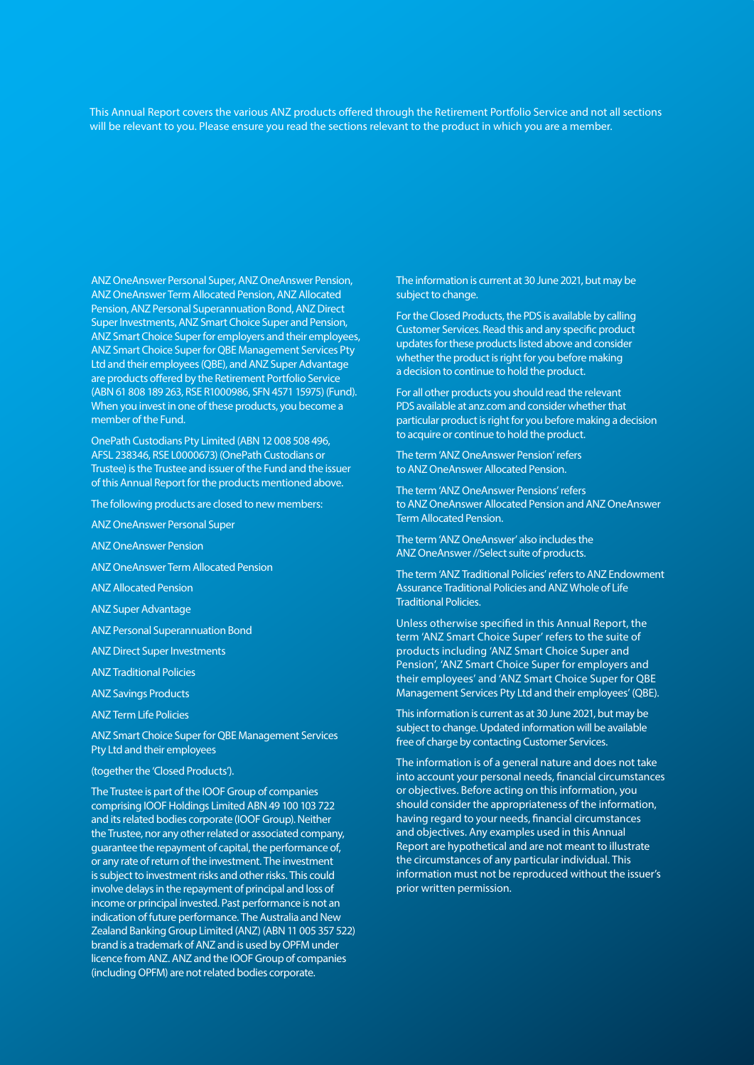This Annual Report covers the various ANZ products offered through the Retirement Portfolio Service and not all sections will be relevant to you. Please ensure you read the sections relevant to the product in which you are a member.

ANZ OneAnswer Personal Super, ANZ OneAnswer Pension, ANZ OneAnswer Term Allocated Pension, ANZ Allocated Pension, ANZ Personal Superannuation Bond, ANZ Direct Super Investments, ANZ Smart Choice Super and Pension, ANZ Smart Choice Super for employers and their employees, ANZ Smart Choice Super for QBE Management Services Pty Ltd and their employees (QBE), and ANZ Super Advantage are products offered by the Retirement Portfolio Service (ABN 61 808 189 263, RSE R1000986, SFN 4571 15975) (Fund). When you invest in one of these products, you become a member of the Fund.

OnePath Custodians Pty Limited (ABN 12 008 508 496, AFSL 238346, RSE L0000673) (OnePath Custodians or Trustee) is the Trustee and issuer of the Fund and the issuer of this Annual Report for the products mentioned above.

The following products are closed to new members:

ANZ OneAnswer Personal Super

ANZ OneAnswer Pension

ANZ OneAnswer Term Allocated Pension

ANZ Allocated Pension

ANZ Super Advantage

ANZ Personal Superannuation Bond

ANZ Direct Super Investments

ANZ Traditional Policies

ANZ Savings Products

ANZ Term Life Policies

ANZ Smart Choice Super for QBE Management Services Pty Ltd and their employees

(together the 'Closed Products').

The Trustee is part of the IOOF Group of companies comprising IOOF Holdings Limited ABN 49 100 103 722 and its related bodies corporate (IOOF Group). Neither the Trustee, nor any other related or associated company, guarantee the repayment of capital, the performance of, or any rate of return of the investment. The investment is subject to investment risks and other risks. This could involve delays in the repayment of principal and loss of income or principal invested. Past performance is not an indication of future performance. The Australia and New Zealand Banking Group Limited (ANZ) (ABN 11 005 357 522) brand is a trademark of ANZ and is used by OPFM under licence from ANZ. ANZ and the IOOF Group of companies (including OPFM) are not related bodies corporate.

The information is current at 30 June 2021, but may be subject to change.

For the Closed Products, the PDS is available by calling Customer Services. Read this and any specific product updates for these products listed above and consider whether the product is right for you before making a decision to continue to hold the product.

For all other products you should read the relevant PDS available at [anz.com](http://anz.com) and consider whether that particular product is right for you before making a decision to acquire or continue to hold the product.

The term 'ANZ OneAnswer Pension' refers to ANZ OneAnswer Allocated Pension.

The term 'ANZ OneAnswer Pensions' refers to ANZ OneAnswer Allocated Pension and ANZ OneAnswer Term Allocated Pension.

The term 'ANZ OneAnswer' also includes the ANZ OneAnswer //Select suite of products.

The term 'ANZ Traditional Policies' refers to ANZ Endowment Assurance Traditional Policies and ANZ Whole of Life Traditional Policies.

Unless otherwise specified in this Annual Report, the term 'ANZ Smart Choice Super' refers to the suite of products including 'ANZ Smart Choice Super and Pension', 'ANZ Smart Choice Super for employers and their employees' and 'ANZ Smart Choice Super for QBE Management Services Pty Ltd and their employees' (QBE).

This information is current as at 30 June 2021, but may be subject to change. Updated information will be available free of charge by contacting Customer Services.

The information is of a general nature and does not take into account your personal needs, financial circumstances or objectives. Before acting on this information, you should consider the appropriateness of the information, having regard to your needs, financial circumstances and objectives. Any examples used in this Annual Report are hypothetical and are not meant to illustrate the circumstances of any particular individual. This information must not be reproduced without the issuer's prior written permission.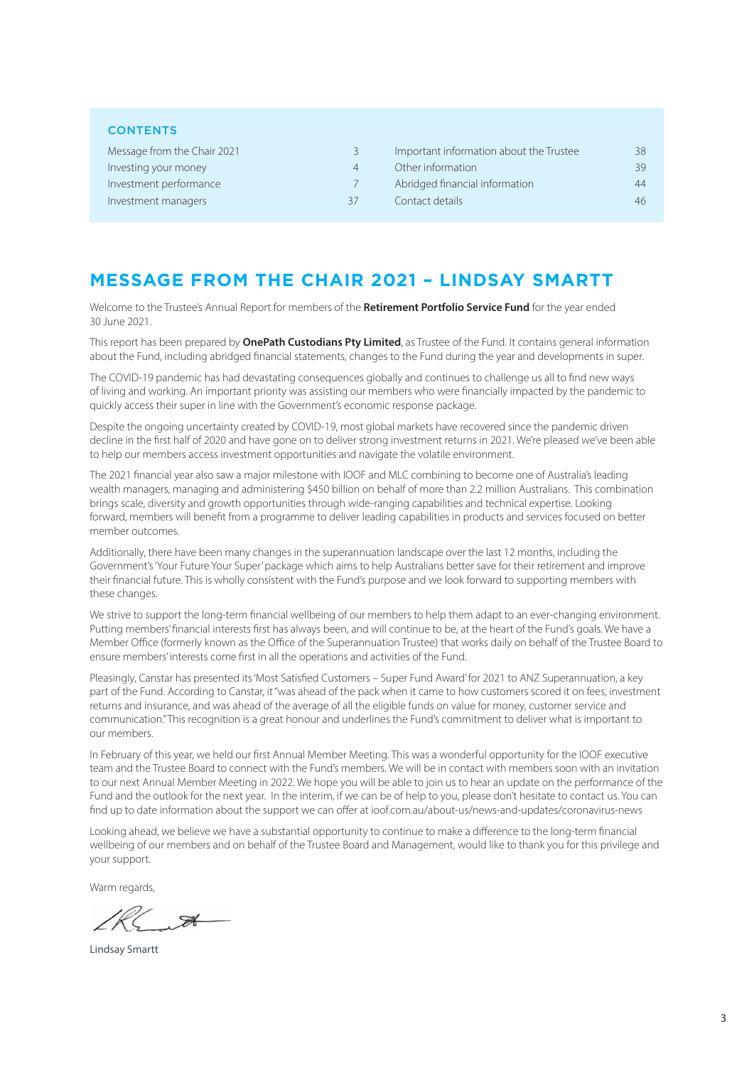| <b>CONTENTS</b>             |    |                                         |    |
|-----------------------------|----|-----------------------------------------|----|
| Message from the Chair 2021 | 3  | Important information about the Trustee | 38 |
| Investing your money        | 4  | Other information                       | 39 |
| Investment performance      |    | Abridged financial information          |    |
| Investment managers         | 37 | Contact details                         |    |
|                             |    |                                         |    |

# **MESSAGE FROM THE CHAIR 2021 – LINDSAY SMARTT**

Welcome to the Trustee's Annual Report for members of the **Retirement Portfolio Service Fund** for the year ended 30 June 2021.

This report has been prepared by **OnePath Custodians Pty Limited**, as Trustee of the Fund. It contains general information about the Fund, including abridged financial statements, changes to the Fund during the year and developments in super.

The COVID-19 pandemic has had devastating consequences globally and continues to challenge us all to find new ways of living and working. An important priority was assisting our members who were financially impacted by the pandemic to quickly access their super in line with the Government's economic response package.

Despite the ongoing uncertainty created by COVID-19, most global markets have recovered since the pandemic driven decline in the first half of 2020 and have gone on to deliver strong investment returns in 2021. We're pleased we've been able to help our members access investment opportunities and navigate the volatile environment.

The 2021 financial year also saw a major milestone with IOOF and MLC combining to become one of Australia's leading wealth managers, managing and administering \$450 billion on behalf of more than 2.2 million Australians. This combination brings scale, diversity and growth opportunities through wide-ranging capabilities and technical expertise. Looking forward, members will benefit from a programme to deliver leading capabilities in products and services focused on better member outcomes.

Additionally, there have been many changes in the superannuation landscape over the last 12 months, including the Government's 'Your Future Your Super' package which aims to help Australians better save for their retirement and improve their financial future. This is wholly consistent with the Fund's purpose and we look forward to supporting members with these changes.

We strive to support the long-term financial wellbeing of our members to help them adapt to an ever-changing environment. Putting members' financial interests first has always been, and will continue to be, at the heart of the Fund's goals. We have a Member Office (formerly known as the Office of the Superannuation Trustee) that works daily on behalf of the Trustee Board to ensure members' interests come first in all the operations and activities of the Fund.

Pleasingly, Canstar has presented its 'Most Satisfied Customers – Super Fund Award' for 2021 to ANZ Superannuation, a key part of the Fund. According to Canstar, it "was ahead of the pack when it came to how customers scored it on fees, investment returns and insurance, and was ahead of the average of all the eligible funds on value for money, customer service and communication." This recognition is a great honour and underlines the Fund's commitment to deliver what is important to our members.

In February of this year, we held our first Annual Member Meeting. This was a wonderful opportunity for the IOOF executive team and the Trustee Board to connect with the Fund's members. We will be in contact with members soon with an invitation to our next Annual Member Meeting in 2022. We hope you will be able to join us to hear an update on the performance of the Fund and the outlook for the next year. In the interim, if we can be of help to you, please don't hesitate to contact us. You can find up to date information about the support we can offer at ioof.com.au/about-us/news-and-updates/coronavirus-news

Looking ahead, we believe we have a substantial opportunity to continue to make a difference to the long-term financial wellbeing of our members and on behalf of the Trustee Board and Management, would like to thank you for this privilege and your support.

Warm regards,

 $\mathscr{A}$ 

Lindsay Smartt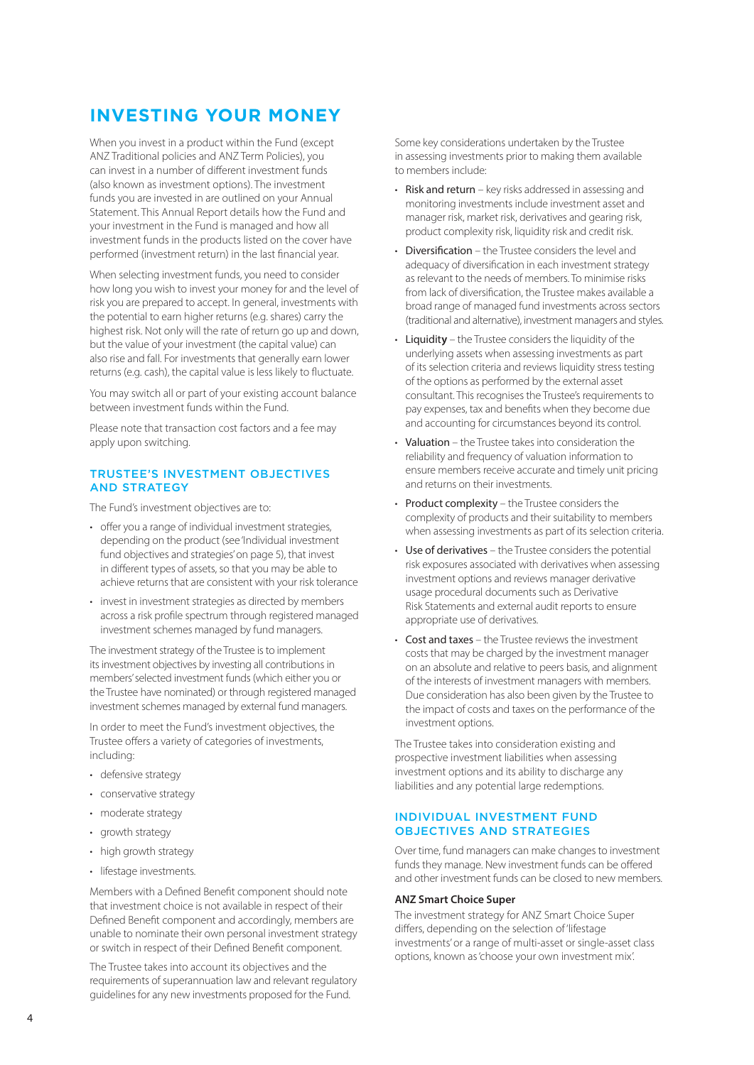# <span id="page-3-0"></span>**INVESTING YOUR MONEY**

When you invest in a product within the Fund (except ANZ Traditional policies and ANZ Term Policies), you can invest in a number of different investment funds (also known as investment options). The investment funds you are invested in are outlined on your Annual Statement. This Annual Report details how the Fund and your investment in the Fund is managed and how all investment funds in the products listed on the cover have performed (investment return) in the last financial year.

When selecting investment funds, you need to consider how long you wish to invest your money for and the level of risk you are prepared to accept. In general, investments with the potential to earn higher returns (e.g. shares) carry the highest risk. Not only will the rate of return go up and down, but the value of your investment (the capital value) can also rise and fall. For investments that generally earn lower returns (e.g. cash), the capital value is less likely to fluctuate.

You may switch all or part of your existing account balance between investment funds within the Fund.

Please note that transaction cost factors and a fee may apply upon switching.

# TRUSTEE'S INVESTMENT OBJECTIVES AND STRATEGY

The Fund's investment objectives are to:

- offer you a range of individual investment strategies. depending on the product (see 'Individual investment fund objectives and strategies' on page 5), that invest in different types of assets, so that you may be able to achieve returns that are consistent with your risk tolerance
- invest in investment strategies as directed by members across a risk profile spectrum through registered managed investment schemes managed by fund managers.

The investment strategy of the Trustee is to implement its investment objectives by investing all contributions in members' selected investment funds (which either you or the Trustee have nominated) or through registered managed investment schemes managed by external fund managers.

In order to meet the Fund's investment objectives, the Trustee offers a variety of categories of investments, including:

- defensive strategy
- conservative strategy
- moderate strategy
- growth strategy
- high growth strategy
- lifestage investments.

Members with a Defined Benefit component should note that investment choice is not available in respect of their Defined Benefit component and accordingly, members are unable to nominate their own personal investment strategy or switch in respect of their Defined Benefit component.

The Trustee takes into account its objectives and the requirements of superannuation law and relevant regulatory guidelines for any new investments proposed for the Fund.

Some key considerations undertaken by the Trustee in assessing investments prior to making them available to members include:

- Risk and return key risks addressed in assessing and monitoring investments include investment asset and manager risk, market risk, derivatives and gearing risk, product complexity risk, liquidity risk and credit risk.
- Diversification the Trustee considers the level and adequacy of diversification in each investment strategy as relevant to the needs of members. To minimise risks from lack of diversification, the Trustee makes available a broad range of managed fund investments across sectors (traditional and alternative), investment managers and styles.
- Liquidit**y** the Trustee considers the liquidity of the underlying assets when assessing investments as part of its selection criteria and reviews liquidity stress testing of the options as performed by the external asset consultant. This recognises the Trustee's requirements to pay expenses, tax and benefits when they become due and accounting for circumstances beyond its control.
- Valuation the Trustee takes into consideration the reliability and frequency of valuation information to ensure members receive accurate and timely unit pricing and returns on their investments.
- Product complexity the Trustee considers the complexity of products and their suitability to members when assessing investments as part of its selection criteria.
- Use of derivatives the Trustee considers the potential risk exposures associated with derivatives when assessing investment options and reviews manager derivative usage procedural documents such as Derivative Risk Statements and external audit reports to ensure appropriate use of derivatives.
- Cost and taxes the Trustee reviews the investment costs that may be charged by the investment manager on an absolute and relative to peers basis, and alignment of the interests of investment managers with members. Due consideration has also been given by the Trustee to the impact of costs and taxes on the performance of the investment options.

The Trustee takes into consideration existing and prospective investment liabilities when assessing investment options and its ability to discharge any liabilities and any potential large redemptions.

### INDIVIDUAL INVESTMENT FUND OBJECTIVES AND STRATEGIES

Over time, fund managers can make changes to investment funds they manage. New investment funds can be offered and other investment funds can be closed to new members.

#### **ANZ Smart Choice Super**

The investment strategy for ANZ Smart Choice Super differs, depending on the selection of 'lifestage investments' or a range of multi-asset or single-asset class options, known as 'choose your own investment mix'.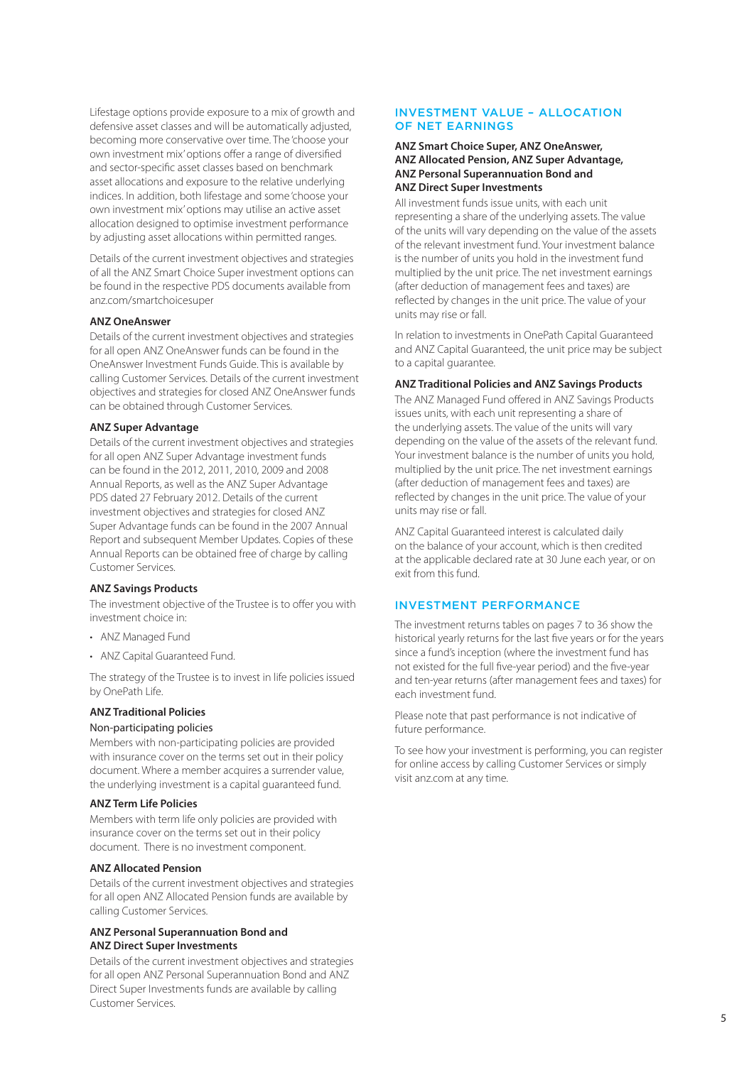Lifestage options provide exposure to a mix of growth and defensive asset classes and will be automatically adjusted, becoming more conservative over time. The 'choose your own investment mix' options offer a range of diversified and sector-specific asset classes based on benchmark asset allocations and exposure to the relative underlying indices. In addition, both lifestage and some 'choose your own investment mix' options may utilise an active asset allocation designed to optimise investment performance by adjusting asset allocations within permitted ranges.

Details of the current investment objectives and strategies of all the ANZ Smart Choice Super investment options can be found in the respective PDS documents available from [anz.com/smartchoices](anz.com/smartchoicesuper)uper

#### **ANZ OneAnswer**

Details of the current investment objectives and strategies for all open ANZ OneAnswer funds can be found in the OneAnswer Investment Funds Guide. This is available by calling Customer Services. Details of the current investment objectives and strategies for closed ANZ OneAnswer funds can be obtained through Customer Services.

#### **ANZ Super Advantage**

Details of the current investment objectives and strategies for all open ANZ Super Advantage investment funds can be found in the 2012, 2011, 2010, 2009 and 2008 Annual Reports, as well as the ANZ Super Advantage PDS dated 27 February 2012. Details of the current investment objectives and strategies for closed ANZ Super Advantage funds can be found in the 2007 Annual Report and subsequent Member Updates. Copies of these Annual Reports can be obtained free of charge by calling Customer Services.

#### **ANZ Savings Products**

The investment objective of the Trustee is to offer you with investment choice in:

- ANZ Managed Fund
- ANZ Capital Guaranteed Fund.

The strategy of the Trustee is to invest in life policies issued by OnePath Life.

# **ANZ Traditional Policies**

# Non-participating policies

Members with non-participating policies are provided with insurance cover on the terms set out in their policy document. Where a member acquires a surrender value, the underlying investment is a capital guaranteed fund.

#### **ANZ Term Life Policies**

Members with term life only policies are provided with insurance cover on the terms set out in their policy document. There is no investment component.

## **ANZ Allocated Pension**

Details of the current investment objectives and strategies for all open ANZ Allocated Pension funds are available by calling Customer Services.

### **ANZ Personal Superannuation Bond and ANZ Direct Super Investments**

Details of the current investment objectives and strategies for all open ANZ Personal Superannuation Bond and ANZ Direct Super Investments funds are available by calling Customer Services.

### INVESTMENT VALUE – ALLOCATION OF NET EARNINGS

#### **ANZ Smart Choice Super, ANZ OneAnswer, ANZ Allocated Pension, ANZ Super Advantage, ANZ Personal Superannuation Bond and ANZ Direct Super Investments**

All investment funds issue units, with each unit representing a share of the underlying assets. The value of the units will vary depending on the value of the assets of the relevant investment fund. Your investment balance is the number of units you hold in the investment fund multiplied by the unit price. The net investment earnings (after deduction of management fees and taxes) are reflected by changes in the unit price. The value of your units may rise or fall.

In relation to investments in OnePath Capital Guaranteed and ANZ Capital Guaranteed, the unit price may be subject to a capital guarantee.

# **ANZ Traditional Policies and ANZ Savings Products**

The ANZ Managed Fund offered in ANZ Savings Products issues units, with each unit representing a share of the underlying assets. The value of the units will vary depending on the value of the assets of the relevant fund. Your investment balance is the number of units you hold. multiplied by the unit price. The net investment earnings (after deduction of management fees and taxes) are reflected by changes in the unit price. The value of your units may rise or fall.

ANZ Capital Guaranteed interest is calculated daily on the balance of your account, which is then credited at the applicable declared rate at 30 June each year, or on exit from this fund.

# INVESTMENT PERFORMANCE

The investment returns tables on pages 7 to 36 show the historical yearly returns for the last five years or for the years since a fund's inception (where the investment fund has not existed for the full five-year period) and the five-year and ten-year returns (after management fees and taxes) for each investment fund.

Please note that past performance is not indicative of future performance.

To see how your investment is performing, you can register for online access by calling Customer Services or simply visit [anz.com](http://anz.com) at any time.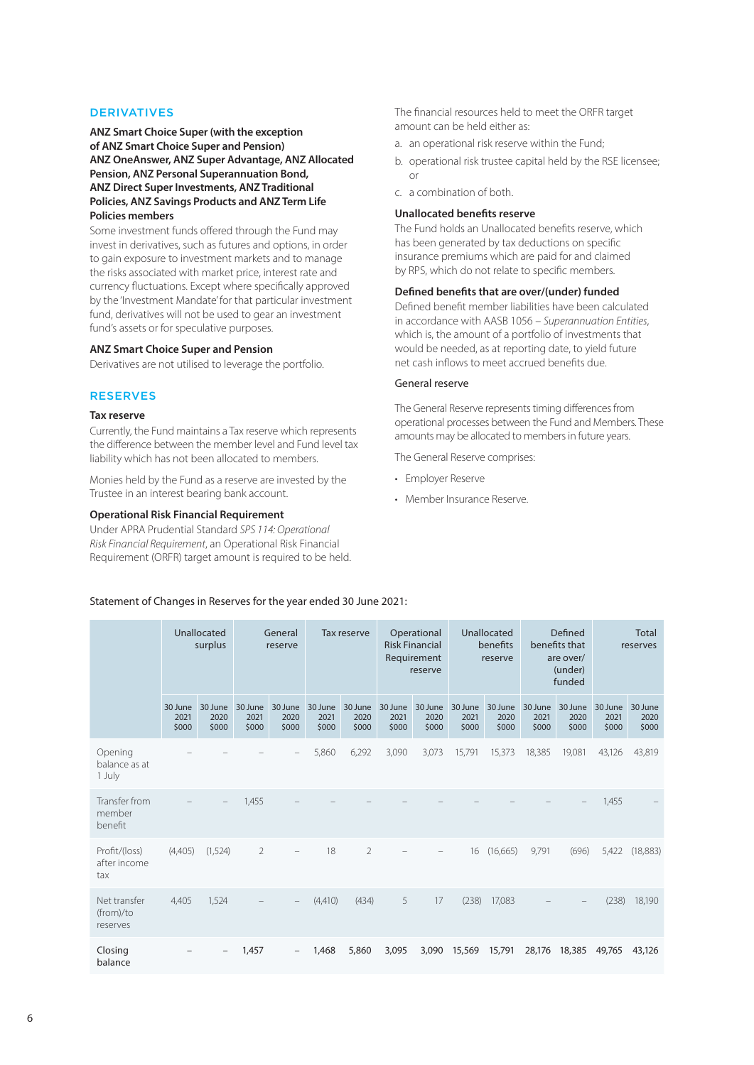#### DERIVATIVES

**ANZ Smart Choice Super (with the exception of ANZ Smart Choice Super and Pension) ANZ OneAnswer, ANZ Super Advantage, ANZ Allocated Pension, ANZ Personal Superannuation Bond, ANZ Direct Super Investments, ANZ Traditional Policies, ANZ Savings Products and ANZ Term Life Policies members**

Some investment funds offered through the Fund may invest in derivatives, such as futures and options, in order to gain exposure to investment markets and to manage the risks associated with market price, interest rate and currency fluctuations. Except where specifically approved by the 'Investment Mandate' for that particular investment fund, derivatives will not be used to gear an investment fund's assets or for speculative purposes.

#### **ANZ Smart Choice Super and Pension**

Derivatives are not utilised to leverage the portfolio.

### RESERVES

#### **Tax reserve**

Currently, the Fund maintains a Tax reserve which represents the difference between the member level and Fund level tax liability which has not been allocated to members.

Monies held by the Fund as a reserve are invested by the Trustee in an interest bearing bank account.

#### **Operational Risk Financial Requirement**

Under APRA Prudential Standard *SPS 114: Operational Risk Financial Requirement*, an Operational Risk Financial Requirement (ORFR) target amount is required to be held. The financial resources held to meet the ORFR target amount can be held either as:

- a. an operational risk reserve within the Fund;
- b. operational risk trustee capital held by the RSE licensee; or
- c. a combination of both.

# **Unallocated benefits reserve**

The Fund holds an Unallocated benefits reserve, which has been generated by tax deductions on specific insurance premiums which are paid for and claimed by RPS, which do not relate to specific members.

#### **Defined benefits that are over/(under) funded**

Defined benefit member liabilities have been calculated in accordance with AASB 1056 – *Superannuation Entities*, which is, the amount of a portfolio of investments that would be needed, as at reporting date, to yield future net cash inflows to meet accrued benefits due.

### General reserve

The General Reserve represents timing differences from operational processes between the Fund and Members. These amounts may be allocated to members in future years.

The General Reserve comprises:

- Employer Reserve
- Member Insurance Reserve.

|                                       |                          | Unallocated<br>surplus   |                          | General<br>reserve       |                          | <b>Tax reserve</b>       |                          | Operational<br><b>Risk Financial</b><br>Requirement<br>reserve |                          | Unallocated<br>benefits<br>reserve |                          | Defined<br>benefits that<br>are over/<br>(under)<br>funded |                          | Total<br>reserves        |
|---------------------------------------|--------------------------|--------------------------|--------------------------|--------------------------|--------------------------|--------------------------|--------------------------|----------------------------------------------------------------|--------------------------|------------------------------------|--------------------------|------------------------------------------------------------|--------------------------|--------------------------|
|                                       | 30 June<br>2021<br>\$000 | 30 June<br>2020<br>\$000 | 30 June<br>2021<br>\$000 | 30 June<br>2020<br>\$000 | 30 June<br>2021<br>\$000 | 30 June<br>2020<br>\$000 | 30 June<br>2021<br>\$000 | 30 June<br>2020<br>\$000                                       | 30 June<br>2021<br>\$000 | 30 June<br>2020<br>\$000           | 30 June<br>2021<br>\$000 | 30 June<br>2020<br>\$000                                   | 30 June<br>2021<br>\$000 | 30 June<br>2020<br>\$000 |
| Opening<br>balance as at<br>1 July    |                          |                          |                          |                          | 5,860                    | 6,292                    | 3.090                    | 3,073                                                          | 15.791                   | 15,373                             | 18,385                   | 19.081                                                     | 43,126                   | 43,819                   |
| Transfer from<br>member<br>benefit    |                          |                          | 1,455                    |                          |                          |                          |                          |                                                                |                          |                                    |                          |                                                            | 1,455                    |                          |
| Profit/(loss)<br>after income<br>tax  | (4,405)                  | (1,524)                  | $\overline{2}$           |                          | 18                       | $\overline{2}$           |                          |                                                                | 16                       | (16,665)                           | 9,791                    | (696)                                                      | 5,422                    | (18, 883)                |
| Net transfer<br>(from)/to<br>reserves | 4.405                    | 1,524                    |                          |                          | (4,410)                  | (434)                    | 5                        | 17                                                             | (238)                    | 17,083                             |                          |                                                            | (238)                    | 18,190                   |
| Closing<br>balance                    |                          |                          | 1,457                    | $\qquad \qquad -$        | 1,468                    | 5,860                    | 3,095                    | 3,090                                                          | 15,569                   | 15,791                             | 28,176                   | 18,385                                                     | 49,765                   | 43,126                   |

#### Statement of Changes in Reserves for the year ended 30 June 2021: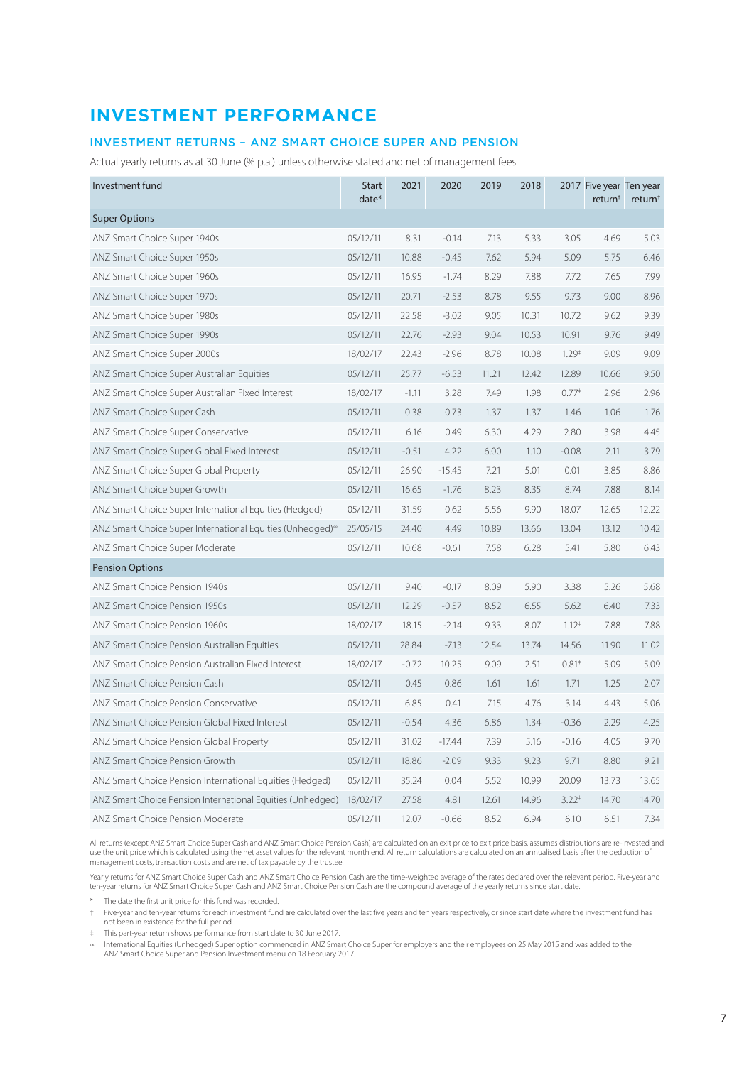# <span id="page-6-0"></span>**INVESTMENT PERFORMANCE**

# INVESTMENT RETURNS – ANZ SMART CHOICE SUPER AND PENSION

Actual yearly returns as at 30 June (% p.a.) unless otherwise stated and net of management fees.

| Investment fund                                                       | <b>Start</b><br>date* | 2021    | 2020     | 2019  | 2018  |                   | 2017 Five year Ten year<br>return <sup>†</sup> | return <sup>+</sup> |
|-----------------------------------------------------------------------|-----------------------|---------|----------|-------|-------|-------------------|------------------------------------------------|---------------------|
| <b>Super Options</b>                                                  |                       |         |          |       |       |                   |                                                |                     |
| ANZ Smart Choice Super 1940s                                          | 05/12/11              | 8.31    | $-0.14$  | 7.13  | 5.33  | 3.05              | 4.69                                           | 5.03                |
| ANZ Smart Choice Super 1950s                                          | 05/12/11              | 10.88   | $-0.45$  | 7.62  | 5.94  | 5.09              | 5.75                                           | 6.46                |
| ANZ Smart Choice Super 1960s                                          | 05/12/11              | 16.95   | $-1.74$  | 8.29  | 7.88  | 7.72              | 7.65                                           | 7.99                |
| ANZ Smart Choice Super 1970s                                          | 05/12/11              | 20.71   | $-2.53$  | 8.78  | 9.55  | 9.73              | 9.00                                           | 8.96                |
| ANZ Smart Choice Super 1980s                                          | 05/12/11              | 22.58   | $-3.02$  | 9.05  | 10.31 | 10.72             | 9.62                                           | 9.39                |
| ANZ Smart Choice Super 1990s                                          | 05/12/11              | 22.76   | $-2.93$  | 9.04  | 10.53 | 10.91             | 9.76                                           | 9.49                |
| ANZ Smart Choice Super 2000s                                          | 18/02/17              | 22.43   | $-2.96$  | 8.78  | 10.08 | 1.29 <sup>†</sup> | 9.09                                           | 9.09                |
| ANZ Smart Choice Super Australian Equities                            | 05/12/11              | 25.77   | $-6.53$  | 11.21 | 12.42 | 12.89             | 10.66                                          | 9.50                |
| ANZ Smart Choice Super Australian Fixed Interest                      | 18/02/17              | $-1.11$ | 3.28     | 7.49  | 1.98  | $0.77*$           | 2.96                                           | 2.96                |
| ANZ Smart Choice Super Cash                                           | 05/12/11              | 0.38    | 0.73     | 1.37  | 1.37  | 1.46              | 1.06                                           | 1.76                |
| ANZ Smart Choice Super Conservative                                   | 05/12/11              | 6.16    | 0.49     | 6.30  | 4.29  | 2.80              | 3.98                                           | 4.45                |
| ANZ Smart Choice Super Global Fixed Interest                          | 05/12/11              | $-0.51$ | 4.22     | 6.00  | 1.10  | $-0.08$           | 2.11                                           | 3.79                |
| ANZ Smart Choice Super Global Property                                | 05/12/11              | 26.90   | $-15.45$ | 7.21  | 5.01  | 0.01              | 3.85                                           | 8.86                |
| ANZ Smart Choice Super Growth                                         | 05/12/11              | 16.65   | $-1.76$  | 8.23  | 8.35  | 8.74              | 7.88                                           | 8.14                |
| ANZ Smart Choice Super International Equities (Hedged)                | 05/12/11              | 31.59   | 0.62     | 5.56  | 9.90  | 18.07             | 12.65                                          | 12.22               |
| ANZ Smart Choice Super International Equities (Unhedged) <sup>®</sup> | 25/05/15              | 24.40   | 4.49     | 10.89 | 13.66 | 13.04             | 13.12                                          | 10.42               |
| ANZ Smart Choice Super Moderate                                       | 05/12/11              | 10.68   | $-0.61$  | 7.58  | 6.28  | 5.41              | 5.80                                           | 6.43                |
| <b>Pension Options</b>                                                |                       |         |          |       |       |                   |                                                |                     |
| ANZ Smart Choice Pension 1940s                                        | 05/12/11              | 9.40    | $-0.17$  | 8.09  | 5.90  | 3.38              | 5.26                                           | 5.68                |
| ANZ Smart Choice Pension 1950s                                        | 05/12/11              | 12.29   | $-0.57$  | 8.52  | 6.55  | 5.62              | 6.40                                           | 7.33                |
| ANZ Smart Choice Pension 1960s                                        | 18/02/17              | 18.15   | $-2.14$  | 9.33  | 8.07  | $1.12^{+}$        | 7.88                                           | 7.88                |
| ANZ Smart Choice Pension Australian Equities                          | 05/12/11              | 28.84   | $-7.13$  | 12.54 | 13.74 | 14.56             | 11.90                                          | 11.02               |
| ANZ Smart Choice Pension Australian Fixed Interest                    | 18/02/17              | $-0.72$ | 10.25    | 9.09  | 2.51  | $0.81*$           | 5.09                                           | 5.09                |
| ANZ Smart Choice Pension Cash                                         | 05/12/11              | 0.45    | 0.86     | 1.61  | 1.61  | 1.71              | 1.25                                           | 2.07                |
| ANZ Smart Choice Pension Conservative                                 | 05/12/11              | 6.85    | 0.41     | 7.15  | 4.76  | 3.14              | 4.43                                           | 5.06                |
| ANZ Smart Choice Pension Global Fixed Interest                        | 05/12/11              | $-0.54$ | 4.36     | 6.86  | 1.34  | $-0.36$           | 2.29                                           | 4.25                |
| ANZ Smart Choice Pension Global Property                              | 05/12/11              | 31.02   | $-17.44$ | 7.39  | 5.16  | $-0.16$           | 4.05                                           | 9.70                |
| ANZ Smart Choice Pension Growth                                       | 05/12/11              | 18.86   | $-2.09$  | 9.33  | 9.23  | 9.71              | 8.80                                           | 9.21                |
| ANZ Smart Choice Pension International Equities (Hedged)              | 05/12/11              | 35.24   | 0.04     | 5.52  | 10.99 | 20.09             | 13.73                                          | 13.65               |
| ANZ Smart Choice Pension International Equities (Unhedged)            | 18/02/17              | 27.58   | 4.81     | 12.61 | 14.96 | $3.22^{+}$        | 14.70                                          | 14.70               |
| ANZ Smart Choice Pension Moderate                                     | 05/12/11              | 12.07   | $-0.66$  | 8.52  | 6.94  | 6.10              | 6.51                                           | 7.34                |

All returns (except ANZ Smart Choice Super Cash and ANZ Smart Choice Pension Cash) are calculated on an exit price to exit price basis, assumes distributions are re-invested and<br>use the unit price which is calculated using management costs, transaction costs and are net of tax payable by the trustee.

Yearly returns for ANZ Smart Choice Super Cash and ANZ Smart Choice Pension Cash are the time-weighted average of the rates declared over the relevant period. Five-year and ten-year returns for ANZ Smart Choice Super Cash and ANZ Smart Choice Pension Cash are the compound average of the yearly returns since start date.

\* The date the first unit price for this fund was recorded.

† Five-year and ten-year returns for each investment fund are calculated over the last five years and ten years respectively, or since start date where the investment fund has not been in existence for the full period.

‡ This part-year return shows performance from start date to 30 June 2017.

∞ International Equities (Unhedged) Super option commenced in ANZ Smart Choice Super for employers and their employees on 25 May 2015 and was added to the ANZ Smart Choice Super and Pension Investment menu on 18 February 2017.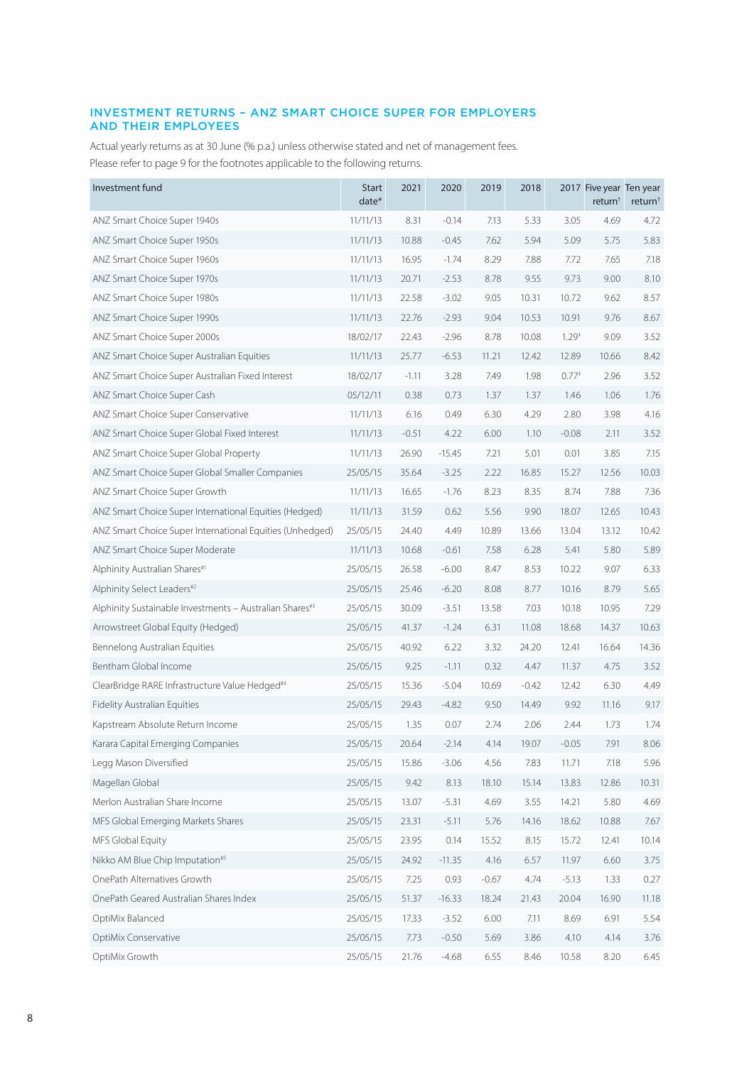# INVESTMENT RETURNS – ANZ SMART CHOICE SUPER FOR EMPLOYERS AND THEIR EMPLOYEES

Actual yearly returns as at 30 June (% p.a.) unless otherwise stated and net of management fees. Please refer to page 9 for the footnotes applicable to the following returns.

| Investment fund                                            | <b>Start</b><br>date* | 2021    | 2020     | 2019    | 2018    |         | 2017 Five year Ten year<br>return <sup>†</sup> | return <sup>†</sup> |
|------------------------------------------------------------|-----------------------|---------|----------|---------|---------|---------|------------------------------------------------|---------------------|
| ANZ Smart Choice Super 1940s                               | 11/11/13              | 8.31    | $-0.14$  | 7.13    | 5.33    | 3.05    | 4.69                                           | 4.72                |
| ANZ Smart Choice Super 1950s                               | 11/11/13              | 10.88   | $-0.45$  | 7.62    | 5.94    | 5.09    | 5.75                                           | 5.83                |
| ANZ Smart Choice Super 1960s                               | 11/11/13              | 16.95   | $-1.74$  | 8.29    | 7.88    | 7.72    | 7.65                                           | 7.18                |
| ANZ Smart Choice Super 1970s                               | 11/11/13              | 20.71   | $-2.53$  | 8.78    | 9.55    | 9.73    | 9.00                                           | 8.10                |
| ANZ Smart Choice Super 1980s                               | 11/11/13              | 22.58   | $-3.02$  | 9.05    | 10.31   | 10.72   | 9.62                                           | 8.57                |
| ANZ Smart Choice Super 1990s                               | 11/11/13              | 22.76   | $-2.93$  | 9.04    | 10.53   | 10.91   | 9.76                                           | 8.67                |
| ANZ Smart Choice Super 2000s                               | 18/02/17              | 22.43   | $-2.96$  | 8.78    | 10.08   | $1.29*$ | 9.09                                           | 3.52                |
| ANZ Smart Choice Super Australian Equities                 | 11/11/13              | 25.77   | $-6.53$  | 11.21   | 12.42   | 12.89   | 10.66                                          | 8.42                |
| ANZ Smart Choice Super Australian Fixed Interest           | 18/02/17              | $-1.11$ | 3.28     | 7.49    | 1.98    | $0.77*$ | 2.96                                           | 3.52                |
| ANZ Smart Choice Super Cash                                | 05/12/11              | 0.38    | 0.73     | 1.37    | 1.37    | 1.46    | 1.06                                           | 1.76                |
| ANZ Smart Choice Super Conservative                        | 11/11/13              | 6.16    | 0.49     | 6.30    | 4.29    | 2.80    | 3.98                                           | 4.16                |
| ANZ Smart Choice Super Global Fixed Interest               | 11/11/13              | $-0.51$ | 4.22     | 6.00    | 1.10    | $-0.08$ | 2.11                                           | 3.52                |
| ANZ Smart Choice Super Global Property                     | 11/11/13              | 26.90   | $-15.45$ | 7.21    | 5.01    | 0.01    | 3.85                                           | 7.15                |
| ANZ Smart Choice Super Global Smaller Companies            | 25/05/15              | 35.64   | $-3.25$  | 2.22    | 16.85   | 15.27   | 12.56                                          | 10.03               |
| ANZ Smart Choice Super Growth                              | 11/11/13              | 16.65   | $-1.76$  | 8.23    | 8.35    | 8.74    | 7.88                                           | 7.36                |
| ANZ Smart Choice Super International Equities (Hedged)     | 11/11/13              | 31.59   | 0.62     | 5.56    | 9.90    | 18.07   | 12.65                                          | 10.43               |
| ANZ Smart Choice Super International Equities (Unhedged)   | 25/05/15              | 24.40   | 4.49     | 10.89   | 13.66   | 13.04   | 13.12                                          | 10.42               |
| ANZ Smart Choice Super Moderate                            | 11/11/13              | 10.68   | $-0.61$  | 7.58    | 6.28    | 5.41    | 5.80                                           | 5.89                |
| Alphinity Australian Shares#1                              | 25/05/15              | 26.58   | $-6.00$  | 8.47    | 8.53    | 10.22   | 9.07                                           | 6.33                |
| Alphinity Select Leaders#2                                 | 25/05/15              | 25.46   | $-6.20$  | 8.08    | 8.77    | 10.16   | 8.79                                           | 5.65                |
| Alphinity Sustainable Investments - Australian Shares#3    | 25/05/15              | 30.09   | $-3.51$  | 13.58   | 7.03    | 10.18   | 10.95                                          | 7.29                |
| Arrowstreet Global Equity (Hedged)                         | 25/05/15              | 41.37   | $-1.24$  | 6.31    | 11.08   | 18.68   | 14.37                                          | 10.63               |
| Bennelong Australian Equities                              | 25/05/15              | 40.92   | 6.22     | 3.32    | 24.20   | 12.41   | 16.64                                          | 14.36               |
| Bentham Global Income                                      | 25/05/15              | 9.25    | $-1.11$  | 0.32    | 4.47    | 11.37   | 4.75                                           | 3.52                |
| ClearBridge RARE Infrastructure Value Hedged <sup>#4</sup> | 25/05/15              | 15.36   | $-5.04$  | 10.69   | $-0.42$ | 12.42   | 6.30                                           | 4.49                |
| <b>Fidelity Australian Equities</b>                        | 25/05/15              | 29.43   | $-4.82$  | 9.50    | 14.49   | 9.92    | 11.16                                          | 9.17                |
| Kapstream Absolute Return Income                           | 25/05/15              | 1.35    | 0.07     | 2.74    | 2.06    | 2.44    | 1.73                                           | 1.74                |
| Karara Capital Emerging Companies                          | 25/05/15              | 20.64   | $-2.14$  | 4.14    | 19.07   | $-0.05$ | 7.91                                           | 8.06                |
| Legg Mason Diversified                                     | 25/05/15              | 15.86   | $-3.06$  | 4.56    | 7.83    | 11.71   | 7.18                                           | 5.96                |
| Magellan Global                                            | 25/05/15              | 9.42    | 8.13     | 18.10   | 15.14   | 13.83   | 12.86                                          | 10.31               |
| Merlon Australian Share Income                             | 25/05/15              | 13.07   | $-5.31$  | 4.69    | 3.55    | 14.21   | 5.80                                           | 4.69                |
| MFS Global Emerging Markets Shares                         | 25/05/15              | 23.31   | $-5.11$  | 5.76    | 14.16   | 18.62   | 10.88                                          | 7.67                |
| MFS Global Equity                                          | 25/05/15              | 23.95   | 0.14     | 15.52   | 8.15    | 15.72   | 12.41                                          | 10.14               |
| Nikko AM Blue Chip Imputation <sup>#5</sup>                | 25/05/15              | 24.92   | $-11.35$ | 4.16    | 6.57    | 11.97   | 6.60                                           | 3.75                |
| OnePath Alternatives Growth                                | 25/05/15              | 7.25    | 0.93     | $-0.67$ | 4.74    | $-5.13$ | 1.33                                           | 0.27                |
| OnePath Geared Australian Shares Index                     | 25/05/15              | 51.37   | $-16.33$ | 18.24   | 21.43   | 20.04   | 16.90                                          | 11.18               |
| OptiMix Balanced                                           | 25/05/15              | 17.33   | $-3.52$  | 6.00    | 7.11    | 8.69    | 6.91                                           | 5.54                |
| OptiMix Conservative                                       | 25/05/15              | 7.73    | $-0.50$  | 5.69    | 3.86    | 4.10    | 4.14                                           | 3.76                |
| OptiMix Growth                                             | 25/05/15              | 21.76   | $-4.68$  | 6.55    | 8.46    | 10.58   | 8.20                                           | 6.45                |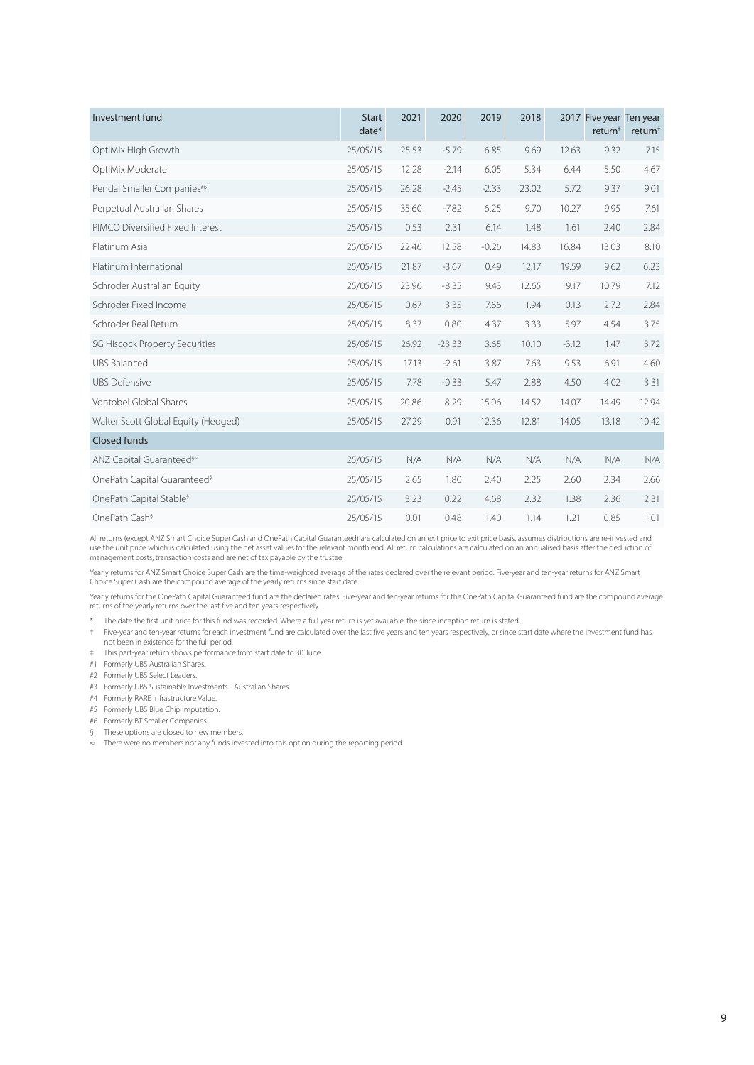| Investment fund                         | <b>Start</b><br>date* | 2021  | 2020     | 2019    | 2018  |         | 2017 Five year Ten year<br>return <sup>†</sup> | return <sup>+</sup> |
|-----------------------------------------|-----------------------|-------|----------|---------|-------|---------|------------------------------------------------|---------------------|
| OptiMix High Growth                     | 25/05/15              | 25.53 | $-5.79$  | 6.85    | 9.69  | 12.63   | 9.32                                           | 7.15                |
| OptiMix Moderate                        | 25/05/15              | 12.28 | $-2.14$  | 6.05    | 5.34  | 6.44    | 5.50                                           | 4.67                |
| Pendal Smaller Companies#6              | 25/05/15              | 26.28 | $-2.45$  | $-2.33$ | 23.02 | 5.72    | 9.37                                           | 9.01                |
| Perpetual Australian Shares             | 25/05/15              | 35.60 | $-7.82$  | 6.25    | 9.70  | 10.27   | 9.95                                           | 7.61                |
| PIMCO Diversified Fixed Interest        | 25/05/15              | 0.53  | 2.31     | 6.14    | 1.48  | 1.61    | 2.40                                           | 2.84                |
| Platinum Asia                           | 25/05/15              | 22.46 | 12.58    | $-0.26$ | 14.83 | 16.84   | 13.03                                          | 8.10                |
| Platinum International                  | 25/05/15              | 21.87 | $-3.67$  | 0.49    | 12.17 | 19.59   | 9.62                                           | 6.23                |
| Schroder Australian Equity              | 25/05/15              | 23.96 | $-8.35$  | 9.43    | 12.65 | 19.17   | 10.79                                          | 7.12                |
| Schroder Fixed Income                   | 25/05/15              | 0.67  | 3.35     | 7.66    | 1.94  | 0.13    | 2.72                                           | 2.84                |
| Schroder Real Return                    | 25/05/15              | 8.37  | 0.80     | 4.37    | 3.33  | 5.97    | 4.54                                           | 3.75                |
| <b>SG Hiscock Property Securities</b>   | 25/05/15              | 26.92 | $-23.33$ | 3.65    | 10.10 | $-3.12$ | 1.47                                           | 3.72                |
| <b>UBS Balanced</b>                     | 25/05/15              | 17.13 | $-2.61$  | 3.87    | 7.63  | 9.53    | 6.91                                           | 4.60                |
| <b>UBS Defensive</b>                    | 25/05/15              | 7.78  | $-0.33$  | 5.47    | 2.88  | 4.50    | 4.02                                           | 3.31                |
| <b>Vontobel Global Shares</b>           | 25/05/15              | 20.86 | 8.29     | 15.06   | 14.52 | 14.07   | 14.49                                          | 12.94               |
| Walter Scott Global Equity (Hedged)     | 25/05/15              | 27.29 | 0.91     | 12.36   | 12.81 | 14.05   | 13.18                                          | 10.42               |
| <b>Closed funds</b>                     |                       |       |          |         |       |         |                                                |                     |
| ANZ Capital Guaranteed <sup>§≈</sup>    | 25/05/15              | N/A   | N/A      | N/A     | N/A   | N/A     | N/A                                            | N/A                 |
| OnePath Capital Guaranteed <sup>§</sup> | 25/05/15              | 2.65  | 1.80     | 2.40    | 2.25  | 2.60    | 2.34                                           | 2.66                |
| OnePath Capital Stable <sup>§</sup>     | 25/05/15              | 3.23  | 0.22     | 4.68    | 2.32  | 1.38    | 2.36                                           | 2.31                |
| OnePath Cash <sup>§</sup>               | 25/05/15              | 0.01  | 0.48     | 1.40    | 1.14  | 1.21    | 0.85                                           | 1.01                |

All returns (except ANZ Smart Choice Super Cash and OnePath Capital Guaranteed) are calculated on an exit price to exit price basis, assumes distributions are re-invested and<br>use the unit price which is calculated using th

Yearly returns for ANZ Smart Choice Super Cash are the time-weighted average of the rates declared over the relevant period. Five-year and ten-year returns for ANZ Smart<br>Choice Super Cash are the compound average of the ye

Yearly returns for the OnePath Capital Guaranteed fund are the declared rates. Five-year and ten-year returns for the OnePath Capital Guaranteed fund are the compound average returns of the yearly returns over the last five and ten years respectively.

\* The date the first unit price for this fund was recorded. Where a full year return is yet available, the since inception return is stated.

† Five-year and ten-year returns for each investment fund are calculated over the last five years and ten years respectively, or since start date where the investment fund has not been in existence for the full period.

‡ This part-year return shows performance from start date to 30 June.

#1 Formerly UBS Australian Shares.

#2 Formerly UBS Select Leaders.

- #3 Formerly UBS Sustainable Investments Australian Shares.
- #4 Formerly RARE Infrastructure Value.

#5 Formerly UBS Blue Chip Imputation.

#6 Formerly BT Smaller Companies.

§ These options are closed to new members.

≈ There were no members nor any funds invested into this option during the reporting period.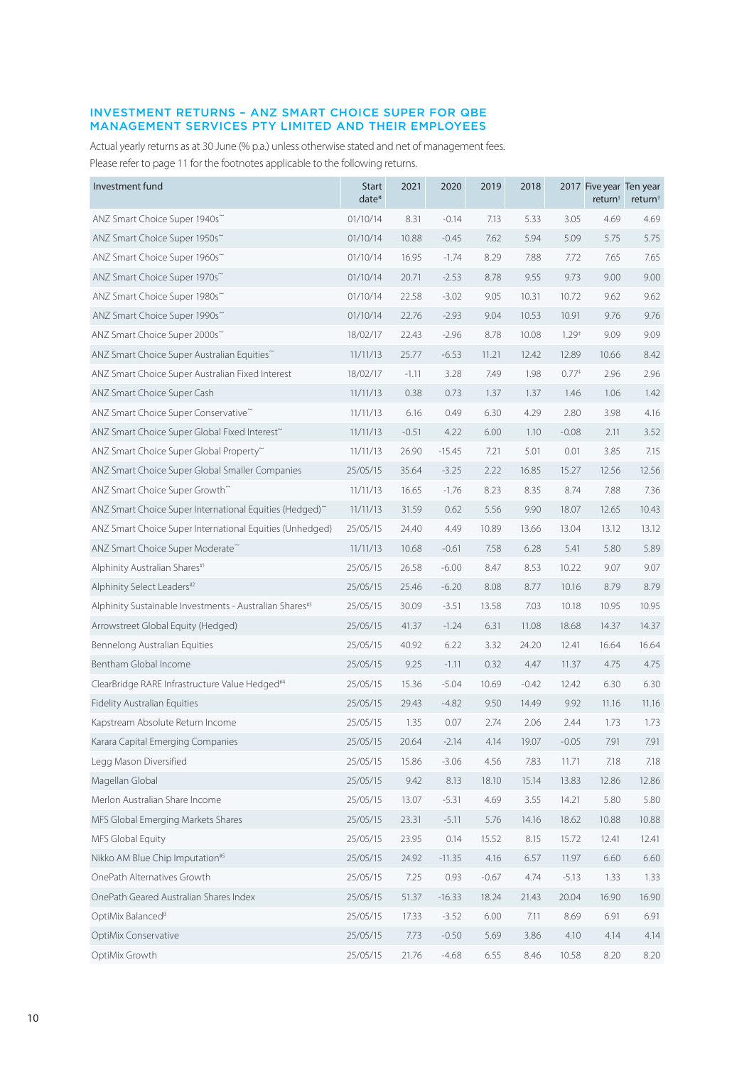## INVESTMENT RETURNS – ANZ SMART CHOICE SUPER FOR QBE MANAGEMENT SERVICES PTY LIMITED AND THEIR EMPLOYEES

Actual yearly returns as at 30 June (% p.a.) unless otherwise stated and net of management fees. Please refer to page 11 for the footnotes applicable to the following returns.

| Investment fund                                            | <b>Start</b><br>date* | 2021    | 2020     | 2019    | 2018    |                   | 2017 Five year Ten year<br>return <sup>†</sup> | return <sup>+</sup> |
|------------------------------------------------------------|-----------------------|---------|----------|---------|---------|-------------------|------------------------------------------------|---------------------|
| ANZ Smart Choice Super 1940s~                              | 01/10/14              | 8.31    | $-0.14$  | 7.13    | 5.33    | 3.05              | 4.69                                           | 4.69                |
| ANZ Smart Choice Super 1950s~                              | 01/10/14              | 10.88   | $-0.45$  | 7.62    | 5.94    | 5.09              | 5.75                                           | 5.75                |
| ANZ Smart Choice Super 1960s~                              | 01/10/14              | 16.95   | $-1.74$  | 8.29    | 7.88    | 7.72              | 7.65                                           | 7.65                |
| ANZ Smart Choice Super 1970s~                              | 01/10/14              | 20.71   | $-2.53$  | 8.78    | 9.55    | 9.73              | 9.00                                           | 9.00                |
| ANZ Smart Choice Super 1980s~                              | 01/10/14              | 22.58   | $-3.02$  | 9.05    | 10.31   | 10.72             | 9.62                                           | 9.62                |
| ANZ Smart Choice Super 1990s~                              | 01/10/14              | 22.76   | $-2.93$  | 9.04    | 10.53   | 10.91             | 9.76                                           | 9.76                |
| ANZ Smart Choice Super 2000s~                              | 18/02/17              | 22.43   | $-2.96$  | 8.78    | 10.08   | 1.29 <sup>†</sup> | 9.09                                           | 9.09                |
| ANZ Smart Choice Super Australian Equities~                | 11/11/13              | 25.77   | $-6.53$  | 11.21   | 12.42   | 12.89             | 10.66                                          | 8.42                |
| ANZ Smart Choice Super Australian Fixed Interest           | 18/02/17              | $-1.11$ | 3.28     | 7.49    | 1.98    | $0.77*$           | 2.96                                           | 2.96                |
| ANZ Smart Choice Super Cash                                | 11/11/13              | 0.38    | 0.73     | 1.37    | 1.37    | 1.46              | 1.06                                           | 1.42                |
| ANZ Smart Choice Super Conservative~                       | 11/11/13              | 6.16    | 0.49     | 6.30    | 4.29    | 2.80              | 3.98                                           | 4.16                |
| ANZ Smart Choice Super Global Fixed Interest~              | 11/11/13              | $-0.51$ | 4.22     | 6.00    | 1.10    | $-0.08$           | 2.11                                           | 3.52                |
| ANZ Smart Choice Super Global Property~                    | 11/11/13              | 26.90   | $-15.45$ | 7.21    | 5.01    | 0.01              | 3.85                                           | 7.15                |
| ANZ Smart Choice Super Global Smaller Companies            | 25/05/15              | 35.64   | $-3.25$  | 2.22    | 16.85   | 15.27             | 12.56                                          | 12.56               |
| ANZ Smart Choice Super Growth~                             | 11/11/13              | 16.65   | $-1.76$  | 8.23    | 8.35    | 8.74              | 7.88                                           | 7.36                |
| ANZ Smart Choice Super International Equities (Hedged)~    | 11/11/13              | 31.59   | 0.62     | 5.56    | 9.90    | 18.07             | 12.65                                          | 10.43               |
| ANZ Smart Choice Super International Equities (Unhedged)   | 25/05/15              | 24.40   | 4.49     | 10.89   | 13.66   | 13.04             | 13.12                                          | 13.12               |
| ANZ Smart Choice Super Moderate~                           | 11/11/13              | 10.68   | $-0.61$  | 7.58    | 6.28    | 5.41              | 5.80                                           | 5.89                |
| Alphinity Australian Shares#1                              | 25/05/15              | 26.58   | $-6.00$  | 8.47    | 8.53    | 10.22             | 9.07                                           | 9.07                |
| Alphinity Select Leaders#2                                 | 25/05/15              | 25.46   | $-6.20$  | 8.08    | 8.77    | 10.16             | 8.79                                           | 8.79                |
| Alphinity Sustainable Investments - Australian Shares#3    | 25/05/15              | 30.09   | $-3.51$  | 13.58   | 7.03    | 10.18             | 10.95                                          | 10.95               |
| Arrowstreet Global Equity (Hedged)                         | 25/05/15              | 41.37   | $-1.24$  | 6.31    | 11.08   | 18.68             | 14.37                                          | 14.37               |
| Bennelong Australian Equities                              | 25/05/15              | 40.92   | 6.22     | 3.32    | 24.20   | 12.41             | 16.64                                          | 16.64               |
| Bentham Global Income                                      | 25/05/15              | 9.25    | $-1.11$  | 0.32    | 4.47    | 11.37             | 4.75                                           | 4.75                |
| ClearBridge RARE Infrastructure Value Hedged <sup>#4</sup> | 25/05/15              | 15.36   | $-5.04$  | 10.69   | $-0.42$ | 12.42             | 6.30                                           | 6.30                |
| <b>Fidelity Australian Equities</b>                        | 25/05/15              | 29.43   | $-4.82$  | 9.50    | 14.49   | 9.92              | 11.16                                          | 11.16               |
| Kapstream Absolute Return Income                           | 25/05/15              | 1.35    | 0.07     | 2.74    | 2.06    | 2.44              | 1.73                                           | 1.73                |
| Karara Capital Emerging Companies                          | 25/05/15              | 20.64   | $-2.14$  | 4.14    | 19.07   | $-0.05$           | 7.91                                           | 7.91                |
| Legg Mason Diversified                                     | 25/05/15              | 15.86   | $-3.06$  | 4.56    | 7.83    | 11.71             | 7.18                                           | 7.18                |
| Magellan Global                                            | 25/05/15              | 9.42    | 8.13     | 18.10   | 15.14   | 13.83             | 12.86                                          | 12.86               |
| Merlon Australian Share Income                             | 25/05/15              | 13.07   | $-5.31$  | 4.69    | 3.55    | 14.21             | 5.80                                           | 5.80                |
| MFS Global Emerging Markets Shares                         | 25/05/15              | 23.31   | $-5.11$  | 5.76    | 14.16   | 18.62             | 10.88                                          | 10.88               |
| MFS Global Equity                                          | 25/05/15              | 23.95   | 0.14     | 15.52   | 8.15    | 15.72             | 12.41                                          | 12.41               |
| Nikko AM Blue Chip Imputation#5                            | 25/05/15              | 24.92   | $-11.35$ | 4.16    | 6.57    | 11.97             | 6.60                                           | 6.60                |
| OnePath Alternatives Growth                                | 25/05/15              | 7.25    | 0.93     | $-0.67$ | 4.74    | $-5.13$           | 1.33                                           | 1.33                |
| OnePath Geared Australian Shares Index                     | 25/05/15              | 51.37   | $-16.33$ | 18.24   | 21.43   | 20.04             | 16.90                                          | 16.90               |
| OptiMix Balanced <sup>B</sup>                              | 25/05/15              | 17.33   | $-3.52$  | 6.00    | 7.11    | 8.69              | 6.91                                           | 6.91                |
| OptiMix Conservative                                       | 25/05/15              | 7.73    | $-0.50$  | 5.69    | 3.86    | 4.10              | 4.14                                           | 4.14                |
| OptiMix Growth                                             | 25/05/15              | 21.76   | $-4.68$  | 6.55    | 8.46    | 10.58             | 8.20                                           | 8.20                |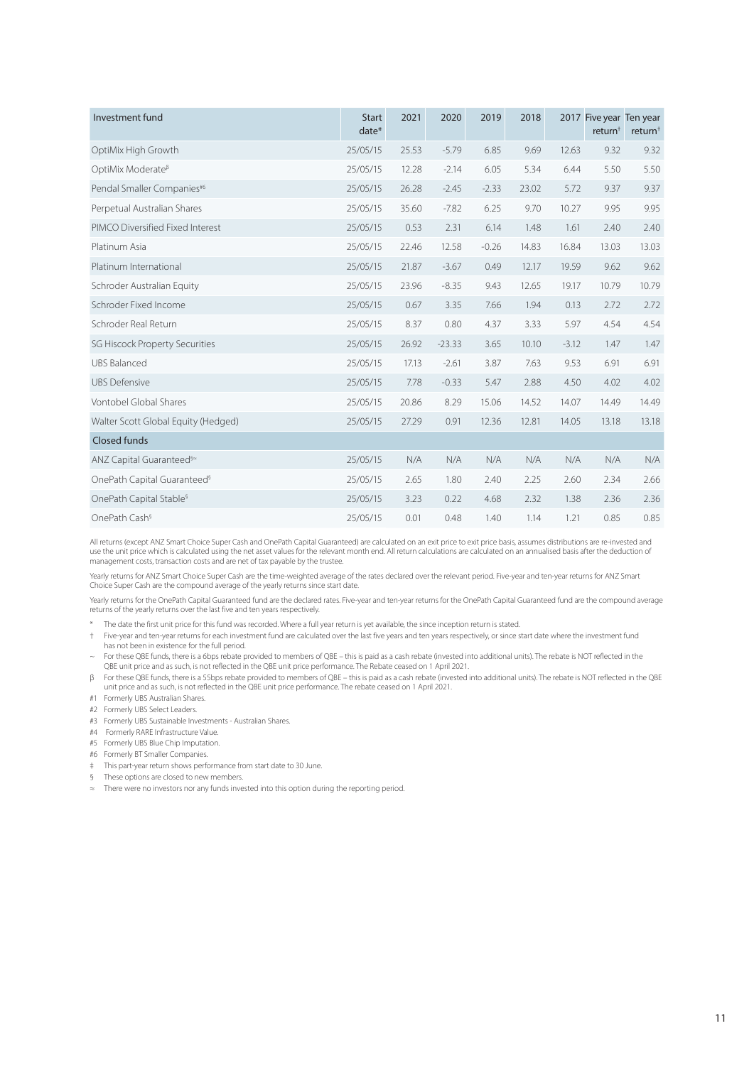| Investment fund                                  | <b>Start</b><br>$date*$ | 2021  | 2020     | 2019    | 2018  |         | 2017 Five year Ten year<br>return <sup>†</sup> | return <sup>+</sup> |
|--------------------------------------------------|-------------------------|-------|----------|---------|-------|---------|------------------------------------------------|---------------------|
| OptiMix High Growth                              | 25/05/15                | 25.53 | $-5.79$  | 6.85    | 9.69  | 12.63   | 9.32                                           | 9.32                |
| OptiMix Moderate <sup>ß</sup>                    | 25/05/15                | 12.28 | $-2.14$  | 6.05    | 5.34  | 6.44    | 5.50                                           | 5.50                |
| Pendal Smaller Companies#6                       | 25/05/15                | 26.28 | $-2.45$  | $-2.33$ | 23.02 | 5.72    | 9.37                                           | 9.37                |
| Perpetual Australian Shares                      | 25/05/15                | 35.60 | $-7.82$  | 6.25    | 9.70  | 10.27   | 9.95                                           | 9.95                |
| PIMCO Diversified Fixed Interest                 | 25/05/15                | 0.53  | 2.31     | 6.14    | 1.48  | 1.61    | 2.40                                           | 2.40                |
| Platinum Asia                                    | 25/05/15                | 22.46 | 12.58    | $-0.26$ | 14.83 | 16.84   | 13.03                                          | 13.03               |
| Platinum International                           | 25/05/15                | 21.87 | $-3.67$  | 0.49    | 12.17 | 19.59   | 9.62                                           | 9.62                |
| Schroder Australian Equity                       | 25/05/15                | 23.96 | $-8.35$  | 9.43    | 12.65 | 19.17   | 10.79                                          | 10.79               |
| Schroder Fixed Income                            | 25/05/15                | 0.67  | 3.35     | 7.66    | 1.94  | 0.13    | 2.72                                           | 2.72                |
| Schroder Real Return                             | 25/05/15                | 8.37  | 0.80     | 4.37    | 3.33  | 5.97    | 4.54                                           | 4.54                |
| SG Hiscock Property Securities                   | 25/05/15                | 26.92 | $-23.33$ | 3.65    | 10.10 | $-3.12$ | 1.47                                           | 1.47                |
| <b>UBS Balanced</b>                              | 25/05/15                | 17.13 | $-2.61$  | 3.87    | 7.63  | 9.53    | 6.91                                           | 6.91                |
| <b>UBS Defensive</b>                             | 25/05/15                | 7.78  | $-0.33$  | 5.47    | 2.88  | 4.50    | 4.02                                           | 4.02                |
| Vontobel Global Shares                           | 25/05/15                | 20.86 | 8.29     | 15.06   | 14.52 | 14.07   | 14.49                                          | 14.49               |
| Walter Scott Global Equity (Hedged)              | 25/05/15                | 27.29 | 0.91     | 12.36   | 12.81 | 14.05   | 13.18                                          | 13.18               |
| <b>Closed funds</b>                              |                         |       |          |         |       |         |                                                |                     |
| ANZ Capital Guaranteed <sup>§</sup> <sup>≈</sup> | 25/05/15                | N/A   | N/A      | N/A     | N/A   | N/A     | N/A                                            | N/A                 |
| OnePath Capital Guaranteed <sup>§</sup>          | 25/05/15                | 2.65  | 1.80     | 2.40    | 2.25  | 2.60    | 2.34                                           | 2.66                |
| OnePath Capital Stable <sup>§</sup>              | 25/05/15                | 3.23  | 0.22     | 4.68    | 2.32  | 1.38    | 2.36                                           | 2.36                |
| OnePath Cash <sup>§</sup>                        | 25/05/15                | 0.01  | 0.48     | 1.40    | 1.14  | 1.21    | 0.85                                           | 0.85                |

All returns (except ANZ Smart Choice Super Cash and OnePath Capital Guaranteed) are calculated on an exit price to exit price basis, assumes distributions are re-invested and use the unit price which is calculated using the net asset values for the relevant month end. All return calculations are calculated on an annualised basis after the deduction of management costs, transaction costs and are net of tax payable by the trustee.

Yearly returns for ANZ Smart Choice Super Cash are the time-weighted average of the rates declared over the relevant period. Five-year and ten-year returns for ANZ Smart Choice Super Cash are the compound average of the yearly returns since start date.

Yearly returns for the OnePath Capital Guaranteed fund are the declared rates. Five-year and ten-year returns for the OnePath Capital Guaranteed fund are the compound average returns of the yearly returns over the last five and ten years respectively.

\* The date the first unit price for this fund was recorded. Where a full year return is yet available, the since inception return is stated.

† Five-year and ten-year returns for each investment fund are calculated over the last five years and ten years respectively, or since start date where the investment fund has not been in existence for the full period.

~ For these QBE funds, there is a 6bps rebate provided to members of QBE – this is paid as a cash rebate (invested into additional units). The rebate is NOT reflected in the QBE unit price and as such, is not reflected in the QBE unit price performance. The Rebate ceased on 1 April 2021.

β For these QBE funds, there is a 55bps rebate provided to members of QBE – this is paid as a cash rebate (invested into additional units). The rebate is NOT reflected in the QBE unit price and as such, is not reflected in the QBE unit price performance. The rebate ceased on 1 April 2021.

- #1 Formerly UBS Australian Shares.
- #2 Formerly UBS Select Leaders.
- #3 Formerly UBS Sustainable Investments Australian Shares.
- #4 Formerly RARE Infrastructure Value.
- #5 Formerly UBS Blue Chip Imputation.
- #6 Formerly BT Smaller Companies.
- ‡ This part-year return shows performance from start date to 30 June.
- § These options are closed to new members.
- There were no investors nor any funds invested into this option during the reporting period.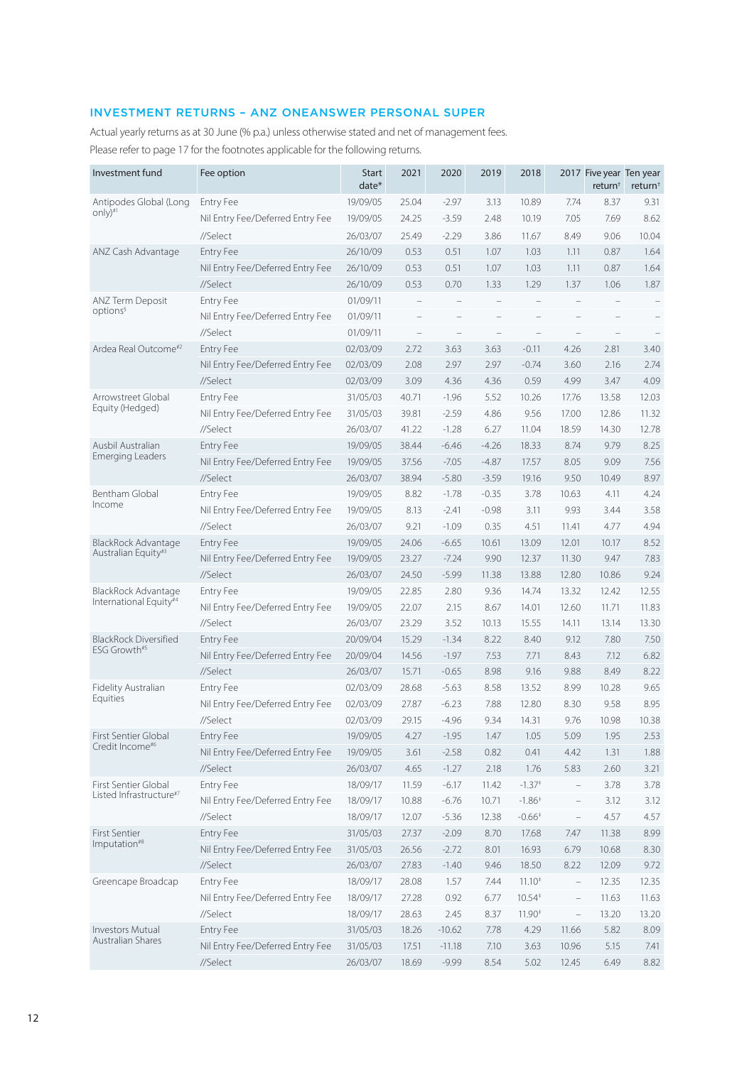# INVESTMENT RETURNS – ANZ ONEANSWER PERSONAL SUPER

Actual yearly returns as at 30 June (% p.a.) unless otherwise stated and net of management fees. Please refer to page 17 for the footnotes applicable for the following returns.

| Investment fund                  | Fee option                       | <b>Start</b><br>date* | 2021  | 2020     | 2019    | 2018                 |                          | 2017 Five year Ten year<br>return <sup>†</sup> | return <sup>†</sup> |
|----------------------------------|----------------------------------|-----------------------|-------|----------|---------|----------------------|--------------------------|------------------------------------------------|---------------------|
| Antipodes Global (Long           | <b>Entry Fee</b>                 | 19/09/05              | 25.04 | $-2.97$  | 3.13    | 10.89                | 7.74                     | 8.37                                           | 9.31                |
| only) $\mathbb{I}$               | Nil Entry Fee/Deferred Entry Fee | 19/09/05              | 24.25 | $-3.59$  | 2.48    | 10.19                | 7.05                     | 7.69                                           | 8.62                |
|                                  | //Select                         | 26/03/07              | 25.49 | $-2.29$  | 3.86    | 11.67                | 8.49                     | 9.06                                           | 10.04               |
| ANZ Cash Advantage               | <b>Entry Fee</b>                 | 26/10/09              | 0.53  | 0.51     | 1.07    | 1.03                 | 1.11                     | 0.87                                           | 1.64                |
|                                  | Nil Entry Fee/Deferred Entry Fee | 26/10/09              | 0.53  | 0.51     | 1.07    | 1.03                 | 1.11                     | 0.87                                           | 1.64                |
|                                  | //Select                         | 26/10/09              | 0.53  | 0.70     | 1.33    | 1.29                 | 1.37                     | 1.06                                           | 1.87                |
| ANZ Term Deposit                 | Entry Fee                        | 01/09/11              |       |          |         |                      |                          |                                                |                     |
| options <sup>§</sup>             | Nil Entry Fee/Deferred Entry Fee | 01/09/11              |       |          |         |                      |                          |                                                |                     |
|                                  | //Select                         | 01/09/11              |       |          |         |                      |                          |                                                |                     |
| Ardea Real Outcome <sup>#2</sup> | <b>Entry Fee</b>                 | 02/03/09              | 2.72  | 3.63     | 3.63    | $-0.11$              | 4.26                     | 2.81                                           | 3.40                |
|                                  | Nil Entry Fee/Deferred Entry Fee | 02/03/09              | 2.08  | 2.97     | 2.97    | $-0.74$              | 3.60                     | 2.16                                           | 2.74                |
|                                  | //Select                         | 02/03/09              | 3.09  | 4.36     | 4.36    | 0.59                 | 4.99                     | 3.47                                           | 4.09                |
| Arrowstreet Global               | Entry Fee                        | 31/05/03              | 40.71 | $-1.96$  | 5.52    | 10.26                | 17.76                    | 13.58                                          | 12.03               |
| Equity (Hedged)                  | Nil Entry Fee/Deferred Entry Fee | 31/05/03              | 39.81 | $-2.59$  | 4.86    | 9.56                 | 17.00                    | 12.86                                          | 11.32               |
|                                  | //Select                         | 26/03/07              | 41.22 | $-1.28$  | 6.27    | 11.04                | 18.59                    | 14.30                                          | 12.78               |
| Ausbil Australian                | <b>Entry Fee</b>                 | 19/09/05              | 38.44 | $-6.46$  | $-4.26$ | 18.33                | 8.74                     | 9.79                                           | 8.25                |
| Emerging Leaders                 | Nil Entry Fee/Deferred Entry Fee | 19/09/05              | 37.56 | $-7.05$  | $-4.87$ | 17.57                | 8.05                     | 9.09                                           | 7.56                |
|                                  | //Select                         | 26/03/07              | 38.94 | $-5.80$  | $-3.59$ | 19.16                | 9.50                     | 10.49                                          | 8.97                |
| <b>Bentham Global</b>            | Entry Fee                        | 19/09/05              | 8.82  | $-1.78$  | $-0.35$ | 3.78                 | 10.63                    | 4.11                                           | 4.24                |
| Income                           | Nil Entry Fee/Deferred Entry Fee | 19/09/05              | 8.13  | $-2.41$  | $-0.98$ | 3.11                 | 9.93                     | 3.44                                           | 3.58                |
|                                  | //Select                         | 26/03/07              | 9.21  | $-1.09$  | 0.35    | 4.51                 | 11.41                    | 4.77                                           | 4.94                |
| BlackRock Advantage              | <b>Entry Fee</b>                 | 19/09/05              | 24.06 | $-6.65$  | 10.61   | 13.09                | 12.01                    | 10.17                                          | 8.52                |
| Australian Equity#3              | Nil Entry Fee/Deferred Entry Fee | 19/09/05              | 23.27 | $-7.24$  | 9.90    | 12.37                | 11.30                    | 9.47                                           | 7.83                |
|                                  | //Select                         | 26/03/07              | 24.50 | $-5.99$  | 11.38   | 13.88                | 12.80                    | 10.86                                          | 9.24                |
| BlackRock Advantage              | <b>Entry Fee</b>                 | 19/09/05              | 22.85 | 2.80     | 9.36    | 14.74                | 13.32                    | 12.42                                          | 12.55               |
| International Equity#4           | Nil Entry Fee/Deferred Entry Fee | 19/09/05              | 22.07 | 2.15     | 8.67    | 14.01                | 12.60                    | 11.71                                          | 11.83               |
|                                  | //Select                         | 26/03/07              | 23.29 | 3.52     | 10.13   | 15.55                | 14.11                    | 13.14                                          | 13.30               |
| <b>BlackRock Diversified</b>     | <b>Entry Fee</b>                 | 20/09/04              | 15.29 | $-1.34$  | 8.22    | 8.40                 | 9.12                     | 7.80                                           | 7.50                |
| ESG Growth#5                     | Nil Entry Fee/Deferred Entry Fee | 20/09/04              | 14.56 | $-1.97$  | 7.53    | 7.71                 | 8.43                     | 7.12                                           | 6.82                |
|                                  | //Select                         | 26/03/07              | 15.71 | $-0.65$  | 8.98    | 9.16                 | 9.88                     | 8.49                                           | 8.22                |
| Fidelity Australian              | <b>Entry Fee</b>                 | 02/03/09              | 28.68 | $-5.63$  | 8.58    | 13.52                | 8.99                     | 10.28                                          | 9.65                |
| Equities                         | Nil Entry Fee/Deferred Entry Fee | 02/03/09              | 27.87 | $-6.23$  | 7.88    | 12.80                | 8.30                     | 9.58                                           | 8.95                |
|                                  | //Select                         | 02/03/09              | 29.15 | $-4.96$  | 9.34    | 14.31                | 9.76                     | 10.98                                          | 10.38               |
| First Sentier Global             | <b>Entry Fee</b>                 | 19/09/05              | 4.27  | $-1.95$  | 1.47    | 1.05                 | 5.09                     | 1.95                                           | 2.53                |
| Credit Income#6                  | Nil Entry Fee/Deferred Entry Fee | 19/09/05              | 3.61  | $-2.58$  | 0.82    | 0.41                 | 4.42                     | 1.31                                           | 1.88                |
|                                  | //Select                         | 26/03/07              | 4.65  | $-1.27$  | 2.18    | 1.76                 | 5.83                     | 2.60                                           | 3.21                |
| First Sentier Global             | Entry Fee                        | 18/09/17              | 11.59 | $-6.17$  | 11.42   | $-1.37$ <sup>+</sup> | $\overline{\phantom{a}}$ | 3.78                                           | 3.78                |
| Listed Infrastructure#7          | Nil Entry Fee/Deferred Entry Fee | 18/09/17              | 10.88 | $-6.76$  | 10.71   | $-1.86^+$            | $\qquad \qquad -$        | 3.12                                           | 3.12                |
|                                  | //Select                         | 18/09/17              | 12.07 | $-5.36$  | 12.38   | $-0.66*$             | $\qquad \qquad -$        | 4.57                                           | 4.57                |
| First Sentier                    | Entry Fee                        | 31/05/03              | 27.37 | $-2.09$  | 8.70    | 17.68                | 7.47                     | 11.38                                          | 8.99                |
| Imputation <sup>#8</sup>         | Nil Entry Fee/Deferred Entry Fee | 31/05/03              | 26.56 | $-2.72$  | 8.01    | 16.93                | 6.79                     | 10.68                                          | 8.30                |
|                                  | //Select                         | 26/03/07              | 27.83 | $-1.40$  | 9.46    | 18.50                | 8.22                     | 12.09                                          | 9.72                |
| Greencape Broadcap               | Entry Fee                        | 18/09/17              | 28.08 | 1.57     | 7.44    | $11.10*$             | $\overline{\phantom{a}}$ | 12.35                                          | 12.35               |
|                                  | Nil Entry Fee/Deferred Entry Fee | 18/09/17              | 27.28 | 0.92     | 6.77    | $10.54*$             | $\qquad \qquad -$        | 11.63                                          | 11.63               |
|                                  | //Select                         | 18/09/17              | 28.63 | 2.45     | 8.37    | 11.90 <sup>‡</sup>   | $\overline{\phantom{0}}$ | 13.20                                          | 13.20               |
| <b>Investors Mutual</b>          | Entry Fee                        | 31/05/03              | 18.26 | $-10.62$ | 7.78    | 4.29                 | 11.66                    | 5.82                                           | 8.09                |
| Australian Shares                | Nil Entry Fee/Deferred Entry Fee | 31/05/03              | 17.51 | $-11.18$ | 7.10    | 3.63                 | 10.96                    | 5.15                                           | 7.41                |
|                                  | //Select                         | 26/03/07              | 18.69 | $-9.99$  | 8.54    | 5.02                 | 12.45                    | 6.49                                           | 8.82                |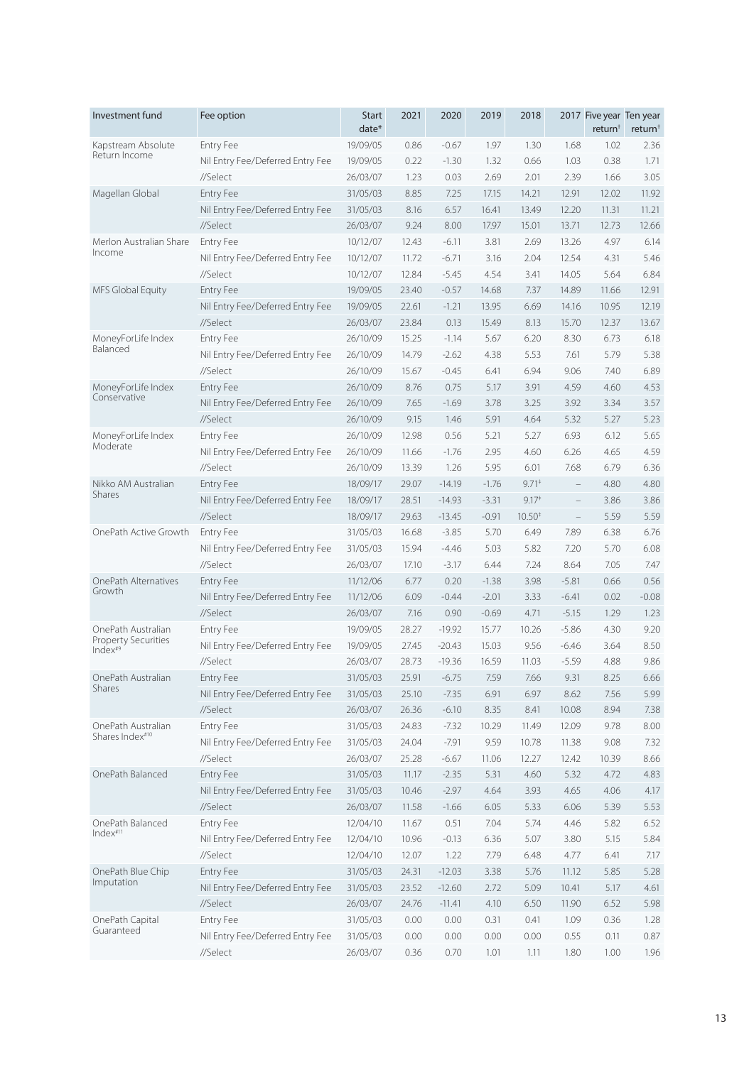| Investment fund             | Fee option                       | <b>Start</b><br>$date*$ | 2021  | 2020     | 2019    | 2018                             |                          | 2017 Five year Ten year<br>return <sup>†</sup> | return <sup>+</sup> |
|-----------------------------|----------------------------------|-------------------------|-------|----------|---------|----------------------------------|--------------------------|------------------------------------------------|---------------------|
| Kapstream Absolute          | <b>Entry Fee</b>                 | 19/09/05                | 0.86  | $-0.67$  | 1.97    | 1.30                             | 1.68                     | 1.02                                           | 2.36                |
| Return Income               | Nil Entry Fee/Deferred Entry Fee | 19/09/05                | 0.22  | $-1.30$  | 1.32    | 0.66                             | 1.03                     | 0.38                                           | 1.71                |
|                             | //Select                         | 26/03/07                | 1.23  | 0.03     | 2.69    | 2.01                             | 2.39                     | 1.66                                           | 3.05                |
| Magellan Global             | <b>Entry Fee</b>                 | 31/05/03                | 8.85  | 7.25     | 17.15   | 14.21                            | 12.91                    | 12.02                                          | 11.92               |
|                             | Nil Entry Fee/Deferred Entry Fee | 31/05/03                | 8.16  | 6.57     | 16.41   | 13.49                            | 12.20                    | 11.31                                          | 11.21               |
|                             | //Select                         | 26/03/07                | 9.24  | 8.00     | 17.97   | 15.01                            | 13.71                    | 12.73                                          | 12.66               |
| Merlon Australian Share     | <b>Entry Fee</b>                 | 10/12/07                | 12.43 | $-6.11$  | 3.81    | 2.69                             | 13.26                    | 4.97                                           | 6.14                |
| Income                      | Nil Entry Fee/Deferred Entry Fee | 10/12/07                | 11.72 | $-6.71$  | 3.16    | 2.04                             | 12.54                    | 4.31                                           | 5.46                |
|                             | //Select                         | 10/12/07                | 12.84 | $-5.45$  | 4.54    | 3.41                             | 14.05                    | 5.64                                           | 6.84                |
| MFS Global Equity           | <b>Entry Fee</b>                 | 19/09/05                | 23.40 | $-0.57$  | 14.68   | 7.37                             | 14.89                    | 11.66                                          | 12.91               |
|                             | Nil Entry Fee/Deferred Entry Fee | 19/09/05                | 22.61 | $-1.21$  | 13.95   | 6.69                             | 14.16                    | 10.95                                          | 12.19               |
|                             | //Select                         | 26/03/07                | 23.84 | 0.13     | 15.49   | 8.13                             | 15.70                    | 12.37                                          | 13.67               |
| MoneyForLife Index          | <b>Entry Fee</b>                 | 26/10/09                | 15.25 | $-1.14$  | 5.67    | 6.20                             | 8.30                     | 6.73                                           | 6.18                |
| Balanced                    | Nil Entry Fee/Deferred Entry Fee | 26/10/09                | 14.79 | $-2.62$  | 4.38    | 5.53                             | 7.61                     | 5.79                                           | 5.38                |
|                             | //Select                         | 26/10/09                | 15.67 | $-0.45$  | 6.41    | 6.94                             | 9.06                     | 7.40                                           | 6.89                |
| MoneyForLife Index          | <b>Entry Fee</b>                 | 26/10/09                | 8.76  | 0.75     | 5.17    | 3.91                             | 4.59                     | 4.60                                           | 4.53                |
| Conservative                | Nil Entry Fee/Deferred Entry Fee | 26/10/09                | 7.65  | $-1.69$  | 3.78    | 3.25                             | 3.92                     | 3.34                                           | 3.57                |
|                             | //Select                         | 26/10/09                | 9.15  | 1.46     | 5.91    | 4.64                             | 5.32                     | 5.27                                           | 5.23                |
| MoneyForLife Index          | <b>Entry Fee</b>                 | 26/10/09                | 12.98 | 0.56     | 5.21    | 5.27                             | 6.93                     | 6.12                                           | 5.65                |
| Moderate                    | Nil Entry Fee/Deferred Entry Fee | 26/10/09                | 11.66 | $-1.76$  | 2.95    | 4.60                             | 6.26                     | 4.65                                           | 4.59                |
|                             | //Select                         | 26/10/09                | 13.39 | 1.26     | 5.95    | 6.01                             | 7.68                     | 6.79                                           | 6.36                |
| Nikko AM Australian         | <b>Entry Fee</b>                 | 18/09/17                | 29.07 | $-14.19$ | $-1.76$ | $9.71$ <sup><math>+</math></sup> | $\qquad \qquad -$        | 4.80                                           | 4.80                |
| Shares                      | Nil Entry Fee/Deferred Entry Fee | 18/09/17                | 28.51 | $-14.93$ | $-3.31$ | $9.17*$                          |                          | 3.86                                           | 3.86                |
|                             | //Select                         | 18/09/17                | 29.63 | $-13.45$ | $-0.91$ | $10.50*$                         | $\overline{\phantom{0}}$ | 5.59                                           | 5.59                |
| OnePath Active Growth       | <b>Entry Fee</b>                 | 31/05/03                | 16.68 | $-3.85$  | 5.70    | 6.49                             | 7.89                     | 6.38                                           | 6.76                |
|                             | Nil Entry Fee/Deferred Entry Fee | 31/05/03                | 15.94 | $-4.46$  | 5.03    | 5.82                             | 7.20                     | 5.70                                           | 6.08                |
|                             | //Select                         | 26/03/07                | 17.10 | $-3.17$  | 6.44    | 7.24                             | 8.64                     | 7.05                                           | 7.47                |
| OnePath Alternatives        | <b>Entry Fee</b>                 | 11/12/06                | 6.77  | 0.20     | $-1.38$ | 3.98                             | $-5.81$                  | 0.66                                           | 0.56                |
| Growth                      | Nil Entry Fee/Deferred Entry Fee | 11/12/06                | 6.09  | $-0.44$  | $-2.01$ | 3.33                             | $-6.41$                  | 0.02                                           | $-0.08$             |
|                             | //Select                         | 26/03/07                | 7.16  | 0.90     | $-0.69$ | 4.71                             | $-5.15$                  | 1.29                                           | 1.23                |
| OnePath Australian          | <b>Entry Fee</b>                 | 19/09/05                | 28.27 | $-19.92$ | 15.77   | 10.26                            | $-5.86$                  | 4.30                                           | 9.20                |
| <b>Property Securities</b>  | Nil Entry Fee/Deferred Entry Fee | 19/09/05                | 27.45 | $-20.43$ | 15.03   | 9.56                             | $-6.46$                  | 3.64                                           | 8.50                |
| Index#9                     | //Select                         | 26/03/07                | 28.73 | $-19.36$ | 16.59   | 11.03                            | $-5.59$                  | 4.88                                           | 9.86                |
| OnePath Australian          | Entry Fee                        | 31/05/03                | 25.91 | $-6.75$  | 7.59    | 7.66                             | 9.31                     | 8.25                                           | 6.66                |
| Shares                      | Nil Entry Fee/Deferred Entry Fee | 31/05/03                | 25.10 | $-7.35$  | 6.91    | 6.97                             | 8.62                     | 7.56                                           | 5.99                |
|                             | //Select                         | 26/03/07                | 26.36 | $-6.10$  | 8.35    | 8.41                             | 10.08                    | 8.94                                           | 7.38                |
| OnePath Australian          | Entry Fee                        | 31/05/03                | 24.83 | $-7.32$  | 10.29   | 11.49                            | 12.09                    | 9.78                                           | 8.00                |
| Shares Index <sup>#10</sup> | Nil Entry Fee/Deferred Entry Fee | 31/05/03                | 24.04 | $-7.91$  | 9.59    | 10.78                            | 11.38                    | 9.08                                           | 7.32                |
|                             | //Select                         | 26/03/07                | 25.28 | $-6.67$  | 11.06   | 12.27                            | 12.42                    | 10.39                                          | 8.66                |
| OnePath Balanced            | Entry Fee                        | 31/05/03                | 11.17 | $-2.35$  | 5.31    | 4.60                             | 5.32                     | 4.72                                           | 4.83                |
|                             | Nil Entry Fee/Deferred Entry Fee | 31/05/03                | 10.46 | $-2.97$  | 4.64    | 3.93                             | 4.65                     | 4.06                                           | 4.17                |
|                             | //Select                         | 26/03/07                | 11.58 | $-1.66$  | 6.05    | 5.33                             | 6.06                     | 5.39                                           | 5.53                |
| OnePath Balanced            | Entry Fee                        | 12/04/10                | 11.67 | 0.51     | 7.04    | 5.74                             | 4.46                     | 5.82                                           | 6.52                |
| Index <sup>#11</sup>        | Nil Entry Fee/Deferred Entry Fee | 12/04/10                | 10.96 | $-0.13$  | 6.36    | 5.07                             | 3.80                     | 5.15                                           | 5.84                |
|                             | //Select                         | 12/04/10                | 12.07 | 1.22     | 7.79    | 6.48                             | 4.77                     | 6.41                                           | 7.17                |
| OnePath Blue Chip           | Entry Fee                        | 31/05/03                | 24.31 | $-12.03$ | 3.38    | 5.76                             | 11.12                    | 5.85                                           | 5.28                |
| Imputation                  | Nil Entry Fee/Deferred Entry Fee | 31/05/03                | 23.52 | $-12.60$ | 2.72    | 5.09                             | 10.41                    | 5.17                                           | 4.61                |
|                             | //Select                         | 26/03/07                | 24.76 | $-11.41$ | 4.10    | 6.50                             | 11.90                    | 6.52                                           | 5.98                |
| OnePath Capital             | Entry Fee                        | 31/05/03                | 0.00  | 0.00     | 0.31    | 0.41                             | 1.09                     | 0.36                                           | 1.28                |
| Guaranteed                  | Nil Entry Fee/Deferred Entry Fee | 31/05/03                | 0.00  | 0.00     | 0.00    | 0.00                             | 0.55                     | 0.11                                           | 0.87                |
|                             | //Select                         | 26/03/07                | 0.36  | 0.70     | 1.01    | 1.11                             | 1.80                     | 1.00                                           | 1.96                |
|                             |                                  |                         |       |          |         |                                  |                          |                                                |                     |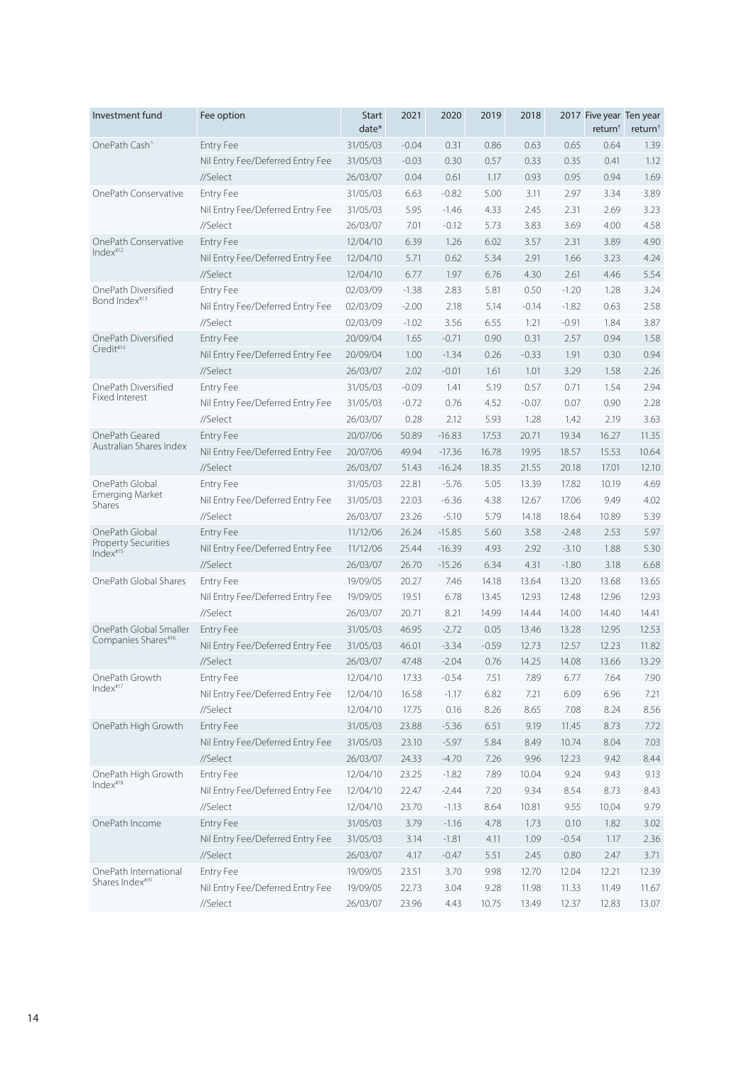| Investment fund                 | Fee option                       | <b>Start</b><br>$date*$ | 2021    | 2020     | 2019    | 2018    |         | 2017 Five year Ten year<br>return <sup>†</sup> | return <sup>+</sup> |
|---------------------------------|----------------------------------|-------------------------|---------|----------|---------|---------|---------|------------------------------------------------|---------------------|
| OnePath Cash <sup>^</sup>       | <b>Entry Fee</b>                 | 31/05/03                | $-0.04$ | 0.31     | 0.86    | 0.63    | 0.65    | 0.64                                           | 1.39                |
|                                 | Nil Entry Fee/Deferred Entry Fee | 31/05/03                | $-0.03$ | 0.30     | 0.57    | 0.33    | 0.35    | 0.41                                           | 1.12                |
|                                 | //Select                         | 26/03/07                | 0.04    | 0.61     | 1.17    | 0.93    | 0.95    | 0.94                                           | 1.69                |
| OnePath Conservative            | <b>Entry Fee</b>                 | 31/05/03                | 6.63    | $-0.82$  | 5.00    | 3.11    | 2.97    | 3.34                                           | 3.89                |
|                                 | Nil Entry Fee/Deferred Entry Fee | 31/05/03                | 5.95    | $-1.46$  | 4.33    | 2.45    | 2.31    | 2.69                                           | 3.23                |
|                                 | //Select                         | 26/03/07                | 7.01    | $-0.12$  | 5.73    | 3.83    | 3.69    | 4.00                                           | 4.58                |
| OnePath Conservative            | <b>Entry Fee</b>                 | 12/04/10                | 6.39    | 1.26     | 6.02    | 3.57    | 2.31    | 3.89                                           | 4.90                |
| Index <sup>#12</sup>            | Nil Entry Fee/Deferred Entry Fee | 12/04/10                | 5.71    | 0.62     | 5.34    | 2.91    | 1.66    | 3.23                                           | 4.24                |
|                                 | //Select                         | 12/04/10                | 6.77    | 1.97     | 6.76    | 4.30    | 2.61    | 4.46                                           | 5.54                |
| OnePath Diversified             | <b>Entry Fee</b>                 | 02/03/09                | $-1.38$ | 2.83     | 5.81    | 0.50    | $-1.20$ | 1.28                                           | 3.24                |
| Bond Index#13                   | Nil Entry Fee/Deferred Entry Fee | 02/03/09                | $-2.00$ | 2.18     | 5.14    | $-0.14$ | $-1.82$ | 0.63                                           | 2.58                |
|                                 | //Select                         | 02/03/09                | $-1.02$ | 3.56     | 6.55    | 1.21    | $-0.91$ | 1.84                                           | 3.87                |
| OnePath Diversified             | <b>Entry Fee</b>                 | 20/09/04                | 1.65    | $-0.71$  | 0.90    | 0.31    | 2.57    | 0.94                                           | 1.58                |
| Credit#14                       | Nil Entry Fee/Deferred Entry Fee | 20/09/04                | 1.00    | $-1.34$  | 0.26    | $-0.33$ | 1.91    | 0.30                                           | 0.94                |
|                                 | //Select                         | 26/03/07                | 2.02    | $-0.01$  | 1.61    | 1.01    | 3.29    | 1.58                                           | 2.26                |
| OnePath Diversified             | <b>Entry Fee</b>                 | 31/05/03                | $-0.09$ | 1.41     | 5.19    | 0.57    | 0.71    | 1.54                                           | 2.94                |
| <b>Fixed Interest</b>           | Nil Entry Fee/Deferred Entry Fee | 31/05/03                | $-0.72$ | 0.76     | 4.52    | $-0.07$ | 0.07    | 0.90                                           | 2.28                |
|                                 | //Select                         | 26/03/07                | 0.28    | 2.12     | 5.93    | 1.28    | 1.42    | 2.19                                           | 3.63                |
| OnePath Geared                  | <b>Entry Fee</b>                 | 20/07/06                | 50.89   | $-16.83$ | 17.53   | 20.71   | 19.34   | 16.27                                          | 11.35               |
| Australian Shares Index         | Nil Entry Fee/Deferred Entry Fee | 20/07/06                | 49.94   | $-17.36$ | 16.78   | 19.95   | 18.57   | 15.53                                          | 10.64               |
|                                 | //Select                         | 26/03/07                | 51.43   | $-16.24$ | 18.35   | 21.55   | 20.18   | 17.01                                          | 12.10               |
| OnePath Global                  | <b>Entry Fee</b>                 | 31/05/03                | 22.81   | $-5.76$  | 5.05    | 13.39   | 17.82   | 10.19                                          | 4.69                |
| Emerging Market<br>Shares       | Nil Entry Fee/Deferred Entry Fee | 31/05/03                | 22.03   | $-6.36$  | 4.38    | 12.67   | 17.06   | 9.49                                           | 4.02                |
|                                 | //Select                         | 26/03/07                | 23.26   | $-5.10$  | 5.79    | 14.18   | 18.64   | 10.89                                          | 5.39                |
| OnePath Global                  | <b>Entry Fee</b>                 | 11/12/06                | 26.24   | $-15.85$ | 5.60    | 3.58    | $-2.48$ | 2.53                                           | 5.97                |
| Property Securities<br>Index#15 | Nil Entry Fee/Deferred Entry Fee | 11/12/06                | 25.44   | $-16.39$ | 4.93    | 2.92    | $-3.10$ | 1.88                                           | 5.30                |
|                                 | //Select                         | 26/03/07                | 26.70   | $-15.26$ | 6.34    | 4.31    | $-1.80$ | 3.18                                           | 6.68                |
| OnePath Global Shares           | <b>Entry Fee</b>                 | 19/09/05                | 20.27   | 7.46     | 14.18   | 13.64   | 13.20   | 13.68                                          | 13.65               |
|                                 | Nil Entry Fee/Deferred Entry Fee | 19/09/05                | 19.51   | 6.78     | 13.45   | 12.93   | 12.48   | 12.96                                          | 12.93               |
|                                 | //Select                         | 26/03/07                | 20.71   | 8.21     | 14.99   | 14.44   | 14.00   | 14.40                                          | 14.41               |
| OnePath Global Smaller          | <b>Entry Fee</b>                 | 31/05/03                | 46.95   | $-2.72$  | 0.05    | 13.46   | 13.28   | 12.95                                          | 12.53               |
| Companies Shares#16             | Nil Entry Fee/Deferred Entry Fee | 31/05/03                | 46.01   | $-3.34$  | $-0.59$ | 12.73   | 12.57   | 12.23                                          | 11.82               |
|                                 | //Select                         | 26/03/07                | 47.48   | $-2.04$  | 0.76    | 14.25   | 14.08   | 13.66                                          | 13.29               |
| OnePath Growth                  | Entry Fee                        | 12/04/10                | 17.33   | $-0.54$  | 7.51    | 7.89    | 6.77    | 7.64                                           | 7.90                |
| Index#17                        | Nil Entry Fee/Deferred Entry Fee | 12/04/10                | 16.58   | $-1.17$  | 6.82    | 7.21    | 6.09    | 6.96                                           | 7.21                |
|                                 | //Select                         | 12/04/10                | 17.75   | 0.16     | 8.26    | 8.65    | 7.08    | 8.24                                           | 8.56                |
| OnePath High Growth             | <b>Entry Fee</b>                 | 31/05/03                | 23.88   | $-5.36$  | 6.51    | 9.19    | 11.45   | 8.73                                           | 7.72                |
|                                 | Nil Entry Fee/Deferred Entry Fee | 31/05/03                | 23.10   | $-5.97$  | 5.84    | 8.49    | 10.74   | 8.04                                           | 7.03                |
|                                 | //Select                         | 26/03/07                | 24.33   | $-4.70$  | 7.26    | 9.96    | 12.23   | 9.42                                           | 8.44                |
| OnePath High Growth             | Entry Fee                        | 12/04/10                | 23.25   | $-1.82$  | 7.89    | 10.04   | 9.24    | 9.43                                           | 9.13                |
| Index <sup>#18</sup>            | Nil Entry Fee/Deferred Entry Fee | 12/04/10                | 22.47   | $-2.44$  | 7.20    | 9.34    | 8.54    | 8.73                                           | 8.43                |
|                                 | //Select                         | 12/04/10                | 23.70   | $-1.13$  | 8.64    | 10.81   | 9.55    | 10.04                                          | 9.79                |
| OnePath Income                  | Entry Fee                        | 31/05/03                | 3.79    | $-1.16$  | 4.78    | 1.73    | 0.10    | 1.82                                           | 3.02                |
|                                 | Nil Entry Fee/Deferred Entry Fee | 31/05/03                | 3.14    | $-1.81$  | 4.11    | 1.09    | $-0.54$ | 1.17                                           | 2.36                |
|                                 | //Select                         | 26/03/07                | 4.17    | $-0.47$  | 5.51    | 2.45    | 0.80    | 2.47                                           | 3.71                |
| OnePath International           | Entry Fee                        | 19/09/05                | 23.51   | 3.70     | 9.98    | 12.70   | 12.04   | 12.21                                          | 12.39               |
| Shares Index#19                 | Nil Entry Fee/Deferred Entry Fee | 19/09/05                | 22.73   | 3.04     | 9.28    | 11.98   | 11.33   | 11.49                                          | 11.67               |
|                                 | //Select                         | 26/03/07                | 23.96   | 4.43     | 10.75   | 13.49   | 12.37   | 12.83                                          | 13.07               |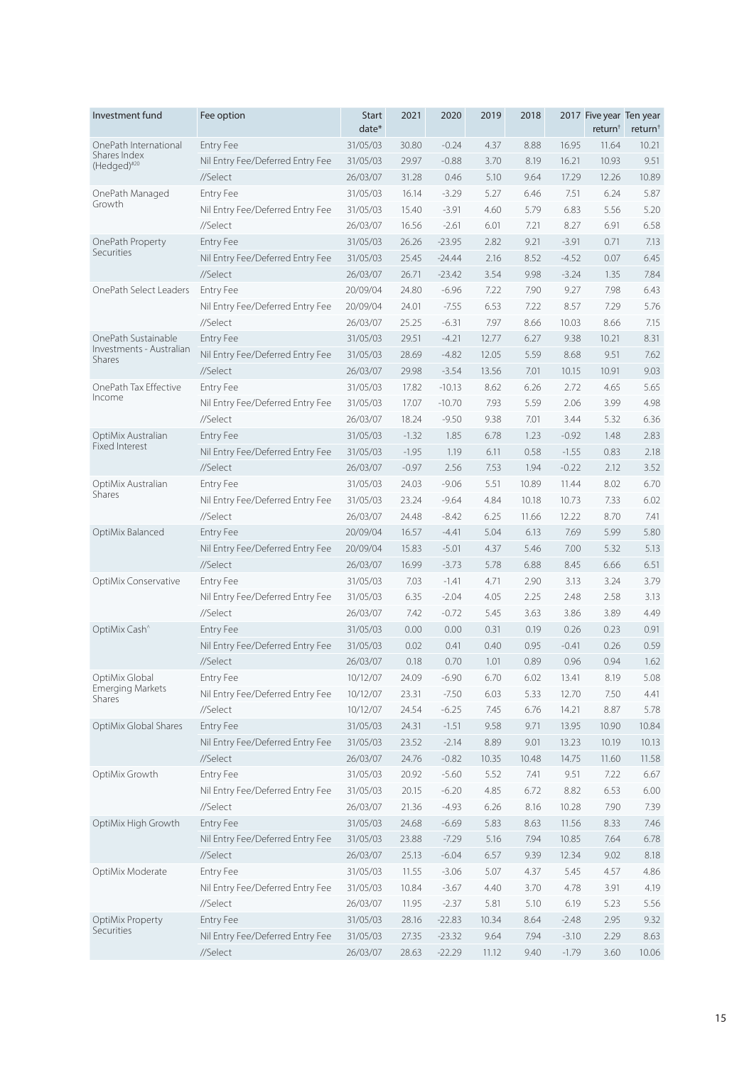| Investment fund                    | Fee option                       | <b>Start</b><br>date* | 2021    | 2020     | 2019  | 2018  |         | 2017 Five year Ten year<br>return <sup>†</sup> | return <sup>+</sup> |
|------------------------------------|----------------------------------|-----------------------|---------|----------|-------|-------|---------|------------------------------------------------|---------------------|
| OnePath International              | <b>Entry Fee</b>                 | 31/05/03              | 30.80   | $-0.24$  | 4.37  | 8.88  | 16.95   | 11.64                                          | 10.21               |
| Shares Index<br>(Hedged)#20        | Nil Entry Fee/Deferred Entry Fee | 31/05/03              | 29.97   | $-0.88$  | 3.70  | 8.19  | 16.21   | 10.93                                          | 9.51                |
|                                    | //Select                         | 26/03/07              | 31.28   | 0.46     | 5.10  | 9.64  | 17.29   | 12.26                                          | 10.89               |
| OnePath Managed                    | <b>Entry Fee</b>                 | 31/05/03              | 16.14   | $-3.29$  | 5.27  | 6.46  | 7.51    | 6.24                                           | 5.87                |
| Growth                             | Nil Entry Fee/Deferred Entry Fee | 31/05/03              | 15.40   | $-3.91$  | 4.60  | 5.79  | 6.83    | 5.56                                           | 5.20                |
|                                    | //Select                         | 26/03/07              | 16.56   | $-2.61$  | 6.01  | 7.21  | 8.27    | 6.91                                           | 6.58                |
| OnePath Property                   | Entry Fee                        | 31/05/03              | 26.26   | $-23.95$ | 2.82  | 9.21  | $-3.91$ | 0.71                                           | 7.13                |
| Securities                         | Nil Entry Fee/Deferred Entry Fee | 31/05/03              | 25.45   | $-24.44$ | 2.16  | 8.52  | $-4.52$ | 0.07                                           | 6.45                |
|                                    | //Select                         | 26/03/07              | 26.71   | $-23.42$ | 3.54  | 9.98  | $-3.24$ | 1.35                                           | 7.84                |
| OnePath Select Leaders             | <b>Entry Fee</b>                 | 20/09/04              | 24.80   | $-6.96$  | 7.22  | 7.90  | 9.27    | 7.98                                           | 6.43                |
|                                    | Nil Entry Fee/Deferred Entry Fee | 20/09/04              | 24.01   | $-7.55$  | 6.53  | 7.22  | 8.57    | 7.29                                           | 5.76                |
|                                    | //Select                         | 26/03/07              | 25.25   | $-6.31$  | 7.97  | 8.66  | 10.03   | 8.66                                           | 7.15                |
| OnePath Sustainable                | <b>Entry Fee</b>                 | 31/05/03              | 29.51   | $-4.21$  | 12.77 | 6.27  | 9.38    | 10.21                                          | 8.31                |
| Investments - Australian<br>Shares | Nil Entry Fee/Deferred Entry Fee | 31/05/03              | 28.69   | $-4.82$  | 12.05 | 5.59  | 8.68    | 9.51                                           | 7.62                |
|                                    | //Select                         | 26/03/07              | 29.98   | $-3.54$  | 13.56 | 7.01  | 10.15   | 10.91                                          | 9.03                |
| OnePath Tax Effective              | <b>Entry Fee</b>                 | 31/05/03              | 17.82   | $-10.13$ | 8.62  | 6.26  | 2.72    | 4.65                                           | 5.65                |
| Income                             | Nil Entry Fee/Deferred Entry Fee | 31/05/03              | 17.07   | $-10.70$ | 7.93  | 5.59  | 2.06    | 3.99                                           | 4.98                |
|                                    | //Select                         | 26/03/07              | 18.24   | $-9.50$  | 9.38  | 7.01  | 3.44    | 5.32                                           | 6.36                |
| OptiMix Australian                 | <b>Entry Fee</b>                 | 31/05/03              | $-1.32$ | 1.85     | 6.78  | 1.23  | $-0.92$ | 1.48                                           | 2.83                |
| Fixed Interest                     | Nil Entry Fee/Deferred Entry Fee | 31/05/03              | $-1.95$ | 1.19     | 6.11  | 0.58  | $-1.55$ | 0.83                                           | 2.18                |
|                                    | //Select                         | 26/03/07              | $-0.97$ | 2.56     | 7.53  | 1.94  | $-0.22$ | 2.12                                           | 3.52                |
| OptiMix Australian                 | <b>Entry Fee</b>                 | 31/05/03              | 24.03   | $-9.06$  | 5.51  | 10.89 | 11.44   | 8.02                                           | 6.70                |
| Shares                             | Nil Entry Fee/Deferred Entry Fee | 31/05/03              | 23.24   | $-9.64$  | 4.84  | 10.18 | 10.73   | 7.33                                           | 6.02                |
|                                    | //Select                         | 26/03/07              | 24.48   | $-8.42$  | 6.25  | 11.66 | 12.22   | 8.70                                           | 7.41                |
| OptiMix Balanced                   | <b>Entry Fee</b>                 | 20/09/04              | 16.57   | $-4.41$  | 5.04  | 6.13  | 7.69    | 5.99                                           | 5.80                |
|                                    | Nil Entry Fee/Deferred Entry Fee | 20/09/04              | 15.83   | $-5.01$  | 4.37  | 5.46  | 7.00    | 5.32                                           | 5.13                |
|                                    | //Select                         | 26/03/07              | 16.99   | $-3.73$  | 5.78  | 6.88  | 8.45    | 6.66                                           | 6.51                |
| OptiMix Conservative               | <b>Entry Fee</b>                 | 31/05/03              | 7.03    | $-1.41$  | 4.71  | 2.90  | 3.13    | 3.24                                           | 3.79                |
|                                    | Nil Entry Fee/Deferred Entry Fee | 31/05/03              | 6.35    | $-2.04$  | 4.05  | 2.25  | 2.48    | 2.58                                           | 3.13                |
|                                    | //Select                         | 26/03/07              | 7.42    | $-0.72$  | 5.45  | 3.63  | 3.86    | 3.89                                           | 4.49                |
| OptiMix Cash <sup>^</sup>          | Entry Fee                        | 31/05/03              | 0.00    | 0.00     | 0.31  | 0.19  | 0.26    | 0.23                                           | 0.91                |
|                                    | Nil Entry Fee/Deferred Entry Fee | 31/05/03              | 0.02    | 0.41     | 0.40  | 0.95  | $-0.41$ | 0.26                                           | 0.59                |
|                                    | //Select                         | 26/03/07              | 0.18    | 0.70     | 1.01  | 0.89  | 0.96    | 0.94                                           | 1.62                |
| OptiMix Global                     | Entry Fee                        | 10/12/07              | 24.09   | $-6.90$  | 6.70  | 6.02  | 13.41   | 8.19                                           | 5.08                |
| <b>Emerging Markets</b><br>Shares  | Nil Entry Fee/Deferred Entry Fee | 10/12/07              | 23.31   | $-7.50$  | 6.03  | 5.33  | 12.70   | 7.50                                           | 4.41                |
|                                    | //Select                         | 10/12/07              | 24.54   | $-6.25$  | 7.45  | 6.76  | 14.21   | 8.87                                           | 5.78                |
| OptiMix Global Shares              | Entry Fee                        | 31/05/03              | 24.31   | $-1.51$  | 9.58  | 9.71  | 13.95   | 10.90                                          | 10.84               |
|                                    | Nil Entry Fee/Deferred Entry Fee | 31/05/03              | 23.52   | $-2.14$  | 8.89  | 9.01  | 13.23   | 10.19                                          | 10.13               |
|                                    | //Select                         | 26/03/07              | 24.76   | $-0.82$  | 10.35 | 10.48 | 14.75   | 11.60                                          | 11.58               |
| OptiMix Growth                     | Entry Fee                        | 31/05/03              | 20.92   | $-5.60$  | 5.52  | 7.41  | 9.51    | 7.22                                           | 6.67                |
|                                    | Nil Entry Fee/Deferred Entry Fee | 31/05/03              | 20.15   | $-6.20$  | 4.85  | 6.72  | 8.82    | 6.53                                           | 6.00                |
|                                    | //Select                         | 26/03/07              | 21.36   | $-4.93$  | 6.26  | 8.16  | 10.28   | 7.90                                           | 7.39                |
| OptiMix High Growth                | Entry Fee                        | 31/05/03              | 24.68   | $-6.69$  | 5.83  | 8.63  | 11.56   | 8.33                                           | 7.46                |
|                                    | Nil Entry Fee/Deferred Entry Fee | 31/05/03              | 23.88   | $-7.29$  | 5.16  | 7.94  | 10.85   | 7.64                                           | 6.78                |
|                                    | //Select                         | 26/03/07              | 25.13   | $-6.04$  | 6.57  | 9.39  | 12.34   | 9.02                                           | 8.18                |
| OptiMix Moderate                   | Entry Fee                        | 31/05/03              | 11.55   | $-3.06$  | 5.07  | 4.37  | 5.45    | 4.57                                           | 4.86                |
|                                    | Nil Entry Fee/Deferred Entry Fee | 31/05/03              | 10.84   | $-3.67$  | 4.40  | 3.70  | 4.78    | 3.91                                           | 4.19                |
|                                    | //Select                         | 26/03/07              | 11.95   | $-2.37$  | 5.81  | 5.10  | 6.19    | 5.23                                           | 5.56                |
| OptiMix Property                   | <b>Entry Fee</b>                 | 31/05/03              | 28.16   | $-22.83$ | 10.34 | 8.64  | $-2.48$ | 2.95                                           | 9.32                |
| <b>Securities</b>                  | Nil Entry Fee/Deferred Entry Fee | 31/05/03              | 27.35   | $-23.32$ | 9.64  | 7.94  | $-3.10$ | 2.29                                           | 8.63                |
|                                    | //Select                         | 26/03/07              | 28.63   | $-22.29$ | 11.12 | 9.40  | $-1.79$ | 3.60                                           | 10.06               |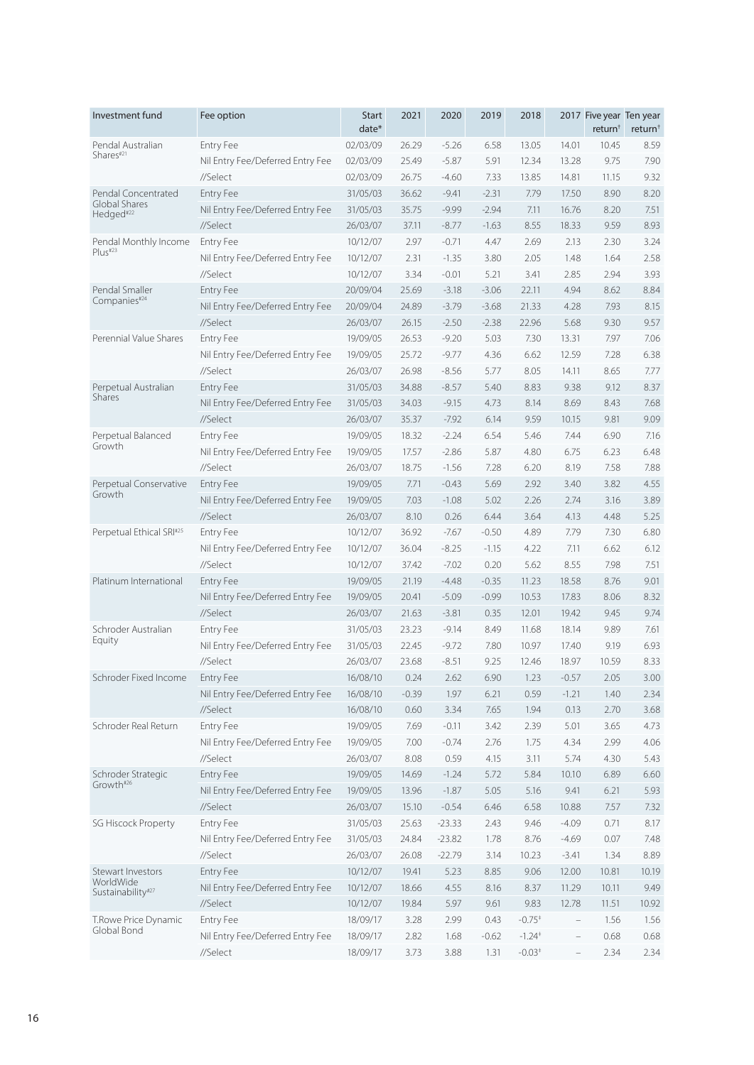| Investment fund                        | Fee option                       | <b>Start</b><br>$date*$ | 2021    | 2020     | 2019    | 2018                 |                          | 2017 Five year Ten year<br>return <sup>†</sup> | return <sup>+</sup> |
|----------------------------------------|----------------------------------|-------------------------|---------|----------|---------|----------------------|--------------------------|------------------------------------------------|---------------------|
| Pendal Australian                      | <b>Entry Fee</b>                 | 02/03/09                | 26.29   | $-5.26$  | 6.58    | 13.05                | 14.01                    | 10.45                                          | 8.59                |
| Shares#21                              | Nil Entry Fee/Deferred Entry Fee | 02/03/09                | 25.49   | $-5.87$  | 5.91    | 12.34                | 13.28                    | 9.75                                           | 7.90                |
|                                        | //Select                         | 02/03/09                | 26.75   | $-4.60$  | 7.33    | 13.85                | 14.81                    | 11.15                                          | 9.32                |
| Pendal Concentrated                    | <b>Entry Fee</b>                 | 31/05/03                | 36.62   | $-9.41$  | $-2.31$ | 7.79                 | 17.50                    | 8.90                                           | 8.20                |
| Global Shares<br>Hedged <sup>#22</sup> | Nil Entry Fee/Deferred Entry Fee | 31/05/03                | 35.75   | $-9.99$  | $-2.94$ | 7.11                 | 16.76                    | 8.20                                           | 7.51                |
|                                        | //Select                         | 26/03/07                | 37.11   | $-8.77$  | $-1.63$ | 8.55                 | 18.33                    | 9.59                                           | 8.93                |
| Pendal Monthly Income                  | <b>Entry Fee</b>                 | 10/12/07                | 2.97    | $-0.71$  | 4.47    | 2.69                 | 2.13                     | 2.30                                           | 3.24                |
| Plus <sup>#23</sup>                    | Nil Entry Fee/Deferred Entry Fee | 10/12/07                | 2.31    | $-1.35$  | 3.80    | 2.05                 | 1.48                     | 1.64                                           | 2.58                |
|                                        | //Select                         | 10/12/07                | 3.34    | $-0.01$  | 5.21    | 3.41                 | 2.85                     | 2.94                                           | 3.93                |
| Pendal Smaller                         | <b>Entry Fee</b>                 | 20/09/04                | 25.69   | $-3.18$  | $-3.06$ | 22.11                | 4.94                     | 8.62                                           | 8.84                |
| Companies#24                           | Nil Entry Fee/Deferred Entry Fee | 20/09/04                | 24.89   | $-3.79$  | $-3.68$ | 21.33                | 4.28                     | 7.93                                           | 8.15                |
|                                        | //Select                         | 26/03/07                | 26.15   | $-2.50$  | $-2.38$ | 22.96                | 5.68                     | 9.30                                           | 9.57                |
| Perennial Value Shares                 | <b>Entry Fee</b>                 | 19/09/05                | 26.53   | $-9.20$  | 5.03    | 7.30                 | 13.31                    | 7.97                                           | 7.06                |
|                                        | Nil Entry Fee/Deferred Entry Fee | 19/09/05                | 25.72   | $-9.77$  | 4.36    | 6.62                 | 12.59                    | 7.28                                           | 6.38                |
|                                        | //Select                         | 26/03/07                | 26.98   | $-8.56$  | 5.77    | 8.05                 | 14.11                    | 8.65                                           | 7.77                |
| Perpetual Australian                   | <b>Entry Fee</b>                 | 31/05/03                | 34.88   | $-8.57$  | 5.40    | 8.83                 | 9.38                     | 9.12                                           | 8.37                |
| <b>Shares</b>                          | Nil Entry Fee/Deferred Entry Fee | 31/05/03                | 34.03   | $-9.15$  | 4.73    | 8.14                 | 8.69                     | 8.43                                           | 7.68                |
|                                        | //Select                         | 26/03/07                | 35.37   | $-7.92$  | 6.14    | 9.59                 | 10.15                    | 9.81                                           | 9.09                |
| Perpetual Balanced                     | <b>Entry Fee</b>                 | 19/09/05                | 18.32   | $-2.24$  | 6.54    | 5.46                 | 7.44                     | 6.90                                           | 7.16                |
| Growth                                 | Nil Entry Fee/Deferred Entry Fee | 19/09/05                | 17.57   | $-2.86$  | 5.87    | 4.80                 | 6.75                     | 6.23                                           | 6.48                |
|                                        | //Select                         | 26/03/07                | 18.75   | $-1.56$  | 7.28    | 6.20                 | 8.19                     | 7.58                                           | 7.88                |
| Perpetual Conservative                 | <b>Entry Fee</b>                 | 19/09/05                | 7.71    | $-0.43$  | 5.69    | 2.92                 | 3.40                     | 3.82                                           | 4.55                |
| Growth                                 | Nil Entry Fee/Deferred Entry Fee | 19/09/05                | 7.03    | $-1.08$  | 5.02    | 2.26                 | 2.74                     | 3.16                                           | 3.89                |
|                                        | //Select                         | 26/03/07                | 8.10    | 0.26     | 6.44    | 3.64                 | 4.13                     | 4.48                                           | 5.25                |
| Perpetual Ethical SRI#25               | <b>Entry Fee</b>                 | 10/12/07                | 36.92   | $-7.67$  | $-0.50$ | 4.89                 | 7.79                     | 7.30                                           | 6.80                |
|                                        | Nil Entry Fee/Deferred Entry Fee | 10/12/07                | 36.04   | $-8.25$  | $-1.15$ | 4.22                 | 7.11                     | 6.62                                           | 6.12                |
|                                        | //Select                         | 10/12/07                | 37.42   | $-7.02$  | 0.20    | 5.62                 | 8.55                     | 7.98                                           | 7.51                |
| Platinum International                 | <b>Entry Fee</b>                 | 19/09/05                | 21.19   | $-4.48$  | $-0.35$ | 11.23                | 18.58                    | 8.76                                           | 9.01                |
|                                        | Nil Entry Fee/Deferred Entry Fee | 19/09/05                | 20.41   | $-5.09$  | $-0.99$ | 10.53                | 17.83                    | 8.06                                           | 8.32                |
|                                        |                                  | 26/03/07                |         |          |         |                      |                          |                                                | 9.74                |
|                                        | //Select                         |                         | 21.63   | $-3.81$  | 0.35    | 12.01                | 19.42                    | 9.45                                           |                     |
| Schroder Australian<br>Equity          | <b>Entry Fee</b>                 | 31/05/03                | 23.23   | $-9.14$  | 8.49    | 11.68                | 18.14                    | 9.89                                           | 7.61                |
|                                        | Nil Entry Fee/Deferred Entry Fee | 31/05/03                | 22.45   | $-9.72$  | 7.80    | 10.97                | 17.40                    | 9.19                                           | 6.93                |
|                                        | //Select                         | 26/03/07                | 23.68   | $-8.51$  | 9.25    | 12.46                | 18.97                    | 10.59                                          | 8.33                |
| Schroder Fixed Income                  | Entry Fee                        | 16/08/10                | 0.24    | 2.62     | 6.90    | 1.23                 | $-0.57$                  | 2.05                                           | 3.00                |
|                                        | Nil Entry Fee/Deferred Entry Fee | 16/08/10                | $-0.39$ | 1.97     | 6.21    | 0.59                 | $-1.21$                  | 1.40                                           | 2.34                |
|                                        | //Select                         | 16/08/10                | 0.60    | 3.34     | 7.65    | 1.94                 | 0.13                     | 2.70                                           | 3.68                |
| Schroder Real Return                   | Entry Fee                        | 19/09/05                | 7.69    | $-0.11$  | 3.42    | 2.39                 | 5.01                     | 3.65                                           | 4.73                |
|                                        | Nil Entry Fee/Deferred Entry Fee | 19/09/05                | 7.00    | $-0.74$  | 2.76    | 1.75                 | 4.34                     | 2.99                                           | 4.06                |
|                                        | //Select                         | 26/03/07                | 8.08    | 0.59     | 4.15    | 3.11                 | 5.74                     | 4.30                                           | 5.43                |
| Schroder Strategic<br>Growth#26        | Entry Fee                        | 19/09/05                | 14.69   | $-1.24$  | 5.72    | 5.84                 | 10.10                    | 6.89                                           | 6.60                |
|                                        | Nil Entry Fee/Deferred Entry Fee | 19/09/05                | 13.96   | $-1.87$  | 5.05    | 5.16                 | 9.41                     | 6.21                                           | 5.93                |
|                                        | //Select                         | 26/03/07                | 15.10   | $-0.54$  | 6.46    | 6.58                 | 10.88                    | 7.57                                           | 7.32                |
| SG Hiscock Property                    | Entry Fee                        | 31/05/03                | 25.63   | $-23.33$ | 2.43    | 9.46                 | $-4.09$                  | 0.71                                           | 8.17                |
|                                        | Nil Entry Fee/Deferred Entry Fee | 31/05/03                | 24.84   | $-23.82$ | 1.78    | 8.76                 | $-4.69$                  | 0.07                                           | 7.48                |
|                                        | //Select                         | 26/03/07                | 26.08   | $-22.79$ | 3.14    | 10.23                | $-3.41$                  | 1.34                                           | 8.89                |
| Stewart Investors                      | Entry Fee                        | 10/12/07                | 19.41   | 5.23     | 8.85    | 9.06                 | 12.00                    | 10.81                                          | 10.19               |
| WorldWide<br>Sustainability#27         | Nil Entry Fee/Deferred Entry Fee | 10/12/07                | 18.66   | 4.55     | 8.16    | 8.37                 | 11.29                    | 10.11                                          | 9.49                |
|                                        | //Select                         | 10/12/07                | 19.84   | 5.97     | 9.61    | 9.83                 | 12.78                    | 11.51                                          | 10.92               |
| T.Rowe Price Dynamic                   | Entry Fee                        | 18/09/17                | 3.28    | 2.99     | 0.43    | $-0.75*$             | $\overline{\phantom{0}}$ | 1.56                                           | 1.56                |
| Global Bond                            | Nil Entry Fee/Deferred Entry Fee | 18/09/17                | 2.82    | 1.68     | $-0.62$ | $-1.24$ <sup>+</sup> | $\overline{\phantom{0}}$ | 0.68                                           | 0.68                |
|                                        | //Select                         | 18/09/17                | 3.73    | 3.88     | 1.31    | $-0.03*$             | $\bar{ }$                | 2.34                                           | 2.34                |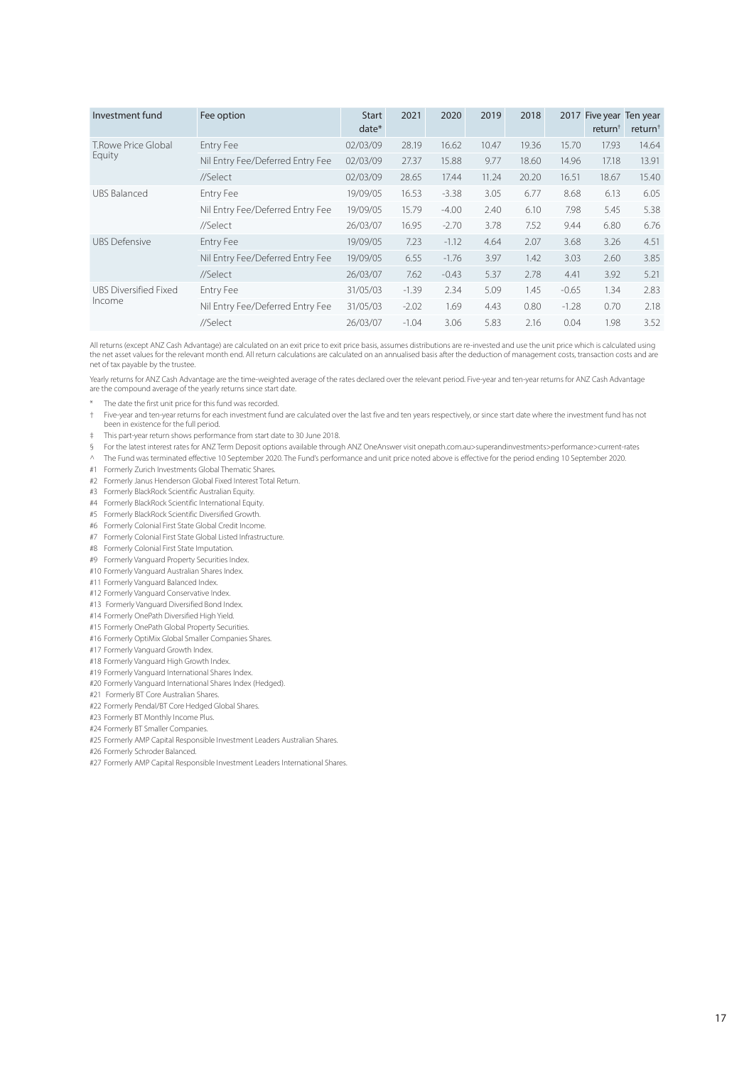| Investment fund              | Fee option                       | <b>Start</b><br>$date*$ | 2021    | 2020    | 2019  | 2018  |         | 2017 Five year Ten year<br>return <sup>+</sup> | return <sup>†</sup> |
|------------------------------|----------------------------------|-------------------------|---------|---------|-------|-------|---------|------------------------------------------------|---------------------|
| T.Rowe Price Global          | Entry Fee                        | 02/03/09                | 28.19   | 16.62   | 10.47 | 19.36 | 15.70   | 17.93                                          | 14.64               |
| Equity                       | Nil Entry Fee/Deferred Entry Fee | 02/03/09                | 27.37   | 15.88   | 9.77  | 18.60 | 14.96   | 17.18                                          | 13.91               |
|                              | //Select                         | 02/03/09                | 28.65   | 17.44   | 11.24 | 20.20 | 16.51   | 18.67                                          | 15.40               |
| UBS Balanced                 | Entry Fee                        | 19/09/05                | 16.53   | $-3.38$ | 3.05  | 6.77  | 8.68    | 6.13                                           | 6.05                |
|                              | Nil Entry Fee/Deferred Entry Fee | 19/09/05                | 15.79   | $-4.00$ | 2.40  | 6.10  | 7.98    | 5.45                                           | 5.38                |
|                              | //Select                         | 26/03/07                | 16.95   | $-2.70$ | 3.78  | 7.52  | 9.44    | 6.80                                           | 6.76                |
| <b>UBS Defensive</b>         | Entry Fee                        | 19/09/05                | 7.23    | $-1.12$ | 4.64  | 2.07  | 3.68    | 3.26                                           | 4.51                |
|                              | Nil Entry Fee/Deferred Entry Fee | 19/09/05                | 6.55    | $-1.76$ | 3.97  | 1.42  | 3.03    | 2.60                                           | 3.85                |
|                              | //Select                         | 26/03/07                | 7.62    | $-0.43$ | 5.37  | 2.78  | 4.41    | 3.92                                           | 5.21                |
| <b>UBS Diversified Fixed</b> | Entry Fee                        | 31/05/03                | $-1.39$ | 2.34    | 5.09  | 1.45  | $-0.65$ | 1.34                                           | 2.83                |
| Income                       | Nil Entry Fee/Deferred Entry Fee | 31/05/03                | $-2.02$ | 1.69    | 4.43  | 0.80  | $-1.28$ | 0.70                                           | 2.18                |
|                              | //Select                         | 26/03/07                | $-1.04$ | 3.06    | 5.83  | 2.16  | 0.04    | 1.98                                           | 3.52                |

All returns (except ANZ Cash Advantage) are calculated on an exit price to exit price basis, assumes distributions are re-invested and use the unit price which is calculated using the net asset values for the relevant month end. All return calculations are calculated on an annualised basis after the deduction of management costs, transaction costs and are net of tax payable by the trustee.

Yearly returns for ANZ Cash Advantage are the time-weighted average of the rates declared over the relevant period. Five-year and ten-year returns for ANZ Cash Advantage are the compound average of the yearly returns since start date.

- \* The date the first unit price for this fund was recorded.
- † Five-year and ten-year returns for each investment fund are calculated over the last five and ten years respectively, or since start date where the investment fund has not been in existence for the full period.
- ‡ This part-year return shows performance from start date to 30 June 2018.

§ For the latest interest rates for ANZ Term Deposit options available through ANZ OneAnswer visit onepath.com.au>superandinvestments>performance>current-rates

^ The Fund was terminated effective 10 September 2020. The Fund's performance and unit price noted above is effective for the period ending 10 September 2020.

- #1 Formerly Zurich Investments Global Thematic Shares.
- #2 Formerly Janus Henderson Global Fixed Interest Total Return.
- #3 Formerly BlackRock Scientific Australian Equity.
- #4 Formerly BlackRock Scientific International Equity.
- #5 Formerly BlackRock Scientific Diversified Growth.
- #6 Formerly Colonial First State Global Credit Income.
- #7 Formerly Colonial First State Global Listed Infrastructure.
- #8 Formerly Colonial First State Imputation.
- #9 Formerly Vanguard Property Securities Index.
- #10 Formerly Vanguard Australian Shares Index.
- #11 Formerly Vanguard Balanced Index.
- #12 Formerly Vanguard Conservative Index.
- #13 Formerly Vanguard Diversified Bond Index.
- #14 Formerly OnePath Diversified High Yield.
- #15 Formerly OnePath Global Property Securities.
- #16 Formerly OptiMix Global Smaller Companies Shares.
- #17 Formerly Vanguard Growth Index.
- #18 Formerly Vanguard High Growth Index.
- #19 Formerly Vanguard International Shares Index.
- #20 Formerly Vanguard International Shares Index (Hedged).
- #21 Formerly BT Core Australian Shares.
- #22 Formerly Pendal/BT Core Hedged Global Shares.
- #23 Formerly BT Monthly Income Plus.
- #24 Formerly BT Smaller Companies.
- #25 Formerly AMP Capital Responsible Investment Leaders Australian Shares.
- #26 Formerly Schroder Balanced.
- #27 Formerly AMP Capital Responsible Investment Leaders International Shares.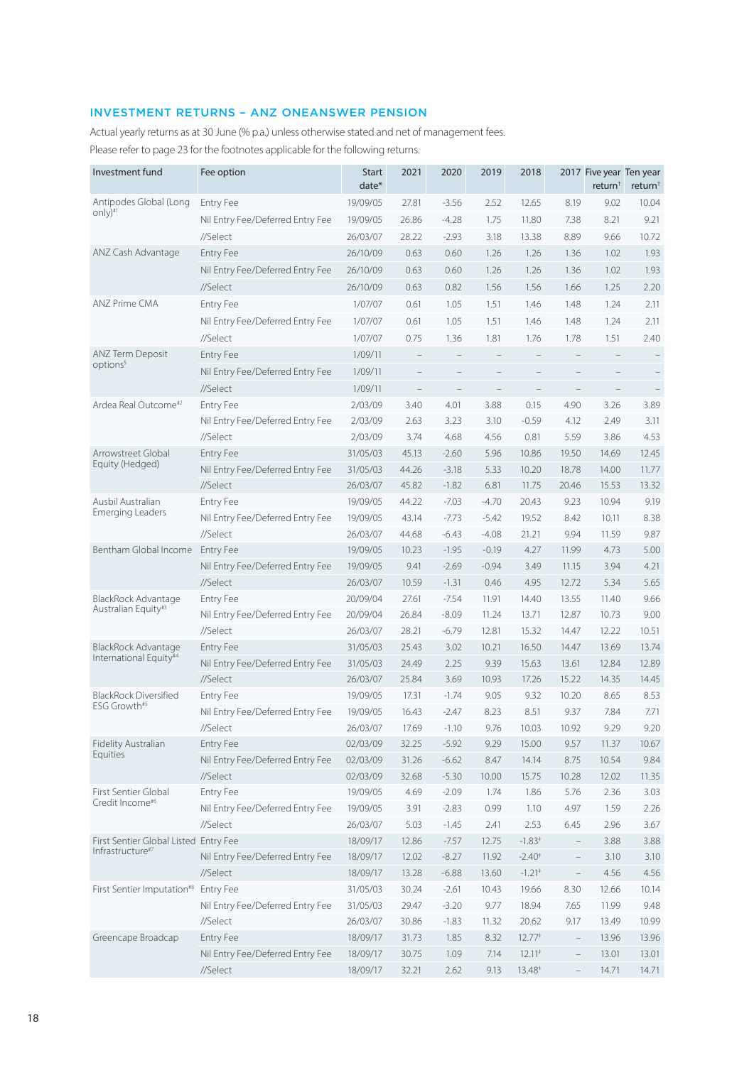# INVESTMENT RETURNS – ANZ ONEANSWER PENSION

Actual yearly returns as at 30 June (% p.a.) unless otherwise stated and net of management fees. Please refer to page 23 for the footnotes applicable for the following returns.

| Investment fund                                           | Fee option                       | <b>Start</b><br>date* | 2021  | 2020    | 2019    | 2018                 |                          | 2017 Five year Ten year<br>return <sup>†</sup> | return <sup>†</sup> |
|-----------------------------------------------------------|----------------------------------|-----------------------|-------|---------|---------|----------------------|--------------------------|------------------------------------------------|---------------------|
| Antipodes Global (Long                                    | <b>Entry Fee</b>                 | 19/09/05              | 27.81 | $-3.56$ | 2.52    | 12.65                | 8.19                     | 9.02                                           | 10.04               |
| only)#1                                                   | Nil Entry Fee/Deferred Entry Fee | 19/09/05              | 26.86 | $-4.28$ | 1.75    | 11.80                | 7.38                     | 8.21                                           | 9.21                |
|                                                           | //Select                         | 26/03/07              | 28.22 | $-2.93$ | 3.18    | 13.38                | 8.89                     | 9.66                                           | 10.72               |
| ANZ Cash Advantage                                        | <b>Entry Fee</b>                 | 26/10/09              | 0.63  | 0.60    | 1.26    | 1.26                 | 1.36                     | 1.02                                           | 1.93                |
|                                                           | Nil Entry Fee/Deferred Entry Fee | 26/10/09              | 0.63  | 0.60    | 1.26    | 1.26                 | 1.36                     | 1.02                                           | 1.93                |
|                                                           | //Select                         | 26/10/09              | 0.63  | 0.82    | 1.56    | 1.56                 | 1.66                     | 1.25                                           | 2.20                |
| <b>ANZ Prime CMA</b>                                      | <b>Entry Fee</b>                 | 1/07/07               | 0.61  | 1.05    | 1.51    | 1.46                 | 1.48                     | 1.24                                           | 2.11                |
|                                                           | Nil Entry Fee/Deferred Entry Fee | 1/07/07               | 0.61  | 1.05    | 1.51    | 1.46                 | 1.48                     | 1.24                                           | 2.11                |
|                                                           | //Select                         | 1/07/07               | 0.75  | 1.36    | 1.81    | 1.76                 | 1.78                     | 1.51                                           | 2.40                |
| <b>ANZ Term Deposit</b>                                   | <b>Entry Fee</b>                 | 1/09/11               |       |         |         |                      |                          |                                                |                     |
| options <sup>§</sup>                                      | Nil Entry Fee/Deferred Entry Fee | 1/09/11               |       |         |         |                      |                          |                                                |                     |
|                                                           | //Select                         | 1/09/11               |       |         |         |                      |                          |                                                |                     |
| Ardea Real Outcome <sup>#2</sup>                          | <b>Entry Fee</b>                 | 2/03/09               | 3.40  | 4.01    | 3.88    | 0.15                 | 4.90                     | 3.26                                           | 3.89                |
|                                                           | Nil Entry Fee/Deferred Entry Fee | 2/03/09               | 2.63  | 3.23    | 3.10    | $-0.59$              | 4.12                     | 2.49                                           | 3.11                |
|                                                           | //Select                         | 2/03/09               | 3.74  | 4.68    | 4.56    | 0.81                 | 5.59                     | 3.86                                           | 4.53                |
| Arrowstreet Global                                        | <b>Entry Fee</b>                 | 31/05/03              | 45.13 | $-2.60$ | 5.96    | 10.86                | 19.50                    | 14.69                                          | 12.45               |
| Equity (Hedged)                                           | Nil Entry Fee/Deferred Entry Fee | 31/05/03              | 44.26 | $-3.18$ | 5.33    | 10.20                | 18.78                    | 14.00                                          | 11.77               |
|                                                           | //Select                         | 26/03/07              | 45.82 | $-1.82$ | 6.81    | 11.75                | 20.46                    | 15.53                                          | 13.32               |
| Ausbil Australian                                         | <b>Entry Fee</b>                 | 19/09/05              | 44.22 | $-7.03$ | $-4.70$ | 20.43                | 9.23                     | 10.94                                          | 9.19                |
| Emerging Leaders                                          | Nil Entry Fee/Deferred Entry Fee | 19/09/05              | 43.14 | $-7.73$ | $-5.42$ | 19.52                | 8.42                     | 10.11                                          | 8.38                |
|                                                           | //Select                         | 26/03/07              | 44.68 | $-6.43$ | $-4.08$ | 21.21                | 9.94                     | 11.59                                          | 9.87                |
| Bentham Global Income                                     | <b>Entry Fee</b>                 | 19/09/05              | 10.23 | $-1.95$ | $-0.19$ | 4.27                 | 11.99                    | 4.73                                           | 5.00                |
|                                                           | Nil Entry Fee/Deferred Entry Fee | 19/09/05              | 9.41  | $-2.69$ | $-0.94$ | 3.49                 | 11.15                    | 3.94                                           | 4.21                |
|                                                           | //Select                         | 26/03/07              | 10.59 | $-1.31$ | 0.46    | 4.95                 | 12.72                    | 5.34                                           | 5.65                |
| BlackRock Advantage                                       | <b>Entry Fee</b>                 | 20/09/04              | 27.61 | $-7.54$ | 11.91   | 14.40                | 13.55                    | 11.40                                          | 9.66                |
| Australian Equity#3                                       | Nil Entry Fee/Deferred Entry Fee | 20/09/04              | 26.84 | $-8.09$ | 11.24   | 13.71                | 12.87                    | 10.73                                          | 9.00                |
|                                                           | //Select                         | 26/03/07              | 28.21 | $-6.79$ | 12.81   | 15.32                | 14.47                    | 12.22                                          | 10.51               |
| BlackRock Advantage                                       | <b>Entry Fee</b>                 | 31/05/03              | 25.43 | 3.02    | 10.21   | 16.50                | 14.47                    | 13.69                                          | 13.74               |
| International Equity#4                                    | Nil Entry Fee/Deferred Entry Fee | 31/05/03              | 24.49 | 2.25    | 9.39    | 15.63                | 13.61                    | 12.84                                          | 12.89               |
|                                                           | //Select                         | 26/03/07              | 25.84 | 3.69    | 10.93   | 17.26                | 15.22                    | 14.35                                          | 14.45               |
| BlackRock Diversified                                     | <b>Entry Fee</b>                 | 19/09/05              | 17.31 | $-1.74$ | 9.05    | 9.32                 | 10.20                    | 8.65                                           | 8.53                |
| ESG Growth#5                                              | Nil Entry Fee/Deferred Entry Fee | 19/09/05              | 16.43 | $-2.47$ | 8.23    | 8.51                 | 9.37                     | 7.84                                           | 7.71                |
|                                                           | //Select                         | 26/03/07              | 17.69 | $-1.10$ | 9.76    | 10.03                | 10.92                    | 9.29                                           | 9.20                |
| Fidelity Australian                                       | <b>Entry Fee</b>                 | 02/03/09              | 32.25 | $-5.92$ | 9.29    | 15.00                | 9.57                     | 11.37                                          | 10.67               |
| Equities                                                  | Nil Entry Fee/Deferred Entry Fee | 02/03/09              | 31.26 | $-6.62$ | 8.47    | 14.14                | 8.75                     | 10.54                                          | 9.84                |
|                                                           | //Select                         | 02/03/09              | 32.68 | $-5.30$ | 10.00   | 15.75                | 10.28                    | 12.02                                          | 11.35               |
| First Sentier Global<br>Credit Income <sup>#6</sup>       | Entry Fee                        | 19/09/05              | 4.69  | $-2.09$ | 1.74    | 1.86                 | 5.76                     | 2.36                                           | 3.03                |
|                                                           | Nil Entry Fee/Deferred Entry Fee | 19/09/05              | 3.91  | $-2.83$ | 0.99    | 1.10                 | 4.97                     | 1.59                                           | 2.26                |
|                                                           | //Select                         | 26/03/07              | 5.03  | $-1.45$ | 2.41    | 2.53                 | 6.45                     | 2.96                                           | 3.67                |
| First Sentier Global Listed Entry Fee<br>Infrastructure#7 |                                  | 18/09/17              | 12.86 | $-7.57$ | 12.75   | $-1.83*$             | $\overline{\phantom{0}}$ | 3.88                                           | 3.88                |
|                                                           | Nil Entry Fee/Deferred Entry Fee | 18/09/17              | 12.02 | $-8.27$ | 11.92   | $-2.40*$             | $\overline{\phantom{0}}$ | 3.10                                           | 3.10                |
|                                                           | //Select                         | 18/09/17              | 13.28 | $-6.88$ | 13.60   | $-1.21$ <sup>+</sup> | $\overline{\phantom{0}}$ | 4.56                                           | 4.56                |
| First Sentier Imputation <sup>#8</sup> Entry Fee          |                                  | 31/05/03              | 30.24 | $-2.61$ | 10.43   | 19.66                | 8.30                     | 12.66                                          | 10.14               |
|                                                           | Nil Entry Fee/Deferred Entry Fee | 31/05/03              | 29.47 | $-3.20$ | 9.77    | 18.94                | 7.65                     | 11.99                                          | 9.48                |
|                                                           | //Select                         | 26/03/07              | 30.86 | $-1.83$ | 11.32   | 20.62                | 9.17                     | 13.49                                          | 10.99               |
| Greencape Broadcap                                        | <b>Entry Fee</b>                 | 18/09/17              | 31.73 | 1.85    | 8.32    | $12.77*$             | $\qquad \qquad -$        | 13.96                                          | 13.96               |
|                                                           | Nil Entry Fee/Deferred Entry Fee | 18/09/17              | 30.75 | 1.09    | 7.14    | $12.11*$             | $\overline{\phantom{0}}$ | 13.01                                          | 13.01               |
|                                                           | //Select                         | 18/09/17              | 32.21 | 2.62    | 9.13    | $13.48*$             |                          | 14.71                                          | 14.71               |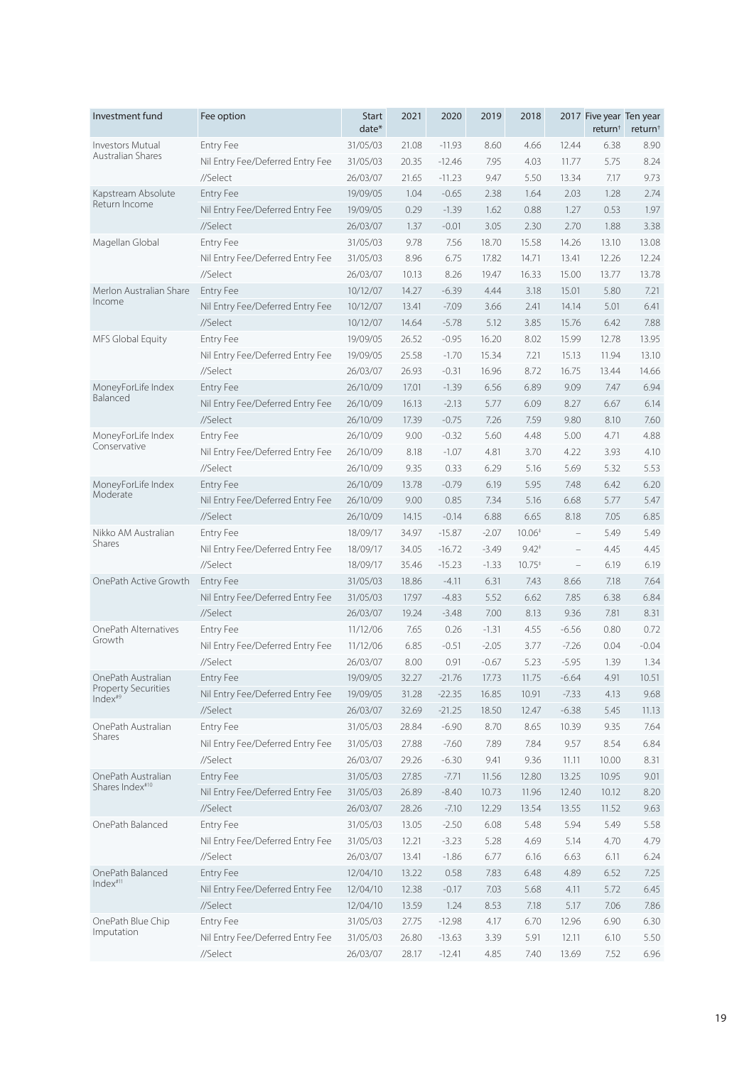| Investment fund                                   | Fee option                       | <b>Start</b><br>date* | 2021  | 2020     | 2019    | 2018     |                          | 2017 Five year Ten year<br>return <sup>†</sup> | return <sup>+</sup> |
|---------------------------------------------------|----------------------------------|-----------------------|-------|----------|---------|----------|--------------------------|------------------------------------------------|---------------------|
| Investors Mutual                                  | <b>Entry Fee</b>                 | 31/05/03              | 21.08 | $-11.93$ | 8.60    | 4.66     | 12.44                    | 6.38                                           | 8.90                |
| Australian Shares                                 | Nil Entry Fee/Deferred Entry Fee | 31/05/03              | 20.35 | $-12.46$ | 7.95    | 4.03     | 11.77                    | 5.75                                           | 8.24                |
|                                                   | //Select                         | 26/03/07              | 21.65 | $-11.23$ | 9.47    | 5.50     | 13.34                    | 7.17                                           | 9.73                |
| Kapstream Absolute                                | <b>Entry Fee</b>                 | 19/09/05              | 1.04  | $-0.65$  | 2.38    | 1.64     | 2.03                     | 1.28                                           | 2.74                |
| Return Income                                     | Nil Entry Fee/Deferred Entry Fee | 19/09/05              | 0.29  | $-1.39$  | 1.62    | 0.88     | 1.27                     | 0.53                                           | 1.97                |
|                                                   | //Select                         | 26/03/07              | 1.37  | $-0.01$  | 3.05    | 2.30     | 2.70                     | 1.88                                           | 3.38                |
| Magellan Global                                   | <b>Entry Fee</b>                 | 31/05/03              | 9.78  | 7.56     | 18.70   | 15.58    | 14.26                    | 13.10                                          | 13.08               |
|                                                   | Nil Entry Fee/Deferred Entry Fee | 31/05/03              | 8.96  | 6.75     | 17.82   | 14.71    | 13.41                    | 12.26                                          | 12.24               |
|                                                   | //Select                         | 26/03/07              | 10.13 | 8.26     | 19.47   | 16.33    | 15.00                    | 13.77                                          | 13.78               |
| Merlon Australian Share                           | <b>Entry Fee</b>                 | 10/12/07              | 14.27 | $-6.39$  | 4.44    | 3.18     | 15.01                    | 5.80                                           | 7.21                |
| Income                                            | Nil Entry Fee/Deferred Entry Fee | 10/12/07              | 13.41 | $-7.09$  | 3.66    | 2.41     | 14.14                    | 5.01                                           | 6.41                |
|                                                   | //Select                         | 10/12/07              | 14.64 | $-5.78$  | 5.12    | 3.85     | 15.76                    | 6.42                                           | 7.88                |
| MFS Global Equity                                 | <b>Entry Fee</b>                 | 19/09/05              | 26.52 | $-0.95$  | 16.20   | 8.02     | 15.99                    | 12.78                                          | 13.95               |
|                                                   | Nil Entry Fee/Deferred Entry Fee | 19/09/05              | 25.58 | $-1.70$  | 15.34   | 7.21     | 15.13                    | 11.94                                          | 13.10               |
|                                                   | //Select                         | 26/03/07              | 26.93 | $-0.31$  | 16.96   | 8.72     | 16.75                    | 13.44                                          | 14.66               |
| MoneyForLife Index                                | <b>Entry Fee</b>                 | 26/10/09              | 17.01 | $-1.39$  | 6.56    | 6.89     | 9.09                     | 7.47                                           | 6.94                |
| Balanced                                          | Nil Entry Fee/Deferred Entry Fee | 26/10/09              | 16.13 | $-2.13$  | 5.77    | 6.09     | 8.27                     | 6.67                                           | 6.14                |
|                                                   | //Select                         | 26/10/09              | 17.39 | $-0.75$  | 7.26    | 7.59     | 9.80                     | 8.10                                           | 7.60                |
| MoneyForLife Index                                | <b>Entry Fee</b>                 | 26/10/09              | 9.00  | $-0.32$  | 5.60    | 4.48     | 5.00                     | 4.71                                           | 4.88                |
| Conservative                                      | Nil Entry Fee/Deferred Entry Fee | 26/10/09              | 8.18  | $-1.07$  | 4.81    | 3.70     | 4.22                     | 3.93                                           | 4.10                |
|                                                   | //Select                         | 26/10/09              | 9.35  | 0.33     | 6.29    | 5.16     | 5.69                     | 5.32                                           | 5.53                |
| MoneyForLife Index                                | <b>Entry Fee</b>                 | 26/10/09              | 13.78 | $-0.79$  | 6.19    | 5.95     | 7.48                     | 6.42                                           | 6.20                |
| Moderate                                          | Nil Entry Fee/Deferred Entry Fee | 26/10/09              | 9.00  | 0.85     | 7.34    | 5.16     | 6.68                     | 5.77                                           | 5.47                |
|                                                   | //Select                         | 26/10/09              | 14.15 | $-0.14$  | 6.88    | 6.65     | 8.18                     | 7.05                                           | 6.85                |
| Nikko AM Australian                               | <b>Entry Fee</b>                 | 18/09/17              | 34.97 | $-15.87$ | $-2.07$ | $10.06*$ | $\overline{\phantom{0}}$ | 5.49                                           | 5.49                |
| Shares                                            | Nil Entry Fee/Deferred Entry Fee | 18/09/17              | 34.05 | $-16.72$ | $-3.49$ | $9.42*$  | $\qquad \qquad -$        | 4.45                                           | 4.45                |
|                                                   | //Select                         | 18/09/17              | 35.46 | $-15.23$ | $-1.33$ | $10.75*$ | $\qquad \qquad -$        | 6.19                                           | 6.19                |
| OnePath Active Growth                             | <b>Entry Fee</b>                 | 31/05/03              | 18.86 | $-4.11$  | 6.31    | 7.43     | 8.66                     | 7.18                                           | 7.64                |
|                                                   | Nil Entry Fee/Deferred Entry Fee | 31/05/03              | 17.97 | $-4.83$  | 5.52    | 6.62     | 7.85                     | 6.38                                           | 6.84                |
|                                                   | //Select                         | 26/03/07              | 19.24 | $-3.48$  | 7.00    | 8.13     | 9.36                     | 7.81                                           | 8.31                |
| OnePath Alternatives                              | Entry Fee                        | 11/12/06              | 7.65  | 0.26     | $-1.31$ | 4.55     | $-6.56$                  | 0.80                                           | 0.72                |
| Growth                                            | Nil Entry Fee/Deferred Entry Fee | 11/12/06              | 6.85  | $-0.51$  | $-2.05$ | 3.77     | $-7.26$                  | 0.04                                           | $-0.04$             |
|                                                   | //Select                         | 26/03/07              | 8.00  | 0.91     | $-0.67$ | 5.23     | $-5.95$                  | 1.39                                           | 1.34                |
| OnePath Australian                                | Entry Fee                        | 19/09/05              | 32.27 | $-21.76$ | 17.73   | 11.75    | $-6.64$                  | 4.91                                           | 10.51               |
| <b>Property Securities</b><br>Index <sup>#9</sup> | Nil Entry Fee/Deferred Entry Fee | 19/09/05              | 31.28 | $-22.35$ | 16.85   | 10.91    | $-7.33$                  | 4.13                                           | 9.68                |
|                                                   | //Select                         | 26/03/07              | 32.69 | $-21.25$ | 18.50   | 12.47    | $-6.38$                  | 5.45                                           | 11.13               |
| OnePath Australian                                | Entry Fee                        | 31/05/03              | 28.84 | $-6.90$  | 8.70    | 8.65     | 10.39                    | 9.35                                           | 7.64                |
| Shares                                            | Nil Entry Fee/Deferred Entry Fee | 31/05/03              | 27.88 | $-7.60$  | 7.89    | 7.84     | 9.57                     | 8.54                                           | 6.84                |
|                                                   | //Select                         | 26/03/07              | 29.26 | $-6.30$  | 9.41    | 9.36     | 11.11                    | 10.00                                          | 8.31                |
| OnePath Australian                                | Entry Fee                        | 31/05/03              | 27.85 | $-7.71$  | 11.56   | 12.80    | 13.25                    | 10.95                                          | 9.01                |
| Shares Index <sup>#10</sup>                       | Nil Entry Fee/Deferred Entry Fee | 31/05/03              | 26.89 | $-8.40$  | 10.73   | 11.96    | 12.40                    | 10.12                                          | 8.20                |
|                                                   | //Select                         | 26/03/07              | 28.26 | $-7.10$  | 12.29   | 13.54    | 13.55                    | 11.52                                          | 9.63                |
| OnePath Balanced                                  | Entry Fee                        | 31/05/03              | 13.05 | $-2.50$  | 6.08    | 5.48     | 5.94                     | 5.49                                           | 5.58                |
|                                                   | Nil Entry Fee/Deferred Entry Fee | 31/05/03              | 12.21 | $-3.23$  | 5.28    | 4.69     | 5.14                     | 4.70                                           | 4.79                |
|                                                   | //Select                         | 26/03/07              | 13.41 | $-1.86$  | 6.77    | 6.16     | 6.63                     | 6.11                                           | 6.24                |
| OnePath Balanced                                  | Entry Fee                        | 12/04/10              | 13.22 | 0.58     | 7.83    | 6.48     | 4.89                     | 6.52                                           | 7.25                |
| Index <sup>#11</sup>                              | Nil Entry Fee/Deferred Entry Fee | 12/04/10              | 12.38 | $-0.17$  | 7.03    | 5.68     | 4.11                     | 5.72                                           | 6.45                |
|                                                   | //Select                         | 12/04/10              | 13.59 | 1.24     | 8.53    | 7.18     | 5.17                     | 7.06                                           | 7.86                |
| OnePath Blue Chip                                 | Entry Fee                        | 31/05/03              | 27.75 | $-12.98$ | 4.17    | 6.70     | 12.96                    | 6.90                                           | 6.30                |
| Imputation                                        | Nil Entry Fee/Deferred Entry Fee | 31/05/03              | 26.80 | $-13.63$ | 3.39    | 5.91     | 12.11                    | 6.10                                           | 5.50                |
|                                                   | //Select                         | 26/03/07              | 28.17 | $-12.41$ | 4.85    | 7.40     | 13.69                    | 7.52                                           | 6.96                |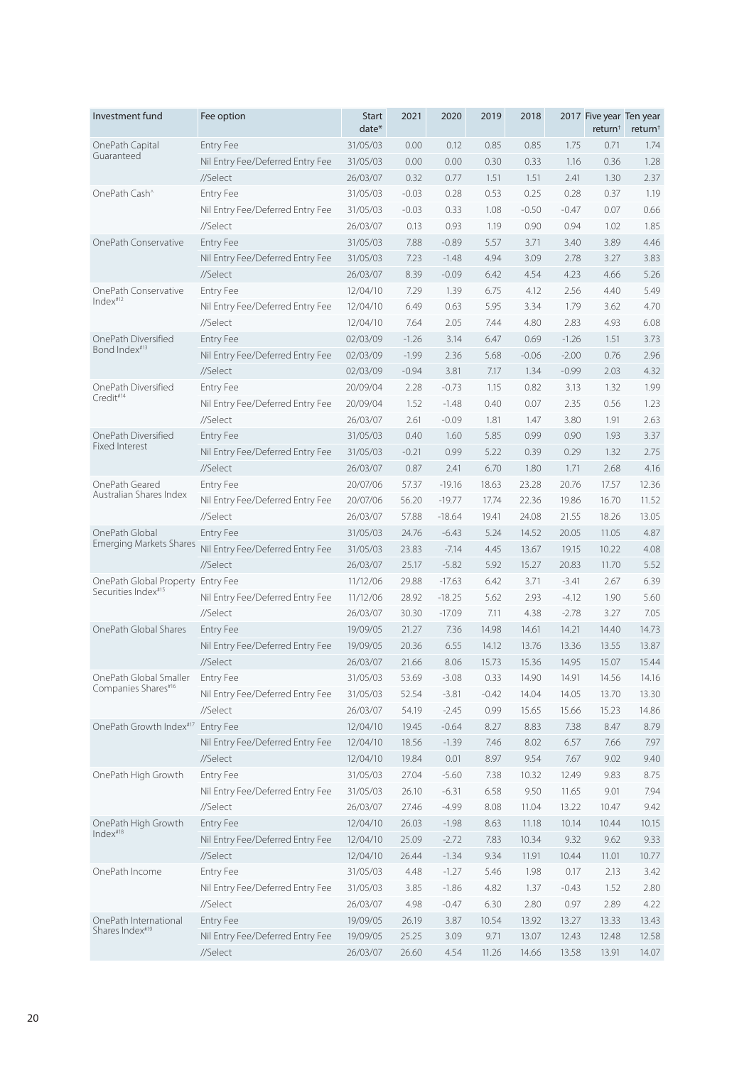| Investment fund                                      | Fee option                       | <b>Start</b><br>$date*$ | 2021           | 2020         | 2019          | 2018    |         | 2017 Five year Ten year<br>return <sup>†</sup> | return <sup>+</sup> |
|------------------------------------------------------|----------------------------------|-------------------------|----------------|--------------|---------------|---------|---------|------------------------------------------------|---------------------|
| OnePath Capital                                      | <b>Entry Fee</b>                 | 31/05/03                | 0.00           | 0.12         | 0.85          | 0.85    | 1.75    | 0.71                                           | 1.74                |
| Guaranteed                                           | Nil Entry Fee/Deferred Entry Fee | 31/05/03                | 0.00           | 0.00         | 0.30          | 0.33    | 1.16    | 0.36                                           | 1.28                |
|                                                      | //Select                         | 26/03/07                | 0.32           | 0.77         | 1.51          | 1.51    | 2.41    | 1.30                                           | 2.37                |
| OnePath Cash <sup>^</sup>                            | Entry Fee                        | 31/05/03                | $-0.03$        | 0.28         | 0.53          | 0.25    | 0.28    | 0.37                                           | 1.19                |
|                                                      | Nil Entry Fee/Deferred Entry Fee | 31/05/03                | $-0.03$        | 0.33         | 1.08          | $-0.50$ | $-0.47$ | 0.07                                           | 0.66                |
|                                                      | //Select                         | 26/03/07                | 0.13           | 0.93         | 1.19          | 0.90    | 0.94    | 1.02                                           | 1.85                |
| OnePath Conservative                                 | <b>Entry Fee</b>                 | 31/05/03                | 7.88           | $-0.89$      | 5.57          | 3.71    | 3.40    | 3.89                                           | 4.46                |
|                                                      | Nil Entry Fee/Deferred Entry Fee | 31/05/03                | 7.23           | $-1.48$      | 4.94          | 3.09    | 2.78    | 3.27                                           | 3.83                |
|                                                      | //Select                         | 26/03/07                | 8.39           | $-0.09$      | 6.42          | 4.54    | 4.23    | 4.66                                           | 5.26                |
| OnePath Conservative                                 | Entry Fee                        | 12/04/10                | 7.29           | 1.39         | 6.75          | 4.12    | 2.56    | 4.40                                           | 5.49                |
| Index#12                                             | Nil Entry Fee/Deferred Entry Fee | 12/04/10                | 6.49           | 0.63         | 5.95          | 3.34    | 1.79    | 3.62                                           | 4.70                |
|                                                      | //Select                         | 12/04/10                | 7.64           | 2.05         | 7.44          | 4.80    | 2.83    | 4.93                                           | 6.08                |
| OnePath Diversified                                  | <b>Entry Fee</b>                 | 02/03/09                | $-1.26$        | 3.14         | 6.47          | 0.69    | $-1.26$ | 1.51                                           | 3.73                |
| Bond Index#13                                        | Nil Entry Fee/Deferred Entry Fee | 02/03/09                | $-1.99$        | 2.36         | 5.68          | $-0.06$ | $-2.00$ | 0.76                                           | 2.96                |
|                                                      | //Select                         | 02/03/09                | $-0.94$        | 3.81         | 7.17          | 1.34    | $-0.99$ | 2.03                                           | 4.32                |
| OnePath Diversified                                  | Entry Fee                        | 20/09/04                | 2.28           | $-0.73$      | 1.15          | 0.82    | 3.13    | 1.32                                           | 1.99                |
| Credit#14                                            | Nil Entry Fee/Deferred Entry Fee | 20/09/04                | 1.52           | $-1.48$      | 0.40          | 0.07    | 2.35    | 0.56                                           | 1.23                |
|                                                      | //Select                         | 26/03/07                | 2.61           | $-0.09$      | 1.81          | 1.47    | 3.80    | 1.91                                           | 2.63                |
| OnePath Diversified                                  | Entry Fee                        | 31/05/03                | 0.40           | 1.60         | 5.85          | 0.99    | 0.90    | 1.93                                           | 3.37                |
| <b>Fixed Interest</b>                                | Nil Entry Fee/Deferred Entry Fee | 31/05/03                | $-0.21$        | 0.99         | 5.22          | 0.39    | 0.29    | 1.32                                           | 2.75                |
|                                                      | //Select                         | 26/03/07                | 0.87           | 2.41         | 6.70          | 1.80    | 1.71    | 2.68                                           | 4.16                |
| OnePath Geared                                       | Entry Fee                        | 20/07/06                | 57.37          | $-19.16$     | 18.63         | 23.28   | 20.76   | 17.57                                          | 12.36               |
| Australian Shares Index                              | Nil Entry Fee/Deferred Entry Fee | 20/07/06                | 56.20          | $-19.77$     | 17.74         | 22.36   | 19.86   | 16.70                                          | 11.52               |
|                                                      | //Select                         | 26/03/07                | 57.88          | $-18.64$     | 19.41         | 24.08   | 21.55   | 18.26                                          | 13.05               |
| OnePath Global                                       | Entry Fee                        | 31/05/03                | 24.76          | $-6.43$      | 5.24          | 14.52   | 20.05   | 11.05                                          | 4.87                |
| <b>Emerging Markets Shares</b>                       | Nil Entry Fee/Deferred Entry Fee | 31/05/03                | 23.83          | $-7.14$      | 4.45          | 13.67   | 19.15   | 10.22                                          | 4.08                |
|                                                      | //Select                         | 26/03/07                | 25.17          | $-5.82$      | 5.92          | 15.27   | 20.83   | 11.70                                          | 5.52                |
| OnePath Global Property                              | <b>Entry Fee</b>                 | 11/12/06                | 29.88          | $-17.63$     | 6.42          | 3.71    | $-3.41$ | 2.67                                           | 6.39                |
| Securities Index <sup>#15</sup>                      | Nil Entry Fee/Deferred Entry Fee | 11/12/06                | 28.92          | $-18.25$     | 5.62          | 2.93    | $-4.12$ | 1.90                                           | 5.60                |
|                                                      | //Select                         | 26/03/07                | 30.30          | $-17.09$     | 7.11          | 4.38    | $-2.78$ | 3.27                                           | 7.05                |
| OnePath Global Shares                                | Entry Fee                        | 19/09/05                | 21.27          | 7.36         | 14.98         | 14.61   | 14.21   | 14.40                                          | 14.73               |
|                                                      | Nil Entry Fee/Deferred Entry Fee | 19/09/05                | 20.36          | 6.55         | 14.12         | 13.76   | 13.36   | 13.55                                          | 13.87               |
|                                                      | //Select                         | 26/03/07                | 21.66          | 8.06         | 15.73         | 15.36   | 14.95   | 15.07                                          | 15.44               |
| OnePath Global Smaller                               | Entry Fee                        | 31/05/03                | 53.69          | $-3.08$      | 0.33          | 14.90   | 14.91   | 14.56                                          | 14.16               |
| Companies Shares#16                                  | Nil Entry Fee/Deferred Entry Fee | 31/05/03                | 52.54          | $-3.81$      | $-0.42$       | 14.04   | 14.05   | 13.70                                          | 13.30               |
|                                                      | //Select                         | 26/03/07                | 54.19          | $-2.45$      | 0.99          | 15.65   | 15.66   | 15.23                                          | 14.86               |
| OnePath Growth Index <sup>#17</sup> Entry Fee        |                                  | 12/04/10                | 19.45          | $-0.64$      | 8.27          | 8.83    | 7.38    | 8.47                                           | 8.79                |
|                                                      | Nil Entry Fee/Deferred Entry Fee | 12/04/10                | 18.56          | $-1.39$      | 7.46          | 8.02    | 6.57    | 7.66                                           | 7.97                |
|                                                      | //Select                         | 12/04/10                | 19.84          | 0.01         | 8.97          | 9.54    | 7.67    | 9.02                                           | 9.40                |
| OnePath High Growth                                  | Entry Fee                        | 31/05/03                | 27.04          | $-5.60$      | 7.38          | 10.32   | 12.49   | 9.83                                           | 8.75                |
|                                                      | Nil Entry Fee/Deferred Entry Fee | 31/05/03                | 26.10          | $-6.31$      | 6.58          | 9.50    | 11.65   | 9.01                                           | 7.94                |
|                                                      | //Select                         | 26/03/07                | 27.46          | $-4.99$      | 8.08          | 11.04   | 13.22   | 10.47                                          | 9.42                |
| OnePath High Growth                                  | Entry Fee                        | 12/04/10                | 26.03          | $-1.98$      | 8.63          | 11.18   | 10.14   | 10.44                                          | 10.15               |
| Index#18                                             | Nil Entry Fee/Deferred Entry Fee | 12/04/10                | 25.09          | $-2.72$      | 7.83          | 10.34   | 9.32    | 9.62                                           | 9.33                |
|                                                      | //Select                         | 12/04/10                | 26.44          | $-1.34$      | 9.34          | 11.91   | 10.44   | 11.01                                          | 10.77               |
| OnePath Income                                       | Entry Fee                        | 31/05/03                | 4.48           | $-1.27$      | 5.46          | 1.98    | 0.17    | 2.13                                           | 3.42                |
|                                                      | Nil Entry Fee/Deferred Entry Fee | 31/05/03                | 3.85           | $-1.86$      | 4.82          | 1.37    | $-0.43$ | 1.52                                           | 2.80                |
|                                                      | //Select                         |                         |                |              | 6.30          |         |         |                                                |                     |
|                                                      | Entry Fee                        | 26/03/07                | 4.98           | $-0.47$      |               | 2.80    | 0.97    | 2.89                                           | 4.22                |
| OnePath International<br>Shares Index <sup>#19</sup> |                                  | 19/09/05<br>19/09/05    | 26.19<br>25.25 | 3.87<br>3.09 | 10.54<br>9.71 | 13.92   | 13.27   | 13.33                                          | 13.43               |
|                                                      | Nil Entry Fee/Deferred Entry Fee |                         |                | 4.54         |               | 13.07   | 12.43   | 12.48                                          | 12.58<br>14.07      |
|                                                      | //Select                         | 26/03/07                | 26.60          |              | 11.26         | 14.66   | 13.58   | 13.91                                          |                     |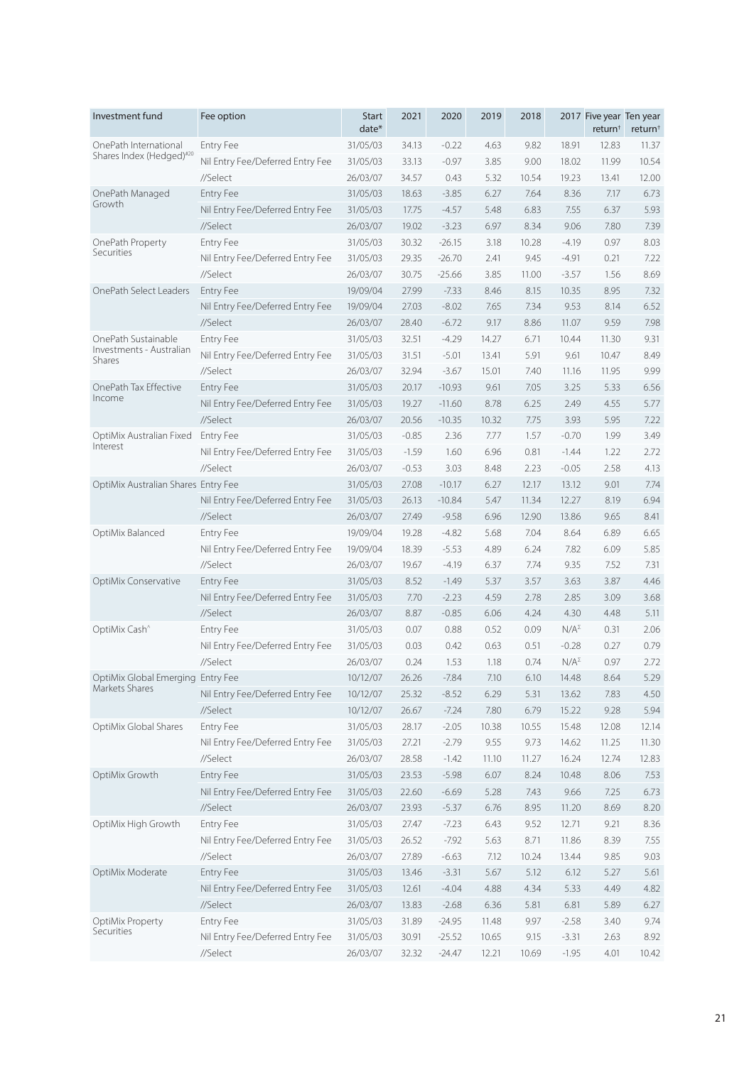| Investment fund                     | Fee option                       | <b>Start</b><br>date* | 2021    | 2020     | 2019  | 2018  |                | 2017 Five year Ten year<br>return <sup>†</sup> | return <sup>+</sup> |
|-------------------------------------|----------------------------------|-----------------------|---------|----------|-------|-------|----------------|------------------------------------------------|---------------------|
| OnePath International               | <b>Entry Fee</b>                 | 31/05/03              | 34.13   | $-0.22$  | 4.63  | 9.82  | 18.91          | 12.83                                          | 11.37               |
| Shares Index (Hedged)#20            | Nil Entry Fee/Deferred Entry Fee | 31/05/03              | 33.13   | $-0.97$  | 3.85  | 9.00  | 18.02          | 11.99                                          | 10.54               |
|                                     | //Select                         | 26/03/07              | 34.57   | 0.43     | 5.32  | 10.54 | 19.23          | 13.41                                          | 12.00               |
| OnePath Managed                     | <b>Entry Fee</b>                 | 31/05/03              | 18.63   | $-3.85$  | 6.27  | 7.64  | 8.36           | 7.17                                           | 6.73                |
| Growth                              | Nil Entry Fee/Deferred Entry Fee | 31/05/03              | 17.75   | $-4.57$  | 5.48  | 6.83  | 7.55           | 6.37                                           | 5.93                |
|                                     | //Select                         | 26/03/07              | 19.02   | $-3.23$  | 6.97  | 8.34  | 9.06           | 7.80                                           | 7.39                |
| OnePath Property                    | <b>Entry Fee</b>                 | 31/05/03              | 30.32   | $-26.15$ | 3.18  | 10.28 | $-4.19$        | 0.97                                           | 8.03                |
| Securities                          | Nil Entry Fee/Deferred Entry Fee | 31/05/03              | 29.35   | $-26.70$ | 2.41  | 9.45  | $-4.91$        | 0.21                                           | 7.22                |
|                                     | //Select                         | 26/03/07              | 30.75   | $-25.66$ | 3.85  | 11.00 | $-3.57$        | 1.56                                           | 8.69                |
| OnePath Select Leaders              | <b>Entry Fee</b>                 | 19/09/04              | 27.99   | $-7.33$  | 8.46  | 8.15  | 10.35          | 8.95                                           | 7.32                |
|                                     | Nil Entry Fee/Deferred Entry Fee | 19/09/04              | 27.03   | $-8.02$  | 7.65  | 7.34  | 9.53           | 8.14                                           | 6.52                |
|                                     | //Select                         | 26/03/07              | 28.40   | $-6.72$  | 9.17  | 8.86  | 11.07          | 9.59                                           | 7.98                |
| OnePath Sustainable                 | <b>Entry Fee</b>                 | 31/05/03              | 32.51   | $-4.29$  | 14.27 | 6.71  | 10.44          | 11.30                                          | 9.31                |
| Investments - Australian            | Nil Entry Fee/Deferred Entry Fee | 31/05/03              | 31.51   | $-5.01$  | 13.41 | 5.91  | 9.61           | 10.47                                          | 8.49                |
| Shares                              | //Select                         | 26/03/07              | 32.94   | $-3.67$  | 15.01 | 7.40  | 11.16          | 11.95                                          | 9.99                |
| OnePath Tax Effective               | <b>Entry Fee</b>                 | 31/05/03              | 20.17   | $-10.93$ | 9.61  | 7.05  | 3.25           | 5.33                                           | 6.56                |
| Income                              | Nil Entry Fee/Deferred Entry Fee | 31/05/03              | 19.27   | $-11.60$ | 8.78  | 6.25  | 2.49           | 4.55                                           | 5.77                |
|                                     | //Select                         | 26/03/07              | 20.56   | $-10.35$ | 10.32 | 7.75  | 3.93           | 5.95                                           | 7.22                |
| OptiMix Australian Fixed            | <b>Entry Fee</b>                 | 31/05/03              | $-0.85$ | 2.36     | 7.77  | 1.57  | $-0.70$        | 1.99                                           | 3.49                |
| Interest                            | Nil Entry Fee/Deferred Entry Fee | 31/05/03              | $-1.59$ | 1.60     | 6.96  | 0.81  | $-1.44$        | 1.22                                           | 2.72                |
|                                     | //Select                         | 26/03/07              | $-0.53$ | 3.03     | 8.48  | 2.23  | $-0.05$        | 2.58                                           | 4.13                |
| OptiMix Australian Shares Entry Fee |                                  | 31/05/03              | 27.08   | $-10.17$ | 6.27  | 12.17 | 13.12          | 9.01                                           | 7.74                |
|                                     | Nil Entry Fee/Deferred Entry Fee | 31/05/03              | 26.13   | $-10.84$ | 5.47  | 11.34 | 12.27          | 8.19                                           | 6.94                |
|                                     | //Select                         | 26/03/07              | 27.49   | $-9.58$  | 6.96  | 12.90 | 13.86          | 9.65                                           | 8.41                |
| OptiMix Balanced                    | <b>Entry Fee</b>                 | 19/09/04              | 19.28   | $-4.82$  | 5.68  | 7.04  | 8.64           | 6.89                                           | 6.65                |
|                                     | Nil Entry Fee/Deferred Entry Fee | 19/09/04              | 18.39   | $-5.53$  | 4.89  | 6.24  | 7.82           | 6.09                                           | 5.85                |
|                                     | //Select                         | 26/03/07              | 19.67   | $-4.19$  | 6.37  | 7.74  | 9.35           | 7.52                                           | 7.31                |
| OptiMix Conservative                | Entry Fee                        | 31/05/03              | 8.52    | $-1.49$  | 5.37  | 3.57  | 3.63           | 3.87                                           | 4.46                |
|                                     | Nil Entry Fee/Deferred Entry Fee | 31/05/03              | 7.70    | $-2.23$  | 4.59  | 2.78  | 2.85           | 3.09                                           | 3.68                |
|                                     | //Select                         | 26/03/07              | 8.87    | $-0.85$  | 6.06  | 4.24  | 4.30           | 4.48                                           | 5.11                |
| OptiMix Cash <sup>^</sup>           | Entry Fee                        | 31/05/03              | 0.07    | 0.88     | 0.52  | 0.09  | $N/A^{\Sigma}$ | 0.31                                           | 2.06                |
|                                     | Nil Entry Fee/Deferred Entry Fee | 31/05/03              | 0.03    | 0.42     | 0.63  | 0.51  | $-0.28$        | 0.27                                           | 0.79                |
|                                     | //Select                         | 26/03/07              | 0.24    | 1.53     | 1.18  | 0.74  | $N/A^{\Sigma}$ | 0.97                                           | 2.72                |
| OptiMix Global Emerging Entry Fee   |                                  | 10/12/07              | 26.26   | $-7.84$  | 7.10  | 6.10  | 14.48          | 8.64                                           | 5.29                |
| Markets Shares                      | Nil Entry Fee/Deferred Entry Fee | 10/12/07              | 25.32   | $-8.52$  | 6.29  | 5.31  | 13.62          | 7.83                                           | 4.50                |
|                                     | //Select                         | 10/12/07              | 26.67   | $-7.24$  | 7.80  | 6.79  | 15.22          | 9.28                                           | 5.94                |
| OptiMix Global Shares               | Entry Fee                        | 31/05/03              | 28.17   | $-2.05$  | 10.38 | 10.55 | 15.48          | 12.08                                          | 12.14               |
|                                     | Nil Entry Fee/Deferred Entry Fee | 31/05/03              | 27.21   | $-2.79$  | 9.55  | 9.73  | 14.62          | 11.25                                          | 11.30               |
|                                     | //Select                         | 26/03/07              | 28.58   | $-1.42$  | 11.10 | 11.27 | 16.24          | 12.74                                          | 12.83               |
| OptiMix Growth                      | Entry Fee                        | 31/05/03              | 23.53   | $-5.98$  | 6.07  | 8.24  | 10.48          | 8.06                                           | 7.53                |
|                                     | Nil Entry Fee/Deferred Entry Fee | 31/05/03              | 22.60   | $-6.69$  | 5.28  | 7.43  | 9.66           | 7.25                                           | 6.73                |
|                                     | //Select                         | 26/03/07              | 23.93   | $-5.37$  | 6.76  | 8.95  | 11.20          | 8.69                                           | 8.20                |
| OptiMix High Growth                 | Entry Fee                        | 31/05/03              | 27.47   | $-7.23$  | 6.43  | 9.52  | 12.71          | 9.21                                           | 8.36                |
|                                     | Nil Entry Fee/Deferred Entry Fee | 31/05/03              | 26.52   | $-7.92$  | 5.63  | 8.71  | 11.86          | 8.39                                           | 7.55                |
|                                     | //Select                         | 26/03/07              | 27.89   | $-6.63$  | 7.12  | 10.24 | 13.44          | 9.85                                           | 9.03                |
| OptiMix Moderate                    | Entry Fee                        | 31/05/03              | 13.46   | $-3.31$  | 5.67  | 5.12  | 6.12           | 5.27                                           | 5.61                |
|                                     | Nil Entry Fee/Deferred Entry Fee | 31/05/03              | 12.61   | $-4.04$  | 4.88  | 4.34  | 5.33           | 4.49                                           | 4.82                |
|                                     | //Select                         | 26/03/07              | 13.83   | $-2.68$  | 6.36  | 5.81  | 6.81           | 5.89                                           | 6.27                |
| OptiMix Property                    | Entry Fee                        | 31/05/03              | 31.89   | $-24.95$ | 11.48 | 9.97  | $-2.58$        | 3.40                                           | 9.74                |
| Securities                          | Nil Entry Fee/Deferred Entry Fee | 31/05/03              | 30.91   | $-25.52$ | 10.65 | 9.15  | $-3.31$        | 2.63                                           | 8.92                |
|                                     | //Select                         | 26/03/07              | 32.32   | $-24.47$ | 12.21 | 10.69 | $-1.95$        | 4.01                                           | 10.42               |
|                                     |                                  |                       |         |          |       |       |                |                                                |                     |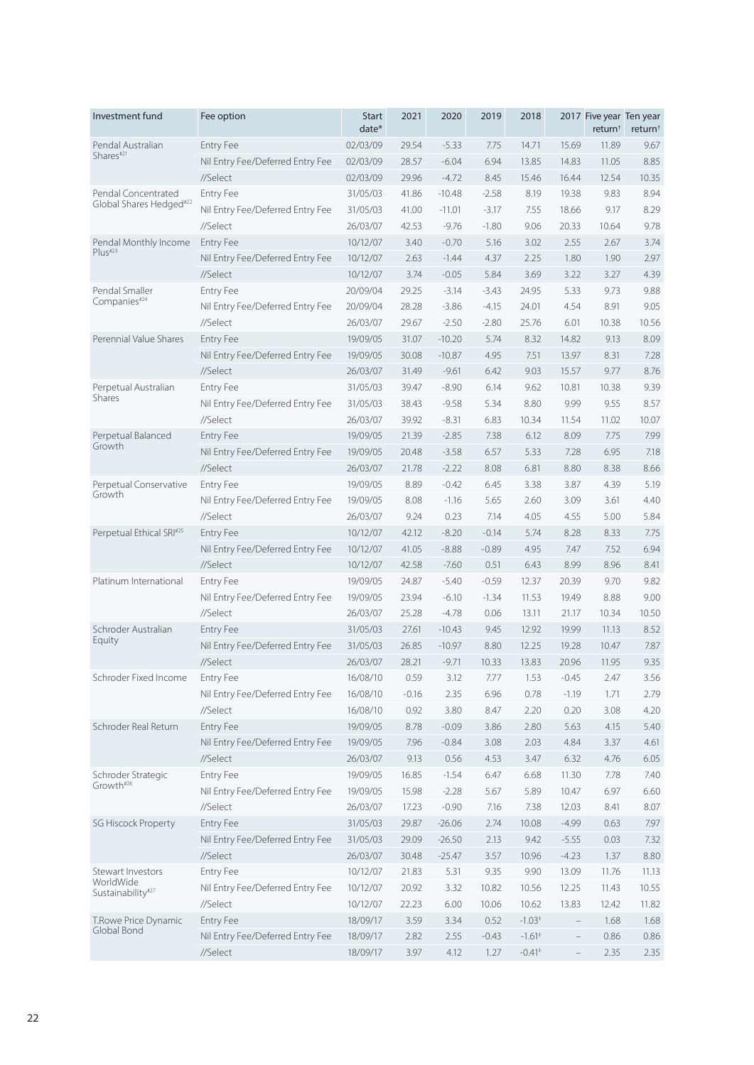| Investment fund                | Fee option                       | <b>Start</b><br>date* | 2021    | 2020     | 2019    | 2018     |                          | 2017 Five year Ten year<br>return <sup>†</sup> | return <sup>+</sup> |
|--------------------------------|----------------------------------|-----------------------|---------|----------|---------|----------|--------------------------|------------------------------------------------|---------------------|
| Pendal Australian              | <b>Entry Fee</b>                 | 02/03/09              | 29.54   | $-5.33$  | 7.75    | 14.71    | 15.69                    | 11.89                                          | 9.67                |
| Shares#21                      | Nil Entry Fee/Deferred Entry Fee | 02/03/09              | 28.57   | $-6.04$  | 6.94    | 13.85    | 14.83                    | 11.05                                          | 8.85                |
|                                | //Select                         | 02/03/09              | 29.96   | $-4.72$  | 8.45    | 15.46    | 16.44                    | 12.54                                          | 10.35               |
| Pendal Concentrated            | Entry Fee                        | 31/05/03              | 41.86   | $-10.48$ | $-2.58$ | 8.19     | 19.38                    | 9.83                                           | 8.94                |
| Global Shares Hedged#22        | Nil Entry Fee/Deferred Entry Fee | 31/05/03              | 41.00   | $-11.01$ | $-3.17$ | 7.55     | 18.66                    | 9.17                                           | 8.29                |
|                                | //Select                         | 26/03/07              | 42.53   | $-9.76$  | $-1.80$ | 9.06     | 20.33                    | 10.64                                          | 9.78                |
| Pendal Monthly Income          | Entry Fee                        | 10/12/07              | 3.40    | $-0.70$  | 5.16    | 3.02     | 2.55                     | 2.67                                           | 3.74                |
| Plus#23                        | Nil Entry Fee/Deferred Entry Fee | 10/12/07              | 2.63    | $-1.44$  | 4.37    | 2.25     | 1.80                     | 1.90                                           | 2.97                |
|                                | //Select                         | 10/12/07              | 3.74    | $-0.05$  | 5.84    | 3.69     | 3.22                     | 3.27                                           | 4.39                |
| Pendal Smaller                 | <b>Entry Fee</b>                 | 20/09/04              | 29.25   | $-3.14$  | $-3.43$ | 24.95    | 5.33                     | 9.73                                           | 9.88                |
| Companies#24                   | Nil Entry Fee/Deferred Entry Fee | 20/09/04              | 28.28   | $-3.86$  | $-4.15$ | 24.01    | 4.54                     | 8.91                                           | 9.05                |
|                                | //Select                         | 26/03/07              | 29.67   | $-2.50$  | $-2.80$ | 25.76    | 6.01                     | 10.38                                          | 10.56               |
| Perennial Value Shares         | <b>Entry Fee</b>                 | 19/09/05              | 31.07   | $-10.20$ | 5.74    | 8.32     | 14.82                    | 9.13                                           | 8.09                |
|                                | Nil Entry Fee/Deferred Entry Fee | 19/09/05              | 30.08   | $-10.87$ | 4.95    | 7.51     | 13.97                    | 8.31                                           | 7.28                |
|                                | //Select                         | 26/03/07              | 31.49   | $-9.61$  | 6.42    | 9.03     | 15.57                    | 9.77                                           | 8.76                |
| Perpetual Australian           | <b>Entry Fee</b>                 | 31/05/03              | 39.47   | $-8.90$  | 6.14    | 9.62     | 10.81                    | 10.38                                          | 9.39                |
| Shares                         | Nil Entry Fee/Deferred Entry Fee | 31/05/03              | 38.43   | $-9.58$  | 5.34    | 8.80     | 9.99                     | 9.55                                           | 8.57                |
|                                | //Select                         | 26/03/07              | 39.92   | $-8.31$  | 6.83    | 10.34    | 11.54                    | 11.02                                          | 10.07               |
| Perpetual Balanced             | <b>Entry Fee</b>                 | 19/09/05              | 21.39   | $-2.85$  | 7.38    | 6.12     | 8.09                     | 7.75                                           | 7.99                |
| Growth                         | Nil Entry Fee/Deferred Entry Fee | 19/09/05              | 20.48   | $-3.58$  | 6.57    | 5.33     | 7.28                     | 6.95                                           | 7.18                |
|                                | //Select                         | 26/03/07              | 21.78   | $-2.22$  | 8.08    | 6.81     | 8.80                     | 8.38                                           | 8.66                |
| Perpetual Conservative         | <b>Entry Fee</b>                 | 19/09/05              | 8.89    | $-0.42$  | 6.45    | 3.38     | 3.87                     | 4.39                                           | 5.19                |
| Growth                         | Nil Entry Fee/Deferred Entry Fee | 19/09/05              | 8.08    | $-1.16$  | 5.65    | 2.60     | 3.09                     | 3.61                                           | 4.40                |
|                                | //Select                         | 26/03/07              | 9.24    | 0.23     | 7.14    | 4.05     | 4.55                     | 5.00                                           | 5.84                |
| Perpetual Ethical SRI#25       | <b>Entry Fee</b>                 | 10/12/07              | 42.12   | $-8.20$  | $-0.14$ | 5.74     | 8.28                     | 8.33                                           | 7.75                |
|                                | Nil Entry Fee/Deferred Entry Fee | 10/12/07              | 41.05   | $-8.88$  | $-0.89$ | 4.95     | 7.47                     | 7.52                                           | 6.94                |
|                                | //Select                         | 10/12/07              | 42.58   | $-7.60$  | 0.51    | 6.43     | 8.99                     | 8.96                                           | 8.41                |
| Platinum International         | <b>Entry Fee</b>                 | 19/09/05              | 24.87   | $-5.40$  | $-0.59$ | 12.37    | 20.39                    | 9.70                                           | 9.82                |
|                                | Nil Entry Fee/Deferred Entry Fee | 19/09/05              | 23.94   | $-6.10$  | $-1.34$ | 11.53    | 19.49                    | 8.88                                           | 9.00                |
|                                | //Select                         | 26/03/07              | 25.28   | $-4.78$  | 0.06    | 13.11    | 21.17                    | 10.34                                          | 10.50               |
| Schroder Australian            | Entry Fee                        | 31/05/03              | 27.61   | $-10.43$ | 9.45    | 12.92    | 19.99                    | 11.13                                          | 8.52                |
| Equity                         | Nil Entry Fee/Deferred Entry Fee | 31/05/03              | 26.85   | $-10.97$ | 8.80    | 12.25    | 19.28                    | 10.47                                          | 7.87                |
|                                | //Select                         | 26/03/07              | 28.21   | $-9.71$  | 10.33   | 13.83    | 20.96                    | 11.95                                          | 9.35                |
| Schroder Fixed Income          | Entry Fee                        | 16/08/10              | 0.59    | 3.12     | 7.77    | 1.53     | $-0.45$                  | 2.47                                           | 3.56                |
|                                | Nil Entry Fee/Deferred Entry Fee | 16/08/10              | $-0.16$ | 2.35     | 6.96    | 0.78     | $-1.19$                  | 1.71                                           | 2.79                |
|                                | //Select                         | 16/08/10              | 0.92    | 3.80     | 8.47    | 2.20     | 0.20                     | 3.08                                           | 4.20                |
| Schroder Real Return           | Entry Fee                        | 19/09/05              | 8.78    | $-0.09$  | 3.86    | 2.80     | 5.63                     | 4.15                                           | 5.40                |
|                                | Nil Entry Fee/Deferred Entry Fee | 19/09/05              | 7.96    | $-0.84$  | 3.08    | 2.03     | 4.84                     | 3.37                                           | 4.61                |
|                                | //Select                         | 26/03/07              | 9.13    | 0.56     | 4.53    | 3.47     | 6.32                     | 4.76                                           | 6.05                |
| Schroder Strategic             | Entry Fee                        | 19/09/05              | 16.85   | $-1.54$  | 6.47    | 6.68     | 11.30                    | 7.78                                           | 7.40                |
| Growth#26                      | Nil Entry Fee/Deferred Entry Fee | 19/09/05              | 15.98   | $-2.28$  | 5.67    | 5.89     | 10.47                    | 6.97                                           | 6.60                |
|                                | //Select                         | 26/03/07              | 17.23   | $-0.90$  | 7.16    | 7.38     | 12.03                    | 8.41                                           | 8.07                |
| <b>SG Hiscock Property</b>     | Entry Fee                        | 31/05/03              | 29.87   | $-26.06$ | 2.74    | 10.08    | $-4.99$                  | 0.63                                           | 7.97                |
|                                | Nil Entry Fee/Deferred Entry Fee | 31/05/03              | 29.09   | $-26.50$ | 2.13    | 9.42     | $-5.55$                  | 0.03                                           | 7.32                |
|                                | //Select                         | 26/03/07              | 30.48   | $-25.47$ | 3.57    | 10.96    | $-4.23$                  | 1.37                                           | 8.80                |
| Stewart Investors              | Entry Fee                        | 10/12/07              | 21.83   | 5.31     | 9.35    | 9.90     | 13.09                    | 11.76                                          | 11.13               |
| WorldWide<br>Sustainability#27 | Nil Entry Fee/Deferred Entry Fee | 10/12/07              | 20.92   | 3.32     | 10.82   | 10.56    | 12.25                    | 11.43                                          | 10.55               |
|                                | //Select                         | 10/12/07              | 22.23   | 6.00     | 10.06   | 10.62    | 13.83                    | 12.42                                          | 11.82               |
| T.Rowe Price Dynamic           | Entry Fee                        | 18/09/17              | 3.59    | 3.34     | 0.52    | $-1.03*$ | $\qquad \qquad -$        | 1.68                                           | 1.68                |
| Global Bond                    | Nil Entry Fee/Deferred Entry Fee | 18/09/17              | 2.82    | 2.55     | $-0.43$ | $-1.61*$ | $\qquad \qquad -$        | 0.86                                           | 0.86                |
|                                | //Select                         | 18/09/17              | 3.97    | 4.12     | 1.27    | $-0.41*$ | $\overline{\phantom{a}}$ | 2.35                                           | 2.35                |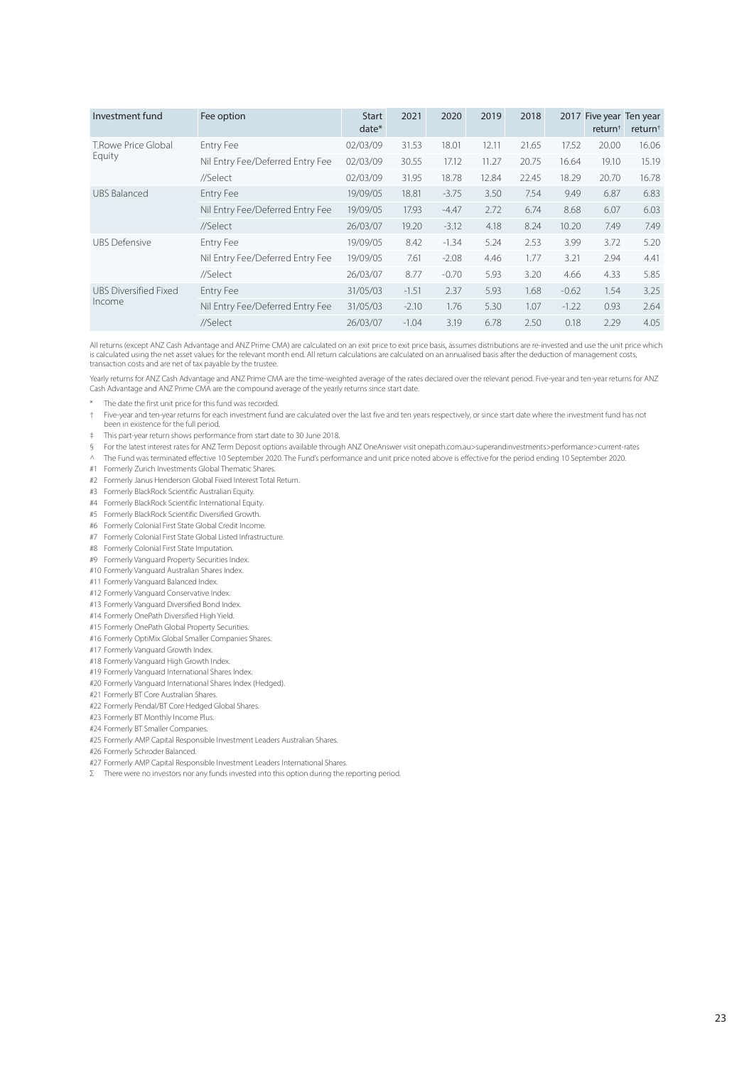| Investment fund              | Fee option                       | <b>Start</b><br>$date*$ | 2021    | 2020    | 2019  | 2018  | 2017    | Five year Ten year<br>return <sup>+</sup> | return <sup>†</sup> |
|------------------------------|----------------------------------|-------------------------|---------|---------|-------|-------|---------|-------------------------------------------|---------------------|
| T.Rowe Price Global          | Entry Fee                        | 02/03/09                | 31.53   | 18.01   | 12.11 | 21.65 | 17.52   | 20.00                                     | 16.06               |
| Equity                       | Nil Entry Fee/Deferred Entry Fee | 02/03/09                | 30.55   | 17.12   | 11.27 | 20.75 | 16.64   | 19.10                                     | 15.19               |
|                              | //Select                         | 02/03/09                | 31.95   | 18.78   | 12.84 | 22.45 | 18.29   | 20.70                                     | 16.78               |
| <b>UBS Balanced</b>          | Entry Fee                        | 19/09/05                | 18.81   | $-3.75$ | 3.50  | 7.54  | 9.49    | 6.87                                      | 6.83                |
|                              | Nil Entry Fee/Deferred Entry Fee | 19/09/05                | 17.93   | $-4.47$ | 2.72  | 6.74  | 8.68    | 6.07                                      | 6.03                |
|                              | //Select                         | 26/03/07                | 19.20   | $-3.12$ | 4.18  | 8.24  | 10.20   | 7.49                                      | 7.49                |
| <b>UBS Defensive</b>         | Entry Fee                        | 19/09/05                | 8.42    | $-1.34$ | 5.24  | 2.53  | 3.99    | 3.72                                      | 5.20                |
|                              | Nil Entry Fee/Deferred Entry Fee | 19/09/05                | 7.61    | $-2.08$ | 4.46  | 1.77  | 3.21    | 2.94                                      | 4.41                |
|                              | //Select                         | 26/03/07                | 8.77    | $-0.70$ | 5.93  | 3.20  | 4.66    | 4.33                                      | 5.85                |
| <b>UBS Diversified Fixed</b> | Entry Fee                        | 31/05/03                | $-1.51$ | 2.37    | 5.93  | 1.68  | $-0.62$ | 1.54                                      | 3.25                |
| Income                       | Nil Entry Fee/Deferred Entry Fee | 31/05/03                | $-2.10$ | 1.76    | 5.30  | 1.07  | $-1.22$ | 0.93                                      | 2.64                |
|                              | //Select                         | 26/03/07                | $-1.04$ | 3.19    | 6.78  | 2.50  | 0.18    | 2.29                                      | 4.05                |

All returns (except ANZ Cash Advantage and ANZ Prime CMA) are calculated on an exit price to exit price basis, assumes distributions are re-invested and use the unit price which is calculated using the net asset values for the relevant month end. All return calculations are calculated on an annualised basis after the deduction of management costs, transaction costs and are net of tax payable by the trustee.

Yearly returns for ANZ Cash Advantage and ANZ Prime CMA are the time-weighted average of the rates declared over the relevant period. Five-year and ten-year returns for ANZ Cash Advantage and ANZ Prime CMA are the compound average of the yearly returns since start date.

\* The date the first unit price for this fund was recorded.

† Five-year and ten-year returns for each investment fund are calculated over the last five and ten years respectively, or since start date where the investment fund has not been in existence for the full period.

‡ This part-year return shows performance from start date to 30 June 2018.

§ For the latest interest rates for ANZ Term Deposit options available through ANZ OneAnswer visit onepath.com.au>superandinvestments>performance>current-rates

^ The Fund was terminated effective 10 September 2020. The Fund's performance and unit price noted above is effective for the period ending 10 September 2020.

#1 Formerly Zurich Investments Global Thematic Shares.

#2 Formerly Janus Henderson Global Fixed Interest Total Return.

#3 Formerly BlackRock Scientific Australian Equity.

#4 Formerly BlackRock Scientific International Equity.

#5 Formerly BlackRock Scientific Diversified Growth.

#6 Formerly Colonial First State Global Credit Income.

#7 Formerly Colonial First State Global Listed Infrastructure.

#8 Formerly Colonial First State Imputation.

#9 Formerly Vanguard Property Securities Index.

#10 Formerly Vanguard Australian Shares Index.

#11 Formerly Vanguard Balanced Index.

#12 Formerly Vanguard Conservative Index.

#13 Formerly Vanguard Diversified Bond Index.

#14 Formerly OnePath Diversified High Yield.

#15 Formerly OnePath Global Property Securities.

#16 Formerly OptiMix Global Smaller Companies Shares.

#17 Formerly Vanguard Growth Index.

#18 Formerly Vanguard High Growth Index.

#19 Formerly Vanguard International Shares Index.

#20 Formerly Vanguard International Shares Index (Hedged).

#21 Formerly BT Core Australian Shares.

#22 Formerly Pendal/BT Core Hedged Global Shares.

#23 Formerly BT Monthly Income Plus.

#24 Formerly BT Smaller Companies.

#25 Formerly AMP Capital Responsible Investment Leaders Australian Shares.

#26 Formerly Schroder Balanced.

#27 Formerly AMP Capital Responsible Investment Leaders International Shares.

 $Σ$  There were no investors nor any funds invested into this option during the reporting period.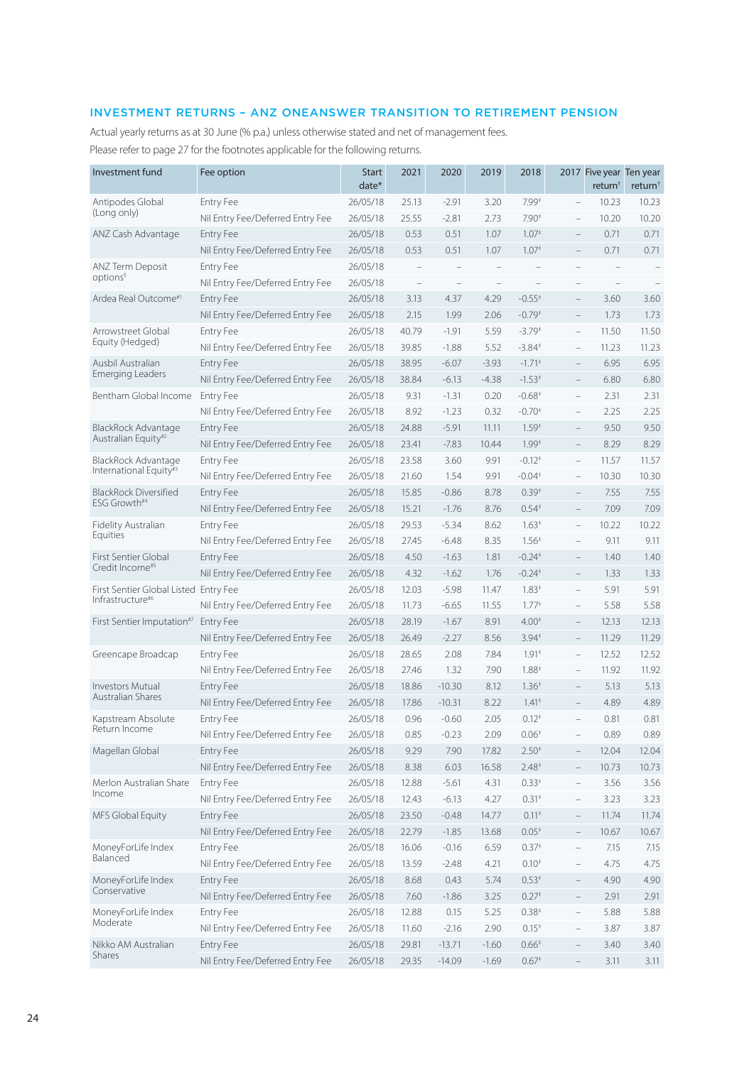# INVESTMENT RETURNS – ANZ ONEANSWER TRANSITION TO RETIREMENT PENSION

Actual yearly returns as at 30 June (% p.a.) unless otherwise stated and net of management fees. Please refer to page 27 for the footnotes applicable for the following returns.

| Investment fund                                                       | Fee option                       | <b>Start</b><br>date* | 2021                     | 2020              | 2019              | 2018                     |                          | 2017 Five year Ten year<br>return <sup>†</sup> | return <sup>+</sup> |
|-----------------------------------------------------------------------|----------------------------------|-----------------------|--------------------------|-------------------|-------------------|--------------------------|--------------------------|------------------------------------------------|---------------------|
| Antipodes Global                                                      | <b>Entry Fee</b>                 | 26/05/18              | 25.13                    | $-2.91$           | 3.20              | $7.99*$                  | $\overline{\phantom{0}}$ | 10.23                                          | 10.23               |
| (Long only)                                                           | Nil Entry Fee/Deferred Entry Fee | 26/05/18              | 25.55                    | $-2.81$           | 2.73              | $7.90*$                  | $\qquad \qquad -$        | 10.20                                          | 10.20               |
| ANZ Cash Advantage                                                    | Entry Fee                        | 26/05/18              | 0.53                     | 0.51              | 1.07              | 1.07 <sup>‡</sup>        | $\overline{\phantom{m}}$ | 0.71                                           | 0.71                |
|                                                                       | Nil Entry Fee/Deferred Entry Fee | 26/05/18              | 0.53                     | 0.51              | 1.07              | 1.07 <sup>‡</sup>        | $\overline{\phantom{0}}$ | 0.71                                           | 0.71                |
| ANZ Term Deposit                                                      | Entry Fee                        | 26/05/18              |                          |                   |                   |                          | $\overline{\phantom{0}}$ |                                                |                     |
| options <sup>§</sup>                                                  | Nil Entry Fee/Deferred Entry Fee | 26/05/18              | $\overline{\phantom{m}}$ | $\qquad \qquad -$ | $\qquad \qquad -$ | $\overline{\phantom{a}}$ |                          | $\qquad \qquad -$                              |                     |
| Ardea Real Outcome <sup>#1</sup>                                      | <b>Entry Fee</b>                 | 26/05/18              | 3.13                     | 4.37              | 4.29              | $-0.55^*$                | $\qquad \qquad -$        | 3.60                                           | 3.60                |
|                                                                       | Nil Entry Fee/Deferred Entry Fee | 26/05/18              | 2.15                     | 1.99              | 2.06              | $-0.79*$                 | $\overline{\phantom{0}}$ | 1.73                                           | 1.73                |
| Arrowstreet Global                                                    | <b>Entry Fee</b>                 | 26/05/18              | 40.79                    | $-1.91$           | 5.59              | $-3.79+$                 | $\overline{\phantom{0}}$ | 11.50                                          | 11.50               |
| Equity (Hedged)                                                       | Nil Entry Fee/Deferred Entry Fee | 26/05/18              | 39.85                    | $-1.88$           | 5.52              | $-3.84*$                 | $\qquad \qquad -$        | 11.23                                          | 11.23               |
| Ausbil Australian                                                     | <b>Entry Fee</b>                 | 26/05/18              | 38.95                    | $-6.07$           | $-3.93$           | $-1.71$ <sup>+</sup>     | $\qquad \qquad -$        | 6.95                                           | 6.95                |
| Emerging Leaders                                                      | Nil Entry Fee/Deferred Entry Fee | 26/05/18              | 38.84                    | $-6.13$           | $-4.38$           | $-1.53*$                 | $\overline{a}$           | 6.80                                           | 6.80                |
| Bentham Global Income                                                 | <b>Entry Fee</b>                 | 26/05/18              | 9.31                     | $-1.31$           | 0.20              | $-0.68*$                 | $\overline{\phantom{0}}$ | 2.31                                           | 2.31                |
|                                                                       | Nil Entry Fee/Deferred Entry Fee | 26/05/18              | 8.92                     | $-1.23$           | 0.32              | $-0.70*$                 | $\qquad \qquad -$        | 2.25                                           | 2.25                |
| BlackRock Advantage                                                   | <b>Entry Fee</b>                 | 26/05/18              | 24.88                    | $-5.91$           | 11.11             | $1.59*$                  | $\equiv$                 | 9.50                                           | 9.50                |
| Australian Equity#2                                                   | Nil Entry Fee/Deferred Entry Fee | 26/05/18              | 23.41                    | $-7.83$           | 10.44             | $1.99*$                  | $\overline{a}$           | 8.29                                           | 8.29                |
| BlackRock Advantage                                                   | <b>Entry Fee</b>                 | 26/05/18              | 23.58                    | 3.60              | 9.91              | $-0.12$ <sup>+</sup>     | $\overline{\phantom{0}}$ | 11.57                                          | 11.57               |
| International Equity#3                                                | Nil Entry Fee/Deferred Entry Fee | 26/05/18              | 21.60                    | 1.54              | 9.91              | $-0.04*$                 | $\qquad \qquad -$        | 10.30                                          | 10.30               |
| <b>BlackRock Diversified</b>                                          | <b>Entry Fee</b>                 | 26/05/18              | 15.85                    | $-0.86$           | 8.78              | 0.39 <sup>†</sup>        | $\overline{\phantom{a}}$ | 7.55                                           | 7.55                |
| ESG Growth#4                                                          | Nil Entry Fee/Deferred Entry Fee | 26/05/18              | 15.21                    | $-1.76$           | 8.76              | $0.54*$                  | $\overline{\phantom{a}}$ | 7.09                                           | 7.09                |
| Fidelity Australian                                                   | Entry Fee                        | 26/05/18              | 29.53                    | $-5.34$           | 8.62              | $1.63*$                  | $\overline{\phantom{0}}$ | 10.22                                          | 10.22               |
| Equities                                                              | Nil Entry Fee/Deferred Entry Fee | 26/05/18              | 27.45                    | $-6.48$           | 8.35              | $1.56*$                  | $\qquad \qquad -$        | 9.11                                           | 9.11                |
| First Sentier Global<br>Credit Income <sup>#5</sup>                   | <b>Entry Fee</b>                 | 26/05/18              | 4.50                     | $-1.63$           | 1.81              | $-0.24*$                 | $\qquad \qquad -$        | 1.40                                           | 1.40                |
|                                                                       | Nil Entry Fee/Deferred Entry Fee | 26/05/18              | 4.32                     | $-1.62$           | 1.76              | $-0.24*$                 | $\overline{\phantom{0}}$ | 1.33                                           | 1.33                |
| First Sentier Global Listed Entry Fee<br>Infrastructure <sup>#6</sup> |                                  | 26/05/18              | 12.03                    | $-5.98$           | 11.47             | $1.83*$                  | $\overline{\phantom{0}}$ | 5.91                                           | 5.91                |
|                                                                       | Nil Entry Fee/Deferred Entry Fee | 26/05/18              | 11.73                    | $-6.65$           | 11.55             | $1.77*$                  | $\overline{\phantom{0}}$ | 5.58                                           | 5.58                |
| First Sentier Imputation <sup>#7</sup>                                | <b>Entry Fee</b>                 | 26/05/18              | 28.19                    | $-1.67$           | 8.91              | $4.00*$                  | $\qquad \qquad -$        | 12.13                                          | 12.13               |
|                                                                       | Nil Entry Fee/Deferred Entry Fee | 26/05/18              | 26.49                    | $-2.27$           | 8.56              | $3.94*$                  | $\overline{a}$           | 11.29                                          | 11.29               |
| Greencape Broadcap                                                    | <b>Entry Fee</b>                 | 26/05/18              | 28.65                    | 2.08              | 7.84              | $1.91*$                  | $\overline{\phantom{0}}$ | 12.52                                          | 12.52               |
|                                                                       | Nil Entry Fee/Deferred Entry Fee | 26/05/18              | 27.46                    | 1.32              | 7.90              | $1.88*$                  | $\overline{\phantom{0}}$ | 11.92                                          | 11.92               |
| <b>Investors Mutual</b><br><b>Australian Shares</b>                   | Entry Fee                        | 26/05/18              | 18.86                    | $-10.30$          | 8.12              | 1.36 <sup>†</sup>        | $\overline{\phantom{0}}$ | 5.13                                           | 5.13                |
|                                                                       | Nil Entry Fee/Deferred Entry Fee | 26/05/18              | 17.86                    | $-10.31$          | 8.22              | $1.41*$                  |                          | 4.89                                           | 4.89                |
| Kapstream Absolute<br>Return Income                                   | <b>Entry Fee</b>                 | 26/05/18              | 0.96                     | $-0.60$           | 2.05              | $0.12*$                  | $\overline{\phantom{0}}$ | 0.81                                           | 0.81                |
|                                                                       | Nil Entry Fee/Deferred Entry Fee | 26/05/18              | 0.85                     | $-0.23$           | 2.09              | $0.06*$                  |                          | 0.89                                           | 0.89                |
| Magellan Global                                                       | <b>Entry Fee</b>                 | 26/05/18              | 9.29                     | 7.90              | 17.82             | $2.50*$                  |                          | 12.04                                          | 12.04               |
|                                                                       | Nil Entry Fee/Deferred Entry Fee | 26/05/18              | 8.38                     | 6.03              | 16.58             | $2.48*$                  | $\overline{a}$           | 10.73                                          | 10.73               |
| Merlon Australian Share<br>Income                                     | Entry Fee                        | 26/05/18              | 12.88                    | $-5.61$           | 4.31              | $0.33*$                  | $\overline{\phantom{0}}$ | 3.56                                           | 3.56                |
|                                                                       | Nil Entry Fee/Deferred Entry Fee | 26/05/18              | 12.43                    | $-6.13$           | 4.27              | $0.31*$                  | $\qquad \qquad -$        | 3.23                                           | 3.23                |
| MFS Global Equity                                                     | <b>Entry Fee</b>                 | 26/05/18              | 23.50                    | $-0.48$           | 14.77             | $0.11*$                  | $\overline{\phantom{0}}$ | 11.74                                          | 11.74               |
|                                                                       | Nil Entry Fee/Deferred Entry Fee | 26/05/18              | 22.79                    | $-1.85$           | 13.68             | $0.05*$                  | $\overline{\phantom{0}}$ | 10.67                                          | 10.67               |
| MoneyForLife Index<br>Balanced                                        | Entry Fee                        | 26/05/18              | 16.06                    | $-0.16$           | 6.59              | $0.37*$                  | $\qquad \qquad -$        | 7.15                                           | 7.15                |
|                                                                       | Nil Entry Fee/Deferred Entry Fee | 26/05/18              | 13.59                    | $-2.48$           | 4.21              | $0.10*$                  | $\qquad \qquad -$        | 4.75                                           | 4.75                |
| MoneyForLife Index<br>Conservative                                    | <b>Entry Fee</b>                 | 26/05/18              | 8.68                     | 0.43              | 5.74              | $0.53*$                  | $\qquad \qquad -$        | 4.90                                           | 4.90                |
|                                                                       | Nil Entry Fee/Deferred Entry Fee | 26/05/18              | 7.60                     | $-1.86$           | 3.25              | $0.27*$                  | $\overline{\phantom{0}}$ | 2.91                                           | 2.91                |
| MoneyForLife Index<br>Moderate                                        | Entry Fee                        | 26/05/18              | 12.88                    | 0.15              | 5.25              | $0.38*$                  | $\overline{\phantom{0}}$ | 5.88                                           | 5.88                |
|                                                                       | Nil Entry Fee/Deferred Entry Fee | 26/05/18              | 11.60                    | $-2.16$           | 2.90              | $0.15*$                  | $\qquad \qquad -$        | 3.87                                           | 3.87                |
| Nikko AM Australian<br>Shares                                         | Entry Fee                        | 26/05/18              | 29.81                    | $-13.71$          | $-1.60$           | $0.66*$                  |                          | 3.40                                           | 3.40                |
|                                                                       | Nil Entry Fee/Deferred Entry Fee | 26/05/18              | 29.35                    | $-14.09$          | $-1.69$           | $0.67*$                  | $\overline{\phantom{0}}$ | 3.11                                           | 3.11                |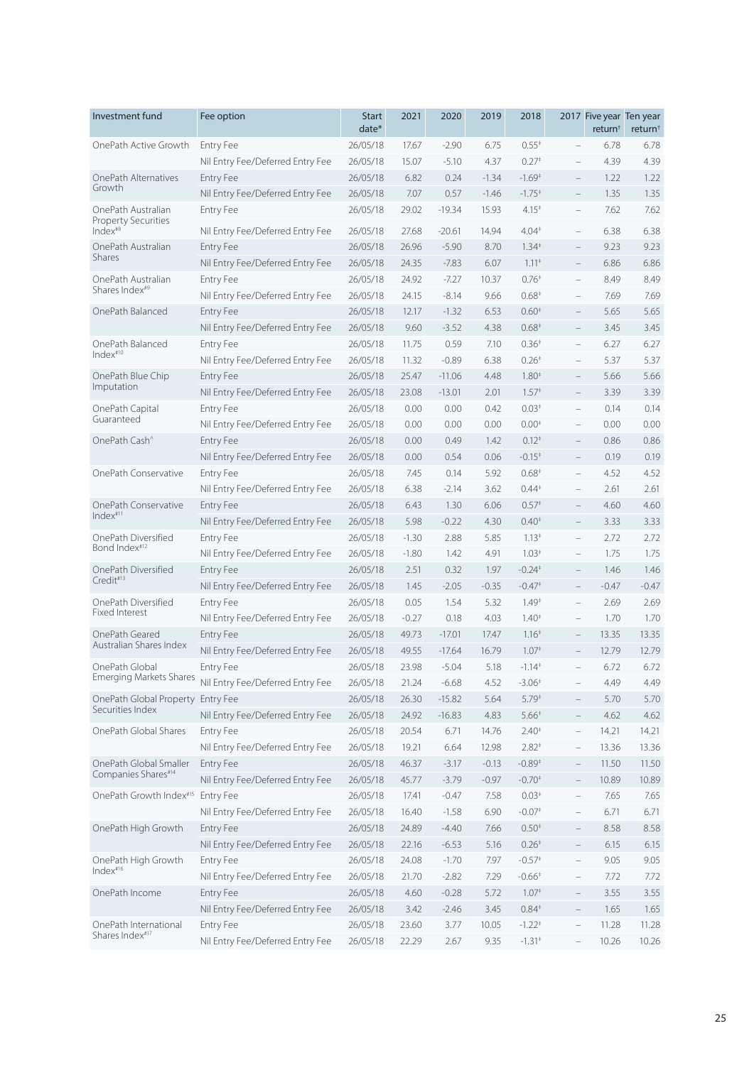| Investment fund                                  | Fee option                       | <b>Start</b><br>date* | 2021    | 2020     | 2019    | 2018                                    |                          | 2017 Five year Ten year<br>return <sup>†</sup> | return <sup>+</sup> |
|--------------------------------------------------|----------------------------------|-----------------------|---------|----------|---------|-----------------------------------------|--------------------------|------------------------------------------------|---------------------|
| OnePath Active Growth                            | <b>Entry Fee</b>                 | 26/05/18              | 17.67   | $-2.90$  | 6.75    | $0.55*$                                 | $\qquad \qquad -$        | 6.78                                           | 6.78                |
|                                                  | Nil Entry Fee/Deferred Entry Fee | 26/05/18              | 15.07   | $-5.10$  | 4.37    | 0.27 <sup>†</sup>                       |                          | 4.39                                           | 4.39                |
| OnePath Alternatives                             | Entry Fee                        | 26/05/18              | 6.82    | 0.24     | $-1.34$ | $-1.69^+$                               | $\qquad \qquad -$        | 1.22                                           | 1.22                |
| Growth                                           | Nil Entry Fee/Deferred Entry Fee | 26/05/18              | 7.07    | 0.57     | $-1.46$ | $-1.75+$                                | $\overline{\phantom{a}}$ | 1.35                                           | 1.35                |
| OnePath Australian<br>Property Securities        | Entry Fee                        | 26/05/18              | 29.02   | $-19.34$ | 15.93   | $4.15*$                                 | $\qquad \qquad -$        | 7.62                                           | 7.62                |
| Index <sup>#8</sup>                              | Nil Entry Fee/Deferred Entry Fee | 26/05/18              | 27.68   | $-20.61$ | 14.94   | $4.04*$                                 | $\overline{\phantom{m}}$ | 6.38                                           | 6.38                |
| OnePath Australian<br><b>Shares</b>              | <b>Entry Fee</b>                 | 26/05/18              | 26.96   | $-5.90$  | 8.70    | $1.34*$                                 | $\overline{\phantom{a}}$ | 9.23                                           | 9.23                |
|                                                  | Nil Entry Fee/Deferred Entry Fee | 26/05/18              | 24.35   | $-7.83$  | 6.07    | $1.11*$                                 | $\overline{\phantom{a}}$ | 6.86                                           | 6.86                |
| OnePath Australian<br>Shares Index <sup>#9</sup> | <b>Entry Fee</b>                 | 26/05/18              | 24.92   | $-7.27$  | 10.37   | $0.76*$                                 | $\qquad \qquad -$        | 8.49                                           | 8.49                |
|                                                  | Nil Entry Fee/Deferred Entry Fee | 26/05/18              | 24.15   | $-8.14$  | 9.66    | $0.68*$                                 | $\overline{\phantom{0}}$ | 7.69                                           | 7.69                |
| OnePath Balanced                                 | <b>Entry Fee</b>                 | 26/05/18              | 12.17   | $-1.32$  | 6.53    | $0.60*$                                 | $\qquad \qquad -$        | 5.65                                           | 5.65                |
|                                                  | Nil Entry Fee/Deferred Entry Fee | 26/05/18              | 9.60    | $-3.52$  | 4.38    | $0.68*$                                 | $\qquad \qquad -$        | 3.45                                           | 3.45                |
| OnePath Balanced<br>Index <sup>#10</sup>         | <b>Entry Fee</b>                 | 26/05/18              | 11.75   | 0.59     | 7.10    | $0.36*$                                 | $\qquad \qquad -$        | 6.27                                           | 6.27                |
|                                                  | Nil Entry Fee/Deferred Entry Fee | 26/05/18              | 11.32   | $-0.89$  | 6.38    | $0.26*$                                 |                          | 5.37                                           | 5.37                |
| OnePath Blue Chip                                | Entry Fee                        | 26/05/18              | 25.47   | $-11.06$ | 4.48    | $1.80*$                                 |                          | 5.66                                           | 5.66                |
| Imputation                                       | Nil Entry Fee/Deferred Entry Fee | 26/05/18              | 23.08   | $-13.01$ | 2.01    | 1.57 <sup>†</sup>                       |                          | 3.39                                           | 3.39                |
| OnePath Capital                                  | <b>Entry Fee</b>                 | 26/05/18              | 0.00    | 0.00     | 0.42    | $0.03*$                                 |                          | 0.14                                           | 0.14                |
| Guaranteed                                       | Nil Entry Fee/Deferred Entry Fee | 26/05/18              | 0.00    | 0.00     | 0.00    | $0.00*$                                 | $\qquad \qquad -$        | 0.00                                           | 0.00                |
| OnePath Cash <sup>^</sup>                        | <b>Entry Fee</b>                 | 26/05/18              | 0.00    | 0.49     | 1.42    | $0.12*$                                 | $\qquad \qquad -$        | 0.86                                           | 0.86                |
|                                                  | Nil Entry Fee/Deferred Entry Fee | 26/05/18              | 0.00    | 0.54     | 0.06    | $-0.15+$                                | $\qquad \qquad -$        | 0.19                                           | 0.19                |
| OnePath Conservative                             | <b>Entry Fee</b>                 | 26/05/18              | 7.45    | 0.14     | 5.92    | $0.68*$                                 | $\qquad \qquad -$        | 4.52                                           | 4.52                |
|                                                  | Nil Entry Fee/Deferred Entry Fee | 26/05/18              | 6.38    | $-2.14$  | 3.62    | $0.44*$                                 | $\overline{\phantom{0}}$ | 2.61                                           | 2.61                |
| OnePath Conservative                             | <b>Entry Fee</b>                 | 26/05/18              | 6.43    | 1.30     | 6.06    | $0.57*$                                 |                          | 4.60                                           | 4.60                |
| Index <sup>#11</sup>                             | Nil Entry Fee/Deferred Entry Fee | 26/05/18              | 5.98    | $-0.22$  | 4.30    | $0.40*$                                 |                          | 3.33                                           | 3.33                |
| OnePath Diversified                              | <b>Entry Fee</b>                 | 26/05/18              | $-1.30$ | 2.88     | 5.85    | $1.13*$                                 | $\overline{\phantom{0}}$ | 2.72                                           | 2.72                |
| Bond Index <sup>#12</sup>                        | Nil Entry Fee/Deferred Entry Fee | 26/05/18              | $-1.80$ | 1.42     | 4.91    | $1.03*$                                 | $\qquad \qquad -$        | 1.75                                           | 1.75                |
| OnePath Diversified                              | <b>Entry Fee</b>                 | 26/05/18              | 2.51    | 0.32     | 1.97    | $-0.24$ <sup><math>\dagger</math></sup> | $\qquad \qquad -$        | 1.46                                           | 1.46                |
| Credit#13                                        | Nil Entry Fee/Deferred Entry Fee | 26/05/18              | 1.45    | $-2.05$  | $-0.35$ | $-0.47^{\dagger}$                       | $\qquad \qquad -$        | $-0.47$                                        | $-0.47$             |
| OnePath Diversified                              | <b>Entry Fee</b>                 | 26/05/18              | 0.05    | 1.54     | 5.32    | $1.49*$                                 | $\qquad \qquad -$        | 2.69                                           | 2.69                |
| Fixed Interest                                   | Nil Entry Fee/Deferred Entry Fee | 26/05/18              | $-0.27$ | 0.18     | 4.03    | $1.40*$                                 |                          | 1.70                                           | 1.70                |
| OnePath Geared                                   | <b>Entry Fee</b>                 | 26/05/18              | 49.73   | $-17.01$ | 17.47   | $1.16*$                                 |                          | 13.35                                          | 13.35               |
| Australian Shares Index                          | Nil Entry Fee/Deferred Entry Fee | 26/05/18              | 49.55   | $-17.64$ | 16.79   | 1.07 <sup>‡</sup>                       |                          | 12.79                                          | 12.79               |
| OnePath Global                                   | <b>Entry Fee</b>                 | 26/05/18              | 23.98   | $-5.04$  | 5.18    | $-1.14$ <sup><math>\dagger</math></sup> |                          | 6.72                                           | 6.72                |
| <b>Emerging Markets Shares</b>                   | Nil Entry Fee/Deferred Entry Fee | 26/05/18              | 21.24   | $-6.68$  | 4.52    | $-3.06$ <sup>+</sup>                    | $\overline{\phantom{a}}$ | 4.49                                           | 4.49                |
| OnePath Global Property                          | <b>Entry Fee</b>                 | 26/05/18              | 26.30   | $-15.82$ | 5.64    | $5.79*$                                 | $\qquad \qquad -$        | 5.70                                           | 5.70                |
| Securities Index                                 | Nil Entry Fee/Deferred Entry Fee | 26/05/18              | 24.92   | $-16.83$ | 4.83    | $5.66*$                                 | $\overline{\phantom{a}}$ | 4.62                                           | 4.62                |
| OnePath Global Shares                            | <b>Entry Fee</b>                 | 26/05/18              | 20.54   | 6.71     | 14.76   | $2.40*$                                 | $\overline{\phantom{a}}$ | 14.21                                          | 14.21               |
|                                                  | Nil Entry Fee/Deferred Entry Fee | 26/05/18              | 19.21   | 6.64     | 12.98   | $2.82*$                                 | $\overline{\phantom{a}}$ | 13.36                                          | 13.36               |
| OnePath Global Smaller                           | Entry Fee                        | 26/05/18              | 46.37   | $-3.17$  | $-0.13$ | $-0.89*$                                | $\overline{\phantom{a}}$ | 11.50                                          | 11.50               |
| Companies Shares#14                              | Nil Entry Fee/Deferred Entry Fee | 26/05/18              | 45.77   | $-3.79$  | $-0.97$ | $-0.70*$                                | $\overline{\phantom{0}}$ | 10.89                                          | 10.89               |
| OnePath Growth Index#15                          | Entry Fee                        | 26/05/18              | 17.41   | $-0.47$  | 7.58    | $0.03*$                                 | $\overline{\phantom{a}}$ | 7.65                                           | 7.65                |
|                                                  | Nil Entry Fee/Deferred Entry Fee | 26/05/18              | 16.40   | $-1.58$  | 6.90    | $-0.07$ <sup>+</sup>                    | $\overline{\phantom{a}}$ | 6.71                                           | 6.71                |
| OnePath High Growth                              | Entry Fee                        | 26/05/18              | 24.89   | $-4.40$  | 7.66    | $0.50*$                                 | $\overline{\phantom{a}}$ | 8.58                                           | 8.58                |
|                                                  | Nil Entry Fee/Deferred Entry Fee | 26/05/18              | 22.16   | $-6.53$  | 5.16    | $0.26*$                                 | $\overline{\phantom{a}}$ | 6.15                                           | 6.15                |
| OnePath High Growth                              | <b>Entry Fee</b>                 | 26/05/18              | 24.08   | $-1.70$  | 7.97    | $-0.57*$                                | $\overline{\phantom{a}}$ | 9.05                                           | 9.05                |
| Index#16                                         | Nil Entry Fee/Deferred Entry Fee | 26/05/18              | 21.70   | $-2.82$  | 7.29    | $-0.66*$                                | $\overline{\phantom{0}}$ | 7.72                                           | 7.72                |
| OnePath Income                                   | <b>Entry Fee</b>                 | 26/05/18              | 4.60    | $-0.28$  | 5.72    | 1.07 <sup>‡</sup>                       | $\qquad \qquad -$        | 3.55                                           | 3.55                |
|                                                  | Nil Entry Fee/Deferred Entry Fee | 26/05/18              | 3.42    | $-2.46$  | 3.45    | $0.84*$                                 | $\overline{\phantom{0}}$ | 1.65                                           | 1.65                |
| OnePath International                            | Entry Fee                        | 26/05/18              | 23.60   | 3.77     | 10.05   | $-1.22$ <sup>+</sup>                    | $\qquad \qquad -$        | 11.28                                          | 11.28               |
| Shares Index#17                                  | Nil Entry Fee/Deferred Entry Fee | 26/05/18              | 22.29   | 2.67     | 9.35    | $-1.31$ <sup>*</sup>                    | $\bar{ }$                | 10.26                                          | 10.26               |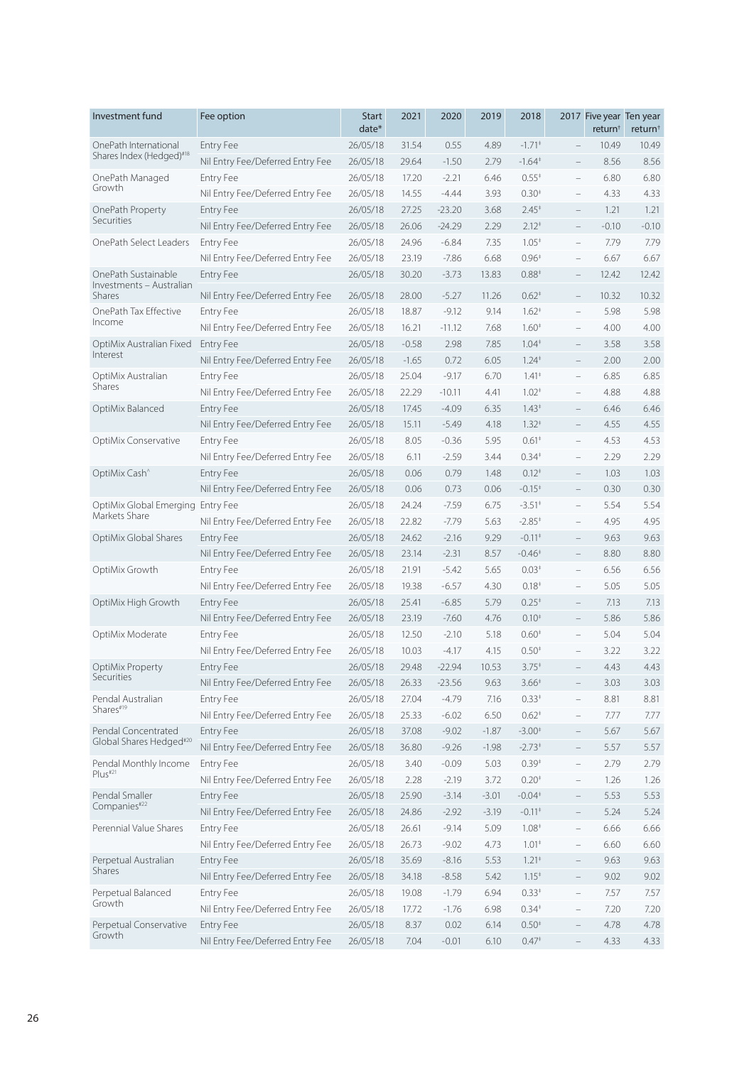| Investment fund                    | Fee option                       | <b>Start</b><br>$date*$ | 2021    | 2020     | 2019    | 2018                                    |                          | 2017 Five year Ten year<br>return <sup>†</sup> | return <sup>+</sup> |
|------------------------------------|----------------------------------|-------------------------|---------|----------|---------|-----------------------------------------|--------------------------|------------------------------------------------|---------------------|
| OnePath International              | <b>Entry Fee</b>                 | 26/05/18                | 31.54   | 0.55     | 4.89    | $-1.71$ <sup>+</sup>                    | $\qquad \qquad -$        | 10.49                                          | 10.49               |
| Shares Index (Hedged)#18           | Nil Entry Fee/Deferred Entry Fee | 26/05/18                | 29.64   | $-1.50$  | 2.79    | $-1.64^{\dagger}$                       | $\qquad \qquad -$        | 8.56                                           | 8.56                |
| OnePath Managed                    | <b>Entry Fee</b>                 | 26/05/18                | 17.20   | $-2.21$  | 6.46    | $0.55*$                                 | $\qquad \qquad -$        | 6.80                                           | 6.80                |
| Growth                             | Nil Entry Fee/Deferred Entry Fee | 26/05/18                | 14.55   | $-4.44$  | 3.93    | $0.30*$                                 | $\overline{\phantom{0}}$ | 4.33                                           | 4.33                |
| OnePath Property                   | <b>Entry Fee</b>                 | 26/05/18                | 27.25   | $-23.20$ | 3.68    | $2.45*$                                 | $\qquad \qquad -$        | 1.21                                           | 1.21                |
| Securities                         | Nil Entry Fee/Deferred Entry Fee | 26/05/18                | 26.06   | $-24.29$ | 2.29    | $2.12*$                                 | $\overline{\phantom{m}}$ | $-0.10$                                        | $-0.10$             |
| OnePath Select Leaders             | <b>Entry Fee</b>                 | 26/05/18                | 24.96   | $-6.84$  | 7.35    | $1.05*$                                 | $\overline{\phantom{0}}$ | 7.79                                           | 7.79                |
|                                    | Nil Entry Fee/Deferred Entry Fee | 26/05/18                | 23.19   | $-7.86$  | 6.68    | $0.96*$                                 | $\qquad \qquad -$        | 6.67                                           | 6.67                |
| OnePath Sustainable                | <b>Entry Fee</b>                 | 26/05/18                | 30.20   | $-3.73$  | 13.83   | $0.88*$                                 | $\qquad \qquad -$        | 12.42                                          | 12.42               |
| Investments - Australian<br>Shares | Nil Entry Fee/Deferred Entry Fee | 26/05/18                | 28.00   | $-5.27$  | 11.26   | $0.62*$                                 | $\qquad \qquad -$        | 10.32                                          | 10.32               |
| OnePath Tax Effective              | <b>Entry Fee</b>                 | 26/05/18                | 18.87   | $-9.12$  | 9.14    | $1.62^{*}$                              | $\overline{\phantom{0}}$ | 5.98                                           | 5.98                |
| Income                             | Nil Entry Fee/Deferred Entry Fee | 26/05/18                | 16.21   | $-11.12$ | 7.68    | $1.60*$                                 | $\qquad \qquad -$        | 4.00                                           | 4.00                |
| OptiMix Australian Fixed           | <b>Entry Fee</b>                 | 26/05/18                | $-0.58$ | 2.98     | 7.85    | $1.04*$                                 | $\qquad \qquad -$        | 3.58                                           | 3.58                |
| Interest                           | Nil Entry Fee/Deferred Entry Fee | 26/05/18                | $-1.65$ | 0.72     | 6.05    | $1.24$ <sup><math>\dagger</math></sup>  | $\qquad \qquad -$        | 2.00                                           | 2.00                |
| OptiMix Australian                 | <b>Entry Fee</b>                 | 26/05/18                | 25.04   | $-9.17$  | 6.70    | $1.41*$                                 | $\qquad \qquad -$        | 6.85                                           | 6.85                |
| Shares                             | Nil Entry Fee/Deferred Entry Fee | 26/05/18                | 22.29   | $-10.11$ | 4.41    | $1.02+$                                 | $\overline{\phantom{0}}$ | 4.88                                           | 4.88                |
| OptiMix Balanced                   | <b>Entry Fee</b>                 | 26/05/18                | 17.45   | $-4.09$  | 6.35    | $1.43*$                                 |                          | 6.46                                           | 6.46                |
|                                    | Nil Entry Fee/Deferred Entry Fee | 26/05/18                | 15.11   | $-5.49$  | 4.18    | $1.32^{+}$                              | $\overline{\phantom{0}}$ | 4.55                                           | 4.55                |
| OptiMix Conservative               | <b>Entry Fee</b>                 | 26/05/18                | 8.05    | $-0.36$  | 5.95    | $0.61*$                                 | $\qquad \qquad -$        | 4.53                                           | 4.53                |
|                                    | Nil Entry Fee/Deferred Entry Fee | 26/05/18                | 6.11    | $-2.59$  | 3.44    | $0.34*$                                 | $\qquad \qquad -$        | 2.29                                           | 2.29                |
| OptiMix Cash <sup>^</sup>          | <b>Entry Fee</b>                 | 26/05/18                | 0.06    | 0.79     | 1.48    | $0.12*$                                 | $\qquad \qquad -$        | 1.03                                           | 1.03                |
|                                    | Nil Entry Fee/Deferred Entry Fee | 26/05/18                | 0.06    | 0.73     | 0.06    | $-0.15*$                                | $\qquad \qquad -$        | 0.30                                           | 0.30                |
| OptiMix Global Emerging Entry Fee  |                                  | 26/05/18                | 24.24   | $-7.59$  | 6.75    | $-3.51$ <sup>+</sup>                    | $\qquad \qquad -$        | 5.54                                           | 5.54                |
| Markets Share                      | Nil Entry Fee/Deferred Entry Fee | 26/05/18                | 22.82   | $-7.79$  | 5.63    | $-2.85+$                                |                          | 4.95                                           | 4.95                |
| OptiMix Global Shares              | <b>Entry Fee</b>                 | 26/05/18                | 24.62   | $-2.16$  | 9.29    | $-0.11$ <sup><math>+</math></sup>       |                          | 9.63                                           | 9.63                |
|                                    | Nil Entry Fee/Deferred Entry Fee | 26/05/18                | 23.14   | $-2.31$  | 8.57    | $-0.46*$                                | $\equiv$                 | 8.80                                           | 8.80                |
| OptiMix Growth                     | <b>Entry Fee</b>                 | 26/05/18                | 21.91   | $-5.42$  | 5.65    | $0.03*$                                 | $\qquad \qquad -$        | 6.56                                           | 6.56                |
|                                    | Nil Entry Fee/Deferred Entry Fee | 26/05/18                | 19.38   | $-6.57$  | 4.30    | 0.18 <sup>‡</sup>                       | $\qquad \qquad -$        | 5.05                                           | 5.05                |
| OptiMix High Growth                | Entry Fee                        | 26/05/18                | 25.41   | $-6.85$  | 5.79    | $0.25*$                                 |                          | 7.13                                           | 7.13                |
|                                    | Nil Entry Fee/Deferred Entry Fee | 26/05/18                | 23.19   | $-7.60$  | 4.76    | $0.10*$                                 | $\overline{\phantom{a}}$ | 5.86                                           | 5.86                |
| OptiMix Moderate                   | Entry Fee                        | 26/05/18                | 12.50   | $-2.10$  | 5.18    | $0.60*$                                 | $\qquad \qquad -$        | 5.04                                           | 5.04                |
|                                    | Nil Entry Fee/Deferred Entry Fee | 26/05/18                | 10.03   | $-4.17$  | 4.15    | $0.50*$                                 |                          | 3.22                                           | 3.22                |
| OptiMix Property                   | <b>Entry Fee</b>                 | 26/05/18                | 29.48   | $-22.94$ | 10.53   | $3.75^*$                                |                          | 4.43                                           | 4.43                |
| Securities                         | Nil Entry Fee/Deferred Entry Fee | 26/05/18                | 26.33   | $-23.56$ | 9.63    | $3.66*$                                 | $\qquad \qquad -$        | 3.03                                           | 3.03                |
| Pendal Australian                  | Entry Fee                        | 26/05/18                | 27.04   | $-4.79$  | 7.16    | $0.33*$                                 | $\overline{\phantom{0}}$ | 8.81                                           | 8.81                |
| Shares#19                          | Nil Entry Fee/Deferred Entry Fee | 26/05/18                | 25.33   | $-6.02$  | 6.50    | $0.62*$                                 | $\qquad \qquad -$        | 7.77                                           | 7.77                |
| Pendal Concentrated                | <b>Entry Fee</b>                 | 26/05/18                | 37.08   | $-9.02$  | $-1.87$ | $-3.00*$                                | $\qquad \qquad -$        | 5.67                                           | 5.67                |
| Global Shares Hedged#20            | Nil Entry Fee/Deferred Entry Fee | 26/05/18                | 36.80   | $-9.26$  | $-1.98$ | $-2.73*$                                | $\qquad \qquad -$        | 5.57                                           | 5.57                |
| Pendal Monthly Income              | <b>Entry Fee</b>                 | 26/05/18                | 3.40    | $-0.09$  | 5.03    | $0.39*$                                 | $\overline{\phantom{0}}$ | 2.79                                           | 2.79                |
| Plus#21                            | Nil Entry Fee/Deferred Entry Fee | 26/05/18                | 2.28    | $-2.19$  | 3.72    | $0.20*$                                 | $\qquad \qquad -$        | 1.26                                           | 1.26                |
| Pendal Smaller                     | <b>Entry Fee</b>                 | 26/05/18                | 25.90   | $-3.14$  | $-3.01$ | $-0.04*$                                | $\overline{\phantom{0}}$ | 5.53                                           | 5.53                |
| Companies#22                       | Nil Entry Fee/Deferred Entry Fee | 26/05/18                | 24.86   | $-2.92$  | $-3.19$ | $-0.11$ <sup><math>\dagger</math></sup> | $\overline{\phantom{a}}$ | 5.24                                           | 5.24                |
| Perennial Value Shares             | Entry Fee                        | 26/05/18                | 26.61   | $-9.14$  | 5.09    | 1.08 <sup>‡</sup>                       | $\overline{\phantom{0}}$ | 6.66                                           | 6.66                |
|                                    | Nil Entry Fee/Deferred Entry Fee | 26/05/18                | 26.73   | $-9.02$  | 4.73    | $1.01*$                                 | $\qquad \qquad -$        | 6.60                                           | 6.60                |
| Perpetual Australian               | <b>Entry Fee</b>                 | 26/05/18                | 35.69   | $-8.16$  | 5.53    | $1.21*$                                 | $\qquad \qquad -$        | 9.63                                           | 9.63                |
| Shares                             | Nil Entry Fee/Deferred Entry Fee | 26/05/18                | 34.18   | $-8.58$  | 5.42    | $1.15*$                                 | $\qquad \qquad -$        | 9.02                                           | 9.02                |
| Perpetual Balanced                 | Entry Fee                        | 26/05/18                | 19.08   | $-1.79$  | 6.94    | $0.33*$                                 | $\qquad \qquad -$        | 7.57                                           | 7.57                |
| Growth                             | Nil Entry Fee/Deferred Entry Fee | 26/05/18                | 17.72   | $-1.76$  | 6.98    | $0.34*$                                 | $\qquad \qquad -$        | 7.20                                           | 7.20                |
| Perpetual Conservative             | <b>Entry Fee</b>                 | 26/05/18                | 8.37    | 0.02     | 6.14    | $0.50*$                                 | $\qquad \qquad -$        | 4.78                                           | 4.78                |
| Growth                             | Nil Entry Fee/Deferred Entry Fee | 26/05/18                | 7.04    | $-0.01$  | 6.10    | $0.47*$                                 |                          | 4.33                                           | 4.33                |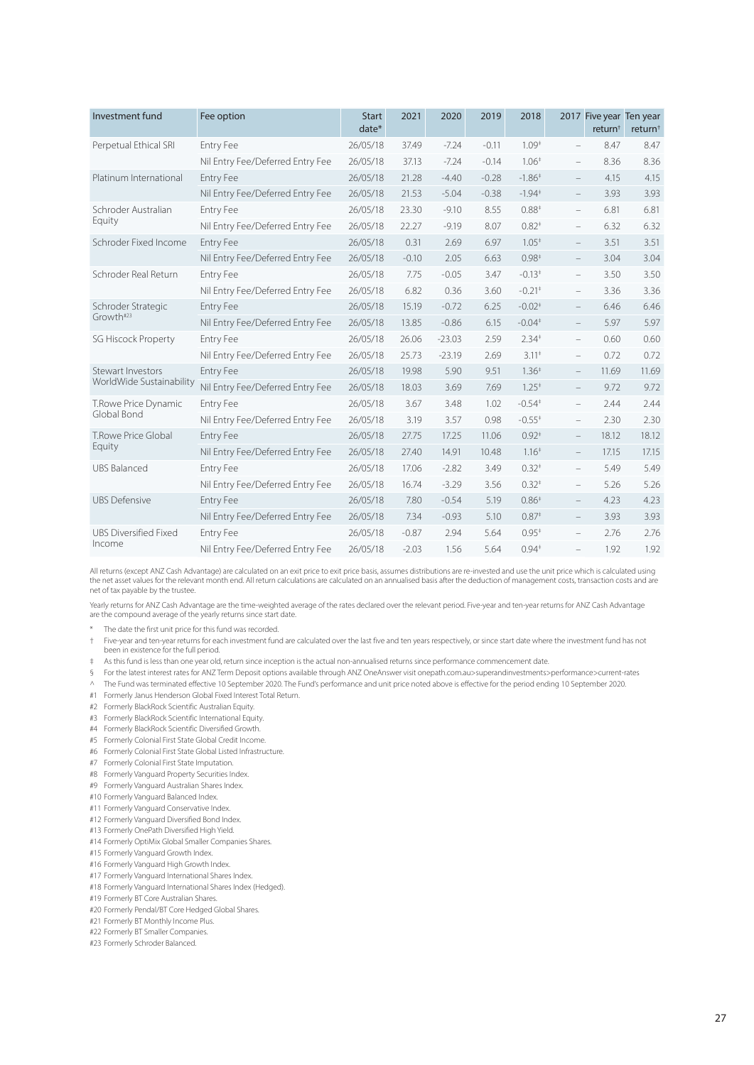| Investment fund              | Fee option                       | <b>Start</b><br>$date*$ | 2021    | 2020     | 2019    | 2018                                    |                          | 2017 Five year Ten year<br>return <sup>†</sup> | return <sup>†</sup> |
|------------------------------|----------------------------------|-------------------------|---------|----------|---------|-----------------------------------------|--------------------------|------------------------------------------------|---------------------|
| Perpetual Ethical SRI        | Entry Fee                        | 26/05/18                | 37.49   | $-7.24$  | $-0.11$ | $1.09*$                                 | $\overline{\phantom{a}}$ | 8.47                                           | 8.47                |
|                              | Nil Entry Fee/Deferred Entry Fee | 26/05/18                | 37.13   | $-7.24$  | $-0.14$ | $1.06*$                                 | $\qquad \qquad -$        | 8.36                                           | 8.36                |
| Platinum International       | <b>Entry Fee</b>                 | 26/05/18                | 21.28   | $-4.40$  | $-0.28$ | $-1.86‡$                                | $\overline{\phantom{a}}$ | 4.15                                           | 4.15                |
|                              | Nil Entry Fee/Deferred Entry Fee | 26/05/18                | 21.53   | $-5.04$  | $-0.38$ | $-1.94$ <sup><math>\dagger</math></sup> | $\overline{\phantom{a}}$ | 3.93                                           | 3.93                |
| Schroder Australian          | Entry Fee                        | 26/05/18                | 23.30   | $-9.10$  | 8.55    | $0.88*$                                 | $\qquad \qquad -$        | 6.81                                           | 6.81                |
| Equity                       | Nil Entry Fee/Deferred Entry Fee | 26/05/18                | 22.27   | $-9.19$  | 8.07    | $0.82*$                                 | $\qquad \qquad -$        | 6.32                                           | 6.32                |
| Schroder Fixed Income        | <b>Entry Fee</b>                 | 26/05/18                | 0.31    | 2.69     | 6.97    | $1.05*$                                 | $\equiv$                 | 3.51                                           | 3.51                |
|                              | Nil Entry Fee/Deferred Entry Fee | 26/05/18                | $-0.10$ | 2.05     | 6.63    | $0.98*$                                 | $\qquad \qquad -$        | 3.04                                           | 3.04                |
| Schroder Real Return         | Entry Fee                        | 26/05/18                | 7.75    | $-0.05$  | 3.47    | $-0.13*$                                | $\overline{\phantom{a}}$ | 3.50                                           | 3.50                |
|                              | Nil Entry Fee/Deferred Entry Fee | 26/05/18                | 6.82    | 0.36     | 3.60    | $-0.21$ <sup><math>\dagger</math></sup> | $\overline{\phantom{0}}$ | 3.36                                           | 3.36                |
| Schroder Strategic           | <b>Entry Fee</b>                 | 26/05/18                | 15.19   | $-0.72$  | 6.25    | $-0.02$ <sup>+</sup>                    | $\overline{\phantom{a}}$ | 6.46                                           | 6.46                |
| Growth#23                    | Nil Entry Fee/Deferred Entry Fee | 26/05/18                | 13.85   | $-0.86$  | 6.15    | $-0.04*$                                | $\overline{\phantom{a}}$ | 5.97                                           | 5.97                |
| <b>SG Hiscock Property</b>   | Entry Fee                        | 26/05/18                | 26.06   | $-23.03$ | 2.59    | $2.34*$                                 | $\overline{\phantom{a}}$ | 0.60                                           | 0.60                |
|                              | Nil Entry Fee/Deferred Entry Fee | 26/05/18                | 25.73   | $-23.19$ | 2.69    | $3.11*$                                 | $\qquad \qquad -$        | 0.72                                           | 0.72                |
| Stewart Investors            | <b>Entry Fee</b>                 | 26/05/18                | 19.98   | 5.90     | 9.51    | 1.36 <sup>‡</sup>                       | $\qquad \qquad -$        | 11.69                                          | 11.69               |
| WorldWide Sustainability     | Nil Entry Fee/Deferred Entry Fee | 26/05/18                | 18.03   | 3.69     | 7.69    | $1.25^+$                                | $\equiv$                 | 9.72                                           | 9.72                |
| T.Rowe Price Dynamic         | <b>Entry Fee</b>                 | 26/05/18                | 3.67    | 3.48     | 1.02    | $-0.54$ <sup><math>+</math></sup>       | $\overline{\phantom{a}}$ | 2.44                                           | 2.44                |
| Global Bond                  | Nil Entry Fee/Deferred Entry Fee | 26/05/18                | 3.19    | 3.57     | 0.98    | $-0.55^{+}$                             | $\overline{\phantom{a}}$ | 2.30                                           | 2.30                |
| T.Rowe Price Global          | <b>Entry Fee</b>                 | 26/05/18                | 27.75   | 17.25    | 11.06   | $0.92*$                                 | $\overline{\phantom{a}}$ | 18.12                                          | 18.12               |
| Equity                       | Nil Entry Fee/Deferred Entry Fee | 26/05/18                | 27.40   | 14.91    | 10.48   | $1.16*$                                 | $\overline{\phantom{a}}$ | 17.15                                          | 17.15               |
| <b>UBS Balanced</b>          | <b>Entry Fee</b>                 | 26/05/18                | 17.06   | $-2.82$  | 3.49    | $0.32*$                                 | $\overline{\phantom{a}}$ | 5.49                                           | 5.49                |
|                              | Nil Entry Fee/Deferred Entry Fee | 26/05/18                | 16.74   | $-3.29$  | 3.56    | $0.32^{+}$                              | $\qquad \qquad -$        | 5.26                                           | 5.26                |
| <b>UBS Defensive</b>         | <b>Entry Fee</b>                 | 26/05/18                | 7.80    | $-0.54$  | 5.19    | $0.86*$                                 | $\overline{\phantom{a}}$ | 4.23                                           | 4.23                |
|                              | Nil Entry Fee/Deferred Entry Fee | 26/05/18                | 7.34    | $-0.93$  | 5.10    | 0.87 <sup>‡</sup>                       | $\overline{\phantom{a}}$ | 3.93                                           | 3.93                |
| <b>UBS Diversified Fixed</b> | <b>Entry Fee</b>                 | 26/05/18                | $-0.87$ | 2.94     | 5.64    | $0.95*$                                 | $\overline{\phantom{m}}$ | 2.76                                           | 2.76                |
| Income                       | Nil Entry Fee/Deferred Entry Fee | 26/05/18                | $-2.03$ | 1.56     | 5.64    | $0.94*$                                 | $\qquad \qquad -$        | 1.92                                           | 1.92                |

All returns (except ANZ Cash Advantage) are calculated on an exit price to exit price basis, assumes distributions are re-invested and use the unit price which is calculated using the net asset values for the relevant month end. All return calculations are calculated on an annualised basis after the deduction of management costs, transaction costs and are net of tax payable by the trustee.

Yearly returns for ANZ Cash Advantage are the time-weighted average of the rates declared over the relevant period. Five-year and ten-year returns for ANZ Cash Advantage<br>are the compound average of the yearly returns since

\* The date the first unit price for this fund was recorded.

† Five-year and ten-year returns for each investment fund are calculated over the last five and ten years respectively, or since start date where the investment fund has not been in existence for the full period.

‡ As this fund is less than one year old, return since inception is the actual non-annualised returns since performance commencement date.

§ For the latest interest rates for ANZ Term Deposit options available through ANZ OneAnswer visit onepath.com.au>superandinvestments>performance>current-rates

^ The Fund was terminated effective 10 September 2020. The Fund's performance and unit price noted above is effective for the period ending 10 September 2020.

#1 Formerly Janus Henderson Global Fixed Interest Total Return.

#2 Formerly BlackRock Scientific Australian Equity.

#3 Formerly BlackRock Scientific International Equity.

#4 Formerly BlackRock Scientific Diversified Growth.

#5 Formerly Colonial First State Global Credit Income.

#6 Formerly Colonial First State Global Listed Infrastructure.

#7 Formerly Colonial First State Imputation.

#8 Formerly Vanguard Property Securities Index.

#9 Formerly Vanguard Australian Shares Index.

#10 Formerly Vanguard Balanced Index.

#11 Formerly Vanguard Conservative Index.

#12 Formerly Vanguard Diversified Bond Index.

#13 Formerly OnePath Diversified High Yield.

#14 Formerly OptiMix Global Smaller Companies Shares.

#15 Formerly Vanguard Growth Index.

#16 Formerly Vanguard High Growth Index.

#17 Formerly Vanguard International Shares Index.

#18 Formerly Vanguard International Shares Index (Hedged).

#19 Formerly BT Core Australian Shares.

#20 Formerly Pendal/BT Core Hedged Global Shares.

#21 Formerly BT Monthly Income Plus.

#22 Formerly BT Smaller Companies.

#23 Formerly Schroder Balanced.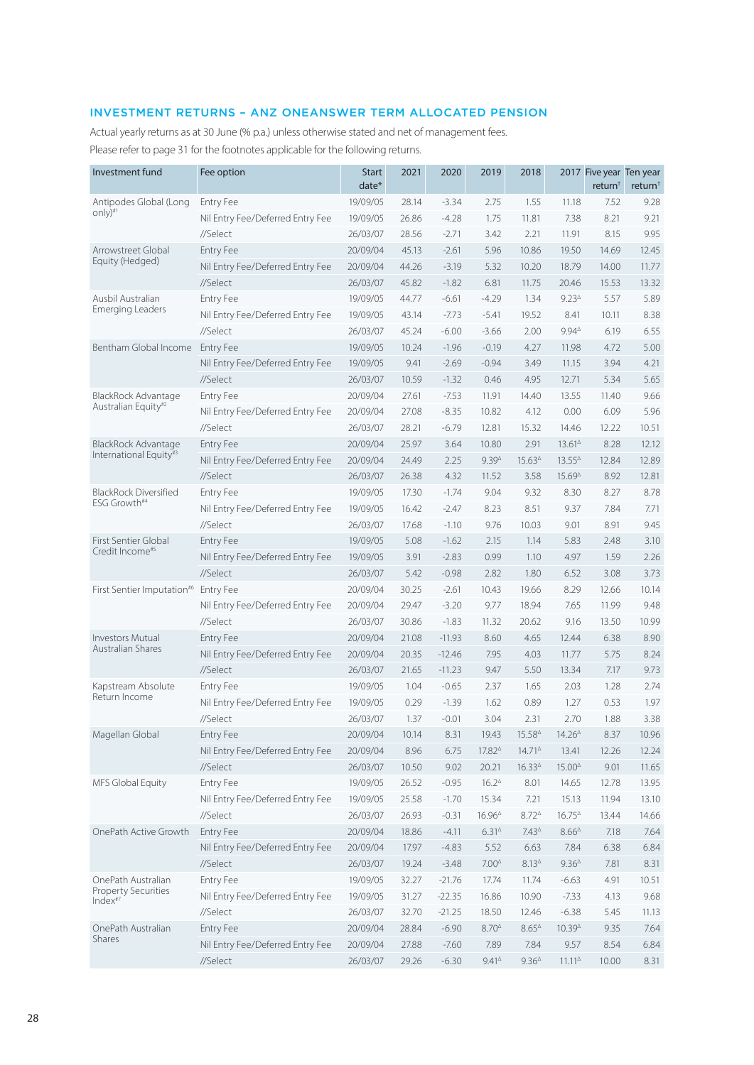# INVESTMENT RETURNS – ANZ ONEANSWER TERM ALLOCATED PENSION

Actual yearly returns as at 30 June (% p.a.) unless otherwise stated and net of management fees. Please refer to page 31 for the footnotes applicable for the following returns.

| Investment fund                                   | Fee option                       | <b>Start</b><br>$date*$ | 2021  | 2020     | 2019                                    | 2018                                    |                                         | 2017 Five year Ten year<br>return <sup>†</sup> | return <sup>†</sup> |
|---------------------------------------------------|----------------------------------|-------------------------|-------|----------|-----------------------------------------|-----------------------------------------|-----------------------------------------|------------------------------------------------|---------------------|
| Antipodes Global (Long                            | <b>Entry Fee</b>                 | 19/09/05                | 28.14 | $-3.34$  | 2.75                                    | 1.55                                    | 11.18                                   | 7.52                                           | 9.28                |
| only)#1                                           | Nil Entry Fee/Deferred Entry Fee | 19/09/05                | 26.86 | $-4.28$  | 1.75                                    | 11.81                                   | 7.38                                    | 8.21                                           | 9.21                |
|                                                   | //Select                         | 26/03/07                | 28.56 | $-2.71$  | 3.42                                    | 2.21                                    | 11.91                                   | 8.15                                           | 9.95                |
| Arrowstreet Global                                | <b>Entry Fee</b>                 | 20/09/04                | 45.13 | $-2.61$  | 5.96                                    | 10.86                                   | 19.50                                   | 14.69                                          | 12.45               |
| Equity (Hedged)                                   | Nil Entry Fee/Deferred Entry Fee | 20/09/04                | 44.26 | $-3.19$  | 5.32                                    | 10.20                                   | 18.79                                   | 14.00                                          | 11.77               |
|                                                   | //Select                         | 26/03/07                | 45.82 | $-1.82$  | 6.81                                    | 11.75                                   | 20.46                                   | 15.53                                          | 13.32               |
| Ausbil Australian                                 | <b>Entry Fee</b>                 | 19/09/05                | 44.77 | $-6.61$  | $-4.29$                                 | 1.34                                    | $9.23^{\triangle}$                      | 5.57                                           | 5.89                |
| <b>Emerging Leaders</b>                           | Nil Entry Fee/Deferred Entry Fee | 19/09/05                | 43.14 | $-7.73$  | $-5.41$                                 | 19.52                                   | 8.41                                    | 10.11                                          | 8.38                |
|                                                   | //Select                         | 26/03/07                | 45.24 | $-6.00$  | $-3.66$                                 | 2.00                                    | $9.94^{\triangle}$                      | 6.19                                           | 6.55                |
| Bentham Global Income                             | <b>Entry Fee</b>                 | 19/09/05                | 10.24 | $-1.96$  | $-0.19$                                 | 4.27                                    | 11.98                                   | 4.72                                           | 5.00                |
|                                                   | Nil Entry Fee/Deferred Entry Fee | 19/09/05                | 9.41  | $-2.69$  | $-0.94$                                 | 3.49                                    | 11.15                                   | 3.94                                           | 4.21                |
|                                                   | //Select                         | 26/03/07                | 10.59 | $-1.32$  | 0.46                                    | 4.95                                    | 12.71                                   | 5.34                                           | 5.65                |
| BlackRock Advantage                               | <b>Entry Fee</b>                 | 20/09/04                | 27.61 | $-7.53$  | 11.91                                   | 14.40                                   | 13.55                                   | 11.40                                          | 9.66                |
| Australian Equity#2                               | Nil Entry Fee/Deferred Entry Fee | 20/09/04                | 27.08 | $-8.35$  | 10.82                                   | 4.12                                    | 0.00                                    | 6.09                                           | 5.96                |
|                                                   | //Select                         | 26/03/07                | 28.21 | $-6.79$  | 12.81                                   | 15.32                                   | 14.46                                   | 12.22                                          | 10.51               |
| <b>BlackRock Advantage</b>                        | <b>Entry Fee</b>                 | 20/09/04                | 25.97 | 3.64     | 10.80                                   | 2.91                                    | $13.61^{\circ}$                         | 8.28                                           | 12.12               |
| International Equity#3                            | Nil Entry Fee/Deferred Entry Fee | 20/09/04                | 24.49 | 2.25     | $9.39^{\circ}$                          | 15.63 <sup><math>\triangle</math></sup> | $13.55^{\circ}$                         | 12.84                                          | 12.89               |
|                                                   | //Select                         | 26/03/07                | 26.38 | 4.32     | 11.52                                   | 3.58                                    | 15.69 <sup>4</sup>                      | 8.92                                           | 12.81               |
| <b>BlackRock Diversified</b>                      | Entry Fee                        | 19/09/05                | 17.30 | $-1.74$  | 9.04                                    | 9.32                                    | 8.30                                    | 8.27                                           | 8.78                |
| ESG Growth#4                                      | Nil Entry Fee/Deferred Entry Fee | 19/09/05                | 16.42 | $-2.47$  | 8.23                                    | 8.51                                    | 9.37                                    | 7.84                                           | 7.71                |
|                                                   | //Select                         | 26/03/07                | 17.68 | $-1.10$  | 9.76                                    | 10.03                                   | 9.01                                    | 8.91                                           | 9.45                |
| First Sentier Global                              | <b>Entry Fee</b>                 | 19/09/05                | 5.08  | $-1.62$  | 2.15                                    | 1.14                                    | 5.83                                    | 2.48                                           | 3.10                |
| Credit Income <sup>#5</sup>                       | Nil Entry Fee/Deferred Entry Fee | 19/09/05                | 3.91  | $-2.83$  | 0.99                                    | 1.10                                    | 4.97                                    | 1.59                                           | 2.26                |
|                                                   | //Select                         | 26/03/07                | 5.42  | $-0.98$  | 2.82                                    | 1.80                                    | 6.52                                    | 3.08                                           | 3.73                |
| First Sentier Imputation <sup>#6</sup>            | <b>Entry Fee</b>                 | 20/09/04                | 30.25 | $-2.61$  | 10.43                                   | 19.66                                   | 8.29                                    | 12.66                                          | 10.14               |
|                                                   | Nil Entry Fee/Deferred Entry Fee | 20/09/04                | 29.47 | $-3.20$  | 9.77                                    | 18.94                                   | 7.65                                    | 11.99                                          | 9.48                |
|                                                   | //Select                         | 26/03/07                | 30.86 | $-1.83$  | 11.32                                   | 20.62                                   | 9.16                                    | 13.50                                          | 10.99               |
| <b>Investors Mutual</b>                           | <b>Entry Fee</b>                 | 20/09/04                | 21.08 | $-11.93$ | 8.60                                    | 4.65                                    | 12.44                                   | 6.38                                           | 8.90                |
| Australian Shares                                 | Nil Entry Fee/Deferred Entry Fee | 20/09/04                | 20.35 | $-12.46$ | 7.95                                    | 4.03                                    | 11.77                                   | 5.75                                           | 8.24                |
|                                                   | //Select                         | 26/03/07                | 21.65 | $-11.23$ | 9.47                                    | 5.50                                    | 13.34                                   | 7.17                                           | 9.73                |
| Kapstream Absolute                                | <b>Entry Fee</b>                 | 19/09/05                | 1.04  | $-0.65$  | 2.37                                    | 1.65                                    | 2.03                                    | 1.28                                           | 2.74                |
| Return Income                                     | Nil Entry Fee/Deferred Entry Fee | 19/09/05                | 0.29  | $-1.39$  | 1.62                                    | 0.89                                    | 1.27                                    | 0.53                                           | 1.97                |
|                                                   | //Select                         | 26/03/07                | 1.37  | $-0.01$  | 3.04                                    | 2.31                                    | 2.70                                    | 1.88                                           | 3.38                |
| Magellan Global                                   | Entry Fee                        | 20/09/04                | 10.14 | 8.31     | 19.43                                   | 15.584                                  | $14.26^{\triangle}$                     | 8.37                                           | 10.96               |
|                                                   | Nil Entry Fee/Deferred Entry Fee | 20/09/04                | 8.96  | 6.75     | 17.824                                  | $14.71^{\circ}$                         | 13.41                                   | 12.26                                          | 12.24               |
|                                                   | //Select                         | 26/03/07                | 10.50 | 9.02     | 20.21                                   | 16.334                                  | 15.00 <sup><math>\triangle</math></sup> | 9.01                                           | 11.65               |
| MFS Global Equity                                 | Entry Fee                        | 19/09/05                | 26.52 | $-0.95$  | $16.2^{\triangle}$                      | 8.01                                    | 14.65                                   | 12.78                                          | 13.95               |
|                                                   | Nil Entry Fee/Deferred Entry Fee | 19/09/05                | 25.58 | $-1.70$  | 15.34                                   | 7.21                                    | 15.13                                   | 11.94                                          | 13.10               |
|                                                   | //Select                         | 26/03/07                | 26.93 | $-0.31$  | 16.96 <sup><math>\triangle</math></sup> | $8.72^{\triangle}$                      | $16.75^{\circ}$                         | 13.44                                          | 14.66               |
| OnePath Active Growth                             | Entry Fee                        | 20/09/04                | 18.86 | $-4.11$  | 6.31 <sup>4</sup>                       | $7.43^{\circ}$                          | $8.66^{\Delta}$                         | 7.18                                           | 7.64                |
|                                                   | Nil Entry Fee/Deferred Entry Fee | 20/09/04                | 17.97 | $-4.83$  | 5.52                                    | 6.63                                    | 7.84                                    | 6.38                                           | 6.84                |
|                                                   | //Select                         | 26/03/07                | 19.24 | $-3.48$  | $7.00^{\Delta}$                         | $8.13^{\circ}$                          | $9.36^{\Delta}$                         | 7.81                                           | 8.31                |
| OnePath Australian                                | Entry Fee                        | 19/09/05                | 32.27 | $-21.76$ | 17.74                                   | 11.74                                   | $-6.63$                                 | 4.91                                           | 10.51               |
| <b>Property Securities</b><br>Index <sup>#7</sup> | Nil Entry Fee/Deferred Entry Fee | 19/09/05                | 31.27 | $-22.35$ | 16.86                                   | 10.90                                   | $-7.33$                                 | 4.13                                           | 9.68                |
|                                                   | //Select                         | 26/03/07                | 32.70 | $-21.25$ | 18.50                                   | 12.46                                   | $-6.38$                                 | 5.45                                           | 11.13               |
| OnePath Australian                                | Entry Fee                        | 20/09/04                | 28.84 | $-6.90$  | $8.70^{\Delta}$                         | $8.65^{\circ}$                          | $10.39^{\textstyle\Delta}$              | 9.35                                           | 7.64                |
| Shares                                            | Nil Entry Fee/Deferred Entry Fee | 20/09/04                | 27.88 | $-7.60$  | 7.89                                    | 7.84                                    | 9.57                                    | 8.54                                           | 6.84                |
|                                                   | //Select                         | 26/03/07                | 29.26 | $-6.30$  | $9.41^{\circ}$                          | $9.36^{\triangle}$                      | $11.11^{\circ}$                         | 10.00                                          | 8.31                |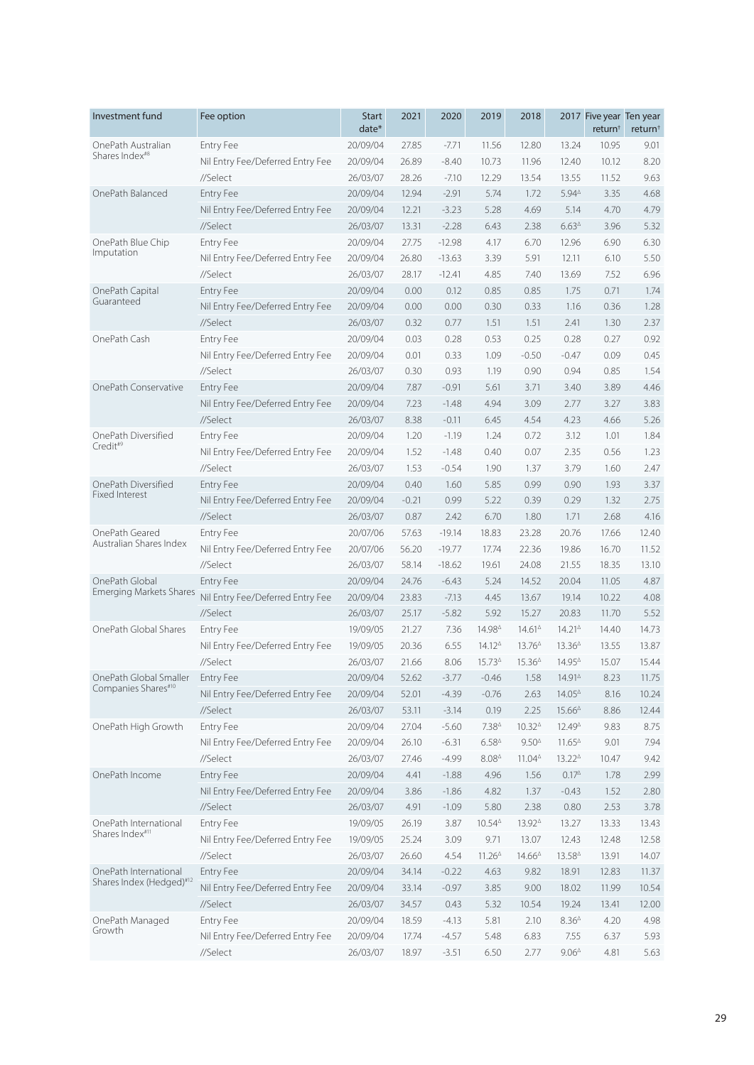| Investment fund                | Fee option                       | <b>Start</b><br>date* | 2021    | 2020     | 2019                | 2018            |                                         | 2017 Five year Ten year<br>return <sup>†</sup> | return <sup>+</sup> |
|--------------------------------|----------------------------------|-----------------------|---------|----------|---------------------|-----------------|-----------------------------------------|------------------------------------------------|---------------------|
| OnePath Australian             | <b>Entry Fee</b>                 | 20/09/04              | 27.85   | $-7.71$  | 11.56               | 12.80           | 13.24                                   | 10.95                                          | 9.01                |
| Shares Index <sup>#8</sup>     | Nil Entry Fee/Deferred Entry Fee | 20/09/04              | 26.89   | $-8.40$  | 10.73               | 11.96           | 12.40                                   | 10.12                                          | 8.20                |
|                                | //Select                         | 26/03/07              | 28.26   | $-7.10$  | 12.29               | 13.54           | 13.55                                   | 11.52                                          | 9.63                |
| OnePath Balanced               | <b>Entry Fee</b>                 | 20/09/04              | 12.94   | $-2.91$  | 5.74                | 1.72            | $5.94^{\triangle}$                      | 3.35                                           | 4.68                |
|                                | Nil Entry Fee/Deferred Entry Fee | 20/09/04              | 12.21   | $-3.23$  | 5.28                | 4.69            | 5.14                                    | 4.70                                           | 4.79                |
|                                | //Select                         | 26/03/07              | 13.31   | $-2.28$  | 6.43                | 2.38            | $6.63^{\circ}$                          | 3.96                                           | 5.32                |
| OnePath Blue Chip              | <b>Entry Fee</b>                 | 20/09/04              | 27.75   | $-12.98$ | 4.17                | 6.70            | 12.96                                   | 6.90                                           | 6.30                |
| Imputation                     | Nil Entry Fee/Deferred Entry Fee | 20/09/04              | 26.80   | $-13.63$ | 3.39                | 5.91            | 12.11                                   | 6.10                                           | 5.50                |
|                                | //Select                         | 26/03/07              | 28.17   | $-12.41$ | 4.85                | 7.40            | 13.69                                   | 7.52                                           | 6.96                |
| OnePath Capital                | <b>Entry Fee</b>                 | 20/09/04              | 0.00    | 0.12     | 0.85                | 0.85            | 1.75                                    | 0.71                                           | 1.74                |
| Guaranteed                     | Nil Entry Fee/Deferred Entry Fee | 20/09/04              | 0.00    | 0.00     | 0.30                | 0.33            | 1.16                                    | 0.36                                           | 1.28                |
|                                | //Select                         | 26/03/07              | 0.32    | 0.77     | 1.51                | 1.51            | 2.41                                    | 1.30                                           | 2.37                |
| OnePath Cash                   | <b>Entry Fee</b>                 | 20/09/04              | 0.03    | 0.28     | 0.53                | 0.25            | 0.28                                    | 0.27                                           | 0.92                |
|                                | Nil Entry Fee/Deferred Entry Fee | 20/09/04              | 0.01    | 0.33     | 1.09                | $-0.50$         | $-0.47$                                 | 0.09                                           | 0.45                |
|                                | //Select                         | 26/03/07              | 0.30    | 0.93     | 1.19                | 0.90            | 0.94                                    | 0.85                                           | 1.54                |
| OnePath Conservative           | <b>Entry Fee</b>                 | 20/09/04              | 7.87    | $-0.91$  | 5.61                | 3.71            | 3.40                                    | 3.89                                           | 4.46                |
|                                | Nil Entry Fee/Deferred Entry Fee | 20/09/04              | 7.23    | $-1.48$  | 4.94                | 3.09            | 2.77                                    | 3.27                                           | 3.83                |
|                                | //Select                         | 26/03/07              | 8.38    | $-0.11$  | 6.45                | 4.54            | 4.23                                    | 4.66                                           | 5.26                |
| OnePath Diversified            | <b>Entry Fee</b>                 | 20/09/04              | 1.20    | $-1.19$  | 1.24                | 0.72            | 3.12                                    | 1.01                                           | 1.84                |
| Credit#9                       | Nil Entry Fee/Deferred Entry Fee | 20/09/04              | 1.52    | $-1.48$  | 0.40                | 0.07            | 2.35                                    | 0.56                                           | 1.23                |
|                                | //Select                         | 26/03/07              | 1.53    | $-0.54$  | 1.90                | 1.37            | 3.79                                    | 1.60                                           | 2.47                |
| OnePath Diversified            | <b>Entry Fee</b>                 | 20/09/04              | 0.40    | 1.60     | 5.85                | 0.99            | 0.90                                    | 1.93                                           | 3.37                |
| Fixed Interest                 | Nil Entry Fee/Deferred Entry Fee | 20/09/04              | $-0.21$ | 0.99     | 5.22                | 0.39            | 0.29                                    | 1.32                                           | 2.75                |
|                                | //Select                         | 26/03/07              | 0.87    | 2.42     | 6.70                | 1.80            | 1.71                                    | 2.68                                           | 4.16                |
| OnePath Geared                 | <b>Entry Fee</b>                 | 20/07/06              | 57.63   | $-19.14$ | 18.83               | 23.28           | 20.76                                   | 17.66                                          | 12.40               |
| Australian Shares Index        | Nil Entry Fee/Deferred Entry Fee | 20/07/06              | 56.20   | $-19.77$ | 17.74               | 22.36           | 19.86                                   | 16.70                                          | 11.52               |
|                                | //Select                         | 26/03/07              | 58.14   | $-18.62$ | 19.61               | 24.08           | 21.55                                   | 18.35                                          | 13.10               |
| OnePath Global                 | <b>Entry Fee</b>                 | 20/09/04              | 24.76   | $-6.43$  | 5.24                | 14.52           | 20.04                                   | 11.05                                          | 4.87                |
| <b>Emerging Markets Shares</b> | Nil Entry Fee/Deferred Entry Fee | 20/09/04              | 23.83   | $-7.13$  | 4.45                | 13.67           | 19.14                                   | 10.22                                          | 4.08                |
|                                | //Select                         | 26/03/07              | 25.17   | $-5.82$  | 5.92                | 15.27           | 20.83                                   | 11.70                                          | 5.52                |
| OnePath Global Shares          | <b>Entry Fee</b>                 | 19/09/05              | 21.27   | 7.36     | 14.984              | $14.61^{\circ}$ | $14.21^{\circ}$                         | 14.40                                          | 14.73               |
|                                | Nil Entry Fee/Deferred Entry Fee | 19/09/05              | 20.36   | 6.55     | $14.12^{\circ}$     | $13.76^{\circ}$ | 13.36 <sup><math>\triangle</math></sup> | 13.55                                          | 13.87               |
|                                | //Select                         | 26/03/07              | 21.66   | 8.06     | 15.734              | $15.36^{\circ}$ | 14.95 <sup><math>\triangle</math></sup> | 15.07                                          | 15.44               |
| OnePath Global Smaller         | Entry Fee                        | 20/09/04              | 52.62   | $-3.77$  | $-0.46$             | 1.58            | 14.914                                  | 8.23                                           | 11.75               |
| Companies Shares#10            | Nil Entry Fee/Deferred Entry Fee | 20/09/04              | 52.01   | $-4.39$  | $-0.76$             | 2.63            | 14.054                                  | 8.16                                           | 10.24               |
|                                | //Select                         | 26/03/07              | 53.11   | $-3.14$  | 0.19                | 2.25            | $15.66^{\Delta}$                        | 8.86                                           | 12.44               |
| OnePath High Growth            | Entry Fee                        | 20/09/04              | 27.04   | $-5.60$  | 7.38 <sup>4</sup>   | 10.324          | 12.49 <sup><math>\triangle</math></sup> | 9.83                                           | 8.75                |
|                                | Nil Entry Fee/Deferred Entry Fee | 20/09/04              | 26.10   | $-6.31$  | $6.58^{\triangle}$  | $9.50^{\circ}$  | $11.65^{\circ}$                         | 9.01                                           | 7.94                |
|                                | //Select                         | 26/03/07              | 27.46   | $-4.99$  | $8.08^{\triangle}$  | $11.04^{\circ}$ | $13.22^{\triangle}$                     | 10.47                                          | 9.42                |
| OnePath Income                 | Entry Fee                        | 20/09/04              | 4.41    | $-1.88$  | 4.96                | 1.56            | $0.17^{\Delta}$                         | 1.78                                           | 2.99                |
|                                | Nil Entry Fee/Deferred Entry Fee | 20/09/04              | 3.86    | $-1.86$  | 4.82                | 1.37            | $-0.43$                                 | 1.52                                           | 2.80                |
|                                | //Select                         | 26/03/07              | 4.91    | $-1.09$  | 5.80                | 2.38            | 0.80                                    | 2.53                                           | 3.78                |
| OnePath International          | Entry Fee                        | 19/09/05              | 26.19   | 3.87     | $10.54^{\circ}$     | 13.924          | 13.27                                   | 13.33                                          | 13.43               |
| Shares Index <sup>#11</sup>    | Nil Entry Fee/Deferred Entry Fee | 19/09/05              | 25.24   | 3.09     | 9.71                | 13.07           | 12.43                                   | 12.48                                          | 12.58               |
|                                | //Select                         | 26/03/07              | 26.60   | 4.54     | $11.26^{\triangle}$ | $14.66^{\circ}$ | 13.584                                  | 13.91                                          | 14.07               |
| OnePath International          | Entry Fee                        | 20/09/04              | 34.14   | $-0.22$  | 4.63                | 9.82            | 18.91                                   | 12.83                                          | 11.37               |
| Shares Index (Hedged)#12       | Nil Entry Fee/Deferred Entry Fee | 20/09/04              | 33.14   | $-0.97$  | 3.85                | 9.00            | 18.02                                   | 11.99                                          | 10.54               |
|                                | //Select                         | 26/03/07              | 34.57   | 0.43     | 5.32                | 10.54           | 19.24                                   | 13.41                                          | 12.00               |
| OnePath Managed                | Entry Fee                        | 20/09/04              | 18.59   | $-4.13$  | 5.81                | 2.10            | 8.36 <sup>4</sup>                       | 4.20                                           | 4.98                |
| Growth                         | Nil Entry Fee/Deferred Entry Fee | 20/09/04              | 17.74   | $-4.57$  | 5.48                | 6.83            | 7.55                                    | 6.37                                           | 5.93                |
|                                | //Select                         | 26/03/07              | 18.97   | $-3.51$  | 6.50                | 2.77            | $9.06^{\Delta}$                         | 4.81                                           | 5.63                |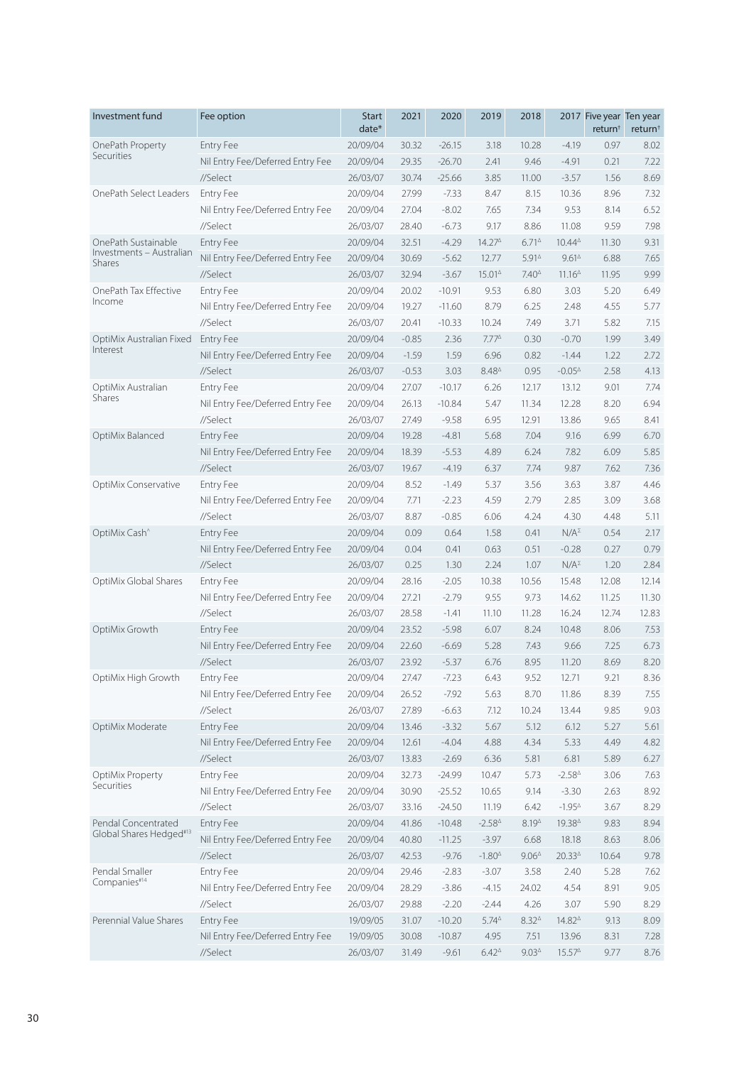| Investment fund                    | Fee option                       | <b>Start</b><br>date* | 2021    | 2020     | 2019                | 2018               |                     | 2017 Five year Ten year<br>return <sup>+</sup> | return <sup>+</sup> |
|------------------------------------|----------------------------------|-----------------------|---------|----------|---------------------|--------------------|---------------------|------------------------------------------------|---------------------|
| OnePath Property                   | <b>Entry Fee</b>                 | 20/09/04              | 30.32   | $-26.15$ | 3.18                | 10.28              | $-4.19$             | 0.97                                           | 8.02                |
| Securities                         | Nil Entry Fee/Deferred Entry Fee | 20/09/04              | 29.35   | $-26.70$ | 2.41                | 9.46               | $-4.91$             | 0.21                                           | 7.22                |
|                                    | //Select                         | 26/03/07              | 30.74   | $-25.66$ | 3.85                | 11.00              | $-3.57$             | 1.56                                           | 8.69                |
| OnePath Select Leaders             | Entry Fee                        | 20/09/04              | 27.99   | $-7.33$  | 8.47                | 8.15               | 10.36               | 8.96                                           | 7.32                |
|                                    | Nil Entry Fee/Deferred Entry Fee | 20/09/04              | 27.04   | $-8.02$  | 7.65                | 7.34               | 9.53                | 8.14                                           | 6.52                |
|                                    | //Select                         | 26/03/07              | 28.40   | $-6.73$  | 9.17                | 8.86               | 11.08               | 9.59                                           | 7.98                |
| OnePath Sustainable                | <b>Entry Fee</b>                 | 20/09/04              | 32.51   | $-4.29$  | 14.274              | $6.71^{\circ}$     | $10.44^{\triangle}$ | 11.30                                          | 9.31                |
| Investments - Australian<br>Shares | Nil Entry Fee/Deferred Entry Fee | 20/09/04              | 30.69   | $-5.62$  | 12.77               | $5.91^{\circ}$     | $9.61^{\circ}$      | 6.88                                           | 7.65                |
|                                    | //Select                         | 26/03/07              | 32.94   | $-3.67$  | 15.014              | $7.40^{\triangle}$ | $11.16^{\circ}$     | 11.95                                          | 9.99                |
| OnePath Tax Effective              | <b>Entry Fee</b>                 | 20/09/04              | 20.02   | $-10.91$ | 9.53                | 6.80               | 3.03                | 5.20                                           | 6.49                |
| Income                             | Nil Entry Fee/Deferred Entry Fee | 20/09/04              | 19.27   | $-11.60$ | 8.79                | 6.25               | 2.48                | 4.55                                           | 5.77                |
|                                    | //Select                         | 26/03/07              | 20.41   | $-10.33$ | 10.24               | 7.49               | 3.71                | 5.82                                           | 7.15                |
| OptiMix Australian Fixed           | <b>Entry Fee</b>                 | 20/09/04              | $-0.85$ | 2.36     | $7.77^{\triangle}$  | 0.30               | $-0.70$             | 1.99                                           | 3.49                |
| Interest                           | Nil Entry Fee/Deferred Entry Fee | 20/09/04              | $-1.59$ | 1.59     | 6.96                | 0.82               | $-1.44$             | 1.22                                           | 2.72                |
|                                    | //Select                         | 26/03/07              | $-0.53$ | 3.03     | $8.48^{\triangle}$  | 0.95               | $-0.05^{\Delta}$    | 2.58                                           | 4.13                |
| OptiMix Australian                 | <b>Entry Fee</b>                 | 20/09/04              | 27.07   | $-10.17$ | 6.26                | 12.17              | 13.12               | 9.01                                           | 7.74                |
| Shares                             | Nil Entry Fee/Deferred Entry Fee | 20/09/04              | 26.13   | $-10.84$ | 5.47                | 11.34              | 12.28               | 8.20                                           | 6.94                |
|                                    | //Select                         | 26/03/07              | 27.49   | $-9.58$  | 6.95                | 12.91              | 13.86               | 9.65                                           | 8.41                |
| OptiMix Balanced                   | <b>Entry Fee</b>                 | 20/09/04              | 19.28   | $-4.81$  | 5.68                | 7.04               | 9.16                | 6.99                                           | 6.70                |
|                                    | Nil Entry Fee/Deferred Entry Fee | 20/09/04              | 18.39   | $-5.53$  | 4.89                | 6.24               | 7.82                | 6.09                                           | 5.85                |
|                                    | //Select                         | 26/03/07              | 19.67   | $-4.19$  | 6.37                | 7.74               | 9.87                | 7.62                                           | 7.36                |
| OptiMix Conservative               | <b>Entry Fee</b>                 | 20/09/04              | 8.52    | $-1.49$  | 5.37                | 3.56               | 3.63                | 3.87                                           | 4.46                |
|                                    | Nil Entry Fee/Deferred Entry Fee | 20/09/04              | 7.71    | $-2.23$  | 4.59                | 2.79               | 2.85                | 3.09                                           | 3.68                |
|                                    | //Select                         | 26/03/07              | 8.87    | $-0.85$  | 6.06                | 4.24               | 4.30                | 4.48                                           | 5.11                |
| OptiMix Cash <sup>^</sup>          | <b>Entry Fee</b>                 | 20/09/04              | 0.09    | 0.64     | 1.58                | 0.41               | $N/A^{\Sigma}$      | 0.54                                           | 2.17                |
|                                    | Nil Entry Fee/Deferred Entry Fee | 20/09/04              | 0.04    | 0.41     | 0.63                | 0.51               | $-0.28$             | 0.27                                           | 0.79                |
|                                    | //Select                         | 26/03/07              | 0.25    | 1.30     | 2.24                | 1.07               | $N/A^{\Sigma}$      | 1.20                                           | 2.84                |
| OptiMix Global Shares              | <b>Entry Fee</b>                 | 20/09/04              | 28.16   | $-2.05$  | 10.38               | 10.56              | 15.48               | 12.08                                          | 12.14               |
|                                    | Nil Entry Fee/Deferred Entry Fee | 20/09/04              | 27.21   | $-2.79$  | 9.55                | 9.73               | 14.62               | 11.25                                          | 11.30               |
|                                    | //Select                         | 26/03/07              | 28.58   | $-1.41$  | 11.10               | 11.28              | 16.24               | 12.74                                          | 12.83               |
| OptiMix Growth                     | <b>Entry Fee</b>                 | 20/09/04              | 23.52   | $-5.98$  | 6.07                | 8.24               | 10.48               | 8.06                                           | 7.53                |
|                                    | Nil Entry Fee/Deferred Entry Fee | 20/09/04              | 22.60   | $-6.69$  | 5.28                | 7.43               | 9.66                | 7.25                                           | 6.73                |
|                                    | //Select                         | 26/03/07              | 23.92   | $-5.37$  | 6.76                | 8.95               | 11.20               | 8.69                                           | 8.20                |
| OptiMix High Growth                | Entry Fee                        | 20/09/04              | 27.47   | $-7.23$  | 6.43                | 9.52               | 12.71               | 9.21                                           | 8.36                |
|                                    | Nil Entry Fee/Deferred Entry Fee | 20/09/04              | 26.52   | $-7.92$  | 5.63                | 8.70               | 11.86               | 8.39                                           | 7.55                |
|                                    | //Select                         | 26/03/07              | 27.89   | $-6.63$  | 7.12                | 10.24              | 13.44               | 9.85                                           | 9.03                |
| OptiMix Moderate                   | <b>Entry Fee</b>                 | 20/09/04              | 13.46   | $-3.32$  | 5.67                | 5.12               | 6.12                | 5.27                                           | 5.61                |
|                                    | Nil Entry Fee/Deferred Entry Fee | 20/09/04              | 12.61   | $-4.04$  | 4.88                | 4.34               | 5.33                | 4.49                                           | 4.82                |
|                                    | //Select                         | 26/03/07              | 13.83   | $-2.69$  | 6.36                | 5.81               | 6.81                | 5.89                                           | 6.27                |
| OptiMix Property                   | Entry Fee                        | 20/09/04              | 32.73   | $-24.99$ | 10.47               | 5.73               | $-2.58^{\triangle}$ | 3.06                                           | 7.63                |
| Securities                         | Nil Entry Fee/Deferred Entry Fee | 20/09/04              | 30.90   | $-25.52$ | 10.65               | 9.14               | $-3.30$             | 2.63                                           | 8.92                |
|                                    | //Select                         | 26/03/07              | 33.16   | $-24.50$ | 11.19               | 6.42               | $-1.95^{\triangle}$ | 3.67                                           | 8.29                |
| Pendal Concentrated                | Entry Fee                        | 20/09/04              | 41.86   | $-10.48$ | $-2.58^{\triangle}$ | $8.19^{4}$         | 19.384              | 9.83                                           | 8.94                |
| Global Shares Hedged#13            | Nil Entry Fee/Deferred Entry Fee | 20/09/04              | 40.80   | $-11.25$ | $-3.97$             | 6.68               | 18.18               | 8.63                                           | 8.06                |
|                                    | //Select                         | 26/03/07              | 42.53   | $-9.76$  | $-1.80^{\Delta}$    | $9.06^{\circ}$     | 20.334              | 10.64                                          | 9.78                |
| Pendal Smaller                     | <b>Entry Fee</b>                 | 20/09/04              | 29.46   | $-2.83$  | $-3.07$             | 3.58               | 2.40                | 5.28                                           | 7.62                |
| Companies#14                       | Nil Entry Fee/Deferred Entry Fee | 20/09/04              | 28.29   | $-3.86$  | $-4.15$             | 24.02              | 4.54                | 8.91                                           | 9.05                |
|                                    | //Select                         | 26/03/07              | 29.88   | $-2.20$  | $-2.44$             | 4.26               | 3.07                | 5.90                                           | 8.29                |
| Perennial Value Shares             | Entry Fee                        | 19/09/05              | 31.07   | $-10.20$ | $5.74^{\triangle}$  | $8.32^{\triangle}$ | 14.824              | 9.13                                           | 8.09                |
|                                    | Nil Entry Fee/Deferred Entry Fee | 19/09/05              | 30.08   | $-10.87$ | 4.95                | 7.51               | 13.96               | 8.31                                           | 7.28                |
|                                    | //Select                         | 26/03/07              | 31.49   | $-9.61$  | $6.42^{\Delta}$     | $9.03^{\circ}$     | $15.57^{\circ}$     | 9.77                                           | 8.76                |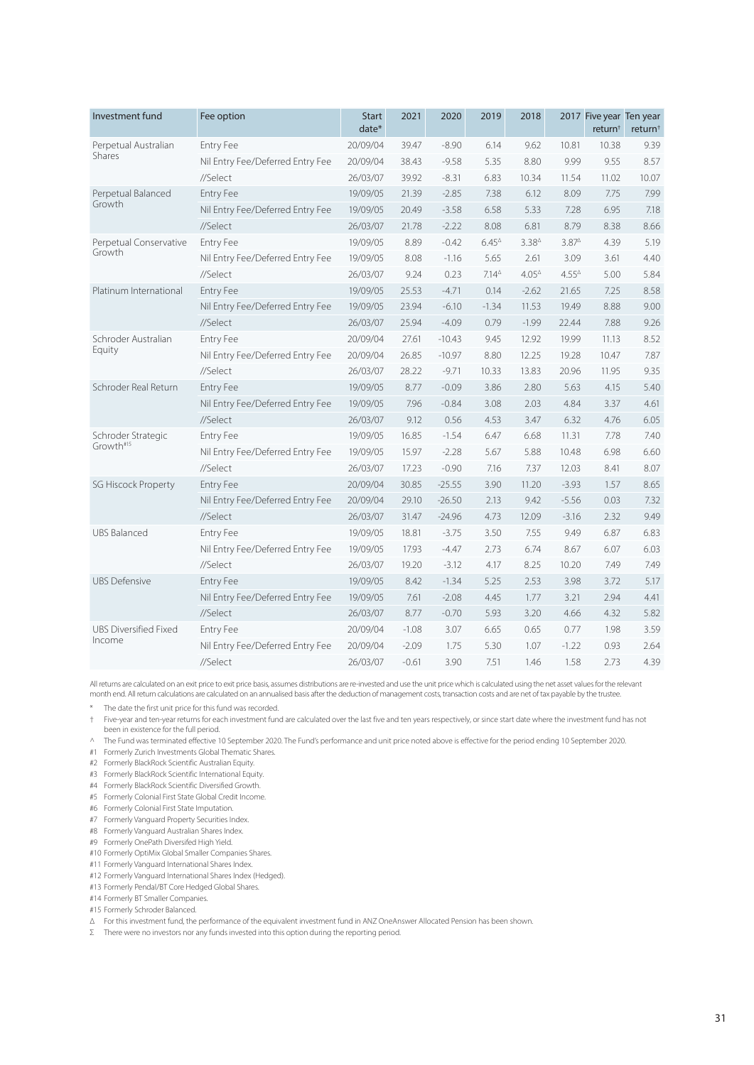| Investment fund              | Fee option                       | <b>Start</b><br>date* | 2021    | 2020     | 2019              | 2018           |                    | 2017 Five year Ten year<br>return <sup>†</sup> | return <sup>†</sup> |
|------------------------------|----------------------------------|-----------------------|---------|----------|-------------------|----------------|--------------------|------------------------------------------------|---------------------|
| Perpetual Australian         | <b>Entry Fee</b>                 | 20/09/04              | 39.47   | $-8.90$  | 6.14              | 9.62           | 10.81              | 10.38                                          | 9.39                |
| Shares                       | Nil Entry Fee/Deferred Entry Fee | 20/09/04              | 38.43   | $-9.58$  | 5.35              | 8.80           | 9.99               | 9.55                                           | 8.57                |
|                              | //Select                         | 26/03/07              | 39.92   | $-8.31$  | 6.83              | 10.34          | 11.54              | 11.02                                          | 10.07               |
| Perpetual Balanced           | <b>Entry Fee</b>                 | 19/09/05              | 21.39   | $-2.85$  | 7.38              | 6.12           | 8.09               | 7.75                                           | 7.99                |
| Growth                       | Nil Entry Fee/Deferred Entry Fee | 19/09/05              | 20.49   | $-3.58$  | 6.58              | 5.33           | 7.28               | 6.95                                           | 7.18                |
|                              | //Select                         | 26/03/07              | 21.78   | $-2.22$  | 8.08              | 6.81           | 8.79               | 8.38                                           | 8.66                |
| Perpetual Conservative       | Entry Fee                        | 19/09/05              | 8.89    | $-0.42$  | $6.45^{\circ}$    | $3.38^{4}$     | $3.87^{\triangle}$ | 4.39                                           | 5.19                |
| Growth                       | Nil Entry Fee/Deferred Entry Fee | 19/09/05              | 8.08    | $-1.16$  | 5.65              | 2.61           | 3.09               | 3.61                                           | 4.40                |
|                              | //Select                         | 26/03/07              | 9.24    | 0.23     | 7.14 <sup>4</sup> | $4.05^{\circ}$ | $4.55^{\circ}$     | 5.00                                           | 5.84                |
| Platinum International       | <b>Entry Fee</b>                 | 19/09/05              | 25.53   | $-4.71$  | 0.14              | $-2.62$        | 21.65              | 7.25                                           | 8.58                |
|                              | Nil Entry Fee/Deferred Entry Fee | 19/09/05              | 23.94   | $-6.10$  | $-1.34$           | 11.53          | 19.49              | 8.88                                           | 9.00                |
|                              | //Select                         | 26/03/07              | 25.94   | $-4.09$  | 0.79              | $-1.99$        | 22.44              | 7.88                                           | 9.26                |
| Schroder Australian          | Entry Fee                        | 20/09/04              | 27.61   | $-10.43$ | 9.45              | 12.92          | 19.99              | 11.13                                          | 8.52                |
| Equity                       | Nil Entry Fee/Deferred Entry Fee | 20/09/04              | 26.85   | $-10.97$ | 8.80              | 12.25          | 19.28              | 10.47                                          | 7.87                |
|                              | //Select                         | 26/03/07              | 28.22   | $-9.71$  | 10.33             | 13.83          | 20.96              | 11.95                                          | 9.35                |
| Schroder Real Return         | Entry Fee                        | 19/09/05              | 8.77    | $-0.09$  | 3.86              | 2.80           | 5.63               | 4.15                                           | 5.40                |
|                              | Nil Entry Fee/Deferred Entry Fee | 19/09/05              | 7.96    | $-0.84$  | 3.08              | 2.03           | 4.84               | 3.37                                           | 4.61                |
|                              | //Select                         | 26/03/07              | 9.12    | 0.56     | 4.53              | 3.47           | 6.32               | 4.76                                           | 6.05                |
| Schroder Strategic           | Entry Fee                        | 19/09/05              | 16.85   | $-1.54$  | 6.47              | 6.68           | 11.31              | 7.78                                           | 7.40                |
| Growth#15                    | Nil Entry Fee/Deferred Entry Fee | 19/09/05              | 15.97   | $-2.28$  | 5.67              | 5.88           | 10.48              | 6.98                                           | 6.60                |
|                              | //Select                         | 26/03/07              | 17.23   | $-0.90$  | 7.16              | 7.37           | 12.03              | 8.41                                           | 8.07                |
| <b>SG Hiscock Property</b>   | <b>Entry Fee</b>                 | 20/09/04              | 30.85   | $-25.55$ | 3.90              | 11.20          | $-3.93$            | 1.57                                           | 8.65                |
|                              | Nil Entry Fee/Deferred Entry Fee | 20/09/04              | 29.10   | $-26.50$ | 2.13              | 9.42           | $-5.56$            | 0.03                                           | 7.32                |
|                              | //Select                         | 26/03/07              | 31.47   | $-24.96$ | 4.73              | 12.09          | $-3.16$            | 2.32                                           | 9.49                |
| <b>UBS Balanced</b>          | <b>Entry Fee</b>                 | 19/09/05              | 18.81   | $-3.75$  | 3.50              | 7.55           | 9.49               | 6.87                                           | 6.83                |
|                              | Nil Entry Fee/Deferred Entry Fee | 19/09/05              | 17.93   | $-4.47$  | 2.73              | 6.74           | 8.67               | 6.07                                           | 6.03                |
|                              | //Select                         | 26/03/07              | 19.20   | $-3.12$  | 4.17              | 8.25           | 10.20              | 7.49                                           | 7.49                |
| <b>UBS Defensive</b>         | Entry Fee                        | 19/09/05              | 8.42    | $-1.34$  | 5.25              | 2.53           | 3.98               | 3.72                                           | 5.17                |
|                              | Nil Entry Fee/Deferred Entry Fee | 19/09/05              | 7.61    | $-2.08$  | 4.45              | 1.77           | 3.21               | 2.94                                           | 4.41                |
|                              | //Select                         | 26/03/07              | 8.77    | $-0.70$  | 5.93              | 3.20           | 4.66               | 4.32                                           | 5.82                |
| <b>UBS Diversified Fixed</b> | Entry Fee                        | 20/09/04              | $-1.08$ | 3.07     | 6.65              | 0.65           | 0.77               | 1.98                                           | 3.59                |
| Income                       | Nil Entry Fee/Deferred Entry Fee | 20/09/04              | $-2.09$ | 1.75     | 5.30              | 1.07           | $-1.22$            | 0.93                                           | 2.64                |
|                              | //Select                         | 26/03/07              | $-0.61$ | 3.90     | 7.51              | 1.46           | 1.58               | 2.73                                           | 4.39                |

All returns are calculated on an exit price to exit price basis, assumes distributions are re-invested and use the unit price which is calculated using the net asset values for the relevant<br>month end. All return calculatio

\* The date the first unit price for this fund was recorded.

† Five-year and ten-year returns for each investment fund are calculated over the last five and ten years respectively, or since start date where the investment fund has not been in existence for the full period.

^ The Fund was terminated effective 10 September 2020. The Fund's performance and unit price noted above is effective for the period ending 10 September 2020.

#1 Formerly Zurich Investments Global Thematic Shares.

#2 Formerly BlackRock Scientific Australian Equity.

- #3 Formerly BlackRock Scientific International Equity.
- #4 Formerly BlackRock Scientific Diversified Growth.

#5 Formerly Colonial First State Global Credit Income.

- #6 Formerly Colonial First State Imputation.
- #7 Formerly Vanguard Property Securities Index.
- #8 Formerly Vanguard Australian Shares Index.
- #9 Formerly OnePath Diversifed High Yield.
- #10 Formerly OptiMix Global Smaller Companies Shares.
- #11 Formerly Vanguard International Shares Index.
- #12 Formerly Vanguard International Shares Index (Hedged).
- #13 Formerly Pendal/BT Core Hedged Global Shares.
- #14 Formerly BT Smaller Companies.
- #15 Formerly Schroder Balanced.

Δ For this investment fund, the performance of the equivalent investment fund in ANZ OneAnswer Allocated Pension has been shown.

Σ There were no investors nor any funds invested into this option during the reporting period.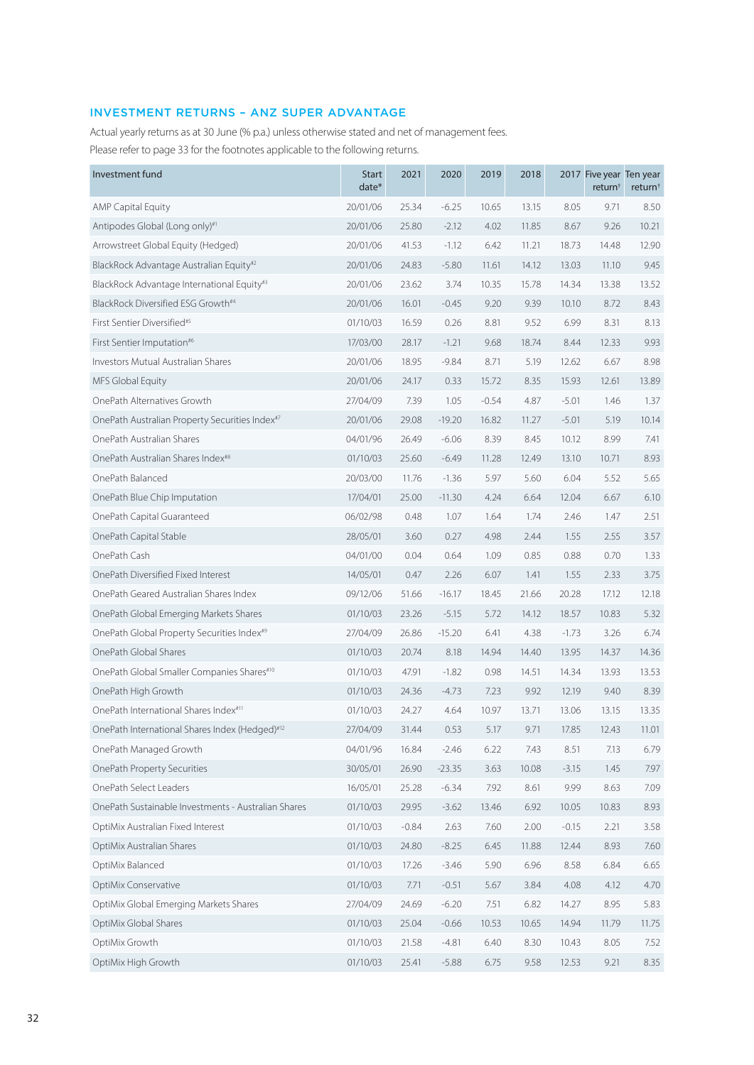# INVESTMENT RETURNS – ANZ SUPER ADVANTAGE

Actual yearly returns as at 30 June (% p.a.) unless otherwise stated and net of management fees. Please refer to page 33 for the footnotes applicable to the following returns.

| Investment fund                                        | <b>Start</b><br>date* | 2021    | 2020     | 2019    | 2018  |         | 2017 Five year Ten year<br>return <sup>†</sup> | return <sup>+</sup> |
|--------------------------------------------------------|-----------------------|---------|----------|---------|-------|---------|------------------------------------------------|---------------------|
| <b>AMP Capital Equity</b>                              | 20/01/06              | 25.34   | $-6.25$  | 10.65   | 13.15 | 8.05    | 9.71                                           | 8.50                |
| Antipodes Global (Long only)#1                         | 20/01/06              | 25.80   | $-2.12$  | 4.02    | 11.85 | 8.67    | 9.26                                           | 10.21               |
| Arrowstreet Global Equity (Hedged)                     | 20/01/06              | 41.53   | $-1.12$  | 6.42    | 11.21 | 18.73   | 14.48                                          | 12.90               |
| BlackRock Advantage Australian Equity#2                | 20/01/06              | 24.83   | $-5.80$  | 11.61   | 14.12 | 13.03   | 11.10                                          | 9.45                |
| BlackRock Advantage International Equity#3             | 20/01/06              | 23.62   | 3.74     | 10.35   | 15.78 | 14.34   | 13.38                                          | 13.52               |
| BlackRock Diversified ESG Growth#4                     | 20/01/06              | 16.01   | $-0.45$  | 9.20    | 9.39  | 10.10   | 8.72                                           | 8.43                |
| First Sentier Diversified <sup>#5</sup>                | 01/10/03              | 16.59   | 0.26     | 8.81    | 9.52  | 6.99    | 8.31                                           | 8.13                |
| First Sentier Imputation <sup>#6</sup>                 | 17/03/00              | 28.17   | $-1.21$  | 9.68    | 18.74 | 8.44    | 12.33                                          | 9.93                |
| Investors Mutual Australian Shares                     | 20/01/06              | 18.95   | $-9.84$  | 8.71    | 5.19  | 12.62   | 6.67                                           | 8.98                |
| MFS Global Equity                                      | 20/01/06              | 24.17   | 0.33     | 15.72   | 8.35  | 15.93   | 12.61                                          | 13.89               |
| OnePath Alternatives Growth                            | 27/04/09              | 7.39    | 1.05     | $-0.54$ | 4.87  | $-5.01$ | 1.46                                           | 1.37                |
| OnePath Australian Property Securities Index#7         | 20/01/06              | 29.08   | $-19.20$ | 16.82   | 11.27 | $-5.01$ | 5.19                                           | 10.14               |
| OnePath Australian Shares                              | 04/01/96              | 26.49   | $-6.06$  | 8.39    | 8.45  | 10.12   | 8.99                                           | 7.41                |
| OnePath Australian Shares Index <sup>#8</sup>          | 01/10/03              | 25.60   | $-6.49$  | 11.28   | 12.49 | 13.10   | 10.71                                          | 8.93                |
| OnePath Balanced                                       | 20/03/00              | 11.76   | $-1.36$  | 5.97    | 5.60  | 6.04    | 5.52                                           | 5.65                |
| OnePath Blue Chip Imputation                           | 17/04/01              | 25.00   | $-11.30$ | 4.24    | 6.64  | 12.04   | 6.67                                           | 6.10                |
| OnePath Capital Guaranteed                             | 06/02/98              | 0.48    | 1.07     | 1.64    | 1.74  | 2.46    | 1.47                                           | 2.51                |
| OnePath Capital Stable                                 | 28/05/01              | 3.60    | 0.27     | 4.98    | 2.44  | 1.55    | 2.55                                           | 3.57                |
| OnePath Cash                                           | 04/01/00              | 0.04    | 0.64     | 1.09    | 0.85  | 0.88    | 0.70                                           | 1.33                |
| OnePath Diversified Fixed Interest                     | 14/05/01              | 0.47    | 2.26     | 6.07    | 1.41  | 1.55    | 2.33                                           | 3.75                |
| OnePath Geared Australian Shares Index                 | 09/12/06              | 51.66   | $-16.17$ | 18.45   | 21.66 | 20.28   | 17.12                                          | 12.18               |
| OnePath Global Emerging Markets Shares                 | 01/10/03              | 23.26   | $-5.15$  | 5.72    | 14.12 | 18.57   | 10.83                                          | 5.32                |
| OnePath Global Property Securities Index <sup>#9</sup> | 27/04/09              | 26.86   | $-15.20$ | 6.41    | 4.38  | $-1.73$ | 3.26                                           | 6.74                |
| OnePath Global Shares                                  | 01/10/03              | 20.74   | 8.18     | 14.94   | 14.40 | 13.95   | 14.37                                          | 14.36               |
| OnePath Global Smaller Companies Shares#10             | 01/10/03              | 47.91   | $-1.82$  | 0.98    | 14.51 | 14.34   | 13.93                                          | 13.53               |
| OnePath High Growth                                    | 01/10/03              | 24.36   | $-4.73$  | 7.23    | 9.92  | 12.19   | 9.40                                           | 8.39                |
| OnePath International Shares Index#11                  | 01/10/03              | 24.27   | 4.64     | 10.97   | 13.71 | 13.06   | 13.15                                          | 13.35               |
| OnePath International Shares Index (Hedged)#12         | 27/04/09              | 31.44   | 0.53     | 5.17    | 9.71  | 17.85   | 12.43                                          | 11.01               |
| OnePath Managed Growth                                 | 04/01/96              | 16.84   | $-2.46$  | 6.22    | 7.43  | 8.51    | 7.13                                           | 6.79                |
| OnePath Property Securities                            | 30/05/01              | 26.90   | $-23.35$ | 3.63    | 10.08 | $-3.15$ | 1.45                                           | 7.97                |
| OnePath Select Leaders                                 | 16/05/01              | 25.28   | $-6.34$  | 7.92    | 8.61  | 9.99    | 8.63                                           | 7.09                |
| OnePath Sustainable Investments - Australian Shares    | 01/10/03              | 29.95   | $-3.62$  | 13.46   | 6.92  | 10.05   | 10.83                                          | 8.93                |
| OptiMix Australian Fixed Interest                      | 01/10/03              | $-0.84$ | 2.63     | 7.60    | 2.00  | $-0.15$ | 2.21                                           | 3.58                |
| OptiMix Australian Shares                              | 01/10/03              | 24.80   | $-8.25$  | 6.45    | 11.88 | 12.44   | 8.93                                           | 7.60                |
| OptiMix Balanced                                       | 01/10/03              | 17.26   | $-3.46$  | 5.90    | 6.96  | 8.58    | 6.84                                           | 6.65                |
| OptiMix Conservative                                   | 01/10/03              | 7.71    | $-0.51$  | 5.67    | 3.84  | 4.08    | 4.12                                           | 4.70                |
| OptiMix Global Emerging Markets Shares                 | 27/04/09              | 24.69   | $-6.20$  | 7.51    | 6.82  | 14.27   | 8.95                                           | 5.83                |
| OptiMix Global Shares                                  | 01/10/03              | 25.04   | $-0.66$  | 10.53   | 10.65 | 14.94   | 11.79                                          | 11.75               |
| OptiMix Growth                                         | 01/10/03              | 21.58   | $-4.81$  | 6.40    | 8.30  | 10.43   | 8.05                                           | 7.52                |
| OptiMix High Growth                                    | 01/10/03              | 25.41   | $-5.88$  | 6.75    | 9.58  | 12.53   | 9.21                                           | 8.35                |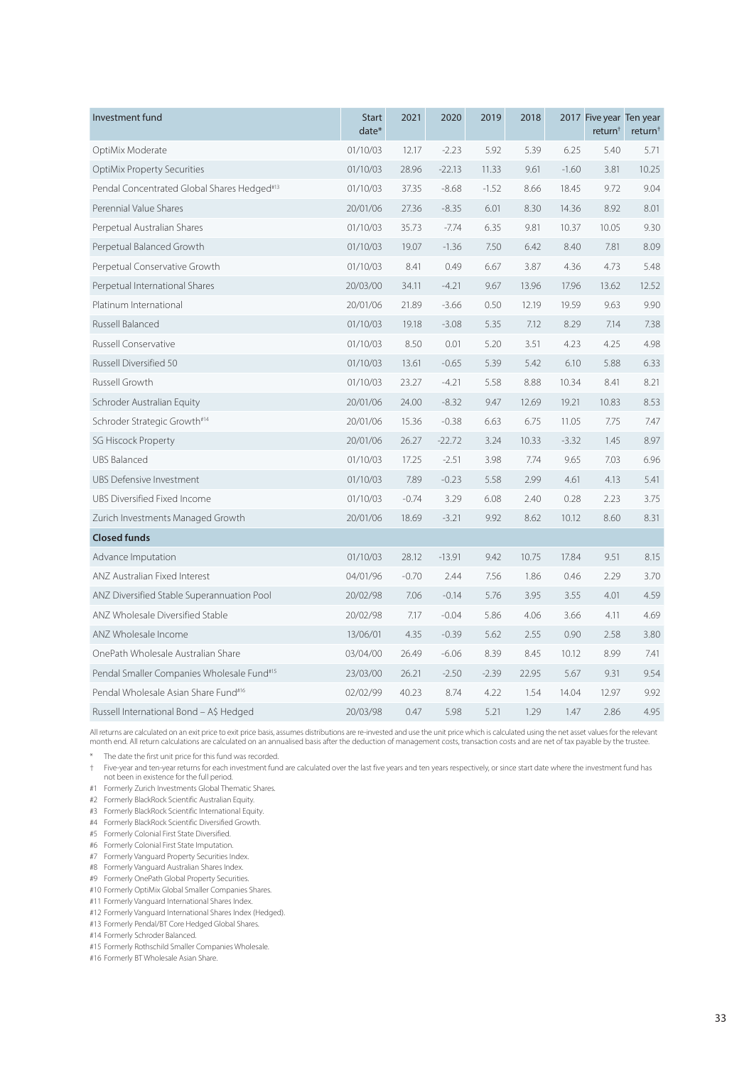| Investment fund                                        | <b>Start</b><br>$date*$ | 2021    | 2020     | 2019    | 2018  |         | 2017 Five year Ten year<br>return <sup>+</sup> | return <sup>+</sup> |
|--------------------------------------------------------|-------------------------|---------|----------|---------|-------|---------|------------------------------------------------|---------------------|
| OptiMix Moderate                                       | 01/10/03                | 12.17   | $-2.23$  | 5.92    | 5.39  | 6.25    | 5.40                                           | 5.71                |
| <b>OptiMix Property Securities</b>                     | 01/10/03                | 28.96   | $-22.13$ | 11.33   | 9.61  | $-1.60$ | 3.81                                           | 10.25               |
| Pendal Concentrated Global Shares Hedged#13            | 01/10/03                | 37.35   | $-8.68$  | $-1.52$ | 8.66  | 18.45   | 9.72                                           | 9.04                |
| Perennial Value Shares                                 | 20/01/06                | 27.36   | $-8.35$  | 6.01    | 8.30  | 14.36   | 8.92                                           | 8.01                |
| Perpetual Australian Shares                            | 01/10/03                | 35.73   | $-7.74$  | 6.35    | 9.81  | 10.37   | 10.05                                          | 9.30                |
| Perpetual Balanced Growth                              | 01/10/03                | 19.07   | $-1.36$  | 7.50    | 6.42  | 8.40    | 7.81                                           | 8.09                |
| Perpetual Conservative Growth                          | 01/10/03                | 8.41    | 0.49     | 6.67    | 3.87  | 4.36    | 4.73                                           | 5.48                |
| Perpetual International Shares                         | 20/03/00                | 34.11   | $-4.21$  | 9.67    | 13.96 | 17.96   | 13.62                                          | 12.52               |
| Platinum International                                 | 20/01/06                | 21.89   | $-3.66$  | 0.50    | 12.19 | 19.59   | 9.63                                           | 9.90                |
| Russell Balanced                                       | 01/10/03                | 19.18   | $-3.08$  | 5.35    | 7.12  | 8.29    | 7.14                                           | 7.38                |
| Russell Conservative                                   | 01/10/03                | 8.50    | 0.01     | 5.20    | 3.51  | 4.23    | 4.25                                           | 4.98                |
| Russell Diversified 50                                 | 01/10/03                | 13.61   | $-0.65$  | 5.39    | 5.42  | 6.10    | 5.88                                           | 6.33                |
| Russell Growth                                         | 01/10/03                | 23.27   | $-4.21$  | 5.58    | 8.88  | 10.34   | 8.41                                           | 8.21                |
| Schroder Australian Equity                             | 20/01/06                | 24.00   | $-8.32$  | 9.47    | 12.69 | 19.21   | 10.83                                          | 8.53                |
| Schroder Strategic Growth#14                           | 20/01/06                | 15.36   | $-0.38$  | 6.63    | 6.75  | 11.05   | 7.75                                           | 7.47                |
| <b>SG Hiscock Property</b>                             | 20/01/06                | 26.27   | $-22.72$ | 3.24    | 10.33 | $-3.32$ | 1.45                                           | 8.97                |
| <b>UBS Balanced</b>                                    | 01/10/03                | 17.25   | $-2.51$  | 3.98    | 7.74  | 9.65    | 7.03                                           | 6.96                |
| <b>UBS Defensive Investment</b>                        | 01/10/03                | 7.89    | $-0.23$  | 5.58    | 2.99  | 4.61    | 4.13                                           | 5.41                |
| UBS Diversified Fixed Income                           | 01/10/03                | $-0.74$ | 3.29     | 6.08    | 2.40  | 0.28    | 2.23                                           | 3.75                |
| Zurich Investments Managed Growth                      | 20/01/06                | 18.69   | $-3.21$  | 9.92    | 8.62  | 10.12   | 8.60                                           | 8.31                |
| <b>Closed funds</b>                                    |                         |         |          |         |       |         |                                                |                     |
| Advance Imputation                                     | 01/10/03                | 28.12   | $-13.91$ | 9.42    | 10.75 | 17.84   | 9.51                                           | 8.15                |
| ANZ Australian Fixed Interest                          | 04/01/96                | $-0.70$ | 2.44     | 7.56    | 1.86  | 0.46    | 2.29                                           | 3.70                |
| ANZ Diversified Stable Superannuation Pool             | 20/02/98                | 7.06    | $-0.14$  | 5.76    | 3.95  | 3.55    | 4.01                                           | 4.59                |
| ANZ Wholesale Diversified Stable                       | 20/02/98                | 7.17    | $-0.04$  | 5.86    | 4.06  | 3.66    | 4.11                                           | 4.69                |
| ANZ Wholesale Income                                   | 13/06/01                | 4.35    | $-0.39$  | 5.62    | 2.55  | 0.90    | 2.58                                           | 3.80                |
| OnePath Wholesale Australian Share                     | 03/04/00                | 26.49   | $-6.06$  | 8.39    | 8.45  | 10.12   | 8.99                                           | 7.41                |
| Pendal Smaller Companies Wholesale Fund <sup>#15</sup> | 23/03/00                | 26.21   | $-2.50$  | $-2.39$ | 22.95 | 5.67    | 9.31                                           | 9.54                |
| Pendal Wholesale Asian Share Fund <sup>#16</sup>       | 02/02/99                | 40.23   | 8.74     | 4.22    | 1.54  | 14.04   | 12.97                                          | 9.92                |
| Russell International Bond - A\$ Hedged                | 20/03/98                | 0.47    | 5.98     | 5.21    | 1.29  | 1.47    | 2.86                                           | 4.95                |

All returns are calculated on an exit price to exit price basis, assumes distributions are re-invested and use the unit price which is calculated using the net asset values for the relevant month end. All return calculations are calculated on an annualised basis after the deduction of management costs, transaction costs and are net of tax payable by the trustee.

\* The date the first unit price for this fund was recorded.

† Five-year and ten-year returns for each investment fund are calculated over the last five years and ten years respectively, or since start date where the investment fund has not been in existence for the full period.

#1 Formerly Zurich Investments Global Thematic Shares.

#2 Formerly BlackRock Scientific Australian Equity.

#3 Formerly BlackRock Scientific International Equity.

#4 Formerly BlackRock Scientific Diversified Growth.

- #5 Formerly Colonial First State Diversified.
- #6 Formerly Colonial First State Imputation.

#7 Formerly Vanguard Property Securities Index.

#8 Formerly Vanguard Australian Shares Index.

#9 Formerly OnePath Global Property Securities.

#10 Formerly OptiMix Global Smaller Companies Shares.

#11 Formerly Vanguard International Shares Index.

#12 Formerly Vanguard International Shares Index (Hedged).

#13 Formerly Pendal/BT Core Hedged Global Shares.

#14 Formerly Schroder Balanced.

#15 Formerly Rothschild Smaller Companies Wholesale.

#16 Formerly BT Wholesale Asian Share.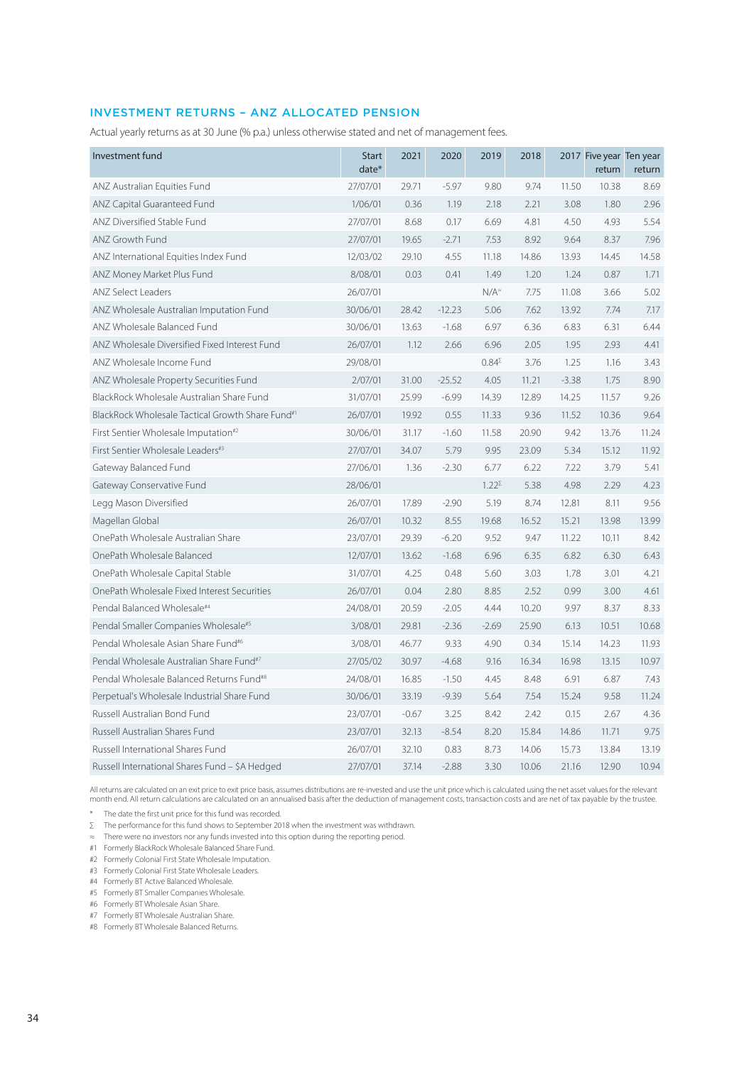## INVESTMENT RETURNS – ANZ ALLOCATED PENSION

Actual yearly returns as at 30 June (% p.a.) unless otherwise stated and net of management fees.

| Investment fund                                              | <b>Start</b><br>date* | 2021    | 2020     | 2019            | 2018  |         | 2017 Five year Ten year<br>return | return |
|--------------------------------------------------------------|-----------------------|---------|----------|-----------------|-------|---------|-----------------------------------|--------|
| ANZ Australian Equities Fund                                 | 27/07/01              | 29.71   | $-5.97$  | 9.80            | 9.74  | 11.50   | 10.38                             | 8.69   |
| ANZ Capital Guaranteed Fund                                  | 1/06/01               | 0.36    | 1.19     | 2.18            | 2.21  | 3.08    | 1.80                              | 2.96   |
| ANZ Diversified Stable Fund                                  | 27/07/01              | 8.68    | 0.17     | 6.69            | 4.81  | 4.50    | 4.93                              | 5.54   |
| ANZ Growth Fund                                              | 27/07/01              | 19.65   | $-2.71$  | 7.53            | 8.92  | 9.64    | 8.37                              | 7.96   |
| ANZ International Equities Index Fund                        | 12/03/02              | 29.10   | 4.55     | 11.18           | 14.86 | 13.93   | 14.45                             | 14.58  |
| ANZ Money Market Plus Fund                                   | 8/08/01               | 0.03    | 0.41     | 1.49            | 1.20  | 1.24    | 0.87                              | 1.71   |
| <b>ANZ Select Leaders</b>                                    | 26/07/01              |         |          | $N/A^*$         | 7.75  | 11.08   | 3.66                              | 5.02   |
| ANZ Wholesale Australian Imputation Fund                     | 30/06/01              | 28.42   | $-12.23$ | 5.06            | 7.62  | 13.92   | 7.74                              | 7.17   |
| ANZ Wholesale Balanced Fund                                  | 30/06/01              | 13.63   | $-1.68$  | 6.97            | 6.36  | 6.83    | 6.31                              | 6.44   |
| ANZ Wholesale Diversified Fixed Interest Fund                | 26/07/01              | 1.12    | 2.66     | 6.96            | 2.05  | 1.95    | 2.93                              | 4.41   |
| ANZ Wholesale Income Fund                                    | 29/08/01              |         |          | $0.84^{\Sigma}$ | 3.76  | 1.25    | 1.16                              | 3.43   |
| ANZ Wholesale Property Securities Fund                       | 2/07/01               | 31.00   | $-25.52$ | 4.05            | 11.21 | $-3.38$ | 1.75                              | 8.90   |
| BlackRock Wholesale Australian Share Fund                    | 31/07/01              | 25.99   | $-6.99$  | 14.39           | 12.89 | 14.25   | 11.57                             | 9.26   |
| BlackRock Wholesale Tactical Growth Share Fund <sup>#1</sup> | 26/07/01              | 19.92   | 0.55     | 11.33           | 9.36  | 11.52   | 10.36                             | 9.64   |
| First Sentier Wholesale Imputation <sup>#2</sup>             | 30/06/01              | 31.17   | $-1.60$  | 11.58           | 20.90 | 9.42    | 13.76                             | 11.24  |
| First Sentier Wholesale Leaders#3                            | 27/07/01              | 34.07   | 5.79     | 9.95            | 23.09 | 5.34    | 15.12                             | 11.92  |
| Gateway Balanced Fund                                        | 27/06/01              | 1.36    | $-2.30$  | 6.77            | 6.22  | 7.22    | 3.79                              | 5.41   |
| Gateway Conservative Fund                                    | 28/06/01              |         |          | $1.22^{\Sigma}$ | 5.38  | 4.98    | 2.29                              | 4.23   |
| Legg Mason Diversified                                       | 26/07/01              | 17.89   | $-2.90$  | 5.19            | 8.74  | 12.81   | 8.11                              | 9.56   |
| Magellan Global                                              | 26/07/01              | 10.32   | 8.55     | 19.68           | 16.52 | 15.21   | 13.98                             | 13.99  |
| OnePath Wholesale Australian Share                           | 23/07/01              | 29.39   | $-6.20$  | 9.52            | 9.47  | 11.22   | 10.11                             | 8.42   |
| OnePath Wholesale Balanced                                   | 12/07/01              | 13.62   | $-1.68$  | 6.96            | 6.35  | 6.82    | 6.30                              | 6.43   |
| OnePath Wholesale Capital Stable                             | 31/07/01              | 4.25    | 0.48     | 5.60            | 3.03  | 1.78    | 3.01                              | 4.21   |
| OnePath Wholesale Fixed Interest Securities                  | 26/07/01              | 0.04    | 2.80     | 8.85            | 2.52  | 0.99    | 3.00                              | 4.61   |
| Pendal Balanced Wholesale <sup>#4</sup>                      | 24/08/01              | 20.59   | $-2.05$  | 4.44            | 10.20 | 9.97    | 8.37                              | 8.33   |
| Pendal Smaller Companies Wholesale <sup>#5</sup>             | 3/08/01               | 29.81   | $-2.36$  | $-2.69$         | 25.90 | 6.13    | 10.51                             | 10.68  |
| Pendal Wholesale Asian Share Fund <sup>#6</sup>              | 3/08/01               | 46.77   | 9.33     | 4.90            | 0.34  | 15.14   | 14.23                             | 11.93  |
| Pendal Wholesale Australian Share Fund <sup>#7</sup>         | 27/05/02              | 30.97   | $-4.68$  | 9.16            | 16.34 | 16.98   | 13.15                             | 10.97  |
| Pendal Wholesale Balanced Returns Fund <sup>#8</sup>         | 24/08/01              | 16.85   | $-1.50$  | 4.45            | 8.48  | 6.91    | 6.87                              | 7.43   |
| Perpetual's Wholesale Industrial Share Fund                  | 30/06/01              | 33.19   | $-9.39$  | 5.64            | 7.54  | 15.24   | 9.58                              | 11.24  |
| Russell Australian Bond Fund                                 | 23/07/01              | $-0.67$ | 3.25     | 8.42            | 2.42  | 0.15    | 2.67                              | 4.36   |
| Russell Australian Shares Fund                               | 23/07/01              | 32.13   | $-8.54$  | 8.20            | 15.84 | 14.86   | 11.71                             | 9.75   |
| Russell International Shares Fund                            | 26/07/01              | 32.10   | 0.83     | 8.73            | 14.06 | 15.73   | 13.84                             | 13.19  |
| Russell International Shares Fund - \$A Hedged               | 27/07/01              | 37.14   | $-2.88$  | 3.30            | 10.06 | 21.16   | 12.90                             | 10.94  |

All returns are calculated on an exit price to exit price basis, assumes distributions are re-invested and use the unit price which is calculated using the net asset values for the relevant<br>month end. All return calculatio

\* The date the first unit price for this fund was recorded.

∑ The performance for this fund shows to September 2018 when the investment was withdrawn.

≈ There were no investors nor any funds invested into this option during the reporting period.

#1 Formerly BlackRock Wholesale Balanced Share Fund.

#2 Formerly Colonial First State Wholesale Imputation.

#3 Formerly Colonial First State Wholesale Leaders.

#4 Formerly BT Active Balanced Wholesale.

#5 Formerly BT Smaller Companies Wholesale.

#6 Formerly BT Wholesale Asian Share.

#7 Formerly BT Wholesale Australian Share.

#8 Formerly BT Wholesale Balanced Returns.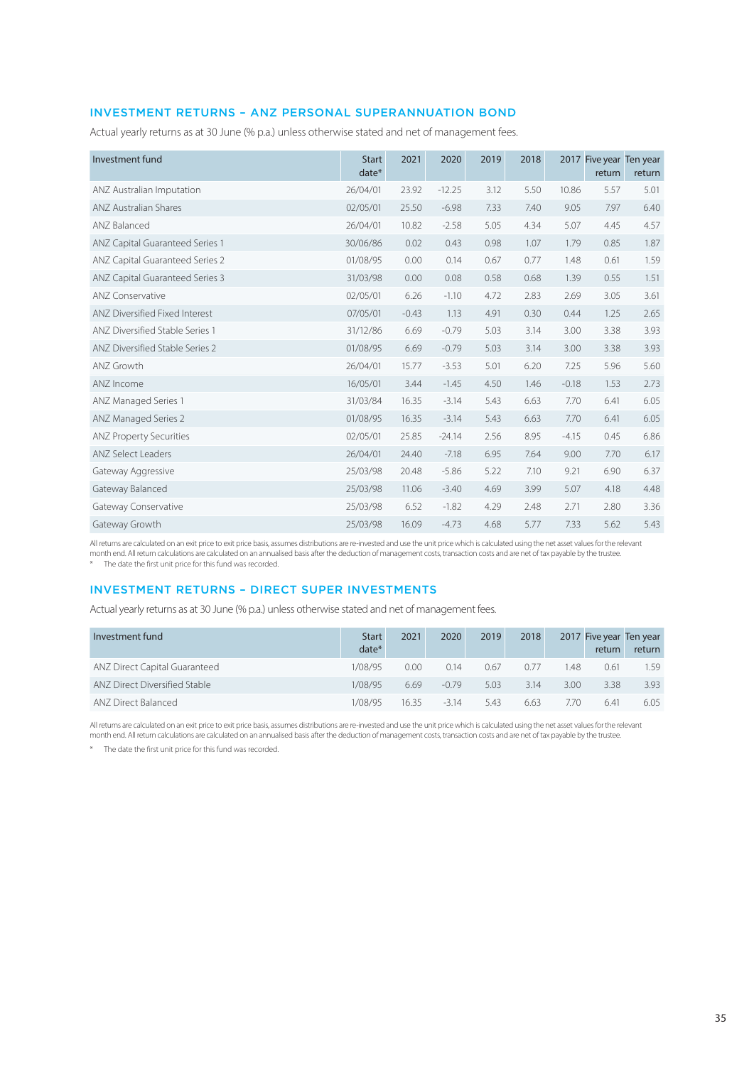# INVESTMENT RETURNS – ANZ PERSONAL SUPERANNUATION BOND

Actual yearly returns as at 30 June (% p.a.) unless otherwise stated and net of management fees.

| Investment fund                 | <b>Start</b><br>$date*$ | 2021    | 2020     | 2019 | 2018 |         | 2017 Five year Ten year<br>return | return |
|---------------------------------|-------------------------|---------|----------|------|------|---------|-----------------------------------|--------|
| ANZ Australian Imputation       | 26/04/01                | 23.92   | $-12.25$ | 3.12 | 5.50 | 10.86   | 5.57                              | 5.01   |
| <b>ANZ Australian Shares</b>    | 02/05/01                | 25.50   | $-6.98$  | 7.33 | 7.40 | 9.05    | 7.97                              | 6.40   |
| ANZ Balanced                    | 26/04/01                | 10.82   | $-2.58$  | 5.05 | 4.34 | 5.07    | 4.45                              | 4.57   |
| ANZ Capital Guaranteed Series 1 | 30/06/86                | 0.02    | 0.43     | 0.98 | 1.07 | 1.79    | 0.85                              | 1.87   |
| ANZ Capital Guaranteed Series 2 | 01/08/95                | 0.00    | 0.14     | 0.67 | 0.77 | 1.48    | 0.61                              | 1.59   |
| ANZ Capital Guaranteed Series 3 | 31/03/98                | 0.00    | 0.08     | 0.58 | 0.68 | 1.39    | 0.55                              | 1.51   |
| <b>ANZ Conservative</b>         | 02/05/01                | 6.26    | $-1.10$  | 4.72 | 2.83 | 2.69    | 3.05                              | 3.61   |
| ANZ Diversified Fixed Interest  | 07/05/01                | $-0.43$ | 1.13     | 4.91 | 0.30 | 0.44    | 1.25                              | 2.65   |
| ANZ Diversified Stable Series 1 | 31/12/86                | 6.69    | $-0.79$  | 5.03 | 3.14 | 3.00    | 3.38                              | 3.93   |
| ANZ Diversified Stable Series 2 | 01/08/95                | 6.69    | $-0.79$  | 5.03 | 3.14 | 3.00    | 3.38                              | 3.93   |
| ANZ Growth                      | 26/04/01                | 15.77   | $-3.53$  | 5.01 | 6.20 | 7.25    | 5.96                              | 5.60   |
| ANZ Income                      | 16/05/01                | 3.44    | $-1.45$  | 4.50 | 1.46 | $-0.18$ | 1.53                              | 2.73   |
| ANZ Managed Series 1            | 31/03/84                | 16.35   | $-3.14$  | 5.43 | 6.63 | 7.70    | 6.41                              | 6.05   |
| ANZ Managed Series 2            | 01/08/95                | 16.35   | $-3.14$  | 5.43 | 6.63 | 7.70    | 6.41                              | 6.05   |
| <b>ANZ Property Securities</b>  | 02/05/01                | 25.85   | $-24.14$ | 2.56 | 8.95 | $-4.15$ | 0.45                              | 6.86   |
| <b>ANZ Select Leaders</b>       | 26/04/01                | 24.40   | $-7.18$  | 6.95 | 7.64 | 9.00    | 7.70                              | 6.17   |
| Gateway Aggressive              | 25/03/98                | 20.48   | $-5.86$  | 5.22 | 7.10 | 9.21    | 6.90                              | 6.37   |
| Gateway Balanced                | 25/03/98                | 11.06   | $-3.40$  | 4.69 | 3.99 | 5.07    | 4.18                              | 4.48   |
| Gateway Conservative            | 25/03/98                | 6.52    | $-1.82$  | 4.29 | 2.48 | 2.71    | 2.80                              | 3.36   |
| Gateway Growth                  | 25/03/98                | 16.09   | $-4.73$  | 4.68 | 5.77 | 7.33    | 5.62                              | 5.43   |

All returns are calculated on an exit price to exit price basis, assumes distributions are re-invested and use the unit price which is calculated using the net asset values for the relevant month end. All return calculations are calculated on an annualised basis after the deduction of management costs, transaction costs and are net of tax payable by the trustee.

\* The date the first unit price for this fund was recorded.

# INVESTMENT RETURNS – DIRECT SUPER INVESTMENTS

Actual yearly returns as at 30 June (% p.a.) unless otherwise stated and net of management fees.

| Investment fund               | <b>Start</b><br>date* | 2021  | 2020    | 2019 | 2018 |      | return | 2017 Five year Ten year<br>return |
|-------------------------------|-----------------------|-------|---------|------|------|------|--------|-----------------------------------|
| ANZ Direct Capital Guaranteed | 1/08/95               | 0.00  | 0.14    | 0.67 | 0.77 | . 48 | 0.61   | 1.59                              |
| ANZ Direct Diversified Stable | 1/08/95               | 6.69  | $-0.79$ | 5.03 | 3.14 | 3.00 | 3.38   | 3.93                              |
| ANZ Direct Balanced           | 1/08/95               | 16.35 | $-314$  | 5.43 | 6.63 | 770  | 6.41   | 6.05                              |

All returns are calculated on an exit price to exit price basis, assumes distributions are re-invested and use the unit price which is calculated using the net asset values for the relevant month end. All return calculations are calculated on an annualised basis after the deduction of management costs, transaction costs and are net of tax payable by the trustee.

\* The date the first unit price for this fund was recorded.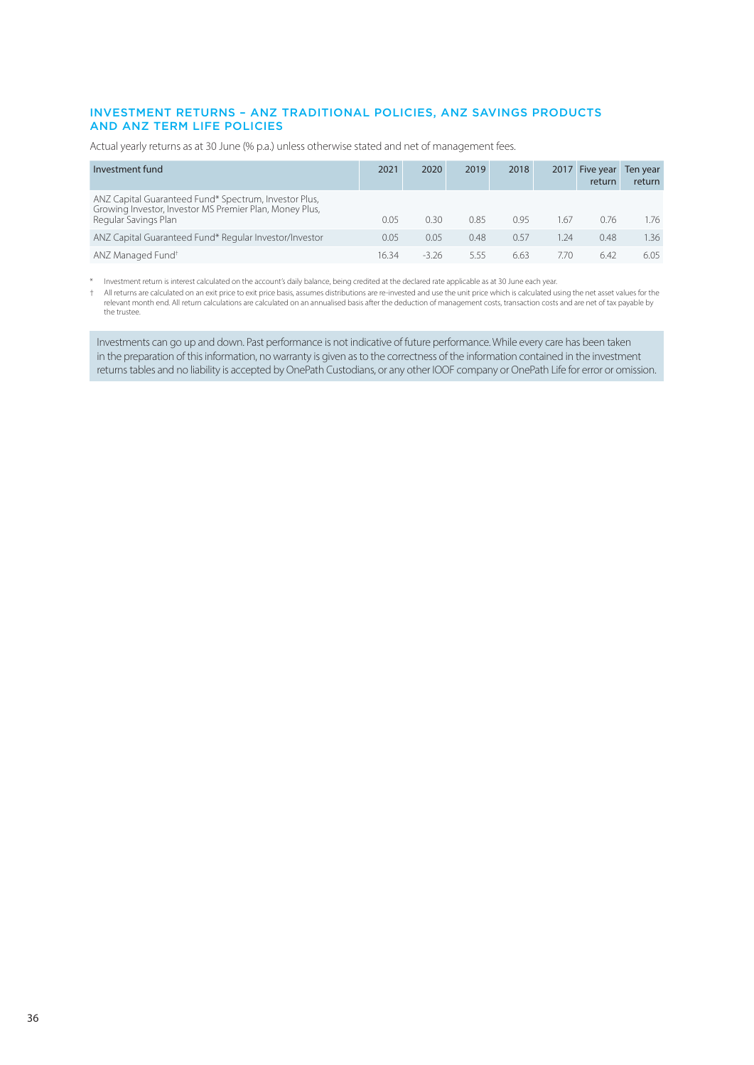## INVESTMENT RETURNS – ANZ TRADITIONAL POLICIES, ANZ SAVINGS PRODUCTS AND ANZ TERM LIFE POLICIES

Actual yearly returns as at 30 June (% p.a.) unless otherwise stated and net of management fees.

| Investment fund                                                                                                                          | 2021  | 2020    | 2019 | 2018 | 2017 | Five year<br>return | Ten year<br>return |
|------------------------------------------------------------------------------------------------------------------------------------------|-------|---------|------|------|------|---------------------|--------------------|
| ANZ Capital Guaranteed Fund* Spectrum, Investor Plus,<br>Growing Investor, Investor MS Premier Plan, Money Plus,<br>Regular Savings Plan | 0.05  | 0.30    | 0.85 | 0.95 | 1.67 | 0.76                | 1.76               |
| ANZ Capital Guaranteed Fund* Regular Investor/Investor                                                                                   | 0.05  | 0.05    | 0.48 | 0.57 | 1.24 | 0.48                | 1.36               |
| ANZ Managed Fund <sup>+</sup>                                                                                                            | 16.34 | $-3.26$ | 5.55 | 6.63 | 7.70 | 6.42                | 6.05               |

\* Investment return is interest calculated on the account's daily balance, being credited at the declared rate applicable as at 30 June each year.

All returns are calculated on an exit price to exit price basis, assumes distributions are re-invested and use the unit price which is calculated using the net asset values for the per the caset values for the peduction of the trustee.

Investments can go up and down. Past performance is not indicative of future performance. While every care has been taken in the preparation of this information, no warranty is given as to the correctness of the information contained in the investment returns tables and no liability is accepted by OnePath Custodians, or any other IOOF company or OnePath Life for error or omission.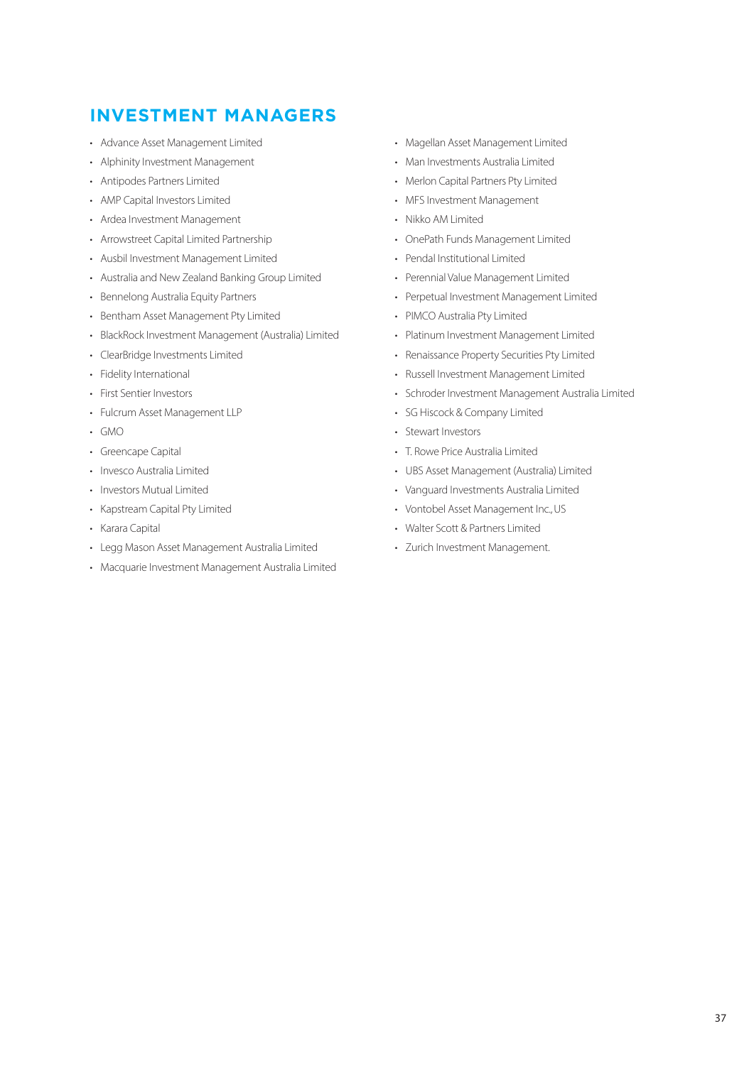# <span id="page-36-0"></span>**INVESTMENT MANAGERS**

- Advance Asset Management Limited
- Alphinity Investment Management
- Antipodes Partners Limited
- AMP Capital Investors Limited
- Ardea Investment Management
- Arrowstreet Capital Limited Partnership
- Ausbil Investment Management Limited
- Australia and New Zealand Banking Group Limited
- Bennelong Australia Equity Partners
- Bentham Asset Management Pty Limited
- BlackRock Investment Management (Australia) Limited
- ClearBridge Investments Limited
- Fidelity International
- First Sentier Investors
- Fulcrum Asset Management LLP
- GMO
- Greencape Capital
- Invesco Australia Limited
- Investors Mutual Limited
- Kapstream Capital Pty Limited
- Karara Capital
- Legg Mason Asset Management Australia Limited
- Macquarie Investment Management Australia Limited
- Magellan Asset Management Limited
- Man Investments Australia Limited
- Merlon Capital Partners Pty Limited
- MFS Investment Management
- Nikko AM Limited
- OnePath Funds Management Limited
- Pendal Institutional Limited
- Perennial Value Management Limited
- Perpetual Investment Management Limited
- PIMCO Australia Pty Limited
- Platinum Investment Management Limited
- Renaissance Property Securities Pty Limited
- Russell Investment Management Limited
- Schroder Investment Management Australia Limited
- SG Hiscock & Company Limited
- Stewart Investors
- T. Rowe Price Australia Limited
- UBS Asset Management (Australia) Limited
- Vanguard Investments Australia Limited
- Vontobel Asset Management Inc., US
- Walter Scott & Partners Limited
- Zurich Investment Management.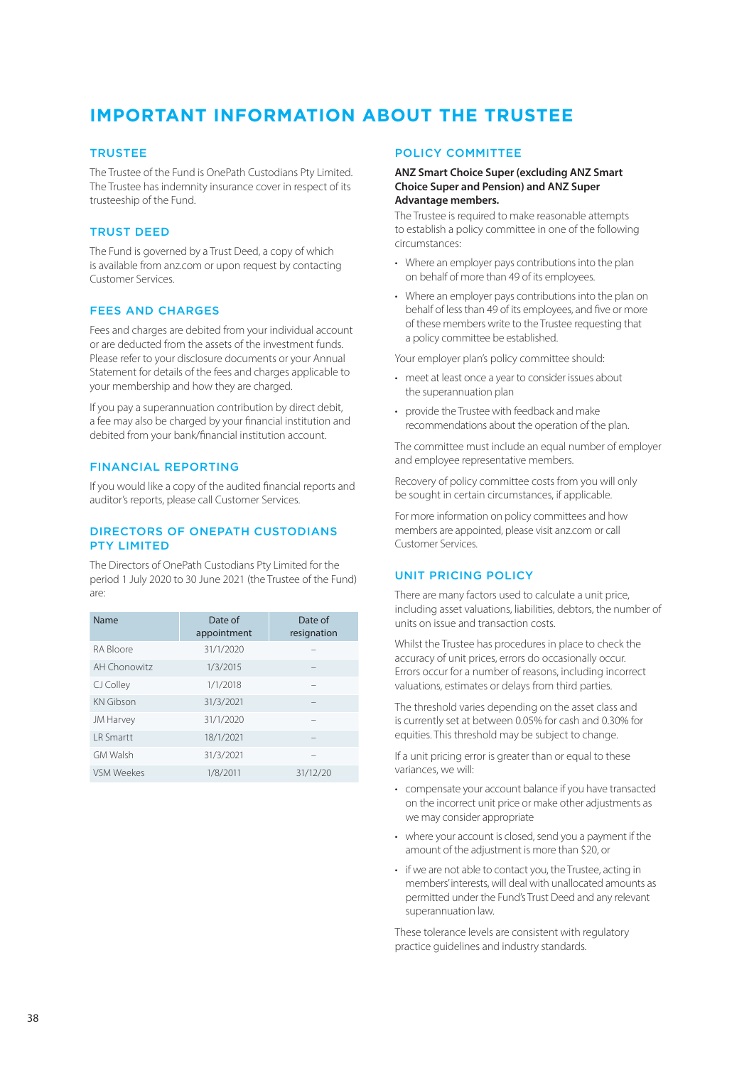# <span id="page-37-0"></span>**IMPORTANT INFORMATION ABOUT THE TRUSTEE**

## **TRUSTEE**

The Trustee of the Fund is OnePath Custodians Pty Limited. The Trustee has indemnity insurance cover in respect of its trusteeship of the Fund.

# TRUST DEED

The Fund is governed by a Trust Deed, a copy of which is available from [anz.co](http://anz.com)m or upon request by contacting Customer Services.

# FEES AND CHARGES

Fees and charges are debited from your individual account or are deducted from the assets of the investment funds. Please refer to your disclosure documents or your Annual Statement for details of the fees and charges applicable to your membership and how they are charged.

If you pay a superannuation contribution by direct debit, a fee may also be charged by your financial institution and debited from your bank/financial institution account.

# FINANCIAL REPORTING

If you would like a copy of the audited financial reports and auditor's reports, please call Customer Services.

## DIRECTORS OF ONEPATH CUSTODIANS PTY LIMITED

The Directors of OnePath Custodians Pty Limited for the period 1 July 2020 to 30 June 2021 (the Trustee of the Fund) are:

| Name              | Date of<br>appointment | Date of<br>resignation |
|-------------------|------------------------|------------------------|
| RA Bloore         | 31/1/2020              |                        |
| AH Chonowitz      | 1/3/2015               |                        |
| CJ Colley         | 1/1/2018               |                        |
| <b>KN</b> Gibson  | 31/3/2021              |                        |
| JM Harvey         | 31/1/2020              |                        |
| I R Smartt        | 18/1/2021              |                        |
| <b>GM Walsh</b>   | 31/3/2021              |                        |
| <b>VSM Weekes</b> | 1/8/2011               | 31/12/20               |

## POLICY COMMITTEE

#### **ANZ Smart Choice Super (excluding ANZ Smart Choice Super and Pension) and ANZ Super Advantage members.**

The Trustee is required to make reasonable attempts to establish a policy committee in one of the following circumstances:

- Where an employer pays contributions into the plan on behalf of more than 49 of its employees.
- Where an employer pays contributions into the plan on behalf of less than 49 of its employees, and five or more of these members write to the Trustee requesting that a policy committee be established.

Your employer plan's policy committee should:

- meet at least once a year to consider issues about the superannuation plan
- provide the Trustee with feedback and make recommendations about the operation of the plan.

The committee must include an equal number of employer and employee representative members.

Recovery of policy committee costs from you will only be sought in certain circumstances, if applicable.

For more information on policy committees and how members are appointed, please visi[t anz.co](http://anz.com)m or call Customer Services.

# UNIT PRICING POLICY

There are many factors used to calculate a unit price, including asset valuations, liabilities, debtors, the number of units on issue and transaction costs.

Whilst the Trustee has procedures in place to check the accuracy of unit prices, errors do occasionally occur. Errors occur for a number of reasons, including incorrect valuations, estimates or delays from third parties.

The threshold varies depending on the asset class and is currently set at between 0.05% for cash and 0.30% for equities. This threshold may be subject to change.

If a unit pricing error is greater than or equal to these variances, we will:

- compensate your account balance if you have transacted on the incorrect unit price or make other adjustments as we may consider appropriate
- where your account is closed, send you a payment if the amount of the adjustment is more than \$20, or
- if we are not able to contact you, the Trustee, acting in members' interests, will deal with unallocated amounts as permitted under the Fund's Trust Deed and any relevant superannuation law.

These tolerance levels are consistent with regulatory practice guidelines and industry standards.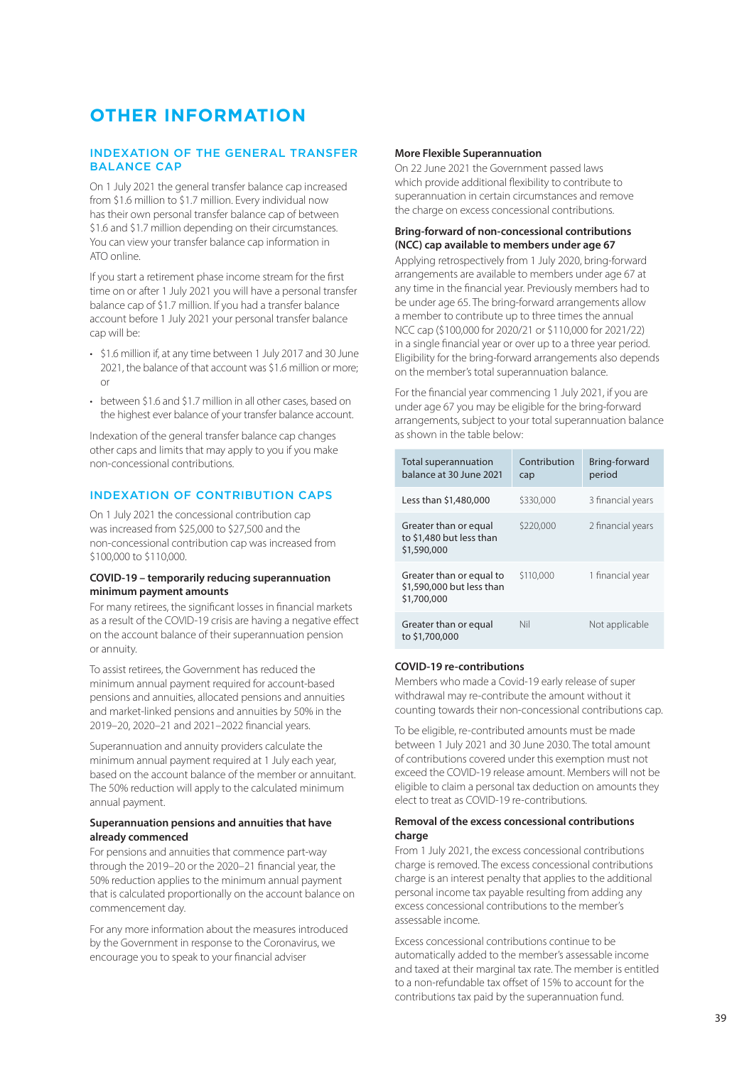# <span id="page-38-0"></span>**OTHER INFORMATION**

### INDEXATION OF THE GENERAL TRANSFER BALANCE CAP

On 1 July 2021 the general transfer balance cap increased from \$1.6 million to \$1.7 million. Every individual now has their own personal transfer balance cap of between \$1.6 and \$1.7 million depending on their circumstances. You can view your transfer balance cap information in ATO online.

If you start a retirement phase income stream for the first time on or after 1 July 2021 you will have a personal transfer balance cap of \$1.7 million. If you had a transfer balance account before 1 July 2021 your personal transfer balance cap will be:

- \$1.6 million if, at any time between 1 July 2017 and 30 June 2021, the balance of that account was \$1.6 million or more; or
- between \$1.6 and \$1.7 million in all other cases, based on the highest ever balance of your transfer balance account.

Indexation of the general transfer balance cap changes other caps and limits that may apply to you if you make non-concessional contributions.

# INDEXATION OF CONTRIBUTION CAPS

On 1 July 2021 the concessional contribution cap was increased from \$25,000 to \$27,500 and the non-concessional contribution cap was increased from \$100,000 to \$110,000.

### **COVID-19 – temporarily reducing superannuation minimum payment amounts**

For many retirees, the significant losses in financial markets as a result of the COVID-19 crisis are having a negative effect on the account balance of their superannuation pension or annuity.

To assist retirees, the Government has reduced the minimum annual payment required for account-based pensions and annuities, allocated pensions and annuities and market-linked pensions and annuities by 50% in the 2019–20, 2020–21 and 2021–2022 financial years.

Superannuation and annuity providers calculate the minimum annual payment required at 1 July each year, based on the account balance of the member or annuitant. The 50% reduction will apply to the calculated minimum annual payment.

### **Superannuation pensions and annuities that have already commenced**

For pensions and annuities that commence part-way through the 2019–20 or the 2020–21 financial year, the 50% reduction applies to the minimum annual payment that is calculated proportionally on the account balance on commencement day.

For any more information about the measures introduced by the Government in response to the Coronavirus, we encourage you to speak to your financial adviser

#### **More Flexible Superannuation**

On 22 June 2021 the Government passed laws which provide additional flexibility to contribute to superannuation in certain circumstances and remove the charge on excess concessional contributions.

# **Bring-forward of non-concessional contributions (NCC) cap available to members under age 67**

Applying retrospectively from 1 July 2020, bring-forward arrangements are available to members under age 67 at any time in the financial year. Previously members had to be under age 65. The bring-forward arrangements allow a member to contribute up to three times the annual NCC cap (\$100,000 for 2020/21 or \$110,000 for 2021/22) in a single financial year or over up to a three year period. Eligibility for the bring-forward arrangements also depends on the member's total superannuation balance.

For the financial year commencing 1 July 2021, if you are under age 67 you may be eligible for the bring-forward arrangements, subject to your total superannuation balance as shown in the table below:

| Total superannuation<br>balance at 30 June 2021                      | Contribution<br>cap | Bring-forward<br>period |
|----------------------------------------------------------------------|---------------------|-------------------------|
| Less than \$1,480,000                                                | \$330,000           | 3 financial years       |
| Greater than or equal<br>to \$1,480 but less than<br>\$1,590,000     | \$220,000           | 2 financial years       |
| Greater than or equal to<br>\$1,590,000 but less than<br>\$1,700,000 | \$110,000           | 1 financial year        |
| Greater than or equal<br>to \$1,700,000                              | Nil                 | Not applicable          |

# **COVID-19 re-contributions**

Members who made a Covid-19 early release of super withdrawal may re-contribute the amount without it counting towards their non-concessional contributions cap.

To be eligible, re-contributed amounts must be made between 1 July 2021 and 30 June 2030. The total amount of contributions covered under this exemption must not exceed the COVID-19 release amount. Members will not be eligible to claim a personal tax deduction on amounts they elect to treat as COVID-19 re-contributions.

#### **Removal of the excess concessional contributions charge**

From 1 July 2021, the excess concessional contributions charge is removed. The excess concessional contributions charge is an interest penalty that applies to the additional personal income tax payable resulting from adding any excess concessional contributions to the member's assessable income.

Excess concessional contributions continue to be automatically added to the member's assessable income and taxed at their marginal tax rate. The member is entitled to a non-refundable tax offset of 15% to account for the contributions tax paid by the superannuation fund.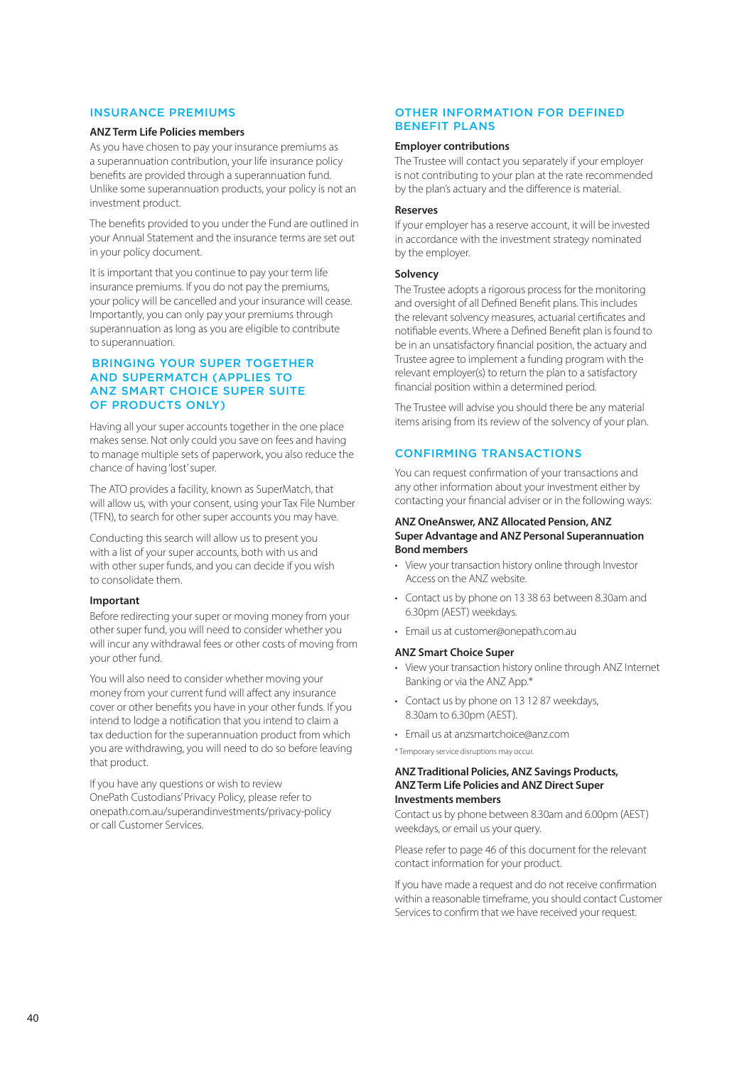#### INSURANCE PREMIUMS

### **ANZ Term Life Policies members**

As you have chosen to pay your insurance premiums as a superannuation contribution, your life insurance policy benefits are provided through a superannuation fund. Unlike some superannuation products, your policy is not an investment product.

The benefits provided to you under the Fund are outlined in your Annual Statement and the insurance terms are set out in your policy document.

It is important that you continue to pay your term life insurance premiums. If you do not pay the premiums, your policy will be cancelled and your insurance will cease. Importantly, you can only pay your premiums through superannuation as long as you are eligible to contribute to superannuation.

## BRINGING YOUR SUPER TOGETHER AND SUPERMATCH (APPLIES TO ANZ SMART CHOICE SUPER SUITE OF PRODUCTS ONLY)

Having all your super accounts together in the one place makes sense. Not only could you save on fees and having to manage multiple sets of paperwork, you also reduce the chance of having 'lost' super.

The ATO provides a facility, known as SuperMatch, that will allow us, with your consent, using your Tax File Number (TFN), to search for other super accounts you may have.

Conducting this search will allow us to present you with a list of your super accounts, both with us and with other super funds, and you can decide if you wish to consolidate them.

### **Important**

Before redirecting your super or moving money from your other super fund, you will need to consider whether you will incur any withdrawal fees or other costs of moving from your other fund.

You will also need to consider whether moving your money from your current fund will affect any insurance cover or other benefits you have in your other funds. If you intend to lodge a notification that you intend to claim a tax deduction for the superannuation product from which you are withdrawing, you will need to do so before leaving that product.

If you have any questions or wish to review OnePath Custodians' Privacy Policy, please refer t[o](http://onepath.com.au/superandinvestments/privacy-policy) [onepath.com.au/superandinvestments/privacy-policy](http://onepath.com.au/superandinvestments/privacy-policy) or call Customer Services.

### OTHER INFORMATION FOR DEFINED BENEFIT PLANS

### **Employer contributions**

The Trustee will contact you separately if your employer is not contributing to your plan at the rate recommended by the plan's actuary and the difference is material.

#### **Reserves**

If your employer has a reserve account, it will be invested in accordance with the investment strategy nominated by the employer.

#### **Solvency**

The Trustee adopts a rigorous process for the monitoring and oversight of all Defined Benefit plans. This includes the relevant solvency measures, actuarial certificates and notifiable events. Where a Defined Benefit plan is found to be in an unsatisfactory financial position, the actuary and Trustee agree to implement a funding program with the relevant employer(s) to return the plan to a satisfactory financial position within a determined period.

The Trustee will advise you should there be any material items arising from its review of the solvency of your plan.

## CONFIRMING TRANSACTIONS

You can request confirmation of your transactions and any other information about your investment either by contacting your financial adviser or in the following ways:

#### **ANZ OneAnswer, ANZ Allocated Pension, ANZ Super Advantage and ANZ Personal Superannuation Bond members**

- View your transaction history online through Investor Access on the ANZ website.
- Contact us by phone on 13 38 63 between 8.30am and 6.30pm (AEST) weekdays.
- Email us a[t customer@onepath.com.au](mailto:customer%40onepath.com.au?subject=)

#### **ANZ Smart Choice Super**

- View your transaction history online through ANZ Internet Banking or via the ANZ App.\*
- Contact us by phone on 13 12 87 weekdays, 8.30am to 6.30pm (AEST).
- Email us a[t anzsmartchoice@anz.co](mailto:anzsmartchoice%40anz.com?subject=)m

\* Temporary service disruptions may occur.

#### **ANZ Traditional Policies, ANZ Savings Products, ANZ Term Life Policies and ANZ Direct Super Investments members**

Contact us by phone between 8.30am and 6.00pm (AEST) weekdays, or email us your query.

Please refer to page 46 of this document for the relevant contact information for your product.

If you have made a request and do not receive confirmation within a reasonable timeframe, you should contact Customer Services to confirm that we have received your request.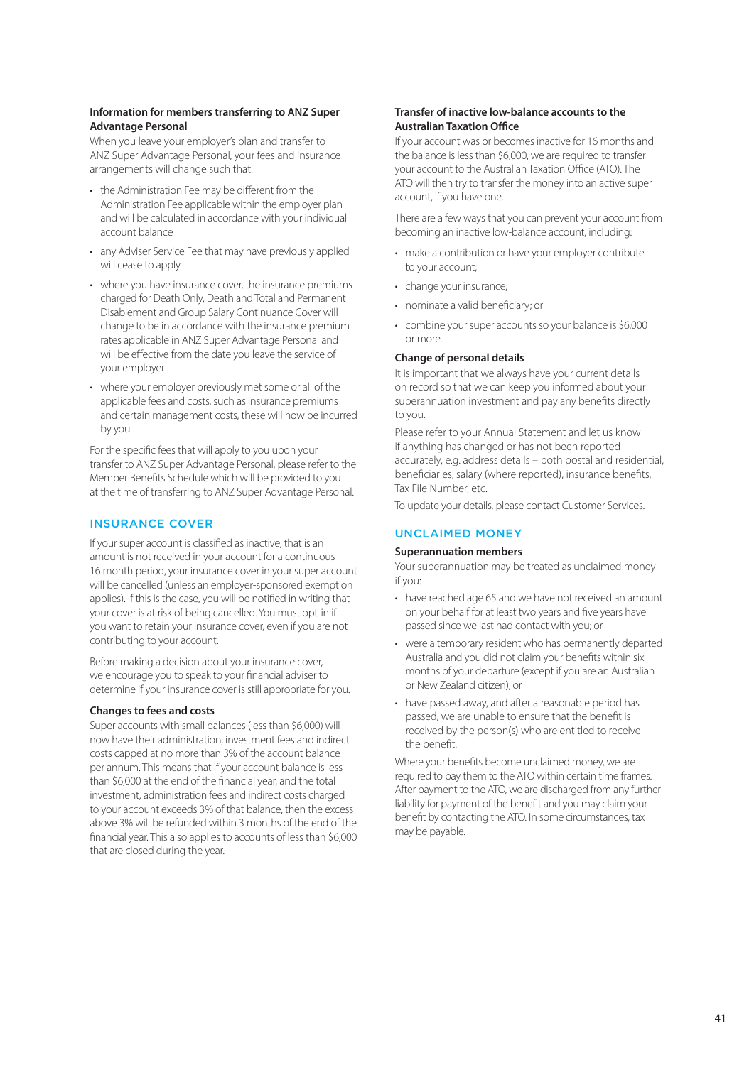## **Information for members transferring to ANZ Super Advantage Personal**

When you leave your employer's plan and transfer to ANZ Super Advantage Personal, your fees and insurance arrangements will change such that:

- the Administration Fee may be different from the Administration Fee applicable within the employer plan and will be calculated in accordance with your individual account balance
- any Adviser Service Fee that may have previously applied will cease to apply
- where you have insurance cover, the insurance premiums charged for Death Only, Death and Total and Permanent Disablement and Group Salary Continuance Cover will change to be in accordance with the insurance premium rates applicable in ANZ Super Advantage Personal and will be effective from the date you leave the service of your employer
- where your employer previously met some or all of the applicable fees and costs, such as insurance premiums and certain management costs, these will now be incurred by you.

For the specific fees that will apply to you upon your transfer to ANZ Super Advantage Personal, please refer to the Member Benefits Schedule which will be provided to you at the time of transferring to ANZ Super Advantage Personal.

# INSURANCE COVER

If your super account is classified as inactive, that is an amount is not received in your account for a continuous 16 month period, your insurance cover in your super account will be cancelled (unless an employer-sponsored exemption applies). If this is the case, you will be notified in writing that your cover is at risk of being cancelled. You must opt-in if you want to retain your insurance cover, even if you are not contributing to your account.

Before making a decision about your insurance cover, we encourage you to speak to your financial adviser to determine if your insurance cover is still appropriate for you.

### **Changes to fees and costs**

Super accounts with small balances (less than \$6,000) will now have their administration, investment fees and indirect costs capped at no more than 3% of the account balance per annum. This means that if your account balance is less than \$6,000 at the end of the financial year, and the total investment, administration fees and indirect costs charged to your account exceeds 3% of that balance, then the excess above 3% will be refunded within 3 months of the end of the financial year. This also applies to accounts of less than \$6,000 that are closed during the year.

## **Transfer of inactive low-balance accounts to the Australian Taxation Office**

If your account was or becomes inactive for 16 months and the balance is less than \$6,000, we are required to transfer your account to the Australian Taxation Office (ATO). The ATO will then try to transfer the money into an active super account, if you have one.

There are a few ways that you can prevent your account from becoming an inactive low-balance account, including:

- make a contribution or have your employer contribute to your account;
- change your insurance;
- nominate a valid beneficiary; or
- combine your super accounts so your balance is \$6,000 or more.

#### **Change of personal details**

It is important that we always have your current details on record so that we can keep you informed about your superannuation investment and pay any benefits directly to you.

Please refer to your Annual Statement and let us know if anything has changed or has not been reported accurately, e.g. address details – both postal and residential, beneficiaries, salary (where reported), insurance benefits, Tax File Number, etc.

To update your details, please contact Customer Services.

# UNCLAIMED MONEY

#### **Superannuation members**

Your superannuation may be treated as unclaimed money if you:

- have reached age 65 and we have not received an amount on your behalf for at least two years and five years have passed since we last had contact with you; or
- were a temporary resident who has permanently departed Australia and you did not claim your benefits within six months of your departure (except if you are an Australian or New Zealand citizen); or
- have passed away, and after a reasonable period has passed, we are unable to ensure that the benefit is received by the person(s) who are entitled to receive the benefit.

Where your benefits become unclaimed money, we are required to pay them to the ATO within certain time frames. After payment to the ATO, we are discharged from any further liability for payment of the benefit and you may claim your benefit by contacting the ATO. In some circumstances, tax may be payable.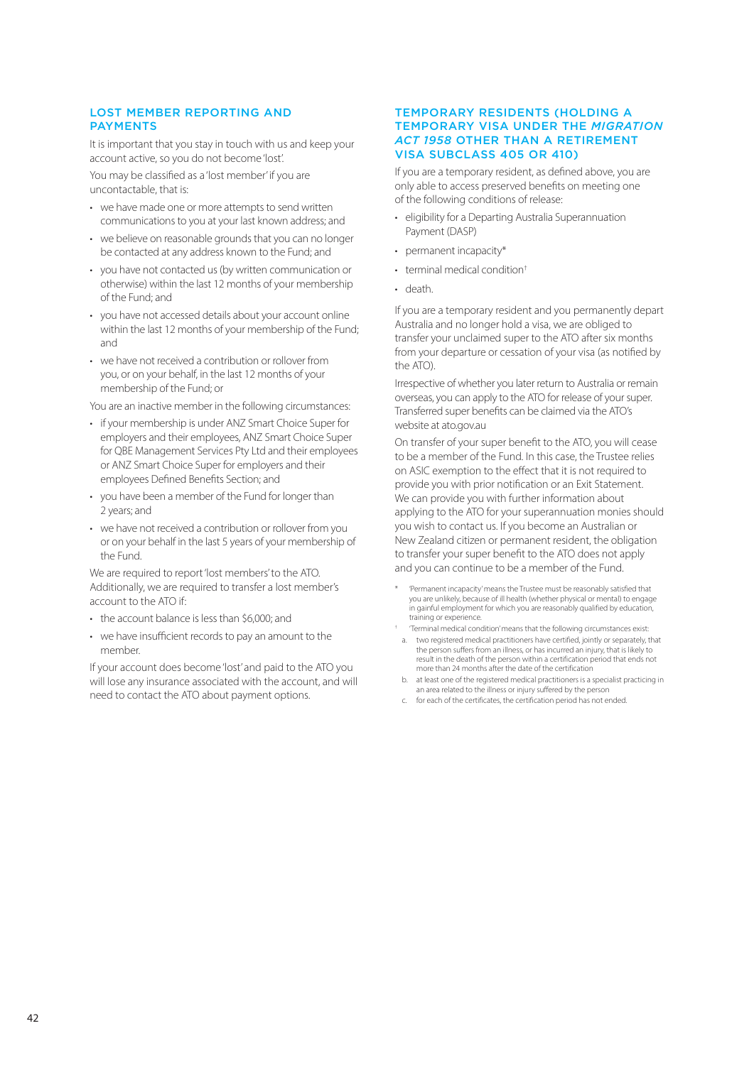# LOST MEMBER REPORTING AND PAYMENTS

It is important that you stay in touch with us and keep your account active, so you do not become 'lost'.

You may be classified as a 'lost member' if you are uncontactable, that is:

- we have made one or more attempts to send written communications to you at your last known address; and
- we believe on reasonable grounds that you can no longer be contacted at any address known to the Fund; and
- you have not contacted us (by written communication or otherwise) within the last 12 months of your membership of the Fund; and
- you have not accessed details about your account online within the last 12 months of your membership of the Fund; and
- we have not received a contribution or rollover from you, or on your behalf, in the last 12 months of your membership of the Fund; or

You are an inactive member in the following circumstances:

- if your membership is under ANZ Smart Choice Super for employers and their employees, ANZ Smart Choice Super for QBE Management Services Pty Ltd and their employees or ANZ Smart Choice Super for employers and their employees Defined Benefits Section; and
- you have been a member of the Fund for longer than 2 years; and
- we have not received a contribution or rollover from you or on your behalf in the last 5 years of your membership of the Fund.

We are required to report 'lost members' to the ATO. Additionally, we are required to transfer a lost member's account to the ATO if:

- the account balance is less than \$6,000; and
- we have insufficient records to pay an amount to the member.

If your account does become 'lost' and paid to the ATO you will lose any insurance associated with the account, and will need to contact the ATO about payment options.

### TEMPORARY RESIDENTS (HOLDING A TEMPORARY VISA UNDER THE *MIGRATION ACT 1958* OTHER THAN A RETIREMENT VISA SUBCLASS 405 OR 410)

If you are a temporary resident, as defined above, you are only able to access preserved benefits on meeting one of the following conditions of release:

- eligibility for a Departing Australia Superannuation Payment (DASP)
- permanent incapacity\*
- terminal medical condition†
- death.

If you are a temporary resident and you permanently depart Australia and no longer hold a visa, we are obliged to transfer your unclaimed super to the ATO after six months from your departure or cessation of your visa (as notified by the ATO).

Irrespective of whether you later return to Australia or remain overseas, you can apply to the ATO for release of your super. Transferred super benefits can be claimed via the ATO's website a[t ato.gov.a](http://ato.gov.au)u

On transfer of your super benefit to the ATO, you will cease to be a member of the Fund. In this case, the Trustee relies on ASIC exemption to the effect that it is not required to provide you with prior notification or an Exit Statement. We can provide you with further information about applying to the ATO for your superannuation monies should you wish to contact us. If you become an Australian or New Zealand citizen or permanent resident, the obligation to transfer your super benefit to the ATO does not apply and you can continue to be a member of the Fund.

- \* 'Permanent incapacity' means the Trustee must be reasonably satisfied that you are unlikely, because of ill health (whether physical or mental) to engage in gainful employment for which you are reasonably qualified by education, training or experience.
- † 'Terminal medical condition' means that the following circumstances exist: a. two registered medical practitioners have certified, jointly or separately, that the person suffers from an illness, or has incurred an injury, that is likely to result in the death of the person within a certification period that ends not more than 24 months after the date of the certification
- b. at least one of the registered medical practitioners is a specialist practicing in an area related to the illness or injury suffered by the person
- c. for each of the certificates, the certification period has not ended.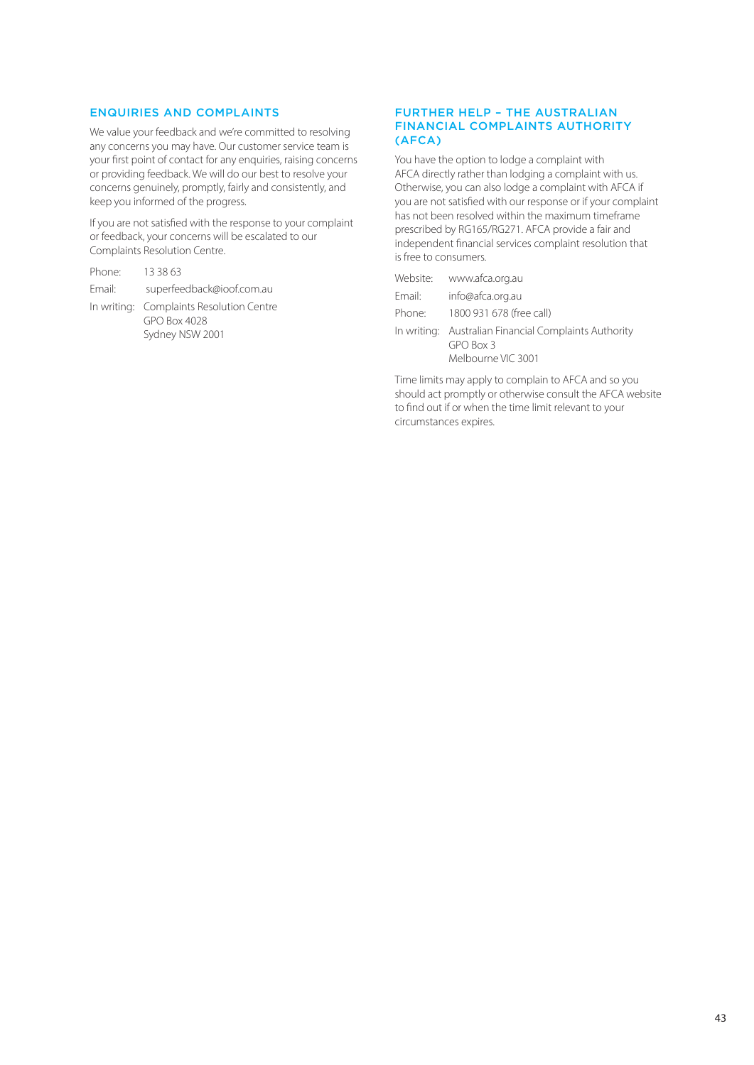# ENQUIRIES AND COMPLAINTS

We value your feedback and we're committed to resolving any concerns you may have. Our customer service team is your first point of contact for any enquiries, raising concerns or providing feedback. We will do our best to resolve your concerns genuinely, promptly, fairly and consistently, and keep you informed of the progress.

If you are not satisfied with the response to your complaint or feedback, your concerns will be escalated to our Complaints Resolution Centre.

| Phone: | 13 38 63                                                                    |
|--------|-----------------------------------------------------------------------------|
| Email: | superfeedback@ioof.com.au                                                   |
|        | In writing: Complaints Resolution Centre<br>GPO Box 4028<br>Sydney NSW 2001 |

## FURTHER HELP – THE AUSTRALIAN FINANCIAL COMPLAINTS AUTHORITY (AFCA)

You have the option to lodge a complaint with AFCA directly rather than lodging a complaint with us. Otherwise, you can also lodge a complaint with AFCA if you are not satisfied with our response or if your complaint has not been resolved within the maximum timeframe prescribed by RG165/RG271. AFCA provide a fair and independent financial services complaint resolution that is free to consumers.

|        | Website: www.afca.org.au                                                                 |
|--------|------------------------------------------------------------------------------------------|
| Email: | info@afca.org.au                                                                         |
| Phone: | 1800 931 678 (free call)                                                                 |
|        | In writing: Australian Financial Complaints Authority<br>GPO Box 3<br>Melbourne VIC 3001 |

Time limits may apply to complain to AFCA and so you should act promptly or otherwise consult the AFCA website to find out if or when the time limit relevant to your circumstances expires.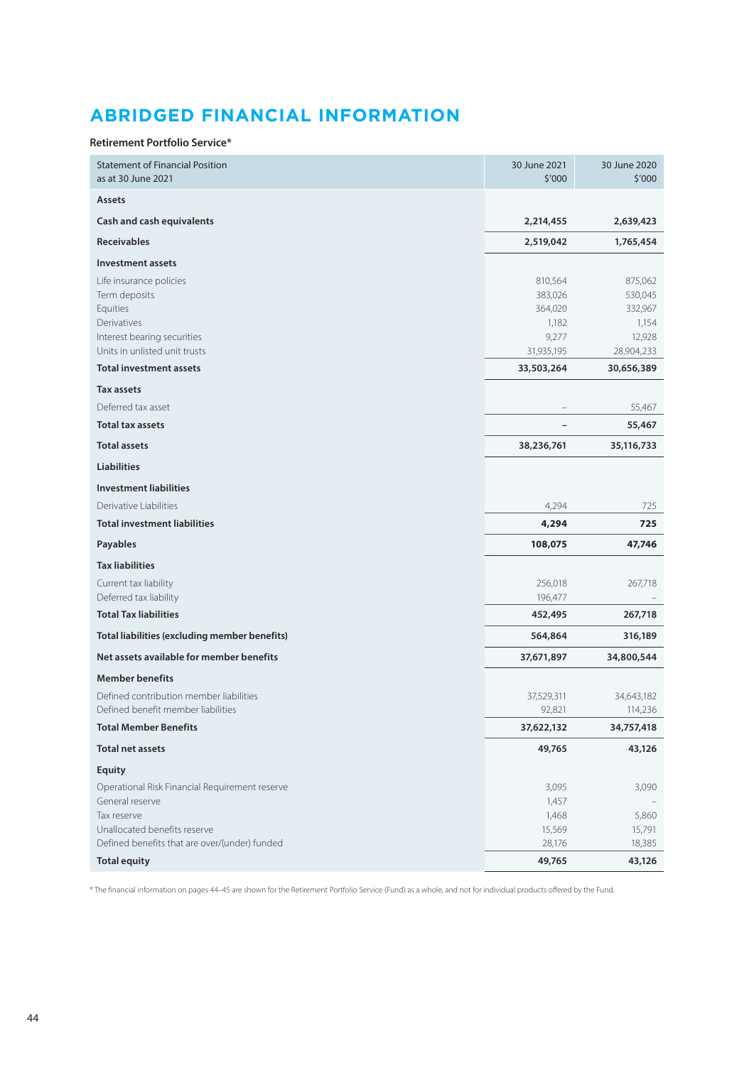# <span id="page-43-0"></span>**ABRIDGED FINANCIAL INFORMATION**

#### **Retirement Portfolio Service\***

| <b>Statement of Financial Position</b><br>as at 30 June 2021                                                                        | 30 June 2021<br>\$'000                                        | 30 June 2020<br>\$'000                                         |
|-------------------------------------------------------------------------------------------------------------------------------------|---------------------------------------------------------------|----------------------------------------------------------------|
| <b>Assets</b>                                                                                                                       |                                                               |                                                                |
| Cash and cash equivalents                                                                                                           | 2,214,455                                                     | 2,639,423                                                      |
| <b>Receivables</b>                                                                                                                  | 2,519,042                                                     | 1,765,454                                                      |
| <b>Investment assets</b>                                                                                                            |                                                               |                                                                |
| Life insurance policies<br>Term deposits<br>Equities<br>Derivatives<br>Interest bearing securities<br>Units in unlisted unit trusts | 810,564<br>383,026<br>364,020<br>1,182<br>9,277<br>31,935,195 | 875,062<br>530,045<br>332,967<br>1,154<br>12,928<br>28,904,233 |
| <b>Total investment assets</b>                                                                                                      | 33,503,264                                                    | 30,656,389                                                     |
| Tax assets                                                                                                                          |                                                               |                                                                |
| Deferred tax asset                                                                                                                  |                                                               | 55,467                                                         |
| <b>Total tax assets</b>                                                                                                             |                                                               | 55,467                                                         |
| <b>Total assets</b>                                                                                                                 | 38,236,761                                                    | 35,116,733                                                     |
| <b>Liabilities</b>                                                                                                                  |                                                               |                                                                |
| <b>Investment liabilities</b>                                                                                                       |                                                               |                                                                |
| Derivative Liabilities                                                                                                              | 4,294                                                         | 725                                                            |
| <b>Total investment liabilities</b>                                                                                                 | 4,294                                                         | 725                                                            |
| Payables                                                                                                                            | 108,075                                                       | 47,746                                                         |
| <b>Tax liabilities</b>                                                                                                              |                                                               |                                                                |
| Current tax liability                                                                                                               | 256,018                                                       | 267,718                                                        |
| Deferred tax liability                                                                                                              | 196,477                                                       |                                                                |
| <b>Total Tax liabilities</b>                                                                                                        | 452,495                                                       | 267,718                                                        |
| Total liabilities (excluding member benefits)                                                                                       | 564,864                                                       | 316,189                                                        |
| Net assets available for member benefits                                                                                            | 37,671,897                                                    | 34,800,544                                                     |
| <b>Member benefits</b>                                                                                                              |                                                               |                                                                |
| Defined contribution member liabilities                                                                                             | 37,529,311                                                    | 34,643,182                                                     |
| Defined benefit member liabilities<br><b>Total Member Benefits</b>                                                                  | 92,821<br>37,622,132                                          | 114,236<br>34,757,418                                          |
|                                                                                                                                     |                                                               |                                                                |
| <b>Total net assets</b>                                                                                                             | 49,765                                                        | 43,126                                                         |
| <b>Equity</b>                                                                                                                       |                                                               |                                                                |
| Operational Risk Financial Requirement reserve<br>General reserve                                                                   | 3,095<br>1,457                                                | 3,090                                                          |
| Tax reserve                                                                                                                         | 1,468                                                         | 5,860                                                          |
| Unallocated benefits reserve                                                                                                        | 15,569                                                        | 15,791                                                         |
| Defined benefits that are over/(under) funded                                                                                       | 28,176                                                        | 18,385                                                         |
| <b>Total equity</b>                                                                                                                 | 49,765                                                        | 43,126                                                         |

\* The financial information on pages 44–45 are shown for the Retirement Portfolio Service (Fund) as a whole, and not for individual products offered by the Fund.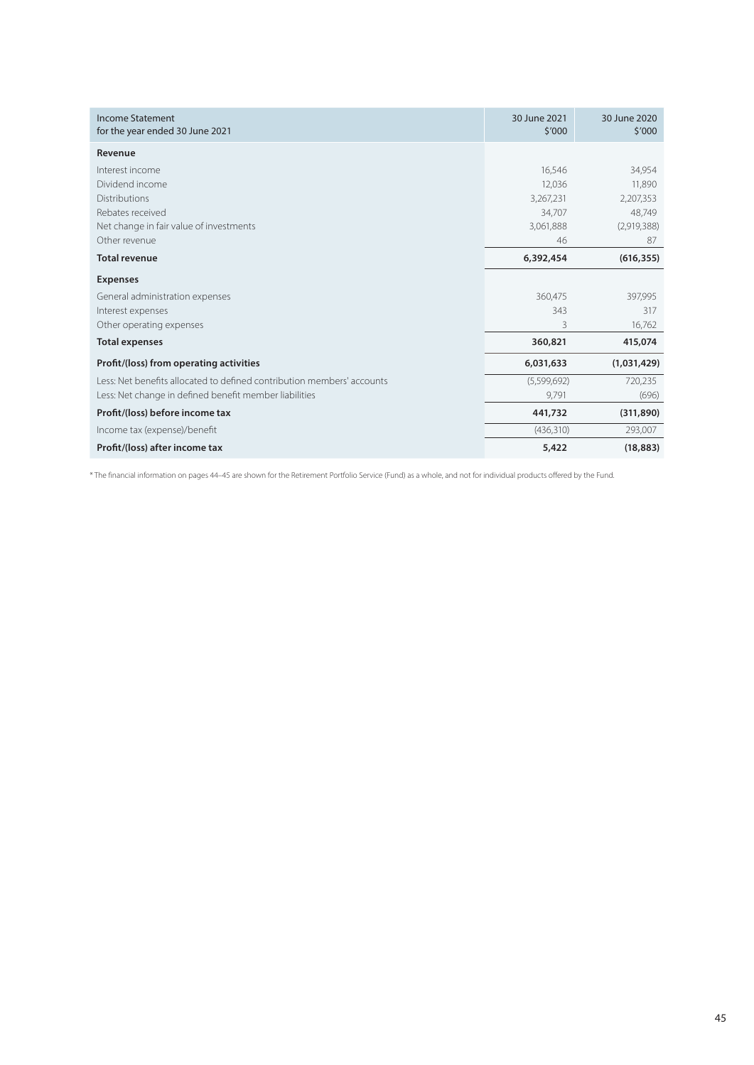| Income Statement<br>for the year ended 30 June 2021                    | 30 June 2021<br>\$′000 | 30 June 2020<br>\$′000 |
|------------------------------------------------------------------------|------------------------|------------------------|
| Revenue                                                                |                        |                        |
| Interest income                                                        | 16,546                 | 34,954                 |
| Dividend income                                                        | 12,036                 | 11,890                 |
| Distributions                                                          | 3,267,231              | 2,207,353              |
| Rebates received                                                       | 34,707                 | 48,749                 |
| Net change in fair value of investments                                | 3,061,888              | (2,919,388)            |
| Other revenue                                                          | 46                     | 87                     |
| <b>Total revenue</b>                                                   | 6,392,454              | (616, 355)             |
| <b>Expenses</b>                                                        |                        |                        |
| General administration expenses                                        | 360,475                | 397,995                |
| Interest expenses                                                      | 343                    | 317                    |
| Other operating expenses                                               | 3                      | 16,762                 |
| <b>Total expenses</b>                                                  | 360,821                | 415,074                |
| Profit/(loss) from operating activities                                | 6,031,633              | (1,031,429)            |
| Less: Net benefits allocated to defined contribution members' accounts | (5,599,692)            | 720,235                |
| Less: Net change in defined benefit member liabilities                 | 9,791                  | (696)                  |
| Profit/(loss) before income tax                                        | 441,732                | (311, 890)             |
| Income tax (expense)/benefit                                           | (436, 310)             | 293,007                |
| Profit/(loss) after income tax                                         | 5,422                  | (18, 883)              |

\* The financial information on pages 44–45 are shown for the Retirement Portfolio Service (Fund) as a whole, and not for individual products offered by the Fund.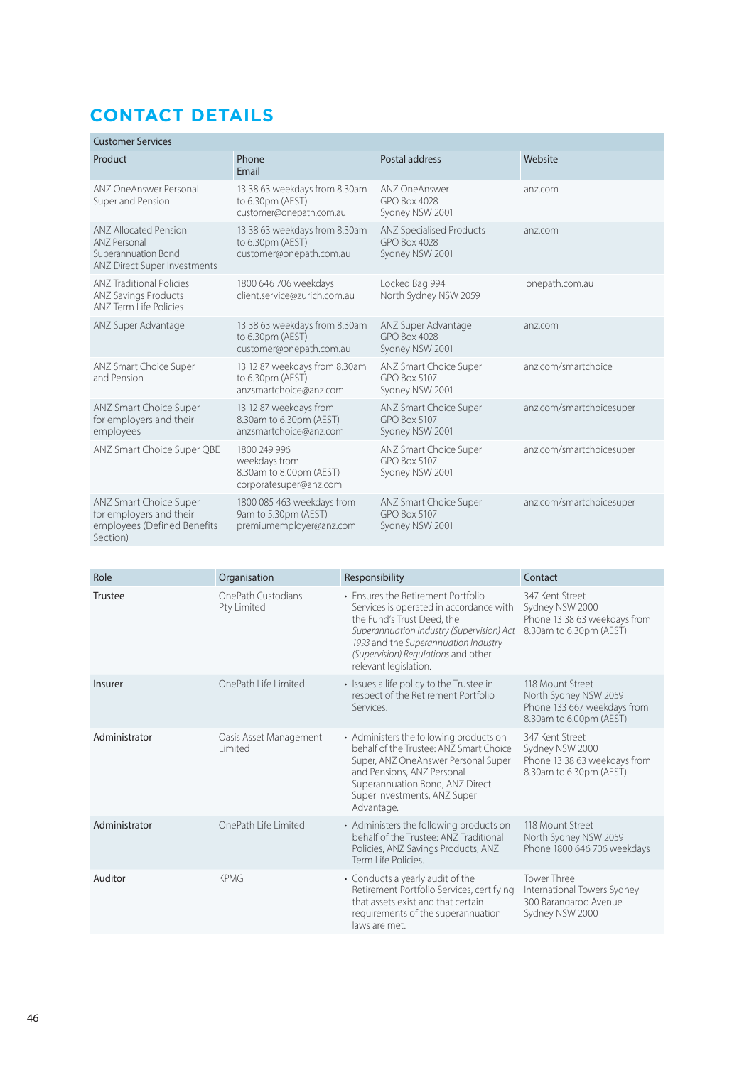# <span id="page-45-0"></span>**CONTACT DETAILS**

| <b>Customer Services</b>                                                                            |                                                                                    |                                                                    |                          |  |  |  |
|-----------------------------------------------------------------------------------------------------|------------------------------------------------------------------------------------|--------------------------------------------------------------------|--------------------------|--|--|--|
| Product                                                                                             | Phone<br>Email                                                                     | Postal address                                                     | Website                  |  |  |  |
| ANZ OneAnswer Personal<br>Super and Pension                                                         | 13 38 63 weekdays from 8.30am<br>to 6.30pm (AEST)<br>customer@onepath.com.au       | ANZ One Answer<br>GPO Box 4028<br>Sydney NSW 2001                  | anz.com                  |  |  |  |
| <b>ANZ Allocated Pension</b><br>ANZ Personal<br>Superannuation Bond<br>ANZ Direct Super Investments | 13 38 63 weekdays from 8.30am<br>to 6.30pm (AEST)<br>customer@onepath.com.au       | <b>ANZ Specialised Products</b><br>GPO Box 4028<br>Sydney NSW 2001 | anz.com                  |  |  |  |
| <b>ANZ Traditional Policies</b><br><b>ANZ Savings Products</b><br>ANZ Term Life Policies            | 1800 646 706 weekdays<br>client.service@zurich.com.au                              | Locked Bag 994<br>North Sydney NSW 2059                            | onepath.com.au           |  |  |  |
| ANZ Super Advantage                                                                                 | 13 38 63 weekdays from 8.30am<br>to 6.30pm (AEST)<br>customer@onepath.com.au       | ANZ Super Advantage<br><b>GPO Box 4028</b><br>Sydney NSW 2001      | anz.com                  |  |  |  |
| ANZ Smart Choice Super<br>and Pension                                                               | 13 12 87 weekdays from 8.30am<br>to 6.30pm (AEST)<br>anzsmartchoice@anz.com        | ANZ Smart Choice Super<br>GPO Box 5107<br>Sydney NSW 2001          | anz.com/smartchoice      |  |  |  |
| ANZ Smart Choice Super<br>for employers and their<br>employees                                      | 13 12 87 weekdays from<br>8.30am to 6.30pm (AEST)<br>anzsmartchoice@anz.com        | ANZ Smart Choice Super<br>GPO Box 5107<br>Sydney NSW 2001          | anz.com/smartchoicesuper |  |  |  |
| ANZ Smart Choice Super QBE                                                                          | 1800 249 996<br>weekdays from<br>8.30am to 8.00pm (AEST)<br>corporatesuper@anz.com | ANZ Smart Choice Super<br>GPO Box 5107<br>Sydney NSW 2001          | anz.com/smartchoicesuper |  |  |  |
| <b>ANZ Smart Choice Super</b><br>for employers and their<br>employees (Defined Benefits<br>Section) | 1800 085 463 weekdays from<br>9am to 5.30pm (AEST)<br>premiumemployer@anz.com      | ANZ Smart Choice Super<br><b>GPO Box 5107</b><br>Sydney NSW 2001   | anz.com/smartchoicesuper |  |  |  |

| Role          | Organisation                       | Responsibility                                                                                                                                                                                                                                                   | Contact                                                                                             |
|---------------|------------------------------------|------------------------------------------------------------------------------------------------------------------------------------------------------------------------------------------------------------------------------------------------------------------|-----------------------------------------------------------------------------------------------------|
| Trustee       | OnePath Custodians<br>Pty Limited  | • Ensures the Retirement Portfolio<br>Services is operated in accordance with<br>the Fund's Trust Deed, the<br>Superannuation Industry (Supervision) Act<br>1993 and the Superannuation Industry<br>(Supervision) Regulations and other<br>relevant legislation. | 347 Kent Street<br>Sydney NSW 2000<br>Phone 13 38 63 weekdays from<br>8.30am to 6.30pm (AEST)       |
| Insurer       | OnePath Life Limited               | • Issues a life policy to the Trustee in<br>respect of the Retirement Portfolio<br>Services.                                                                                                                                                                     | 118 Mount Street<br>North Sydney NSW 2059<br>Phone 133 667 weekdays from<br>8.30am to 6.00pm (AEST) |
| Administrator | Oasis Asset Management<br>I imited | • Administers the following products on<br>behalf of the Trustee: ANZ Smart Choice<br>Super, ANZ OneAnswer Personal Super<br>and Pensions, ANZ Personal<br>Superannuation Bond, ANZ Direct<br>Super Investments, ANZ Super<br>Advantage.                         | 347 Kent Street<br>Sydney NSW 2000<br>Phone 13 38 63 weekdays from<br>8.30am to 6.30pm (AEST)       |
| Administrator | OnePath Life Limited               | • Administers the following products on<br>behalf of the Trustee: ANZ Traditional<br>Policies, ANZ Savings Products, ANZ<br>Term Life Policies.                                                                                                                  | 118 Mount Street<br>North Sydney NSW 2059<br>Phone 1800 646 706 weekdays                            |
| Auditor       | <b>KPMG</b>                        | • Conducts a yearly audit of the<br>Retirement Portfolio Services, certifying<br>that assets exist and that certain<br>requirements of the superannuation<br>laws are met.                                                                                       | <b>Tower Three</b><br>International Towers Sydney<br>300 Barangaroo Avenue<br>Sydney NSW 2000       |